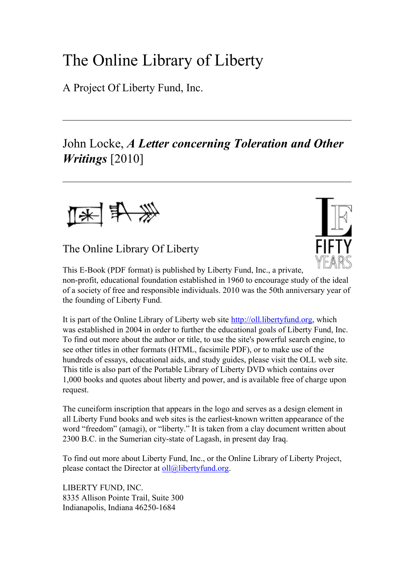# The Online Library of Liberty

A Project Of Liberty Fund, Inc.

# John Locke, *A Letter concerning Toleration and Other Writings* [2010]



The Online Library Of Liberty



This E-Book (PDF format) is published by Liberty Fund, Inc., a private, non-profit, educational foundation established in 1960 to encourage study of the ideal of a society of free and responsible individuals. 2010 was the 50th anniversary year of the founding of Liberty Fund.

It is part of the Online Library of Liberty web site [http://oll.libertyfund.org,](http://oll.libertyfund.org) which was established in 2004 in order to further the educational goals of Liberty Fund, Inc. To find out more about the author or title, to use the site's powerful search engine, to see other titles in other formats (HTML, facsimile PDF), or to make use of the hundreds of essays, educational aids, and study guides, please visit the OLL web site. This title is also part of the Portable Library of Liberty DVD which contains over 1,000 books and quotes about liberty and power, and is available free of charge upon request.

The cuneiform inscription that appears in the logo and serves as a design element in all Liberty Fund books and web sites is the earliest-known written appearance of the word "freedom" (amagi), or "liberty." It is taken from a clay document written about 2300 B.C. in the Sumerian city-state of Lagash, in present day Iraq.

To find out more about Liberty Fund, Inc., or the Online Library of Liberty Project, please contact the Director at  $oll@libertvfund.org.$ 

LIBERTY FUND, INC. 8335 Allison Pointe Trail, Suite 300 Indianapolis, Indiana 46250-1684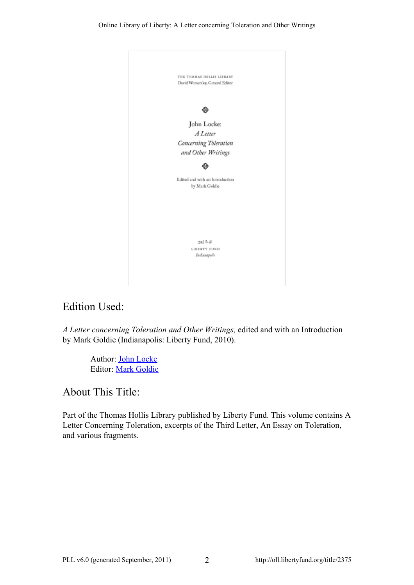

Edition Used:

*A Letter concerning Toleration and Other Writings,* edited and with an Introduction by Mark Goldie (Indianapolis: Liberty Fund, 2010).

Author: [John Locke](http://oll.libertyfund.org/person/131) Editor: [Mark Goldie](http://oll.libertyfund.org/person/4757)

About This Title:

Part of the Thomas Hollis Library published by Liberty Fund. This volume contains A Letter Concerning Toleration, excerpts of the Third Letter, An Essay on Toleration, and various fragments.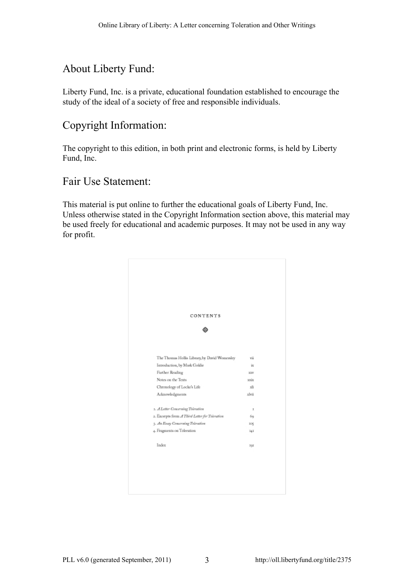#### About Liberty Fund:

Liberty Fund, Inc. is a private, educational foundation established to encourage the study of the ideal of a society of free and responsible individuals.

#### Copyright Information:

The copyright to this edition, in both print and electronic forms, is held by Liberty Fund, Inc.

#### Fair Use Statement:

This material is put online to further the educational goals of Liberty Fund, Inc. Unless otherwise stated in the Copyright Information section above, this material may be used freely for educational and academic purposes. It may not be used in any way for profit.

| CONTENTS                                       |             |  |
|------------------------------------------------|-------------|--|
|                                                |             |  |
|                                                |             |  |
|                                                |             |  |
|                                                |             |  |
| The Thomas Hollis Library, by David Womersley  | vii         |  |
| Introduction, by Mark Goldie                   | 远           |  |
| Further Reading                                | 300F        |  |
| Notes on the Texts                             | xxix        |  |
| Chronology of Locke's Life                     | xli         |  |
| Acknowledgments                                | xhii        |  |
|                                                |             |  |
| 1. A Letter Concerning Toleration              | $\mathbf I$ |  |
| 2. Excerpts from A Third Letter for Toleration | 69.         |  |
| 5. An Essay Concerning Toleration              | <b>TOS</b>  |  |
| 4. Fragments on Toleration                     | 141         |  |
| Index                                          | 101         |  |
|                                                |             |  |
|                                                |             |  |
|                                                |             |  |
|                                                |             |  |
|                                                |             |  |
|                                                |             |  |
|                                                |             |  |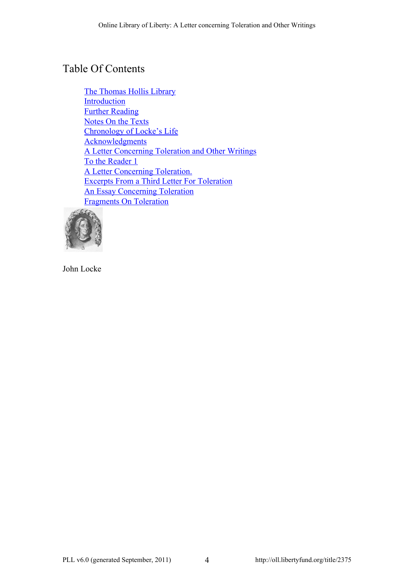#### Table Of Contents

[The Thomas Hollis Library](#page-4-0) **[Introduction](#page-5-0)** [Further Reading](#page-15-0) [Notes On the Texts](#page-18-0) [Chronology of Locke's Life](#page-27-0) [Acknowledgments](#page-32-0) [A Letter Concerning Toleration and Other Writings](#page-33-0) [To the Reader 1](#page-34-0) [A Letter Concerning Toleration.](#page-35-0) [Excerpts From a Third Letter For Toleration](#page-67-0) [An Essay Concerning Toleration](#page-88-0) [Fragments On Toleration](#page-108-0)



John Locke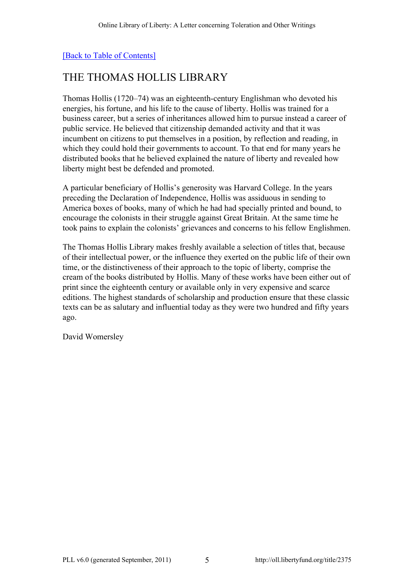# <span id="page-4-0"></span>THE THOMAS HOLLIS LIBRARY

Thomas Hollis (1720–74) was an eighteenth-century Englishman who devoted his energies, his fortune, and his life to the cause of liberty. Hollis was trained for a business career, but a series of inheritances allowed him to pursue instead a career of public service. He believed that citizenship demanded activity and that it was incumbent on citizens to put themselves in a position, by reflection and reading, in which they could hold their governments to account. To that end for many years he distributed books that he believed explained the nature of liberty and revealed how liberty might best be defended and promoted.

A particular beneficiary of Hollis's generosity was Harvard College. In the years preceding the Declaration of Independence, Hollis was assiduous in sending to America boxes of books, many of which he had had specially printed and bound, to encourage the colonists in their struggle against Great Britain. At the same time he took pains to explain the colonists' grievances and concerns to his fellow Englishmen.

The Thomas Hollis Library makes freshly available a selection of titles that, because of their intellectual power, or the influence they exerted on the public life of their own time, or the distinctiveness of their approach to the topic of liberty, comprise the cream of the books distributed by Hollis. Many of these works have been either out of print since the eighteenth century or available only in very expensive and scarce editions. The highest standards of scholarship and production ensure that these classic texts can be as salutary and influential today as they were two hundred and fifty years ago.

David Womersley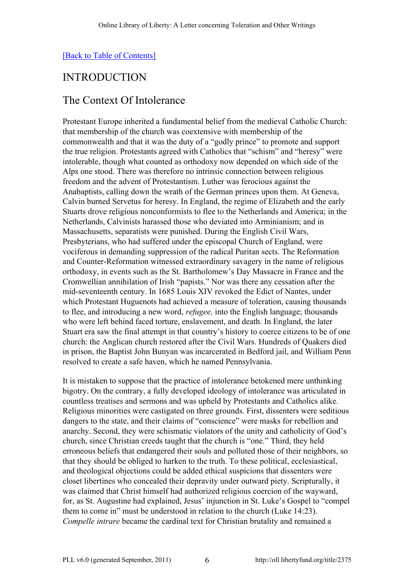#### <span id="page-5-0"></span>INTRODUCTION

#### The Context Of Intolerance

Protestant Europe inherited a fundamental belief from the medieval Catholic Church: that membership of the church was coextensive with membership of the commonwealth and that it was the duty of a "godly prince" to promote and support the true religion. Protestants agreed with Catholics that "schism" and "heresy" were intolerable, though what counted as orthodoxy now depended on which side of the Alps one stood. There was therefore no intrinsic connection between religious freedom and the advent of Protestantism. Luther was ferocious against the Anabaptists, calling down the wrath of the German princes upon them. At Geneva, Calvin burned Servetus for heresy. In England, the regime of Elizabeth and the early Stuarts drove religious nonconformists to flee to the Netherlands and America; in the Netherlands, Calvinists harassed those who deviated into Arminianism; and in Massachusetts, separatists were punished. During the English Civil Wars, Presbyterians, who had suffered under the episcopal Church of England, were vociferous in demanding suppression of the radical Puritan sects. The Reformation and Counter-Reformation witnessed extraordinary savagery in the name of religious orthodoxy, in events such as the St. Bartholomew's Day Massacre in France and the Cromwellian annihilation of Irish "papists." Nor was there any cessation after the mid-seventeenth century. In 1685 Louis XIV revoked the Edict of Nantes, under which Protestant Huguenots had achieved a measure of toleration, causing thousands to flee, and introducing a new word, *refugee,* into the English language; thousands who were left behind faced torture, enslavement, and death. In England, the later Stuart era saw the final attempt in that country's history to coerce citizens to be of one church: the Anglican church restored after the Civil Wars. Hundreds of Quakers died in prison, the Baptist John Bunyan was incarcerated in Bedford jail, and William Penn resolved to create a safe haven, which he named Pennsylvania.

It is mistaken to suppose that the practice of intolerance betokened mere unthinking bigotry. On the contrary, a fully developed ideology of intolerance was articulated in countless treatises and sermons and was upheld by Protestants and Catholics alike. Religious minorities were castigated on three grounds. First, dissenters were seditious dangers to the state, and their claims of "conscience" were masks for rebellion and anarchy. Second, they were schismatic violators of the unity and catholicity of God's church, since Christian creeds taught that the church is "one." Third, they held erroneous beliefs that endangered their souls and polluted those of their neighbors, so that they should be obliged to harken to the truth. To these political, ecclesiastical, and theological objections could be added ethical suspicions that dissenters were closet libertines who concealed their depravity under outward piety. Scripturally, it was claimed that Christ himself had authorized religious coercion of the wayward, for, as St. Augustine had explained, Jesus' injunction in St. Luke's Gospel to "compel them to come in" must be understood in relation to the church (Luke 14:23). *Compelle intrare* became the cardinal text for Christian brutality and remained a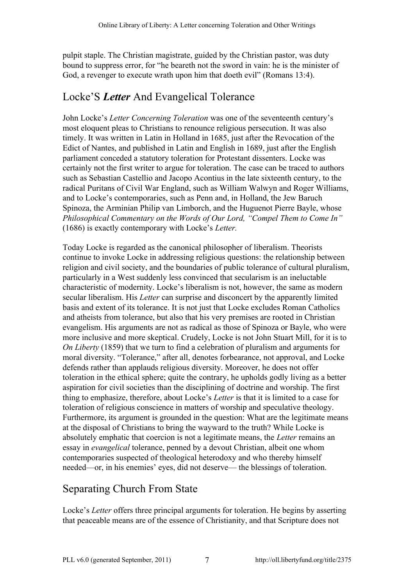pulpit staple. The Christian magistrate, guided by the Christian pastor, was duty bound to suppress error, for "he beareth not the sword in vain: he is the minister of God, a revenger to execute wrath upon him that doeth evil" (Romans 13:4).

### Locke'S *Letter* And Evangelical Tolerance

John Locke's *Letter Concerning Toleration* was one of the seventeenth century's most eloquent pleas to Christians to renounce religious persecution. It was also timely. It was written in Latin in Holland in 1685, just after the Revocation of the Edict of Nantes, and published in Latin and English in 1689, just after the English parliament conceded a statutory toleration for Protestant dissenters. Locke was certainly not the first writer to argue for toleration. The case can be traced to authors such as Sebastian Castellio and Jacopo Acontius in the late sixteenth century, to the radical Puritans of Civil War England, such as William Walwyn and Roger Williams, and to Locke's contemporaries, such as Penn and, in Holland, the Jew Baruch Spinoza, the Arminian Philip van Limborch, and the Huguenot Pierre Bayle, whose *Philosophical Commentary on the Words of Our Lord, "Compel Them to Come In"* (1686) is exactly contemporary with Locke's *Letter.*

Today Locke is regarded as the canonical philosopher of liberalism. Theorists continue to invoke Locke in addressing religious questions: the relationship between religion and civil society, and the boundaries of public tolerance of cultural pluralism, particularly in a West suddenly less convinced that secularism is an ineluctable characteristic of modernity. Locke's liberalism is not, however, the same as modern secular liberalism. His *Letter* can surprise and disconcert by the apparently limited basis and extent of its tolerance. It is not just that Locke excludes Roman Catholics and atheists from tolerance, but also that his very premises are rooted in Christian evangelism. His arguments are not as radical as those of Spinoza or Bayle, who were more inclusive and more skeptical. Crudely, Locke is not John Stuart Mill, for it is to *On Liberty* (1859) that we turn to find a celebration of pluralism and arguments for moral diversity. "Tolerance," after all, denotes forbearance, not approval, and Locke defends rather than applauds religious diversity. Moreover, he does not offer toleration in the ethical sphere; quite the contrary, he upholds godly living as a better aspiration for civil societies than the disciplining of doctrine and worship. The first thing to emphasize, therefore, about Locke's *Letter* is that it is limited to a case for toleration of religious conscience in matters of worship and speculative theology. Furthermore, its argument is grounded in the question: What are the legitimate means at the disposal of Christians to bring the wayward to the truth? While Locke is absolutely emphatic that coercion is not a legitimate means, the *Letter* remains an essay in *evangelical* tolerance, penned by a devout Christian, albeit one whom contemporaries suspected of theological heterodoxy and who thereby himself needed—or, in his enemies' eyes, did not deserve— the blessings of toleration.

### Separating Church From State

Locke's *Letter* offers three principal arguments for toleration. He begins by asserting that peaceable means are of the essence of Christianity, and that Scripture does not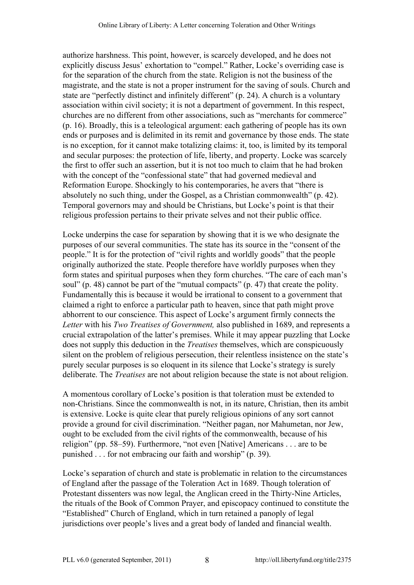authorize harshness. This point, however, is scarcely developed, and he does not explicitly discuss Jesus' exhortation to "compel." Rather, Locke's overriding case is for the separation of the church from the state. Religion is not the business of the magistrate, and the state is not a proper instrument for the saving of souls. Church and state are "perfectly distinct and infinitely different" (p. 24). A church is a voluntary association within civil society; it is not a department of government. In this respect, churches are no different from other associations, such as "merchants for commerce" (p. 16). Broadly, this is a teleological argument: each gathering of people has its own ends or purposes and is delimited in its remit and governance by those ends. The state is no exception, for it cannot make totalizing claims: it, too, is limited by its temporal and secular purposes: the protection of life, liberty, and property. Locke was scarcely the first to offer such an assertion, but it is not too much to claim that he had broken with the concept of the "confessional state" that had governed medieval and Reformation Europe. Shockingly to his contemporaries, he avers that "there is absolutely no such thing, under the Gospel, as a Christian commonwealth" (p. 42). Temporal governors may and should be Christians, but Locke's point is that their religious profession pertains to their private selves and not their public office.

Locke underpins the case for separation by showing that it is we who designate the purposes of our several communities. The state has its source in the "consent of the people." It is for the protection of "civil rights and worldly goods" that the people originally authorized the state. People therefore have worldly purposes when they form states and spiritual purposes when they form churches. "The care of each man's soul" (p. 48) cannot be part of the "mutual compacts" (p. 47) that create the polity. Fundamentally this is because it would be irrational to consent to a government that claimed a right to enforce a particular path to heaven, since that path might prove abhorrent to our conscience. This aspect of Locke's argument firmly connects the *Letter* with his *Two Treatises of Government,* also published in 1689, and represents a crucial extrapolation of the latter's premises. While it may appear puzzling that Locke does not supply this deduction in the *Treatises* themselves, which are conspicuously silent on the problem of religious persecution, their relentless insistence on the state's purely secular purposes is so eloquent in its silence that Locke's strategy is surely deliberate. The *Treatises* are not about religion because the state is not about religion.

A momentous corollary of Locke's position is that toleration must be extended to non-Christians. Since the commonwealth is not, in its nature, Christian, then its ambit is extensive. Locke is quite clear that purely religious opinions of any sort cannot provide a ground for civil discrimination. "Neither pagan, nor Mahumetan, nor Jew, ought to be excluded from the civil rights of the commonwealth, because of his religion" (pp. 58–59). Furthermore, "not even [Native] Americans . . . are to be punished . . . for not embracing our faith and worship" (p. 39).

Locke's separation of church and state is problematic in relation to the circumstances of England after the passage of the Toleration Act in 1689. Though toleration of Protestant dissenters was now legal, the Anglican creed in the Thirty-Nine Articles, the rituals of the Book of Common Prayer, and episcopacy continued to constitute the "Established" Church of England, which in turn retained a panoply of legal jurisdictions over people's lives and a great body of landed and financial wealth.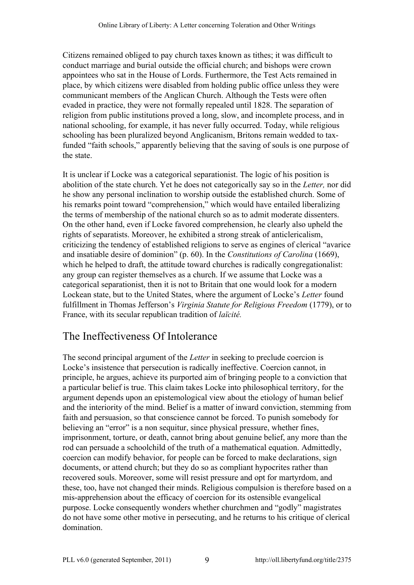Citizens remained obliged to pay church taxes known as tithes; it was difficult to conduct marriage and burial outside the official church; and bishops were crown appointees who sat in the House of Lords. Furthermore, the Test Acts remained in place, by which citizens were disabled from holding public office unless they were communicant members of the Anglican Church. Although the Tests were often evaded in practice, they were not formally repealed until 1828. The separation of religion from public institutions proved a long, slow, and incomplete process, and in national schooling, for example, it has never fully occurred. Today, while religious schooling has been pluralized beyond Anglicanism, Britons remain wedded to taxfunded "faith schools," apparently believing that the saving of souls is one purpose of the state.

It is unclear if Locke was a categorical separationist. The logic of his position is abolition of the state church. Yet he does not categorically say so in the *Letter,* nor did he show any personal inclination to worship outside the established church. Some of his remarks point toward "comprehension," which would have entailed liberalizing the terms of membership of the national church so as to admit moderate dissenters. On the other hand, even if Locke favored comprehension, he clearly also upheld the rights of separatists. Moreover, he exhibited a strong streak of anticlericalism, criticizing the tendency of established religions to serve as engines of clerical "avarice and insatiable desire of dominion" (p. 60). In the *Constitutions of Carolina* (1669), which he helped to draft, the attitude toward churches is radically congregationalist: any group can register themselves as a church. If we assume that Locke was a categorical separationist, then it is not to Britain that one would look for a modern Lockean state, but to the United States, where the argument of Locke's *Letter* found fulfillment in Thomas Jefferson's *Virginia Statute for Religious Freedom* (1779), or to France, with its secular republican tradition of *laïcité.*

### The Ineffectiveness Of Intolerance

The second principal argument of the *Letter* in seeking to preclude coercion is Locke's insistence that persecution is radically ineffective. Coercion cannot, in principle, he argues, achieve its purported aim of bringing people to a conviction that a particular belief is true. This claim takes Locke into philosophical territory, for the argument depends upon an epistemological view about the etiology of human belief and the interiority of the mind. Belief is a matter of inward conviction, stemming from faith and persuasion, so that conscience cannot be forced. To punish somebody for believing an "error" is a non sequitur, since physical pressure, whether fines, imprisonment, torture, or death, cannot bring about genuine belief, any more than the rod can persuade a schoolchild of the truth of a mathematical equation. Admittedly, coercion can modify behavior, for people can be forced to make declarations, sign documents, or attend church; but they do so as compliant hypocrites rather than recovered souls. Moreover, some will resist pressure and opt for martyrdom, and these, too, have not changed their minds. Religious compulsion is therefore based on a mis-apprehension about the efficacy of coercion for its ostensible evangelical purpose. Locke consequently wonders whether churchmen and "godly" magistrates do not have some other motive in persecuting, and he returns to his critique of clerical domination.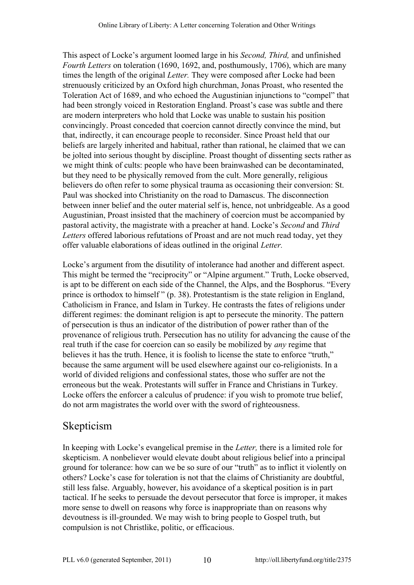This aspect of Locke's argument loomed large in his *Second, Third,* and unfinished *Fourth Letters* on toleration (1690, 1692, and, posthumously, 1706), which are many times the length of the original *Letter.* They were composed after Locke had been strenuously criticized by an Oxford high churchman, Jonas Proast, who resented the Toleration Act of 1689, and who echoed the Augustinian injunctions to "compel" that had been strongly voiced in Restoration England. Proast's case was subtle and there are modern interpreters who hold that Locke was unable to sustain his position convincingly. Proast conceded that coercion cannot directly convince the mind, but that, indirectly, it can encourage people to reconsider. Since Proast held that our beliefs are largely inherited and habitual, rather than rational, he claimed that we can be jolted into serious thought by discipline. Proast thought of dissenting sects rather as we might think of cults: people who have been brainwashed can be decontaminated, but they need to be physically removed from the cult. More generally, religious believers do often refer to some physical trauma as occasioning their conversion: St. Paul was shocked into Christianity on the road to Damascus. The disconnection between inner belief and the outer material self is, hence, not unbridgeable. As a good Augustinian, Proast insisted that the machinery of coercion must be accompanied by pastoral activity, the magistrate with a preacher at hand. Locke's *Second* and *Third Letters* offered laborious refutations of Proast and are not much read today, yet they offer valuable elaborations of ideas outlined in the original *Letter.*

Locke's argument from the disutility of intolerance had another and different aspect. This might be termed the "reciprocity" or "Alpine argument." Truth, Locke observed, is apt to be different on each side of the Channel, the Alps, and the Bosphorus. "Every prince is orthodox to himself " (p. 38). Protestantism is the state religion in England, Catholicism in France, and Islam in Turkey. He contrasts the fates of religions under different regimes: the dominant religion is apt to persecute the minority. The pattern of persecution is thus an indicator of the distribution of power rather than of the provenance of religious truth. Persecution has no utility for advancing the cause of the real truth if the case for coercion can so easily be mobilized by *any* regime that believes it has the truth. Hence, it is foolish to license the state to enforce "truth," because the same argument will be used elsewhere against our co-religionists. In a world of divided religions and confessional states, those who suffer are not the erroneous but the weak. Protestants will suffer in France and Christians in Turkey. Locke offers the enforcer a calculus of prudence: if you wish to promote true belief, do not arm magistrates the world over with the sword of righteousness.

### Skepticism

In keeping with Locke's evangelical premise in the *Letter,* there is a limited role for skepticism. A nonbeliever would elevate doubt about religious belief into a principal ground for tolerance: how can we be so sure of our "truth" as to inflict it violently on others? Locke's case for toleration is not that the claims of Christianity are doubtful, still less false. Arguably, however, his avoidance of a skeptical position is in part tactical. If he seeks to persuade the devout persecutor that force is improper, it makes more sense to dwell on reasons why force is inappropriate than on reasons why devoutness is ill-grounded. We may wish to bring people to Gospel truth, but compulsion is not Christlike, politic, or efficacious.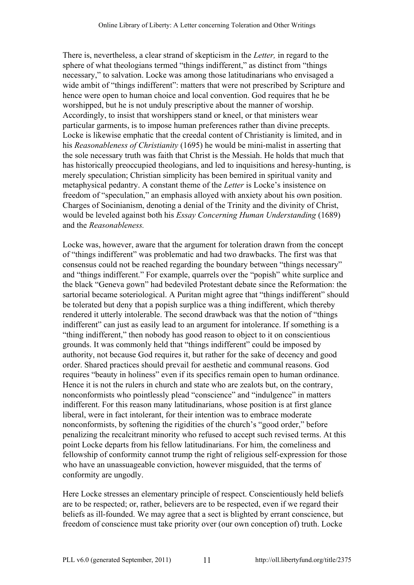There is, nevertheless, a clear strand of skepticism in the *Letter,* in regard to the sphere of what theologians termed "things indifferent," as distinct from "things necessary," to salvation. Locke was among those latitudinarians who envisaged a wide ambit of "things indifferent": matters that were not prescribed by Scripture and hence were open to human choice and local convention. God requires that he be worshipped, but he is not unduly prescriptive about the manner of worship. Accordingly, to insist that worshippers stand or kneel, or that ministers wear particular garments, is to impose human preferences rather than divine precepts. Locke is likewise emphatic that the creedal content of Christianity is limited, and in his *Reasonableness of Christianity* (1695) he would be mini-malist in asserting that the sole necessary truth was faith that Christ is the Messiah. He holds that much that has historically preoccupied theologians, and led to inquisitions and heresy-hunting, is merely speculation; Christian simplicity has been bemired in spiritual vanity and metaphysical pedantry. A constant theme of the *Letter* is Locke's insistence on freedom of "speculation," an emphasis alloyed with anxiety about his own position. Charges of Socinianism, denoting a denial of the Trinity and the divinity of Christ, would be leveled against both his *Essay Concerning Human Understanding* (1689) and the *Reasonableness.*

Locke was, however, aware that the argument for toleration drawn from the concept of "things indifferent" was problematic and had two drawbacks. The first was that consensus could not be reached regarding the boundary between "things necessary" and "things indifferent." For example, quarrels over the "popish" white surplice and the black "Geneva gown" had bedeviled Protestant debate since the Reformation: the sartorial became soteriological. A Puritan might agree that "things indifferent" should be tolerated but deny that a popish surplice was a thing indifferent, which thereby rendered it utterly intolerable. The second drawback was that the notion of "things indifferent" can just as easily lead to an argument for intolerance. If something is a "thing indifferent," then nobody has good reason to object to it on conscientious grounds. It was commonly held that "things indifferent" could be imposed by authority, not because God requires it, but rather for the sake of decency and good order. Shared practices should prevail for aesthetic and communal reasons. God requires "beauty in holiness" even if its specifics remain open to human ordinance. Hence it is not the rulers in church and state who are zealots but, on the contrary, nonconformists who pointlessly plead "conscience" and "indulgence" in matters indifferent. For this reason many latitudinarians, whose position is at first glance liberal, were in fact intolerant, for their intention was to embrace moderate nonconformists, by softening the rigidities of the church's "good order," before penalizing the recalcitrant minority who refused to accept such revised terms. At this point Locke departs from his fellow latitudinarians. For him, the comeliness and fellowship of conformity cannot trump the right of religious self-expression for those who have an unassuageable conviction, however misguided, that the terms of conformity are ungodly.

Here Locke stresses an elementary principle of respect. Conscientiously held beliefs are to be respected; or, rather, believers are to be respected, even if we regard their beliefs as ill-founded. We may agree that a sect is blighted by errant conscience, but freedom of conscience must take priority over (our own conception of) truth. Locke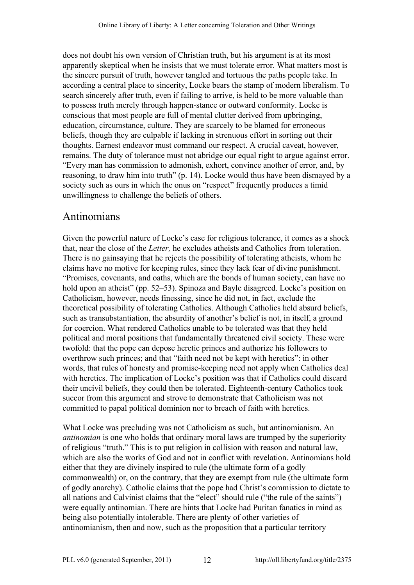does not doubt his own version of Christian truth, but his argument is at its most apparently skeptical when he insists that we must tolerate error. What matters most is the sincere pursuit of truth, however tangled and tortuous the paths people take. In according a central place to sincerity, Locke bears the stamp of modern liberalism. To search sincerely after truth, even if failing to arrive, is held to be more valuable than to possess truth merely through happen-stance or outward conformity. Locke is conscious that most people are full of mental clutter derived from upbringing, education, circumstance, culture. They are scarcely to be blamed for erroneous beliefs, though they are culpable if lacking in strenuous effort in sorting out their thoughts. Earnest endeavor must command our respect. A crucial caveat, however, remains. The duty of tolerance must not abridge our equal right to argue against error. "Every man has commission to admonish, exhort, convince another of error, and, by reasoning, to draw him into truth" (p. 14). Locke would thus have been dismayed by a society such as ours in which the onus on "respect" frequently produces a timid unwillingness to challenge the beliefs of others.

#### Antinomians

Given the powerful nature of Locke's case for religious tolerance, it comes as a shock that, near the close of the *Letter,* he excludes atheists and Catholics from toleration. There is no gainsaying that he rejects the possibility of tolerating atheists, whom he claims have no motive for keeping rules, since they lack fear of divine punishment. "Promises, covenants, and oaths, which are the bonds of human society, can have no hold upon an atheist" (pp. 52–53). Spinoza and Bayle disagreed. Locke's position on Catholicism, however, needs finessing, since he did not, in fact, exclude the theoretical possibility of tolerating Catholics. Although Catholics held absurd beliefs, such as transubstantiation, the absurdity of another's belief is not, in itself, a ground for coercion. What rendered Catholics unable to be tolerated was that they held political and moral positions that fundamentally threatened civil society. These were twofold: that the pope can depose heretic princes and authorize his followers to overthrow such princes; and that "faith need not be kept with heretics": in other words, that rules of honesty and promise-keeping need not apply when Catholics deal with heretics. The implication of Locke's position was that if Catholics could discard their uncivil beliefs, they could then be tolerated. Eighteenth-century Catholics took succor from this argument and strove to demonstrate that Catholicism was not committed to papal political dominion nor to breach of faith with heretics.

What Locke was precluding was not Catholicism as such, but antinomianism. An *antinomian* is one who holds that ordinary moral laws are trumped by the superiority of religious "truth." This is to put religion in collision with reason and natural law, which are also the works of God and not in conflict with revelation. Antinomians hold either that they are divinely inspired to rule (the ultimate form of a godly commonwealth) or, on the contrary, that they are exempt from rule (the ultimate form of godly anarchy). Catholic claims that the pope had Christ's commission to dictate to all nations and Calvinist claims that the "elect" should rule ("the rule of the saints") were equally antinomian. There are hints that Locke had Puritan fanatics in mind as being also potentially intolerable. There are plenty of other varieties of antinomianism, then and now, such as the proposition that a particular territory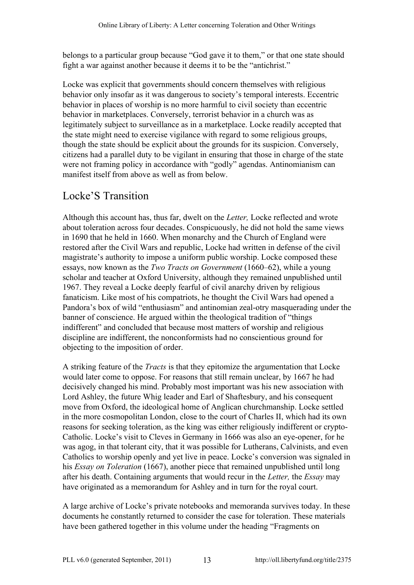belongs to a particular group because "God gave it to them," or that one state should fight a war against another because it deems it to be the "antichrist."

Locke was explicit that governments should concern themselves with religious behavior only insofar as it was dangerous to society's temporal interests. Eccentric behavior in places of worship is no more harmful to civil society than eccentric behavior in marketplaces. Conversely, terrorist behavior in a church was as legitimately subject to surveillance as in a marketplace. Locke readily accepted that the state might need to exercise vigilance with regard to some religious groups, though the state should be explicit about the grounds for its suspicion. Conversely, citizens had a parallel duty to be vigilant in ensuring that those in charge of the state were not framing policy in accordance with "godly" agendas. Antinomianism can manifest itself from above as well as from below.

### Locke'S Transition

Although this account has, thus far, dwelt on the *Letter,* Locke reflected and wrote about toleration across four decades. Conspicuously, he did not hold the same views in 1690 that he held in 1660. When monarchy and the Church of England were restored after the Civil Wars and republic, Locke had written in defense of the civil magistrate's authority to impose a uniform public worship. Locke composed these essays, now known as the *Two Tracts on Government* (1660–62), while a young scholar and teacher at Oxford University, although they remained unpublished until 1967. They reveal a Locke deeply fearful of civil anarchy driven by religious fanaticism. Like most of his compatriots, he thought the Civil Wars had opened a Pandora's box of wild "enthusiasm" and antinomian zeal-otry masquerading under the banner of conscience. He argued within the theological tradition of "things indifferent" and concluded that because most matters of worship and religious discipline are indifferent, the nonconformists had no conscientious ground for objecting to the imposition of order.

A striking feature of the *Tracts* is that they epitomize the argumentation that Locke would later come to oppose. For reasons that still remain unclear, by 1667 he had decisively changed his mind. Probably most important was his new association with Lord Ashley, the future Whig leader and Earl of Shaftesbury, and his consequent move from Oxford, the ideological home of Anglican churchmanship. Locke settled in the more cosmopolitan London, close to the court of Charles II, which had its own reasons for seeking toleration, as the king was either religiously indifferent or crypto-Catholic. Locke's visit to Cleves in Germany in 1666 was also an eye-opener, for he was agog, in that tolerant city, that it was possible for Lutherans, Calvinists, and even Catholics to worship openly and yet live in peace. Locke's conversion was signaled in his *Essay on Toleration* (1667), another piece that remained unpublished until long after his death. Containing arguments that would recur in the *Letter,* the *Essay* may have originated as a memorandum for Ashley and in turn for the royal court.

A large archive of Locke's private notebooks and memoranda survives today. In these documents he constantly returned to consider the case for toleration. These materials have been gathered together in this volume under the heading "Fragments on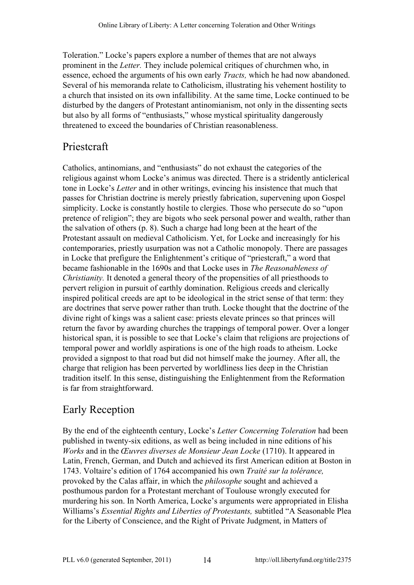Toleration." Locke's papers explore a number of themes that are not always prominent in the *Letter.* They include polemical critiques of churchmen who, in essence, echoed the arguments of his own early *Tracts,* which he had now abandoned. Several of his memoranda relate to Catholicism, illustrating his vehement hostility to a church that insisted on its own infallibility. At the same time, Locke continued to be disturbed by the dangers of Protestant antinomianism, not only in the dissenting sects but also by all forms of "enthusiasts," whose mystical spirituality dangerously threatened to exceed the boundaries of Christian reasonableness.

#### Priestcraft

Catholics, antinomians, and "enthusiasts" do not exhaust the categories of the religious against whom Locke's animus was directed. There is a stridently anticlerical tone in Locke's *Letter* and in other writings, evincing his insistence that much that passes for Christian doctrine is merely priestly fabrication, supervening upon Gospel simplicity. Locke is constantly hostile to clergies. Those who persecute do so "upon pretence of religion"; they are bigots who seek personal power and wealth, rather than the salvation of others (p. 8). Such a charge had long been at the heart of the Protestant assault on medieval Catholicism. Yet, for Locke and increasingly for his contemporaries, priestly usurpation was not a Catholic monopoly. There are passages in Locke that prefigure the Enlightenment's critique of "priestcraft," a word that became fashionable in the 1690s and that Locke uses in *The Reasonableness of Christianity.* It denoted a general theory of the propensities of all priesthoods to pervert religion in pursuit of earthly domination. Religious creeds and clerically inspired political creeds are apt to be ideological in the strict sense of that term: they are doctrines that serve power rather than truth. Locke thought that the doctrine of the divine right of kings was a salient case: priests elevate princes so that princes will return the favor by awarding churches the trappings of temporal power. Over a longer historical span, it is possible to see that Locke's claim that religions are projections of temporal power and worldly aspirations is one of the high roads to atheism. Locke provided a signpost to that road but did not himself make the journey. After all, the charge that religion has been perverted by worldliness lies deep in the Christian tradition itself. In this sense, distinguishing the Enlightenment from the Reformation is far from straightforward.

### Early Reception

By the end of the eighteenth century, Locke's *Letter Concerning Toleration* had been published in twenty-six editions, as well as being included in nine editions of his *Works* and in the *Œuvres diverses de Monsieur Jean Locke* (1710). It appeared in Latin, French, German, and Dutch and achieved its first American edition at Boston in 1743. Voltaire's edition of 1764 accompanied his own *Traité sur la tolérance,* provoked by the Calas affair, in which the *philosophe* sought and achieved a posthumous pardon for a Protestant merchant of Toulouse wrongly executed for murdering his son. In North America, Locke's arguments were appropriated in Elisha Williams's *Essential Rights and Liberties of Protestants,* subtitled "A Seasonable Plea for the Liberty of Conscience, and the Right of Private Judgment, in Matters of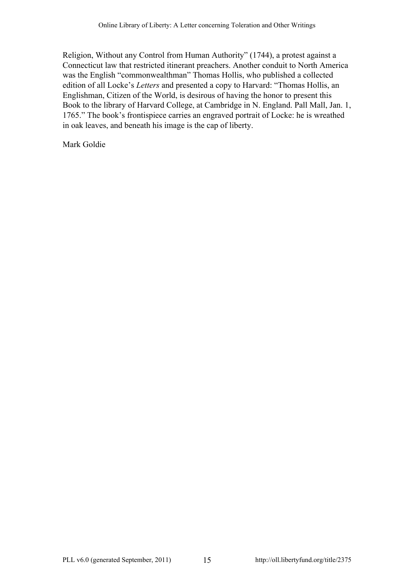Religion, Without any Control from Human Authority" (1744), a protest against a Connecticut law that restricted itinerant preachers. Another conduit to North America was the English "commonwealthman" Thomas Hollis, who published a collected edition of all Locke's *Letters* and presented a copy to Harvard: "Thomas Hollis, an Englishman, Citizen of the World, is desirous of having the honor to present this Book to the library of Harvard College, at Cambridge in N. England. Pall Mall, Jan. 1, 1765." The book's frontispiece carries an engraved portrait of Locke: he is wreathed in oak leaves, and beneath his image is the cap of liberty.

Mark Goldie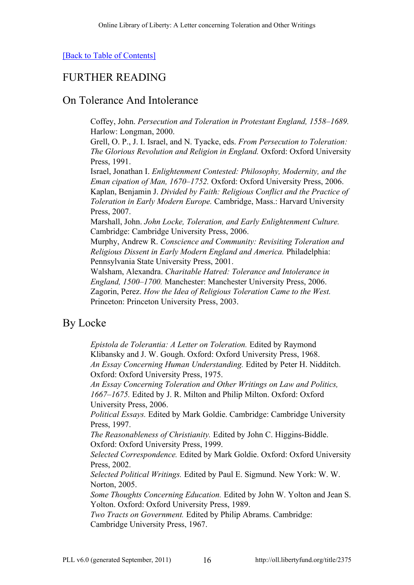#### <span id="page-15-0"></span>FURTHER READING

#### On Tolerance And Intolerance

Coffey, John. *Persecution and Toleration in Protestant England, 1558–1689.* Harlow: Longman, 2000.

Grell, O. P., J. I. Israel, and N. Tyacke, eds. *From Persecution to Toleration: The Glorious Revolution and Religion in England.* Oxford: Oxford University Press, 1991.

Israel, Jonathan I. *Enlightenment Contested: Philosophy, Modernity, and the Eman cipation of Man, 1670–1752.* Oxford: Oxford University Press, 2006. Kaplan, Benjamin J. *Divided by Faith: Religious Conflict and the Practice of Toleration in Early Modern Europe.* Cambridge, Mass.: Harvard University Press, 2007.

Marshall, John. *John Locke, Toleration, and Early Enlightenment Culture.* Cambridge: Cambridge University Press, 2006.

Murphy, Andrew R. *Conscience and Community: Revisiting Toleration and Religious Dissent in Early Modern England and America.* Philadelphia: Pennsylvania State University Press, 2001.

Walsham, Alexandra. *Charitable Hatred: Tolerance and Intolerance in England, 1500–1700.* Manchester: Manchester University Press, 2006. Zagorin, Perez. *How the Idea of Religious Toleration Came to the West.* Princeton: Princeton University Press, 2003.

#### By Locke

*Epistola de Tolerantia: A Letter on Toleration.* Edited by Raymond Klibansky and J. W. Gough. Oxford: Oxford University Press, 1968. *An Essay Concerning Human Understanding.* Edited by Peter H. Nidditch. Oxford: Oxford University Press, 1975.

*An Essay Concerning Toleration and Other Writings on Law and Politics, 1667–1675.* Edited by J. R. Milton and Philip Milton. Oxford: Oxford University Press, 2006.

*Political Essays.* Edited by Mark Goldie. Cambridge: Cambridge University Press, 1997.

*The Reasonableness of Christianity.* Edited by John C. Higgins-Biddle. Oxford: Oxford University Press, 1999.

*Selected Correspondence.* Edited by Mark Goldie. Oxford: Oxford University Press, 2002.

*Selected Political Writings.* Edited by Paul E. Sigmund. New York: W. W. Norton, 2005.

*Some Thoughts Concerning Education.* Edited by John W. Yolton and Jean S. Yolton. Oxford: Oxford University Press, 1989.

*Two Tracts on Government.* Edited by Philip Abrams. Cambridge: Cambridge University Press, 1967.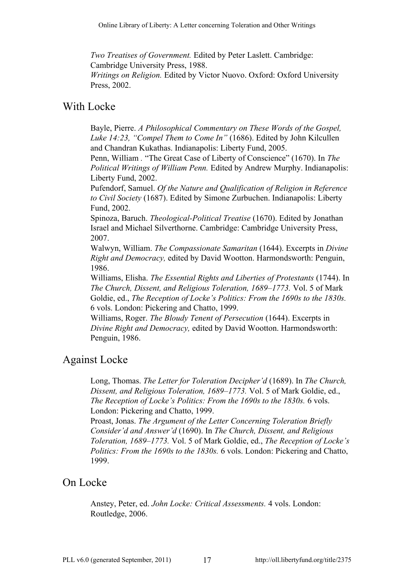*Two Treatises of Government.* Edited by Peter Laslett. Cambridge: Cambridge University Press, 1988.

*Writings on Religion.* Edited by Victor Nuovo. Oxford: Oxford University Press, 2002.

#### With Locke

Bayle, Pierre. *A Philosophical Commentary on These Words of the Gospel, Luke 14:23, "Compel Them to Come In"* (1686). Edited by John Kilcullen and Chandran Kukathas. Indianapolis: Liberty Fund, 2005.

Penn, William *.* "The Great Case of Liberty of Conscience" (1670). In *The Political Writings of William Penn.* Edited by Andrew Murphy. Indianapolis: Liberty Fund, 2002.

Pufendorf, Samuel. *Of the Nature and Qualification of Religion in Reference to Civil Society* (1687). Edited by Simone Zurbuchen. Indianapolis: Liberty Fund, 2002.

Spinoza, Baruch. *Theological-Political Treatise* (1670). Edited by Jonathan Israel and Michael Silverthorne. Cambridge: Cambridge University Press, 2007.

Walwyn, William. *The Compassionate Samaritan* (1644). Excerpts in *Divine Right and Democracy,* edited by David Wootton. Harmondsworth: Penguin, 1986.

Williams, Elisha. *The Essential Rights and Liberties of Protestants* (1744). In *The Church, Dissent, and Religious Toleration, 1689–1773.* Vol. 5 of Mark Goldie, ed., *The Reception of Locke's Politics: From the 1690s to the 1830s.* 6 vols. London: Pickering and Chatto, 1999.

Williams, Roger. *The Bloudy Tenent of Persecution* (1644). Excerpts in *Divine Right and Democracy,* edited by David Wootton. Harmondsworth: Penguin, 1986.

#### Against Locke

Long, Thomas. *The Letter for Toleration Decipher'd* (1689). In *The Church, Dissent, and Religious Toleration, 1689–1773.* Vol. 5 of Mark Goldie, ed., *The Reception of Locke's Politics: From the 1690s to the 1830s.* 6 vols. London: Pickering and Chatto, 1999.

Proast, Jonas. *The Argument of the Letter Concerning Toleration Briefly Consider'd and Answer'd* (1690). In *The Church, Dissent, and Religious Toleration, 1689–1773.* Vol. 5 of Mark Goldie, ed., *The Reception of Locke's Politics: From the 1690s to the 1830s.* 6 vols. London: Pickering and Chatto, 1999.

#### On Locke

Anstey, Peter, ed. *John Locke: Critical Assessments.* 4 vols. London: Routledge, 2006.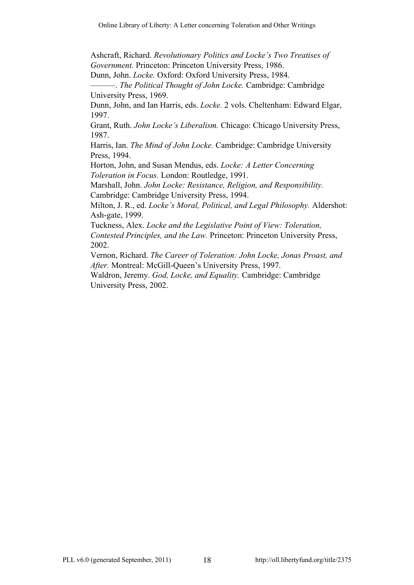Ashcraft, Richard. *Revolutionary Politics and Locke's Two Treatises of Government.* Princeton: Princeton University Press, 1986.

Dunn, John. *Locke.* Oxford: Oxford University Press, 1984.

———. *The Political Thought of John Locke.* Cambridge: Cambridge University Press, 1969.

Dunn, John, and Ian Harris, eds. *Locke.* 2 vols. Cheltenham: Edward Elgar, 1997.

Grant, Ruth. *John Locke's Liberalism.* Chicago: Chicago University Press, 1987.

Harris, Ian. *The Mind of John Locke.* Cambridge: Cambridge University Press, 1994.

Horton, John, and Susan Mendus, eds. *Locke: A Letter Concerning Toleration in Focus.* London: Routledge, 1991.

Marshall, John. *John Locke: Resistance, Religion, and Responsibility.* Cambridge: Cambridge University Press, 1994.

Milton, J. R., ed. *Locke's Moral, Political, and Legal Philosophy.* Aldershot: Ash-gate, 1999.

Tuckness, Alex. *Locke and the Legislative Point of View: Toleration, Contested Principles, and the Law.* Princeton: Princeton University Press, 2002.

Vernon, Richard. *The Career of Toleration: John Locke, Jonas Proast, and After.* Montreal: McGill-Queen's University Press, 1997.

Waldron, Jeremy. *God, Locke, and Equality.* Cambridge: Cambridge University Press, 2002.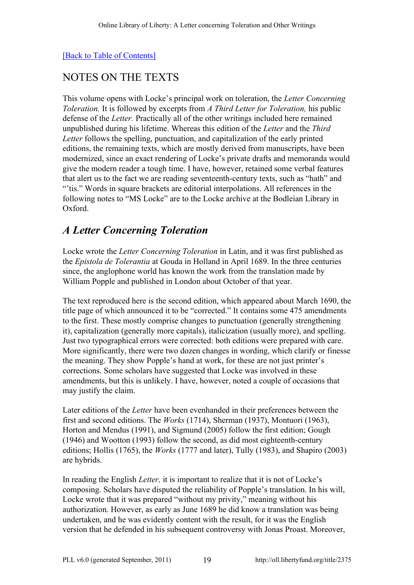#### <span id="page-18-0"></span>NOTES ON THE TEXTS

This volume opens with Locke's principal work on toleration, the *Letter Concerning Toleration.* It is followed by excerpts from *A Third Letter for Toleration,* his public defense of the *Letter.* Practically all of the other writings included here remained unpublished during his lifetime. Whereas this edition of the *Letter* and the *Third Letter* follows the spelling, punctuation, and capitalization of the early printed editions, the remaining texts, which are mostly derived from manuscripts, have been modernized, since an exact rendering of Locke's private drafts and memoranda would give the modern reader a tough time. I have, however, retained some verbal features that alert us to the fact we are reading seventeenth-century texts, such as "hath" and "'tis." Words in square brackets are editorial interpolations. All references in the following notes to "MS Locke" are to the Locke archive at the Bodleian Library in Oxford.

#### *A Letter Concerning Toleration*

Locke wrote the *Letter Concerning Toleration* in Latin, and it was first published as the *Epistola de Tolerantia* at Gouda in Holland in April 1689. In the three centuries since, the anglophone world has known the work from the translation made by William Popple and published in London about October of that year.

The text reproduced here is the second edition, which appeared about March 1690, the title page of which announced it to be "corrected." It contains some 475 amendments to the first. These mostly comprise changes to punctuation (generally strengthening it), capitalization (generally more capitals), italicization (usually more), and spelling. Just two typographical errors were corrected: both editions were prepared with care. More significantly, there were two dozen changes in wording, which clarify or finesse the meaning. They show Popple's hand at work, for these are not just printer's corrections. Some scholars have suggested that Locke was involved in these amendments, but this is unlikely. I have, however, noted a couple of occasions that may justify the claim.

Later editions of the *Letter* have been evenhanded in their preferences between the first and second editions. The *Works* (1714), Sherman (1937), Montuori (1963), Horton and Mendus (1991), and Sigmund (2005) follow the first edition; Gough (1946) and Wootton (1993) follow the second, as did most eighteenth-century editions; Hollis (1765), the *Works* (1777 and later), Tully (1983), and Shapiro (2003) are hybrids.

In reading the English *Letter,* it is important to realize that it is not of Locke's composing. Scholars have disputed the reliability of Popple's translation. In his will, Locke wrote that it was prepared "without my privity," meaning without his authorization. However, as early as June 1689 he did know a translation was being undertaken, and he was evidently content with the result, for it was the English version that he defended in his subsequent controversy with Jonas Proast. Moreover,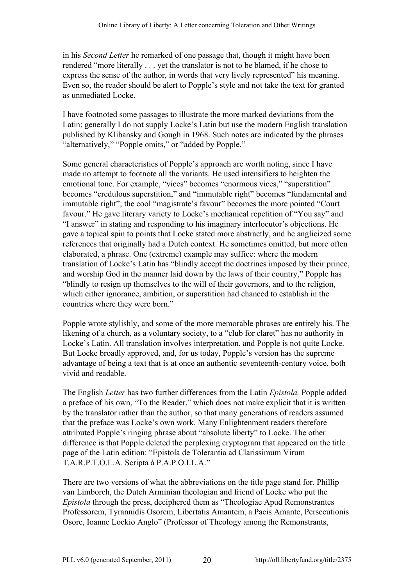in his *Second Letter* he remarked of one passage that, though it might have been rendered "more literally . . . yet the translator is not to be blamed, if he chose to express the sense of the author, in words that very lively represented" his meaning. Even so, the reader should be alert to Popple's style and not take the text for granted as unmediated Locke.

I have footnoted some passages to illustrate the more marked deviations from the Latin; generally I do not supply Locke's Latin but use the modern English translation published by Klibansky and Gough in 1968. Such notes are indicated by the phrases "alternatively," "Popple omits," or "added by Popple."

Some general characteristics of Popple's approach are worth noting, since I have made no attempt to footnote all the variants. He used intensifiers to heighten the emotional tone. For example, "vices" becomes "enormous vices," "superstition" becomes "credulous superstition," and "immutable right" becomes "fundamental and immutable right"; the cool "magistrate's favour" becomes the more pointed "Court favour." He gave literary variety to Locke's mechanical repetition of "You say" and "I answer" in stating and responding to his imaginary interlocutor's objections. He gave a topical spin to points that Locke stated more abstractly, and he anglicized some references that originally had a Dutch context. He sometimes omitted, but more often elaborated, a phrase. One (extreme) example may suffice: where the modern translation of Locke's Latin has "blindly accept the doctrines imposed by their prince, and worship God in the manner laid down by the laws of their country," Popple has "blindly to resign up themselves to the will of their governors, and to the religion, which either ignorance, ambition, or superstition had chanced to establish in the countries where they were born."

Popple wrote stylishly, and some of the more memorable phrases are entirely his. The likening of a church, as a voluntary society, to a "club for claret" has no authority in Locke's Latin. All translation involves interpretation, and Popple is not quite Locke. But Locke broadly approved, and, for us today, Popple's version has the supreme advantage of being a text that is at once an authentic seventeenth-century voice, both vivid and readable.

The English *Letter* has two further differences from the Latin *Epistola.* Popple added a preface of his own, "To the Reader," which does not make explicit that it is written by the translator rather than the author, so that many generations of readers assumed that the preface was Locke's own work. Many Enlightenment readers therefore attributed Popple's ringing phrase about "absolute liberty" to Locke. The other difference is that Popple deleted the perplexing cryptogram that appeared on the title page of the Latin edition: "Epistola de Tolerantia ad Clarissimum Virum T.A.R.P.T.O.L.A. Scripta à P.A.P.O.I.L.A."

There are two versions of what the abbreviations on the title page stand for. Phillip van Limborch, the Dutch Arminian theologian and friend of Locke who put the *Epistola* through the press, deciphered them as "Theologiae Apud Remonstrantes Professorem, Tyrannidis Osorem, Libertatis Amantem, a Pacis Amante, Persecutionis Osore, Ioanne Lockio Anglo" (Professor of Theology among the Remonstrants,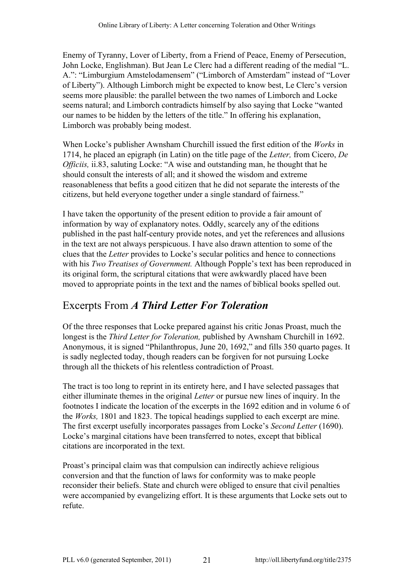Enemy of Tyranny, Lover of Liberty, from a Friend of Peace, Enemy of Persecution, John Locke, Englishman). But Jean Le Clerc had a different reading of the medial "L. A.": "Limburgium Amstelodamensem" ("Limborch of Amsterdam" instead of "Lover of Liberty"). Although Limborch might be expected to know best, Le Clerc's version seems more plausible: the parallel between the two names of Limborch and Locke seems natural; and Limborch contradicts himself by also saying that Locke "wanted our names to be hidden by the letters of the title." In offering his explanation, Limborch was probably being modest.

When Locke's publisher Awnsham Churchill issued the first edition of the *Works* in 1714, he placed an epigraph (in Latin) on the title page of the *Letter,* from Cicero, *De Officiis,* ii.83, saluting Locke: "A wise and outstanding man, he thought that he should consult the interests of all; and it showed the wisdom and extreme reasonableness that befits a good citizen that he did not separate the interests of the citizens, but held everyone together under a single standard of fairness."

I have taken the opportunity of the present edition to provide a fair amount of information by way of explanatory notes. Oddly, scarcely any of the editions published in the past half-century provide notes, and yet the references and allusions in the text are not always perspicuous. I have also drawn attention to some of the clues that the *Letter* provides to Locke's secular politics and hence to connections with his *Two Treatises of Government.* Although Popple's text has been reproduced in its original form, the scriptural citations that were awkwardly placed have been moved to appropriate points in the text and the names of biblical books spelled out.

# Excerpts From *A Third Letter For Toleration*

Of the three responses that Locke prepared against his critic Jonas Proast, much the longest is the *Third Letter for Toleration,* published by Awnsham Churchill in 1692. Anonymous, it is signed "Philanthropus, June 20, 1692," and fills 350 quarto pages. It is sadly neglected today, though readers can be forgiven for not pursuing Locke through all the thickets of his relentless contradiction of Proast.

The tract is too long to reprint in its entirety here, and I have selected passages that either illuminate themes in the original *Letter* or pursue new lines of inquiry. In the footnotes I indicate the location of the excerpts in the 1692 edition and in volume 6 of the *Works,* 1801 and 1823. The topical headings supplied to each excerpt are mine. The first excerpt usefully incorporates passages from Locke's *Second Letter* (1690). Locke's marginal citations have been transferred to notes, except that biblical citations are incorporated in the text.

Proast's principal claim was that compulsion can indirectly achieve religious conversion and that the function of laws for conformity was to make people reconsider their beliefs. State and church were obliged to ensure that civil penalties were accompanied by evangelizing effort. It is these arguments that Locke sets out to refute.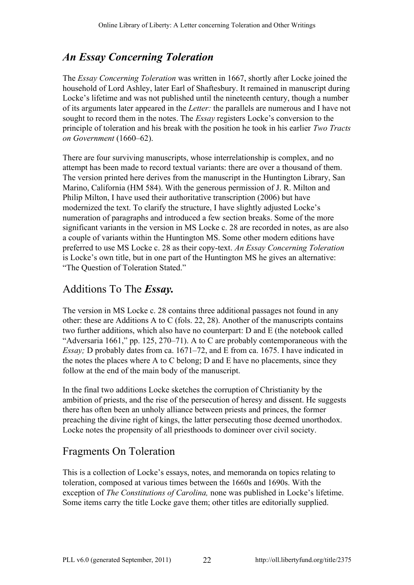# *An Essay Concerning Toleration*

The *Essay Concerning Toleration* was written in 1667, shortly after Locke joined the household of Lord Ashley, later Earl of Shaftesbury. It remained in manuscript during Locke's lifetime and was not published until the nineteenth century, though a number of its arguments later appeared in the *Letter:* the parallels are numerous and I have not sought to record them in the notes. The *Essay* registers Locke's conversion to the principle of toleration and his break with the position he took in his earlier *Two Tracts on Government* (1660–62).

There are four surviving manuscripts, whose interrelationship is complex, and no attempt has been made to record textual variants: there are over a thousand of them. The version printed here derives from the manuscript in the Huntington Library, San Marino, California (HM 584). With the generous permission of J. R. Milton and Philip Milton, I have used their authoritative transcription (2006) but have modernized the text. To clarify the structure, I have slightly adjusted Locke's numeration of paragraphs and introduced a few section breaks. Some of the more significant variants in the version in MS Locke c. 28 are recorded in notes, as are also a couple of variants within the Huntington MS. Some other modern editions have preferred to use MS Locke c. 28 as their copy-text. *An Essay Concerning Toleration* is Locke's own title, but in one part of the Huntington MS he gives an alternative: "The Question of Toleration Stated."

# Additions To The *Essay.*

The version in MS Locke c. 28 contains three additional passages not found in any other: these are Additions A to C (fols. 22, 28). Another of the manuscripts contains two further additions, which also have no counterpart: D and E (the notebook called "Adversaria 1661," pp. 125, 270–71). A to C are probably contemporaneous with the *Essay;* D probably dates from ca. 1671–72, and E from ca. 1675. I have indicated in the notes the places where A to C belong; D and E have no placements, since they follow at the end of the main body of the manuscript.

In the final two additions Locke sketches the corruption of Christianity by the ambition of priests, and the rise of the persecution of heresy and dissent. He suggests there has often been an unholy alliance between priests and princes, the former preaching the divine right of kings, the latter persecuting those deemed unorthodox. Locke notes the propensity of all priesthoods to domineer over civil society.

#### Fragments On Toleration

This is a collection of Locke's essays, notes, and memoranda on topics relating to toleration, composed at various times between the 1660s and 1690s. With the exception of *The Constitutions of Carolina,* none was published in Locke's lifetime. Some items carry the title Locke gave them; other titles are editorially supplied.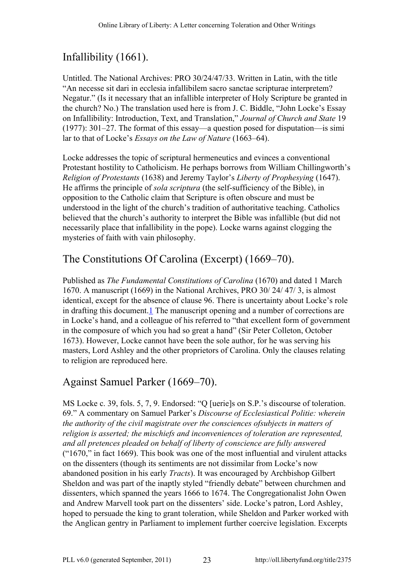# Infallibility (1661).

Untitled. The National Archives: PRO 30/24/47/33. Written in Latin, with the title "An necesse sit dari in ecclesia infallibilem sacro sanctae scripturae interpretem? Negatur." (Is it necessary that an infallible interpreter of Holy Scripture be granted in the church? No.) The translation used here is from J. C. Biddle, "John Locke's Essay on Infallibility: Introduction, Text, and Translation," *Journal of Church and State* 19 (1977): 301–27. The format of this essay—a question posed for disputation—is simi lar to that of Locke's *Essays on the Law of Nature* (1663–64).

Locke addresses the topic of scriptural hermeneutics and evinces a conventional Protestant hostility to Catholicism. He perhaps borrows from William Chillingworth's *Religion of Protestants* (1638) and Jeremy Taylor's *Liberty of Prophesying* (1647). He affirms the principle of *sola scriptura* (the self-sufficiency of the Bible), in opposition to the Catholic claim that Scripture is often obscure and must be understood in the light of the church's tradition of authoritative teaching. Catholics believed that the church's authority to interpret the Bible was infallible (but did not necessarily place that infallibility in the pope). Locke warns against clogging the mysteries of faith with vain philosophy.

# The Constitutions Of Carolina (Excerpt) (1669–70).

Published as *The Fundamental Constitutions of Carolina* (1670) and dated 1 March 1670. A manuscript (1669) in the National Archives, PRO 30/ 24/ 47/ 3, is almost identical, except for the absence of clause 96. There is uncertainty about Locke's role in drafting this document.<sup>[1](#page-139-0)</sup> The manuscript opening and a number of corrections are in Locke's hand, and a colleague of his referred to "that excellent form of government in the composure of which you had so great a hand" (Sir Peter Colleton, October 1673). However, Locke cannot have been the sole author, for he was serving his masters, Lord Ashley and the other proprietors of Carolina. Only the clauses relating to religion are reproduced here.

### Against Samuel Parker (1669–70).

MS Locke c. 39, fols. 5, 7, 9. Endorsed: "Q [uerie]s on S.P.'s discourse of toleration. 69." A commentary on Samuel Parker's *Discourse of Ecclesiastical Politie: wherein the authority of the civil magistrate over the consciences ofsubjects in matters of religion is asserted; the mischiefs and inconveniences of toleration are represented, and all pretences pleaded on behalf of liberty of conscience are fully answered* ("1670," in fact 1669). This book was one of the most influential and virulent attacks on the dissenters (though its sentiments are not dissimilar from Locke's now abandoned position in his early *Tracts*). It was encouraged by Archbishop Gilbert Sheldon and was part of the inaptly styled "friendly debate" between churchmen and dissenters, which spanned the years 1666 to 1674. The Congregationalist John Owen and Andrew Marvell took part on the dissenters' side. Locke's patron, Lord Ashley, hoped to persuade the king to grant toleration, while Sheldon and Parker worked with the Anglican gentry in Parliament to implement further coercive legislation. Excerpts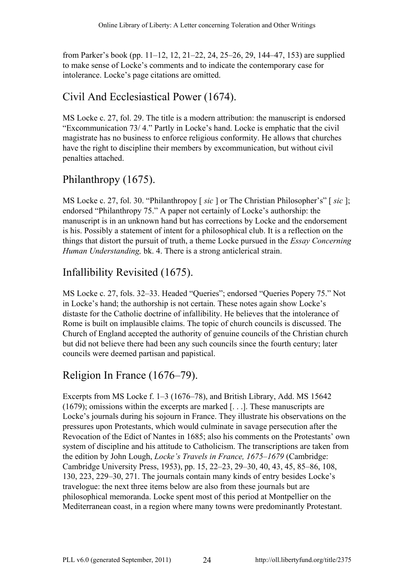from Parker's book (pp. 11–12, 12, 21–22, 24, 25–26, 29, 144–47, 153) are supplied to make sense of Locke's comments and to indicate the contemporary case for intolerance. Locke's page citations are omitted.

#### Civil And Ecclesiastical Power (1674).

MS Locke c. 27, fol. 29. The title is a modern attribution: the manuscript is endorsed "Excommunication 73/ 4." Partly in Locke's hand. Locke is emphatic that the civil magistrate has no business to enforce religious conformity. He allows that churches have the right to discipline their members by excommunication, but without civil penalties attached.

# Philanthropy (1675).

MS Locke c. 27, fol. 30. "Philanthropoy [ *sic* ] or The Christian Philosopher's" [ *sic* ]; endorsed "Philanthropy 75." A paper not certainly of Locke's authorship: the manuscript is in an unknown hand but has corrections by Locke and the endorsement is his. Possibly a statement of intent for a philosophical club. It is a reflection on the things that distort the pursuit of truth, a theme Locke pursued in the *Essay Concerning Human Understanding,* bk. 4. There is a strong anticlerical strain.

### Infallibility Revisited (1675).

MS Locke c. 27, fols. 32–33. Headed "Queries"; endorsed "Queries Popery 75." Not in Locke's hand; the authorship is not certain. These notes again show Locke's distaste for the Catholic doctrine of infallibility. He believes that the intolerance of Rome is built on implausible claims. The topic of church councils is discussed. The Church of England accepted the authority of genuine councils of the Christian church but did not believe there had been any such councils since the fourth century; later councils were deemed partisan and papistical.

### Religion In France (1676–79).

Excerpts from MS Locke f. 1–3 (1676–78), and British Library, Add. MS 15642 (1679); omissions within the excerpts are marked [. . .]. These manuscripts are Locke's journals during his sojourn in France. They illustrate his observations on the pressures upon Protestants, which would culminate in savage persecution after the Revocation of the Edict of Nantes in 1685; also his comments on the Protestants' own system of discipline and his attitude to Catholicism. The transcriptions are taken from the edition by John Lough, *Locke's Travels in France, 1675–1679* (Cambridge: Cambridge University Press, 1953), pp. 15, 22–23, 29–30, 40, 43, 45, 85–86, 108, 130, 223, 229–30, 271. The journals contain many kinds of entry besides Locke's travelogue: the next three items below are also from these journals but are philosophical memoranda. Locke spent most of this period at Montpellier on the Mediterranean coast, in a region where many towns were predominantly Protestant.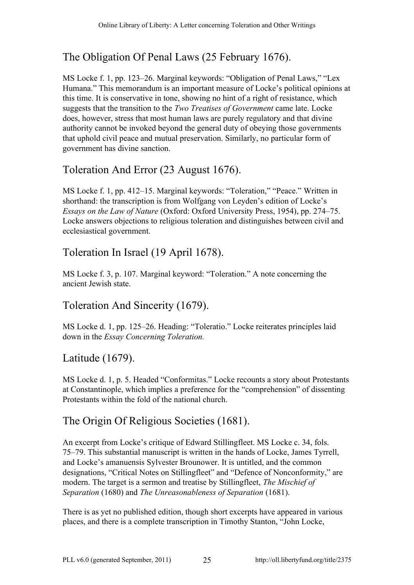# The Obligation Of Penal Laws (25 February 1676).

MS Locke f. 1, pp. 123–26. Marginal keywords: "Obligation of Penal Laws," "Lex Humana." This memorandum is an important measure of Locke's political opinions at this time. It is conservative in tone, showing no hint of a right of resistance, which suggests that the transition to the *Two Treatises of Government* came late. Locke does, however, stress that most human laws are purely regulatory and that divine authority cannot be invoked beyond the general duty of obeying those governments that uphold civil peace and mutual preservation. Similarly, no particular form of government has divine sanction.

# Toleration And Error (23 August 1676).

MS Locke f. 1, pp. 412–15. Marginal keywords: "Toleration," "Peace." Written in shorthand: the transcription is from Wolfgang von Leyden's edition of Locke's *Essays on the Law of Nature* (Oxford: Oxford University Press, 1954), pp. 274–75. Locke answers objections to religious toleration and distinguishes between civil and ecclesiastical government.

#### Toleration In Israel (19 April 1678).

MS Locke f. 3, p. 107. Marginal keyword: "Toleration." A note concerning the ancient Jewish state.

#### Toleration And Sincerity (1679).

MS Locke d. 1, pp. 125–26. Heading: "Toleratio." Locke reiterates principles laid down in the *Essay Concerning Toleration.*

#### Latitude (1679).

MS Locke d. 1, p. 5. Headed "Conformitas." Locke recounts a story about Protestants at Constantinople, which implies a preference for the "comprehension" of dissenting Protestants within the fold of the national church.

### The Origin Of Religious Societies (1681).

An excerpt from Locke's critique of Edward Stillingfleet. MS Locke c. 34, fols. 75–79. This substantial manuscript is written in the hands of Locke, James Tyrrell, and Locke's amanuensis Sylvester Brounower. It is untitled, and the common designations, "Critical Notes on Stillingfleet" and "Defence of Nonconformity," are modern. The target is a sermon and treatise by Stillingfleet, *The Mischief of Separation* (1680) and *The Unreasonableness of Separation* (1681).

There is as yet no published edition, though short excerpts have appeared in various places, and there is a complete transcription in Timothy Stanton, "John Locke,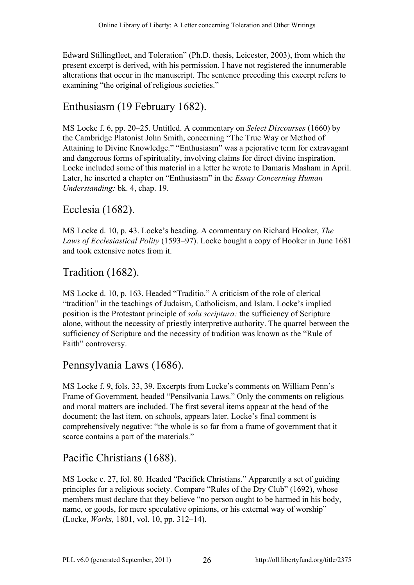Edward Stillingfleet, and Toleration" (Ph.D. thesis, Leicester, 2003), from which the present excerpt is derived, with his permission. I have not registered the innumerable alterations that occur in the manuscript. The sentence preceding this excerpt refers to examining "the original of religious societies."

#### Enthusiasm (19 February 1682).

MS Locke f. 6, pp. 20–25. Untitled. A commentary on *Select Discourses* (1660) by the Cambridge Platonist John Smith, concerning "The True Way or Method of Attaining to Divine Knowledge." "Enthusiasm" was a pejorative term for extravagant and dangerous forms of spirituality, involving claims for direct divine inspiration. Locke included some of this material in a letter he wrote to Damaris Masham in April. Later, he inserted a chapter on "Enthusiasm" in the *Essay Concerning Human Understanding:* bk. 4, chap. 19.

#### Ecclesia (1682).

MS Locke d. 10, p. 43. Locke's heading. A commentary on Richard Hooker, *The Laws of Ecclesiastical Polity* (1593–97). Locke bought a copy of Hooker in June 1681 and took extensive notes from it.

### Tradition (1682).

MS Locke d. 10, p. 163. Headed "Traditio." A criticism of the role of clerical "tradition" in the teachings of Judaism, Catholicism, and Islam. Locke's implied position is the Protestant principle of *sola scriptura:* the sufficiency of Scripture alone, without the necessity of priestly interpretive authority. The quarrel between the sufficiency of Scripture and the necessity of tradition was known as the "Rule of Faith" controversy.

### Pennsylvania Laws (1686).

MS Locke f. 9, fols. 33, 39. Excerpts from Locke's comments on William Penn's Frame of Government, headed "Pensilvania Laws." Only the comments on religious and moral matters are included. The first several items appear at the head of the document; the last item, on schools, appears later. Locke's final comment is comprehensively negative: "the whole is so far from a frame of government that it scarce contains a part of the materials."

### Pacific Christians (1688).

MS Locke c. 27, fol. 80. Headed "Pacifick Christians." Apparently a set of guiding principles for a religious society. Compare "Rules of the Dry Club" (1692), whose members must declare that they believe "no person ought to be harmed in his body, name, or goods, for mere speculative opinions, or his external way of worship" (Locke, *Works,* 1801, vol. 10, pp. 312–14).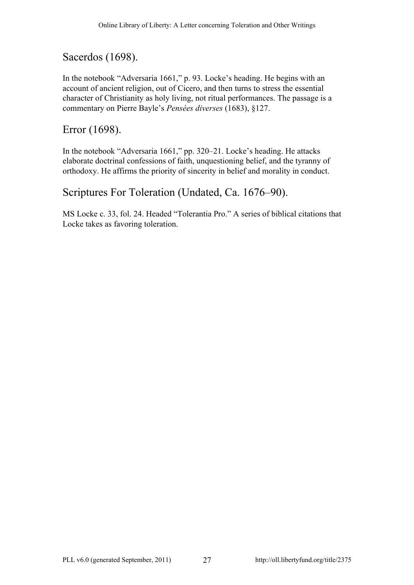#### Sacerdos (1698).

In the notebook "Adversaria 1661," p. 93. Locke's heading. He begins with an account of ancient religion, out of Cicero, and then turns to stress the essential character of Christianity as holy living, not ritual performances. The passage is a commentary on Pierre Bayle's *Pensées diverses* (1683), §127.

#### Error (1698).

In the notebook "Adversaria 1661," pp. 320–21. Locke's heading. He attacks elaborate doctrinal confessions of faith, unquestioning belief, and the tyranny of orthodoxy. He affirms the priority of sincerity in belief and morality in conduct.

#### Scriptures For Toleration (Undated, Ca. 1676–90).

MS Locke c. 33, fol. 24. Headed "Tolerantia Pro." A series of biblical citations that Locke takes as favoring toleration.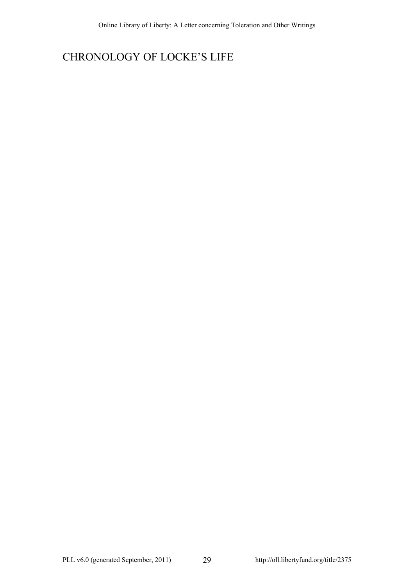# CHRONOLOGY OF LOCKE'S LIFE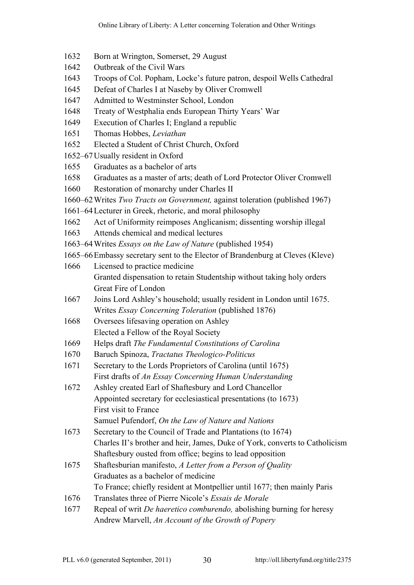- 1632 Born at Wrington, Somerset, 29 August
- 1642 Outbreak of the Civil Wars
- 1643 Troops of Col. Popham, Locke's future patron, despoil Wells Cathedral
- 1645 Defeat of Charles I at Naseby by Oliver Cromwell
- 1647 Admitted to Westminster School, London
- 1648 Treaty of Westphalia ends European Thirty Years' War
- 1649 Execution of Charles I; England a republic
- 1651 Thomas Hobbes, *Leviathan*
- 1652 Elected a Student of Christ Church, Oxford
- 1652–67Usually resident in Oxford
- 1655 Graduates as a bachelor of arts
- 1658 Graduates as a master of arts; death of Lord Protector Oliver Cromwell
- 1660 Restoration of monarchy under Charles II
- 1660–62Writes *Two Tracts on Government,* against toleration (published 1967)
- 1661–64Lecturer in Greek, rhetoric, and moral philosophy
- 1662 Act of Uniformity reimposes Anglicanism; dissenting worship illegal
- 1663 Attends chemical and medical lectures
- 1663–64Writes *Essays on the Law of Nature* (published 1954)
- 1665–66Embassy secretary sent to the Elector of Brandenburg at Cleves (Kleve)
- 1666 Licensed to practice medicine Granted dispensation to retain Studentship without taking holy orders Great Fire of London
- 1667 Joins Lord Ashley's household; usually resident in London until 1675. Writes *Essay Concerning Toleration* (published 1876)
- 1668 Oversees lifesaving operation on Ashley Elected a Fellow of the Royal Society
- 1669 Helps draft *The Fundamental Constitutions of Carolina*
- 1670 Baruch Spinoza, *Tractatus Theologico-Politicus*
- 1671 Secretary to the Lords Proprietors of Carolina (until 1675) First drafts of *An Essay Concerning Human Understanding*
- 1672 Ashley created Earl of Shaftesbury and Lord Chancellor Appointed secretary for ecclesiastical presentations (to 1673) First visit to France

Samuel Pufendorf, *On the Law of Nature and Nations*

- 1673 Secretary to the Council of Trade and Plantations (to 1674) Charles II's brother and heir, James, Duke of York, converts to Catholicism Shaftesbury ousted from office; begins to lead opposition
- 1675 Shaftesburian manifesto, *A Letter from a Person of Quality* Graduates as a bachelor of medicine To France; chiefly resident at Montpellier until 1677; then mainly Paris
- 1676 Translates three of Pierre Nicole's *Essais de Morale*
- 1677 Repeal of writ *De haeretico comburendo,* abolishing burning for heresy Andrew Marvell, *An Account of the Growth of Popery*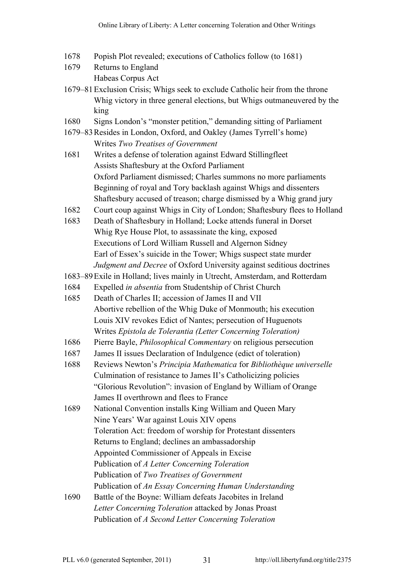- 1678 Popish Plot revealed; executions of Catholics follow (to 1681)
- 1679 Returns to England Habeas Corpus Act
- 1679–81Exclusion Crisis; Whigs seek to exclude Catholic heir from the throne Whig victory in three general elections, but Whigs outmaneuvered by the king
- 1680 Signs London's "monster petition," demanding sitting of Parliament
- 1679–83Resides in London, Oxford, and Oakley (James Tyrrell's home) Writes *Two Treatises of Government*
- 1681 Writes a defense of toleration against Edward Stillingfleet Assists Shaftesbury at the Oxford Parliament Oxford Parliament dismissed; Charles summons no more parliaments Beginning of royal and Tory backlash against Whigs and dissenters Shaftesbury accused of treason; charge dismissed by a Whig grand jury
- 1682 Court coup against Whigs in City of London; Shaftesbury flees to Holland
- 1683 Death of Shaftesbury in Holland; Locke attends funeral in Dorset Whig Rye House Plot, to assassinate the king, exposed Executions of Lord William Russell and Algernon Sidney Earl of Essex's suicide in the Tower; Whigs suspect state murder *Judgment and Decree* of Oxford University against seditious doctrines
- 1683–89Exile in Holland; lives mainly in Utrecht, Amsterdam, and Rotterdam
- 1684 Expelled *in absentia* from Studentship of Christ Church
- 1685 Death of Charles II; accession of James II and VII Abortive rebellion of the Whig Duke of Monmouth; his execution Louis XIV revokes Edict of Nantes; persecution of Huguenots Writes *Epistola de Tolerantia (Letter Concerning Toleration)*
- 1686 Pierre Bayle, *Philosophical Commentary* on religious persecution
- 1687 James II issues Declaration of Indulgence (edict of toleration)
- 1688 Reviews Newton's *Principia Mathematica* for *Bibliothèque universelle* Culmination of resistance to James II's Catholicizing policies "Glorious Revolution": invasion of England by William of Orange James II overthrown and flees to France
- 1689 National Convention installs King William and Queen Mary Nine Years' War against Louis XIV opens Toleration Act: freedom of worship for Protestant dissenters Returns to England; declines an ambassadorship Appointed Commissioner of Appeals in Excise Publication of *A Letter Concerning Toleration* Publication of *Two Treatises of Government* Publication of *An Essay Concerning Human Understanding*
- 1690 Battle of the Boyne: William defeats Jacobites in Ireland *Letter Concerning Toleration* attacked by Jonas Proast Publication of *A Second Letter Concerning Toleration*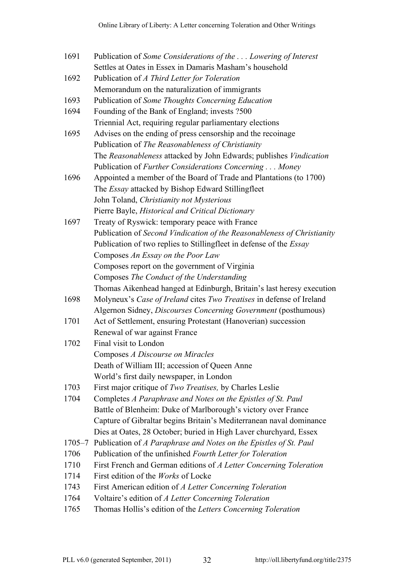| 1691       | Publication of Some Considerations of the  Lowering of Interest                                                              |
|------------|------------------------------------------------------------------------------------------------------------------------------|
|            | Settles at Oates in Essex in Damaris Masham's household                                                                      |
| 1692       | Publication of A Third Letter for Toleration                                                                                 |
|            | Memorandum on the naturalization of immigrants                                                                               |
| 1693       | Publication of Some Thoughts Concerning Education                                                                            |
| 1694       | Founding of the Bank of England; invests ?500                                                                                |
|            | Triennial Act, requiring regular parliamentary elections                                                                     |
| 1695       | Advises on the ending of press censorship and the recoinage                                                                  |
|            | Publication of The Reasonableness of Christianity                                                                            |
|            | The Reasonableness attacked by John Edwards; publishes Vindication                                                           |
|            | Publication of Further Considerations Concerning Money                                                                       |
| 1696       | Appointed a member of the Board of Trade and Plantations (to 1700)                                                           |
|            | The <i>Essay</i> attacked by Bishop Edward Stillingfleet                                                                     |
|            | John Toland, Christianity not Mysterious                                                                                     |
|            | Pierre Bayle, Historical and Critical Dictionary                                                                             |
| 1697       | Treaty of Ryswick: temporary peace with France                                                                               |
|            | Publication of Second Vindication of the Reasonableness of Christianity                                                      |
|            | Publication of two replies to Stillingfleet in defense of the <i>Essay</i>                                                   |
|            | Composes An Essay on the Poor Law                                                                                            |
|            | Composes report on the government of Virginia                                                                                |
|            | Composes The Conduct of the Understanding                                                                                    |
|            | Thomas Aikenhead hanged at Edinburgh, Britain's last heresy execution                                                        |
| 1698       | Molyneux's Case of Ireland cites Two Treatises in defense of Ireland                                                         |
|            | Algernon Sidney, Discourses Concerning Government (posthumous)                                                               |
| 1701       | Act of Settlement, ensuring Protestant (Hanoverian) succession                                                               |
|            | Renewal of war against France                                                                                                |
| 1702       | Final visit to London                                                                                                        |
|            | Composes A Discourse on Miracles                                                                                             |
|            | Death of William III; accession of Queen Anne                                                                                |
|            | World's first daily newspaper, in London                                                                                     |
| 1703       | First major critique of Two Treatises, by Charles Leslie                                                                     |
| 1704       | Completes A Paraphrase and Notes on the Epistles of St. Paul                                                                 |
|            | Battle of Blenheim: Duke of Marlborough's victory over France                                                                |
|            | Capture of Gibraltar begins Britain's Mediterranean naval dominance                                                          |
|            | Dies at Oates, 28 October; buried in High Laver churchyard, Essex                                                            |
| $1705 - 7$ | Publication of A Paraphrase and Notes on the Epistles of St. Paul                                                            |
| 1706       | Publication of the unfinished Fourth Letter for Toleration                                                                   |
| 1710       | First French and German editions of A Letter Concerning Toleration                                                           |
| 1714       | First edition of the <i>Works</i> of Locke                                                                                   |
| 1743       | First American edition of A Letter Concerning Toleration                                                                     |
| 1764       | Voltaire's edition of A Letter Concerning Toleration                                                                         |
| 177C       | $\mu_{\text{max}}$ II. 11. $\lambda_{\text{max}}$ 1.4. $\mu_{\text{max}}$ $f_{\text{max}}$ $f_{\text{max}}$ $f_{\text{max}}$ |

1765 Thomas Hollis's edition of the *Letters Concerning Toleration*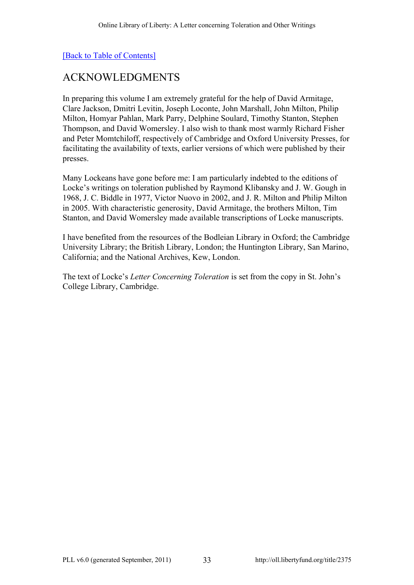#### <span id="page-32-0"></span>ACKNOWLEDGMENTS

In preparing this volume I am extremely grateful for the help of David Armitage, Clare Jackson, Dmitri Levitin, Joseph Loconte, John Marshall, John Milton, Philip Milton, Homyar Pahlan, Mark Parry, Delphine Soulard, Timothy Stanton, Stephen Thompson, and David Womersley. I also wish to thank most warmly Richard Fisher and Peter Momtchiloff, respectively of Cambridge and Oxford University Presses, for facilitating the availability of texts, earlier versions of which were published by their presses.

Many Lockeans have gone before me: I am particularly indebted to the editions of Locke's writings on toleration published by Raymond Klibansky and J. W. Gough in 1968, J. C. Biddle in 1977, Victor Nuovo in 2002, and J. R. Milton and Philip Milton in 2005. With characteristic generosity, David Armitage, the brothers Milton, Tim Stanton, and David Womersley made available transcriptions of Locke manuscripts.

I have benefited from the resources of the Bodleian Library in Oxford; the Cambridge University Library; the British Library, London; the Huntington Library, San Marino, California; and the National Archives, Kew, London.

The text of Locke's *Letter Concerning Toleration* is set from the copy in St. John's College Library, Cambridge.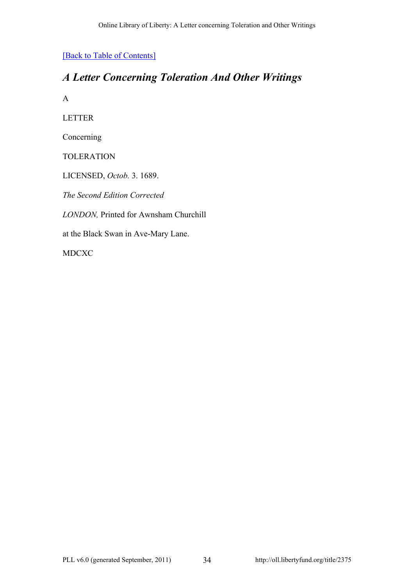### <span id="page-33-0"></span>*A Letter Concerning Toleration And Other Writings*

A

LETTER

Concerning

TOLERATION

LICENSED, *Octob.* 3. 1689.

*The Second Edition Corrected*

*LONDON,* Printed for Awnsham Churchill

at the Black Swan in Ave-Mary Lane.

MDCXC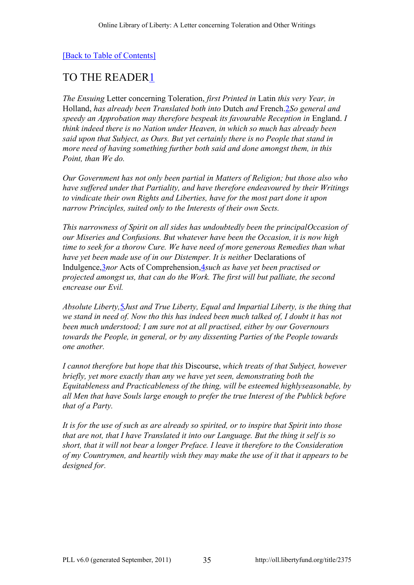### <span id="page-34-0"></span>TO THE READE[R1](#page-139-1)

*The Ensuing* Letter concerning Toleration, *first Printed in* Latin *this very Year, in* Holland, *has already been Translated both into* Dutch *and* French[.2](#page-140-0)*So general and speedy an Approbation may therefore bespeak its favourable Reception in* England. *I think indeed there is no Nation under Heaven, in which so much has already been said upon that Subject, as Ours. But yet certainly there is no People that stand in more need of having something further both said and done amongst them, in this Point, than We do.*

*Our Government has not only been partial in Matters of Religion; but those also who have suffered under that Partiality, and have therefore endeavoured by their Writings to vindicate their own Rights and Liberties, have for the most part done it upon narrow Principles, suited only to the Interests of their own Sects.*

*This narrowness of Spirit on all sides has undoubtedly been the principalOccasion of our Miseries and Confusions. But whatever have been the Occasion, it is now high time to seek for a thorow Cure. We have need of more generous Remedies than what have yet been made use of in our Distemper. It is neither* Declarations of Indulgence[,3](#page-140-1)*nor* Acts of Comprehension,[4](#page-140-2)*such as have yet been practised or projected amongst us, that can do the Work. The first will but palliate, the second encrease our Evil.*

*Absolute Liberty,*[5](#page-140-3)*Just and True Liberty, Equal and Impartial Liberty, is the thing that we stand in need of. Now tho this has indeed been much talked of, I doubt it has not been much understood; I am sure not at all practised, either by our Governours towards the People, in general, or by any dissenting Parties of the People towards one another.*

*I cannot therefore but hope that this* Discourse, *which treats of that Subject, however briefly, yet more exactly than any we have yet seen, demonstrating both the Equitableness and Practicableness of the thing, will be esteemed highlyseasonable, by all Men that have Souls large enough to prefer the true Interest of the Publick before that of a Party.*

*It is for the use of such as are already so spirited, or to inspire that Spirit into those that are not, that I have Translated it into our Language. But the thing it self is so short, that it will not bear a longer Preface. I leave it therefore to the Consideration of my Countrymen, and heartily wish they may make the use of it that it appears to be designed for.*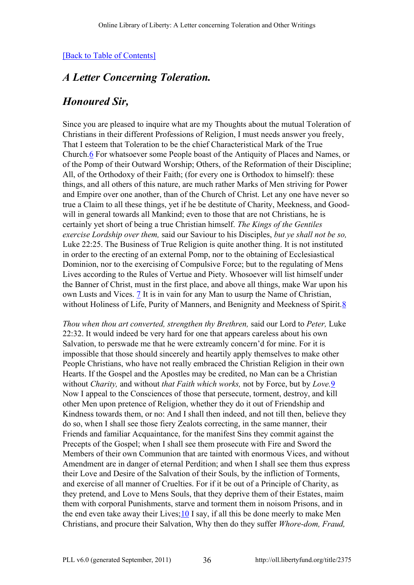#### <span id="page-35-0"></span>*A Letter Concerning Toleration.*

#### *Honoured Sir,*

Since you are pleased to inquire what are my Thoughts about the mutual Toleration of Christians in their different Professions of Religion, I must needs answer you freely, That I esteem that Toleration to be the chief Characteristical Mark of the True Church[.6](#page-140-4) For whatsoever some People boast of the Antiquity of Places and Names, or of the Pomp of their Outward Worship; Others, of the Reformation of their Discipline; All, of the Orthodoxy of their Faith; (for every one is Orthodox to himself): these things, and all others of this nature, are much rather Marks of Men striving for Power and Empire over one another, than of the Church of Christ. Let any one have never so true a Claim to all these things, yet if he be destitute of Charity, Meekness, and Goodwill in general towards all Mankind; even to those that are not Christians, he is certainly yet short of being a true Christian himself. *The Kings of the Gentiles exercise Lordship over them,* said our Saviour to his Disciples, *but ye shall not be so,* Luke 22:25. The Business of True Religion is quite another thing. It is not instituted in order to the erecting of an external Pomp, nor to the obtaining of Ecclesiastical Dominion, nor to the exercising of Compulsive Force; but to the regulating of Mens Lives according to the Rules of Vertue and Piety. Whosoever will list himself under the Banner of Christ, must in the first place, and above all things, make War upon his own Lusts and Vices. [7](#page-140-5) It is in vain for any Man to usurp the Name of Christian, without Holiness of Life, Purity of Manners, and Benignity and Meekness of Spirit.<sup>[8](#page-140-6)</sup>

*Thou when thou art converted, strengthen thy Brethren,* said our Lord to *Peter,* Luke 22:32. It would indeed be very hard for one that appears careless about his own Salvation, to perswade me that he were extreamly concern'd for mine. For it is impossible that those should sincerely and heartily apply themselves to make other People Christians, who have not really embraced the Christian Religion in their own Hearts. If the Gospel and the Apostles may be credited, no Man can be a Christian without *Charity,* and without *that Faith which works,* not by Force, but by *Love.*[9](#page-141-0) Now I appeal to the Consciences of those that persecute, torment, destroy, and kill other Men upon pretence of Religion, whether they do it out of Friendship and Kindness towards them, or no: And I shall then indeed, and not till then, believe they do so, when I shall see those fiery Zealots correcting, in the same manner, their Friends and familiar Acquaintance, for the manifest Sins they commit against the Precepts of the Gospel; when I shall see them prosecute with Fire and Sword the Members of their own Communion that are tainted with enormous Vices, and without Amendment are in danger of eternal Perdition; and when I shall see them thus express their Love and Desire of the Salvation of their Souls, by the infliction of Torments, and exercise of all manner of Cruelties. For if it be out of a Principle of Charity, as they pretend, and Love to Mens Souls, that they deprive them of their Estates, maim them with corporal Punishments, starve and torment them in noisom Prisons, and in the end even take away their Lives;[10](#page-141-1) I say, if all this be done meerly to make Men Christians, and procure their Salvation, Why then do they suffer *Whore-dom, Fraud,*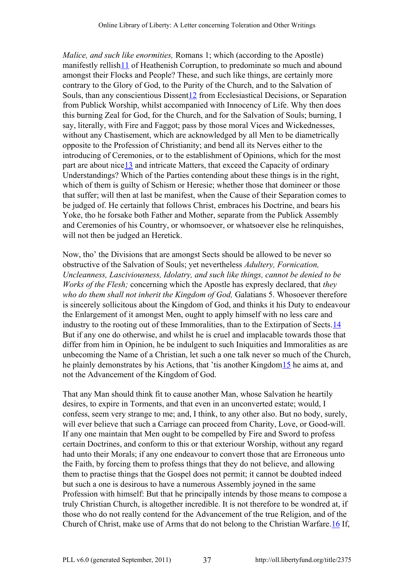*Malice, and such like enormities,* Romans 1; which (according to the Apostle) manifestly rellish[11](#page-141-0) of Heathenish Corruption, to predominate so much and abound amongst their Flocks and People? These, and such like things, are certainly more contrary to the Glory of God, to the Purity of the Church, and to the Salvation of Souls, than any conscientious Dissent[12](#page-141-1) from Ecclesiastical Decisions, or Separation from Publick Worship, whilst accompanied with Innocency of Life. Why then does this burning Zeal for God, for the Church, and for the Salvation of Souls; burning, I say, literally, with Fire and Faggot; pass by those moral Vices and Wickednesses, without any Chastisement, which are acknowledged by all Men to be diametrically opposite to the Profession of Christianity; and bend all its Nerves either to the introducing of Ceremonies, or to the establishment of Opinions, which for the most part are about nice[13](#page-141-2) and intricate Matters, that exceed the Capacity of ordinary Understandings? Which of the Parties contending about these things is in the right, which of them is guilty of Schism or Heresie; whether those that domineer or those that suffer; will then at last be manifest, when the Cause of their Separation comes to be judged of. He certainly that follows Christ, embraces his Doctrine, and bears his Yoke, tho he forsake both Father and Mother, separate from the Publick Assembly and Ceremonies of his Country, or whomsoever, or whatsoever else he relinquishes, will not then be judged an Heretick.

Now, tho' the Divisions that are amongst Sects should be allowed to be never so obstructive of the Salvation of Souls; yet nevertheless *Adultery, Fornication, Uncleanness, Lasciviousness, Idolatry, and such like things, cannot be denied to be Works of the Flesh;* concerning which the Apostle has expresly declared, that *they who do them shall not inherit the Kingdom of God,* Galatians 5. Whosoever therefore is sincerely sollicitous about the Kingdom of God, and thinks it his Duty to endeavour the Enlargement of it amongst Men, ought to apply himself with no less care and industry to the rooting out of these Immoralities, than to the Extirpation of Sects.[14](#page-141-3) But if any one do otherwise, and whilst he is cruel and implacable towards those that differ from him in Opinion, he be indulgent to such Iniquities and Immoralities as are unbecoming the Name of a Christian, let such a one talk never so much of the Church, he plainly demonstrates by his Actions, that 'tis another Kingdom[15](#page-141-4) he aims at, and not the Advancement of the Kingdom of God.

That any Man should think fit to cause another Man, whose Salvation he heartily desires, to expire in Torments, and that even in an unconverted estate; would, I confess, seem very strange to me; and, I think, to any other also. But no body, surely, will ever believe that such a Carriage can proceed from Charity, Love, or Good-will. If any one maintain that Men ought to be compelled by Fire and Sword to profess certain Doctrines, and conform to this or that exteriour Worship, without any regard had unto their Morals; if any one endeavour to convert those that are Erroneous unto the Faith, by forcing them to profess things that they do not believe, and allowing them to practise things that the Gospel does not permit; it cannot be doubted indeed but such a one is desirous to have a numerous Assembly joyned in the same Profession with himself: But that he principally intends by those means to compose a truly Christian Church, is altogether incredible. It is not therefore to be wondred at, if those who do not really contend for the Advancement of the true Religion, and of the Church of Christ, make use of Arms that do not belong to the Christian Warfare.[16](#page-141-5) If,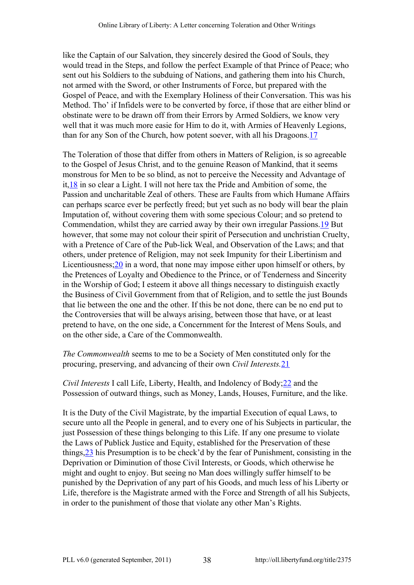like the Captain of our Salvation, they sincerely desired the Good of Souls, they would tread in the Steps, and follow the perfect Example of that Prince of Peace; who sent out his Soldiers to the subduing of Nations, and gathering them into his Church, not armed with the Sword, or other Instruments of Force, but prepared with the Gospel of Peace, and with the Exemplary Holiness of their Conversation. This was his Method. Tho' if Infidels were to be converted by force, if those that are either blind or obstinate were to be drawn off from their Errors by Armed Soldiers, we know very well that it was much more easie for Him to do it, with Armies of Heavenly Legions, than for any Son of the Church, how potent soever, with all his Dragoons.[17](#page-141-6)

The Toleration of those that differ from others in Matters of Religion, is so agreeable to the Gospel of Jesus Christ, and to the genuine Reason of Mankind, that it seems monstrous for Men to be so blind, as not to perceive the Necessity and Advantage of it,[18](#page-141-7) in so clear a Light. I will not here tax the Pride and Ambition of some, the Passion and uncharitable Zeal of others. These are Faults from which Humane Affairs can perhaps scarce ever be perfectly freed; but yet such as no body will bear the plain Imputation of, without covering them with some specious Colour; and so pretend to Commendation, whilst they are carried away by their own irregular Passions.[19](#page-141-8) But however, that some may not colour their spirit of Persecution and unchristian Cruelty, with a Pretence of Care of the Pub-lick Weal, and Observation of the Laws; and that others, under pretence of Religion, may not seek Impunity for their Libertinism and Licentiousness;[20](#page-141-9) in a word, that none may impose either upon himself or others, by the Pretences of Loyalty and Obedience to the Prince, or of Tenderness and Sincerity in the Worship of God; I esteem it above all things necessary to distinguish exactly the Business of Civil Government from that of Religion, and to settle the just Bounds that lie between the one and the other. If this be not done, there can be no end put to the Controversies that will be always arising, between those that have, or at least pretend to have, on the one side, a Concernment for the Interest of Mens Souls, and on the other side, a Care of the Commonwealth.

*The Commonwealth* seems to me to be a Society of Men constituted only for the procuring, preserving, and advancing of their own *Civil Interests.*[21](#page-141-10)

*Civil Interests* I call Life, Liberty, Health, and Indolency of Body;[22](#page-141-11) and the Possession of outward things, such as Money, Lands, Houses, Furniture, and the like.

It is the Duty of the Civil Magistrate, by the impartial Execution of equal Laws, to secure unto all the People in general, and to every one of his Subjects in particular, the just Possession of these things belonging to this Life. If any one presume to violate the Laws of Publick Justice and Equity, established for the Preservation of these things[,23](#page-141-12) his Presumption is to be check'd by the fear of Punishment, consisting in the Deprivation or Diminution of those Civil Interests, or Goods, which otherwise he might and ought to enjoy. But seeing no Man does willingly suffer himself to be punished by the Deprivation of any part of his Goods, and much less of his Liberty or Life, therefore is the Magistrate armed with the Force and Strength of all his Subjects, in order to the punishment of those that violate any other Man's Rights.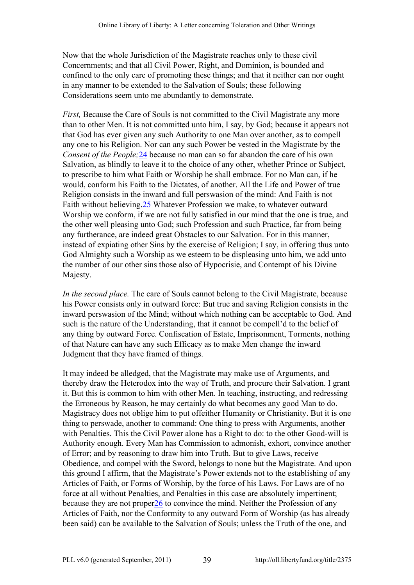Now that the whole Jurisdiction of the Magistrate reaches only to these civil Concernments; and that all Civil Power, Right, and Dominion, is bounded and confined to the only care of promoting these things; and that it neither can nor ought in any manner to be extended to the Salvation of Souls; these following Considerations seem unto me abundantly to demonstrate.

*First,* Because the Care of Souls is not committed to the Civil Magistrate any more than to other Men. It is not committed unto him, I say, by God; because it appears not that God has ever given any such Authority to one Man over another, as to compell any one to his Religion. Nor can any such Power be vested in the Magistrate by the *Consent of the People;*[24](#page-141-13) because no man can so far abandon the care of his own Salvation, as blindly to leave it to the choice of any other, whether Prince or Subject, to prescribe to him what Faith or Worship he shall embrace. For no Man can, if he would, conform his Faith to the Dictates, of another. All the Life and Power of true Religion consists in the inward and full perswasion of the mind: And Faith is not Faith without believing.[25](#page-141-14) Whatever Profession we make, to whatever outward Worship we conform, if we are not fully satisfied in our mind that the one is true, and the other well pleasing unto God; such Profession and such Practice, far from being any furtherance, are indeed great Obstacles to our Salvation. For in this manner, instead of expiating other Sins by the exercise of Religion; I say, in offering thus unto God Almighty such a Worship as we esteem to be displeasing unto him, we add unto the number of our other sins those also of Hypocrisie, and Contempt of his Divine Majesty.

*In the second place.* The care of Souls cannot belong to the Civil Magistrate, because his Power consists only in outward force: But true and saving Religion consists in the inward perswasion of the Mind; without which nothing can be acceptable to God. And such is the nature of the Understanding, that it cannot be compell'd to the belief of any thing by outward Force. Confiscation of Estate, Imprisonment, Torments, nothing of that Nature can have any such Efficacy as to make Men change the inward Judgment that they have framed of things.

It may indeed be alledged, that the Magistrate may make use of Arguments, and thereby draw the Heterodox into the way of Truth, and procure their Salvation. I grant it. But this is common to him with other Men. In teaching, instructing, and redressing the Erroneous by Reason, he may certainly do what becomes any good Man to do. Magistracy does not oblige him to put offeither Humanity or Christianity. But it is one thing to perswade, another to command: One thing to press with Arguments, another with Penalties. This the Civil Power alone has a Right to do: to the other Good-will is Authority enough. Every Man has Commission to admonish, exhort, convince another of Error; and by reasoning to draw him into Truth. But to give Laws, receive Obedience, and compel with the Sword, belongs to none but the Magistrate. And upon this ground I affirm, that the Magistrate's Power extends not to the establishing of any Articles of Faith, or Forms of Worship, by the force of his Laws. For Laws are of no force at all without Penalties, and Penalties in this case are absolutely impertinent; because they are not proper  $\frac{26}{10}$  $\frac{26}{10}$  $\frac{26}{10}$  to convince the mind. Neither the Profession of any Articles of Faith, nor the Conformity to any outward Form of Worship (as has already been said) can be available to the Salvation of Souls; unless the Truth of the one, and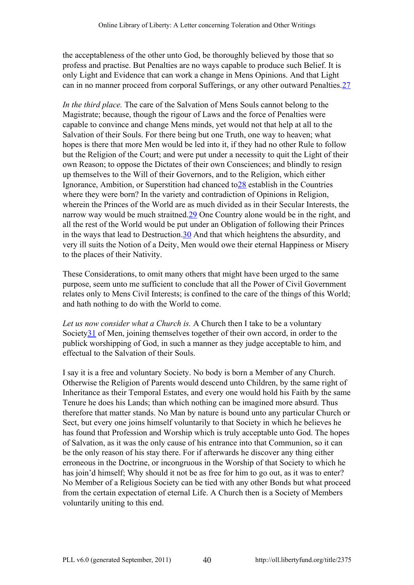the acceptableness of the other unto God, be thoroughly believed by those that so profess and practise. But Penalties are no ways capable to produce such Belief. It is only Light and Evidence that can work a change in Mens Opinions. And that Light can in no manner proceed from corporal Sufferings, or any other outward Penalties.[27](#page-141-16)

*In the third place.* The care of the Salvation of Mens Souls cannot belong to the Magistrate; because, though the rigour of Laws and the force of Penalties were capable to convince and change Mens minds, yet would not that help at all to the Salvation of their Souls. For there being but one Truth, one way to heaven; what hopes is there that more Men would be led into it, if they had no other Rule to follow but the Religion of the Court; and were put under a necessity to quit the Light of their own Reason; to oppose the Dictates of their own Consciences; and blindly to resign up themselves to the Will of their Governors, and to the Religion, which either Ignorance, Ambition, or Superstition had chanced to[28](#page-141-17) establish in the Countries where they were born? In the variety and contradiction of Opinions in Religion, wherein the Princes of the World are as much divided as in their Secular Interests, the narrow way would be much straitned.<sup>29</sup> One Country alone would be in the right, and all the rest of the World would be put under an Obligation of following their Princes in the ways that lead to Destruction.[30](#page-142-0) And that which heightens the absurdity, and very ill suits the Notion of a Deity, Men would owe their eternal Happiness or Misery to the places of their Nativity.

These Considerations, to omit many others that might have been urged to the same purpose, seem unto me sufficient to conclude that all the Power of Civil Government relates only to Mens Civil Interests; is confined to the care of the things of this World; and hath nothing to do with the World to come.

*Let us now consider what a Church is.* A Church then I take to be a voluntary Society<sup>[31](#page-142-1)</sup> of Men, joining themselves together of their own accord, in order to the publick worshipping of God, in such a manner as they judge acceptable to him, and effectual to the Salvation of their Souls.

I say it is a free and voluntary Society. No body is born a Member of any Church. Otherwise the Religion of Parents would descend unto Children, by the same right of Inheritance as their Temporal Estates, and every one would hold his Faith by the same Tenure he does his Lands; than which nothing can be imagined more absurd. Thus therefore that matter stands. No Man by nature is bound unto any particular Church or Sect, but every one joins himself voluntarily to that Society in which he believes he has found that Profession and Worship which is truly acceptable unto God. The hopes of Salvation, as it was the only cause of his entrance into that Communion, so it can be the only reason of his stay there. For if afterwards he discover any thing either erroneous in the Doctrine, or incongruous in the Worship of that Society to which he has join'd himself; Why should it not be as free for him to go out, as it was to enter? No Member of a Religious Society can be tied with any other Bonds but what proceed from the certain expectation of eternal Life. A Church then is a Society of Members voluntarily uniting to this end.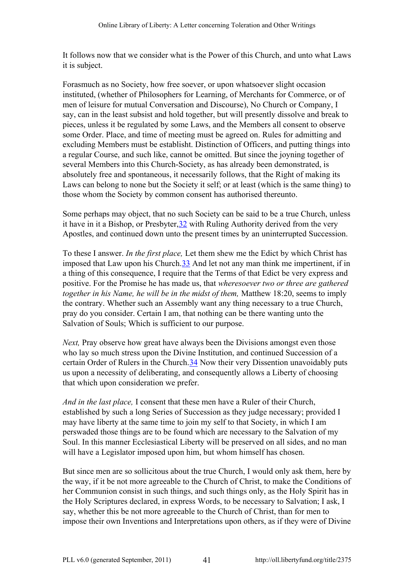It follows now that we consider what is the Power of this Church, and unto what Laws it is subject.

Forasmuch as no Society, how free soever, or upon whatsoever slight occasion instituted, (whether of Philosophers for Learning, of Merchants for Commerce, or of men of leisure for mutual Conversation and Discourse), No Church or Company, I say, can in the least subsist and hold together, but will presently dissolve and break to pieces, unless it be regulated by some Laws, and the Members all consent to observe some Order. Place, and time of meeting must be agreed on. Rules for admitting and excluding Members must be establisht. Distinction of Officers, and putting things into a regular Course, and such like, cannot be omitted. But since the joyning together of several Members into this Church-Society, as has already been demonstrated, is absolutely free and spontaneous, it necessarily follows, that the Right of making its Laws can belong to none but the Society it self; or at least (which is the same thing) to those whom the Society by common consent has authorised thereunto.

Some perhaps may object, that no such Society can be said to be a true Church, unless it have in it a Bishop, or Presbyter,[32](#page-142-2) with Ruling Authority derived from the very Apostles, and continued down unto the present times by an uninterrupted Succession.

To these I answer. *In the first place,* Let them shew me the Edict by which Christ has imposed that Law upon his Church[.33](#page-142-3) And let not any man think me impertinent, if in a thing of this consequence, I require that the Terms of that Edict be very express and positive. For the Promise he has made us, that *wheresoever two or three are gathered together in his Name, he will be in the midst of them,* Matthew 18:20, seems to imply the contrary. Whether such an Assembly want any thing necessary to a true Church, pray do you consider. Certain I am, that nothing can be there wanting unto the Salvation of Souls; Which is sufficient to our purpose.

*Next*, Pray observe how great have always been the Divisions amongst even those who lay so much stress upon the Divine Institution, and continued Succession of a certain Order of Rulers in the Church[.34](#page-142-4) Now their very Dissention unavoidably puts us upon a necessity of deliberating, and consequently allows a Liberty of choosing that which upon consideration we prefer.

*And in the last place,* I consent that these men have a Ruler of their Church, established by such a long Series of Succession as they judge necessary; provided I may have liberty at the same time to join my self to that Society, in which I am perswaded those things are to be found which are necessary to the Salvation of my Soul. In this manner Ecclesiastical Liberty will be preserved on all sides, and no man will have a Legislator imposed upon him, but whom himself has chosen.

But since men are so sollicitous about the true Church, I would only ask them, here by the way, if it be not more agreeable to the Church of Christ, to make the Conditions of her Communion consist in such things, and such things only, as the Holy Spirit has in the Holy Scriptures declared, in express Words, to be necessary to Salvation; I ask, I say, whether this be not more agreeable to the Church of Christ, than for men to impose their own Inventions and Interpretations upon others, as if they were of Divine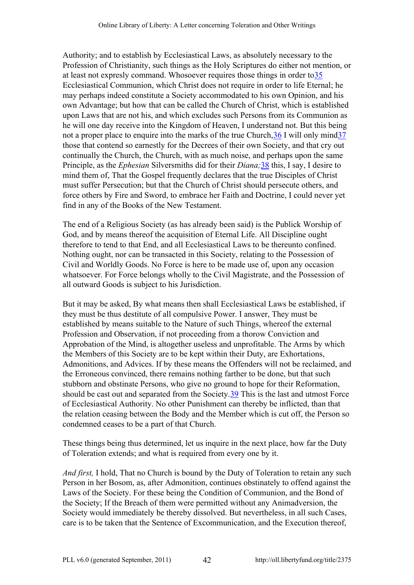Authority; and to establish by Ecclesiastical Laws, as absolutely necessary to the Profession of Christianity, such things as the Holy Scriptures do either not mention, or at least not expresly command. Whosoever requires those things in order to[35](#page-142-5) Ecclesiastical Communion, which Christ does not require in order to life Eternal; he may perhaps indeed constitute a Society accommodated to his own Opinion, and his own Advantage; but how that can be called the Church of Christ, which is established upon Laws that are not his, and which excludes such Persons from its Communion as he will one day receive into the Kingdom of Heaven, I understand not. But this being not a proper place to enquire into the marks of the true Church,[36](#page-142-6) I will only mind[37](#page-142-7) those that contend so earnestly for the Decrees of their own Society, and that cry out continually the Church, the Church, with as much noise, and perhaps upon the same Principle, as the *Ephesian* Silversmiths did for their *Diana;*[38](#page-142-8) this, I say, I desire to mind them of, That the Gospel frequently declares that the true Disciples of Christ must suffer Persecution; but that the Church of Christ should persecute others, and force others by Fire and Sword, to embrace her Faith and Doctrine, I could never yet find in any of the Books of the New Testament.

The end of a Religious Society (as has already been said) is the Publick Worship of God, and by means thereof the acquisition of Eternal Life. All Discipline ought therefore to tend to that End, and all Ecclesiastical Laws to be thereunto confined. Nothing ought, nor can be transacted in this Society, relating to the Possession of Civil and Worldly Goods. No Force is here to be made use of, upon any occasion whatsoever. For Force belongs wholly to the Civil Magistrate, and the Possession of all outward Goods is subject to his Jurisdiction.

But it may be asked, By what means then shall Ecclesiastical Laws be established, if they must be thus destitute of all compulsive Power. I answer, They must be established by means suitable to the Nature of such Things, whereof the external Profession and Observation, if not proceeding from a thorow Conviction and Approbation of the Mind, is altogether useless and unprofitable. The Arms by which the Members of this Society are to be kept within their Duty, are Exhortations, Admonitions, and Advices. If by these means the Offenders will not be reclaimed, and the Erroneous convinced, there remains nothing farther to be done, but that such stubborn and obstinate Persons, who give no ground to hope for their Reformation, should be cast out and separated from the Society.[39](#page-142-9) This is the last and utmost Force of Ecclesiastical Authority. No other Punishment can thereby be inflicted, than that the relation ceasing between the Body and the Member which is cut off, the Person so condemned ceases to be a part of that Church.

These things being thus determined, let us inquire in the next place, how far the Duty of Toleration extends; and what is required from every one by it.

*And first,* I hold, That no Church is bound by the Duty of Toleration to retain any such Person in her Bosom, as, after Admonition, continues obstinately to offend against the Laws of the Society. For these being the Condition of Communion, and the Bond of the Society; If the Breach of them were permitted without any Animadversion, the Society would immediately be thereby dissolved. But nevertheless, in all such Cases, care is to be taken that the Sentence of Excommunication, and the Execution thereof,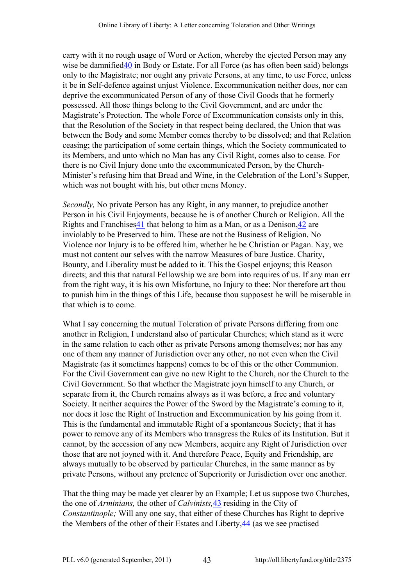carry with it no rough usage of Word or Action, whereby the ejected Person may any wise be damnified [40](#page-142-10) in Body or Estate. For all Force (as has often been said) belongs only to the Magistrate; nor ought any private Persons, at any time, to use Force, unless it be in Self-defence against unjust Violence. Excommunication neither does, nor can deprive the excommunicated Person of any of those Civil Goods that he formerly possessed. All those things belong to the Civil Government, and are under the Magistrate's Protection. The whole Force of Excommunication consists only in this, that the Resolution of the Society in that respect being declared, the Union that was between the Body and some Member comes thereby to be dissolved; and that Relation ceasing; the participation of some certain things, which the Society communicated to its Members, and unto which no Man has any Civil Right, comes also to cease. For there is no Civil Injury done unto the excommunicated Person, by the Church-Minister's refusing him that Bread and Wine, in the Celebration of the Lord's Supper, which was not bought with his, but other mens Money.

*Secondly,* No private Person has any Right, in any manner, to prejudice another Person in his Civil Enjoyments, because he is of another Church or Religion. All the Rights and Franchises [41](#page-142-11) that belong to him as a Man, or as a Denison,  $\frac{42}{2}$  are inviolably to be Preserved to him. These are not the Business of Religion. No Violence nor Injury is to be offered him, whether he be Christian or Pagan. Nay, we must not content our selves with the narrow Measures of bare Justice. Charity, Bounty, and Liberality must be added to it. This the Gospel enjoyns; this Reason directs; and this that natural Fellowship we are born into requires of us. If any man err from the right way, it is his own Misfortune, no Injury to thee: Nor therefore art thou to punish him in the things of this Life, because thou supposest he will be miserable in that which is to come.

What I say concerning the mutual Toleration of private Persons differing from one another in Religion, I understand also of particular Churches; which stand as it were in the same relation to each other as private Persons among themselves; nor has any one of them any manner of Jurisdiction over any other, no not even when the Civil Magistrate (as it sometimes happens) comes to be of this or the other Communion. For the Civil Government can give no new Right to the Church, nor the Church to the Civil Government. So that whether the Magistrate joyn himself to any Church, or separate from it, the Church remains always as it was before, a free and voluntary Society. It neither acquires the Power of the Sword by the Magistrate's coming to it, nor does it lose the Right of Instruction and Excommunication by his going from it. This is the fundamental and immutable Right of a spontaneous Society; that it has power to remove any of its Members who transgress the Rules of its Institution. But it cannot, by the accession of any new Members, acquire any Right of Jurisdiction over those that are not joyned with it. And therefore Peace, Equity and Friendship, are always mutually to be observed by particular Churches, in the same manner as by private Persons, without any pretence of Superiority or Jurisdiction over one another.

That the thing may be made yet clearer by an Example; Let us suppose two Churches, the one of *Arminians,* the other of *Calvinists,*[43](#page-142-13) residing in the City of *Constantinople;* Will any one say, that either of these Churches has Right to deprive the Members of the other of their Estates and Liberty,[44](#page-143-0) (as we see practised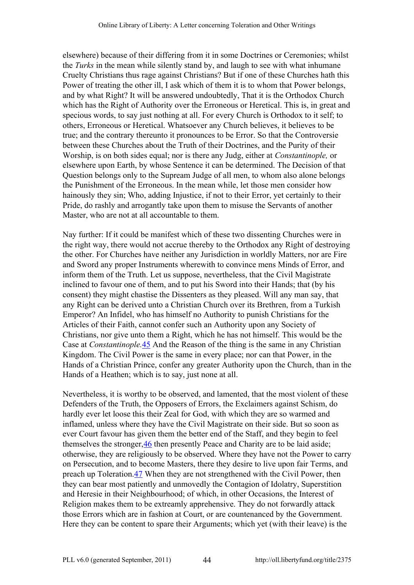elsewhere) because of their differing from it in some Doctrines or Ceremonies; whilst the *Turks* in the mean while silently stand by, and laugh to see with what inhumane Cruelty Christians thus rage against Christians? But if one of these Churches hath this Power of treating the other ill, I ask which of them it is to whom that Power belongs, and by what Right? It will be answered undoubtedly, That it is the Orthodox Church which has the Right of Authority over the Erroneous or Heretical. This is, in great and specious words, to say just nothing at all. For every Church is Orthodox to it self; to others, Erroneous or Heretical. Whatsoever any Church believes, it believes to be true; and the contrary thereunto it pronounces to be Error. So that the Controversie between these Churches about the Truth of their Doctrines, and the Purity of their Worship, is on both sides equal; nor is there any Judg, either at *Constantinople,* or elsewhere upon Earth, by whose Sentence it can be determined. The Decision of that Question belongs only to the Supream Judge of all men, to whom also alone belongs the Punishment of the Erroneous. In the mean while, let those men consider how hainously they sin; Who, adding Injustice, if not to their Error, yet certainly to their Pride, do rashly and arrogantly take upon them to misuse the Servants of another Master, who are not at all accountable to them.

Nay further: If it could be manifest which of these two dissenting Churches were in the right way, there would not accrue thereby to the Orthodox any Right of destroying the other. For Churches have neither any Jurisdiction in worldly Matters, nor are Fire and Sword any proper Instruments wherewith to convince mens Minds of Error, and inform them of the Truth. Let us suppose, nevertheless, that the Civil Magistrate inclined to favour one of them, and to put his Sword into their Hands; that (by his consent) they might chastise the Dissenters as they pleased. Will any man say, that any Right can be derived unto a Christian Church over its Brethren, from a Turkish Emperor? An Infidel, who has himself no Authority to punish Christians for the Articles of their Faith, cannot confer such an Authority upon any Society of Christians, nor give unto them a Right, which he has not himself. This would be the Case at *Constantinople.*[45](#page-143-1) And the Reason of the thing is the same in any Christian Kingdom. The Civil Power is the same in every place; nor can that Power, in the Hands of a Christian Prince, confer any greater Authority upon the Church, than in the Hands of a Heathen; which is to say, just none at all.

Nevertheless, it is worthy to be observed, and lamented, that the most violent of these Defenders of the Truth, the Opposers of Errors, the Exclaimers against Schism, do hardly ever let loose this their Zeal for God, with which they are so warmed and inflamed, unless where they have the Civil Magistrate on their side. But so soon as ever Court favour has given them the better end of the Staff, and they begin to feel themselves the stronger, 46 then presently Peace and Charity are to be laid aside; otherwise, they are religiously to be observed. Where they have not the Power to carry on Persecution, and to become Masters, there they desire to live upon fair Terms, and preach up Toleration.[47](#page-143-3) When they are not strengthened with the Civil Power, then they can bear most patiently and unmovedly the Contagion of Idolatry, Superstition and Heresie in their Neighbourhood; of which, in other Occasions, the Interest of Religion makes them to be extreamly apprehensive. They do not forwardly attack those Errors which are in fashion at Court, or are countenanced by the Government. Here they can be content to spare their Arguments; which yet (with their leave) is the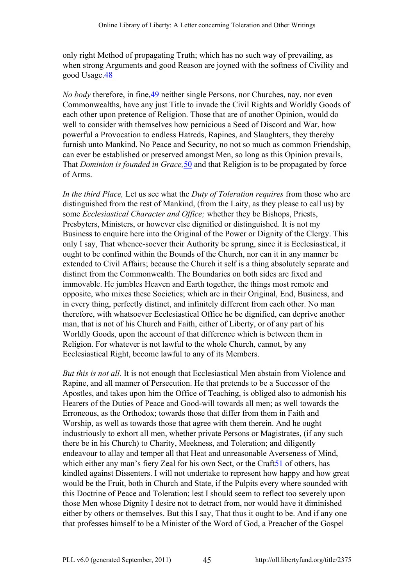only right Method of propagating Truth; which has no such way of prevailing, as when strong Arguments and good Reason are joyned with the softness of Civility and good Usage.[48](#page-143-4)

*No body* therefore, in fine, [49](#page-143-5) neither single Persons, nor Churches, nay, nor even Commonwealths, have any just Title to invade the Civil Rights and Worldly Goods of each other upon pretence of Religion. Those that are of another Opinion, would do well to consider with themselves how pernicious a Seed of Discord and War, how powerful a Provocation to endless Hatreds, Rapines, and Slaughters, they thereby furnish unto Mankind. No Peace and Security, no not so much as common Friendship, can ever be established or preserved amongst Men, so long as this Opinion prevails, That *Dominion is founded in Grace,*[50](#page-143-6) and that Religion is to be propagated by force of Arms.

*In the third Place,* Let us see what the *Duty of Toleration requires* from those who are distinguished from the rest of Mankind, (from the Laity, as they please to call us) by some *Ecclesiastical Character and Office;* whether they be Bishops, Priests, Presbyters, Ministers, or however else dignified or distinguished. It is not my Business to enquire here into the Original of the Power or Dignity of the Clergy. This only I say, That whence-soever their Authority be sprung, since it is Ecclesiastical, it ought to be confined within the Bounds of the Church, nor can it in any manner be extended to Civil Affairs; because the Church it self is a thing absolutely separate and distinct from the Commonwealth. The Boundaries on both sides are fixed and immovable. He jumbles Heaven and Earth together, the things most remote and opposite, who mixes these Societies; which are in their Original, End, Business, and in every thing, perfectly distinct, and infinitely different from each other. No man therefore, with whatsoever Ecclesiastical Office he be dignified, can deprive another man, that is not of his Church and Faith, either of Liberty, or of any part of his Worldly Goods, upon the account of that difference which is between them in Religion. For whatever is not lawful to the whole Church, cannot, by any Ecclesiastical Right, become lawful to any of its Members.

*But this is not all.* It is not enough that Ecclesiastical Men abstain from Violence and Rapine, and all manner of Persecution. He that pretends to be a Successor of the Apostles, and takes upon him the Office of Teaching, is obliged also to admonish his Hearers of the Duties of Peace and Good-will towards all men; as well towards the Erroneous, as the Orthodox; towards those that differ from them in Faith and Worship, as well as towards those that agree with them therein. And he ought industriously to exhort all men, whether private Persons or Magistrates, (if any such there be in his Church) to Charity, Meekness, and Toleration; and diligently endeavour to allay and temper all that Heat and unreasonable Averseness of Mind, which either any man's fiery Zeal for his own Sect, or the Craft<sup>[51](#page-143-7)</sup> of others, has kindled against Dissenters. I will not undertake to represent how happy and how great would be the Fruit, both in Church and State, if the Pulpits every where sounded with this Doctrine of Peace and Toleration; lest I should seem to reflect too severely upon those Men whose Dignity I desire not to detract from, nor would have it diminished either by others or themselves. But this I say, That thus it ought to be. And if any one that professes himself to be a Minister of the Word of God, a Preacher of the Gospel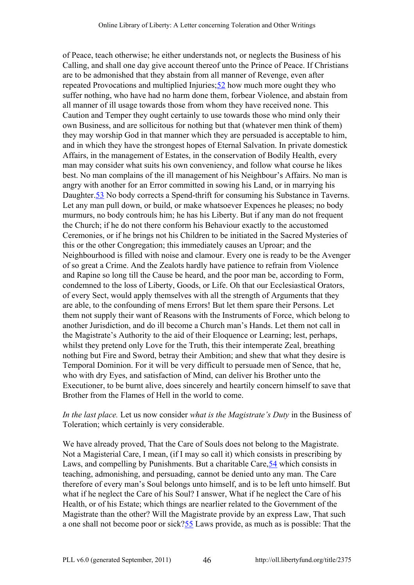of Peace, teach otherwise; he either understands not, or neglects the Business of his Calling, and shall one day give account thereof unto the Prince of Peace. If Christians are to be admonished that they abstain from all manner of Revenge, even after repeated Provocations and multiplied Injuries; [52](#page-143-8) how much more ought they who suffer nothing, who have had no harm done them, forbear Violence, and abstain from all manner of ill usage towards those from whom they have received none. This Caution and Temper they ought certainly to use towards those who mind only their own Business, and are sollicitous for nothing but that (whatever men think of them) they may worship God in that manner which they are persuaded is acceptable to him, and in which they have the strongest hopes of Eternal Salvation. In private domestick Affairs, in the management of Estates, in the conservation of Bodily Health, every man may consider what suits his own conveniency, and follow what course he likes best. No man complains of the ill management of his Neighbour's Affairs. No man is angry with another for an Error committed in sowing his Land, or in marrying his Daughter.[53](#page-143-9) No body corrects a Spend-thrift for consuming his Substance in Taverns. Let any man pull down, or build, or make whatsoever Expences he pleases; no body murmurs, no body controuls him; he has his Liberty. But if any man do not frequent the Church; if he do not there conform his Behaviour exactly to the accustomed Ceremonies, or if he brings not his Children to be initiated in the Sacred Mysteries of this or the other Congregation; this immediately causes an Uproar; and the Neighbourhood is filled with noise and clamour. Every one is ready to be the Avenger of so great a Crime. And the Zealots hardly have patience to refrain from Violence and Rapine so long till the Cause be heard, and the poor man be, according to Form, condemned to the loss of Liberty, Goods, or Life. Oh that our Ecclesiastical Orators, of every Sect, would apply themselves with all the strength of Arguments that they are able, to the confounding of mens Errors! But let them spare their Persons. Let them not supply their want of Reasons with the Instruments of Force, which belong to another Jurisdiction, and do ill become a Church man's Hands. Let them not call in the Magistrate's Authority to the aid of their Eloquence or Learning; lest, perhaps, whilst they pretend only Love for the Truth, this their intemperate Zeal, breathing nothing but Fire and Sword, betray their Ambition; and shew that what they desire is Temporal Dominion. For it will be very difficult to persuade men of Sence, that he, who with dry Eyes, and satisfaction of Mind, can deliver his Brother unto the Executioner, to be burnt alive, does sincerely and heartily concern himself to save that Brother from the Flames of Hell in the world to come.

#### *In the last place.* Let us now consider *what is the Magistrate's Duty* in the Business of Toleration; which certainly is very considerable.

We have already proved, That the Care of Souls does not belong to the Magistrate. Not a Magisterial Care, I mean, (if I may so call it) which consists in prescribing by Laws, and compelling by Punishments. But a charitable Care,[54](#page-143-10) which consists in teaching, admonishing, and persuading, cannot be denied unto any man. The Care therefore of every man's Soul belongs unto himself, and is to be left unto himself. But what if he neglect the Care of his Soul? I answer, What if he neglect the Care of his Health, or of his Estate; which things are nearlier related to the Government of the Magistrate than the other? Will the Magistrate provide by an express Law, That such a one shall not become poor or sick?[55](#page-143-11) Laws provide, as much as is possible: That the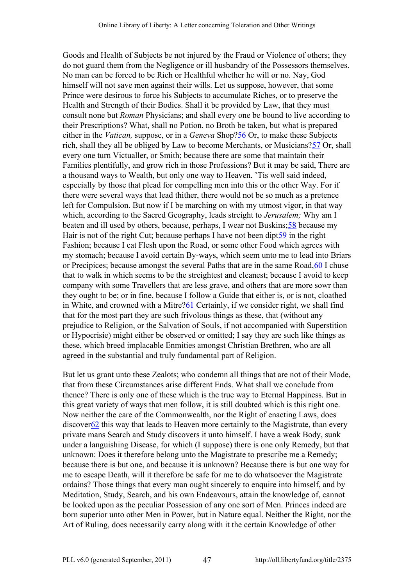Goods and Health of Subjects be not injured by the Fraud or Violence of others; they do not guard them from the Negligence or ill husbandry of the Possessors themselves. No man can be forced to be Rich or Healthful whether he will or no. Nay, God himself will not save men against their wills. Let us suppose, however, that some Prince were desirous to force his Subjects to accumulate Riches, or to preserve the Health and Strength of their Bodies. Shall it be provided by Law, that they must consult none but *Roman* Physicians; and shall every one be bound to live according to their Prescriptions? What, shall no Potion, no Broth be taken, but what is prepared either in the *Vatican,* suppose, or in a *Geneva* Shop?[56](#page-143-12) Or, to make these Subjects rich, shall they all be obliged by Law to become Merchants, or Musicians?[57](#page-144-0) Or, shall every one turn Victualler, or Smith; because there are some that maintain their Families plentifully, and grow rich in those Professions? But it may be said, There are a thousand ways to Wealth, but only one way to Heaven. 'Tis well said indeed, especially by those that plead for compelling men into this or the other Way. For if there were several ways that lead thither, there would not be so much as a pretence left for Compulsion. But now if I be marching on with my utmost vigor, in that way which, according to the Sacred Geography, leads streight to *Jerusalem;* Why am I beaten and ill used by others, because, perhaps, I wear not Buskins;[58](#page-144-1) because my Hair is not of the right Cut; because perhaps I have not been dipt[59](#page-144-2) in the right Fashion; because I eat Flesh upon the Road, or some other Food which agrees with my stomach; because I avoid certain By-ways, which seem unto me to lead into Briars or Precipices; because amongst the several Paths that are in the same Road,[60](#page-144-3) I chuse that to walk in which seems to be the streightest and cleanest; because I avoid to keep company with some Travellers that are less grave, and others that are more sowr than they ought to be; or in fine, because I follow a Guide that either is, or is not, cloathed in White, and crowned with a Mitre? $61$  Certainly, if we consider right, we shall find that for the most part they are such frivolous things as these, that (without any prejudice to Religion, or the Salvation of Souls, if not accompanied with Superstition or Hypocrisie) might either be observed or omitted; I say they are such like things as these, which breed implacable Enmities amongst Christian Brethren, who are all agreed in the substantial and truly fundamental part of Religion.

But let us grant unto these Zealots; who condemn all things that are not of their Mode, that from these Circumstances arise different Ends. What shall we conclude from thence? There is only one of these which is the true way to Eternal Happiness. But in this great variety of ways that men follow, it is still doubted which is this right one. Now neither the care of the Commonwealth, nor the Right of enacting Laws, does discover [62](#page-144-5) this way that leads to Heaven more certainly to the Magistrate, than every private mans Search and Study discovers it unto himself. I have a weak Body, sunk under a languishing Disease, for which (I suppose) there is one only Remedy, but that unknown: Does it therefore belong unto the Magistrate to prescribe me a Remedy; because there is but one, and because it is unknown? Because there is but one way for me to escape Death, will it therefore be safe for me to do whatsoever the Magistrate ordains? Those things that every man ought sincerely to enquire into himself, and by Meditation, Study, Search, and his own Endeavours, attain the knowledge of, cannot be looked upon as the peculiar Possession of any one sort of Men. Princes indeed are born superior unto other Men in Power, but in Nature equal. Neither the Right, nor the Art of Ruling, does necessarily carry along with it the certain Knowledge of other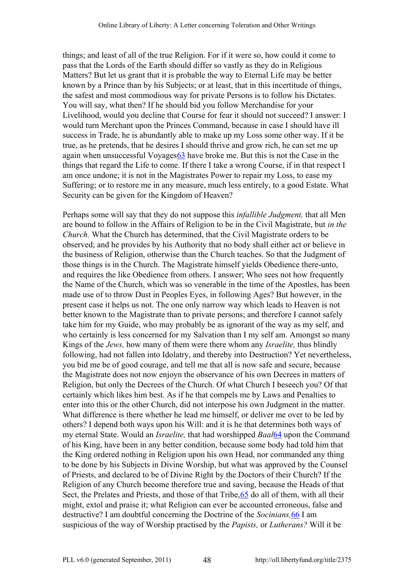things; and least of all of the true Religion. For if it were so, how could it come to pass that the Lords of the Earth should differ so vastly as they do in Religious Matters? But let us grant that it is probable the way to Eternal Life may be better known by a Prince than by his Subjects; or at least, that in this incertitude of things, the safest and most commodious way for private Persons is to follow his Dictates. You will say, what then? If he should bid you follow Merchandise for your Livelihood, would you decline that Course for fear it should not succeed? I answer: I would turn Merchant upon the Princes Command, because in case I should have ill success in Trade, he is abundantly able to make up my Loss some other way. If it be true, as he pretends, that he desires I should thrive and grow rich, he can set me up again when unsuccessful Voyage[s63](#page-144-6) have broke me. But this is not the Case in the things that regard the Life to come. If there I take a wrong Course, if in that respect I am once undone; it is not in the Magistrates Power to repair my Loss, to ease my Suffering; or to restore me in any measure, much less entirely, to a good Estate. What Security can be given for the Kingdom of Heaven?

Perhaps some will say that they do not suppose this *infallible Judgment,* that all Men are bound to follow in the Affairs of Religion to be in the Civil Magistrate, but *in the Church.* What the Church has determined, that the Civil Magistrate orders to be observed; and he provides by his Authority that no body shall either act or believe in the business of Religion, otherwise than the Church teaches. So that the Judgment of those things is in the Church. The Magistrate himself yields Obedience there-unto, and requires the like Obedience from others. I answer; Who sees not how frequently the Name of the Church, which was so venerable in the time of the Apostles, has been made use of to throw Dust in Peoples Eyes, in following Ages? But however, in the present case it helps us not. The one only narrow way which leads to Heaven is not better known to the Magistrate than to private persons; and therefore I cannot safely take him for my Guide, who may probably be as ignorant of the way as my self, and who certainly is less concerned for my Salvation than I my self am. Amongst so many Kings of the *Jews,* how many of them were there whom any *Israelite,* thus blindly following, had not fallen into Idolatry, and thereby into Destruction? Yet nevertheless, you bid me be of good courage, and tell me that all is now safe and secure, because the Magistrate does not now enjoyn the observance of his own Decrees in matters of Religion, but only the Decrees of the Church. Of what Church I beseech you? Of that certainly which likes him best. As if he that compels me by Laws and Penalties to enter into this or the other Church, did not interpose his own Judgment in the matter. What difference is there whether he lead me himself, or deliver me over to be led by others? I depend both ways upon his Will: and it is he that determines both ways of my eternal State. Would an *Israelite,* that had worshipped *Baal*[64](#page-144-7) upon the Command of his King, have been in any better condition, because some body had told him that the King ordered nothing in Religion upon his own Head, nor commanded any thing to be done by his Subjects in Divine Worship, but what was approved by the Counsel of Priests, and declared to be of Divine Right by the Doctors of their Church? If the Religion of any Church become therefore true and saving, because the Heads of that Sect, the Prelates and Priests, and those of that Tribe, 65 do all of them, with all their might, extol and praise it; what Religion can ever be accounted erroneous, false and destructive? I am doubtful concerning the Doctrine of the *Socinians,*[66](#page-144-9) I am suspicious of the way of Worship practised by the *Papists,* or *Lutherans?* Will it be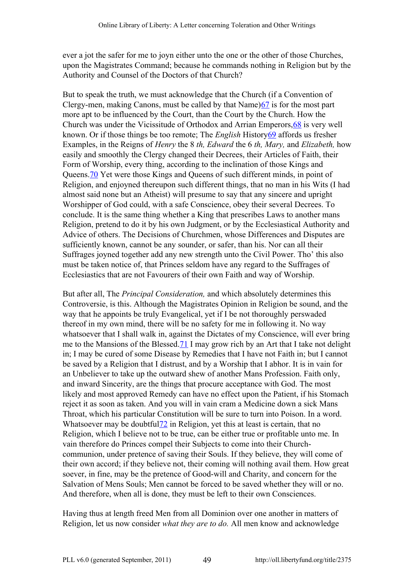ever a jot the safer for me to joyn either unto the one or the other of those Churches, upon the Magistrates Command; because he commands nothing in Religion but by the Authority and Counsel of the Doctors of that Church?

But to speak the truth, we must acknowledge that the Church (if a Convention of Clergy-men, making Canons, must be called by that Name[\)67](#page-144-10) is for the most part more apt to be influenced by the Court, than the Court by the Church. How the Church was under the Vicissitude of Orthodox and Arrian Emperors[,68](#page-144-11) is very well known. Or if those things be too remote; The *English* History[69](#page-144-12) affords us fresher Examples, in the Reigns of *Henry* the 8 *th, Edward* the 6 *th, Mary,* and *Elizabeth,* how easily and smoothly the Clergy changed their Decrees, their Articles of Faith, their Form of Worship, every thing, according to the inclination of those Kings and Queens.[70](#page-144-13) Yet were those Kings and Queens of such different minds, in point of Religion, and enjoyned thereupon such different things, that no man in his Wits (I had almost said none but an Atheist) will presume to say that any sincere and upright Worshipper of God could, with a safe Conscience, obey their several Decrees. To conclude. It is the same thing whether a King that prescribes Laws to another mans Religion, pretend to do it by his own Judgment, or by the Ecclesiastical Authority and Advice of others. The Decisions of Churchmen, whose Differences and Disputes are sufficiently known, cannot be any sounder, or safer, than his. Nor can all their Suffrages joyned together add any new strength unto the Civil Power. Tho' this also must be taken notice of, that Princes seldom have any regard to the Suffrages of Ecclesiastics that are not Favourers of their own Faith and way of Worship.

But after all, The *Principal Consideration,* and which absolutely determines this Controversie, is this. Although the Magistrates Opinion in Religion be sound, and the way that he appoints be truly Evangelical, yet if I be not thoroughly perswaded thereof in my own mind, there will be no safety for me in following it. No way whatsoever that I shall walk in, against the Dictates of my Conscience, will ever bring me to the Mansions of the Blessed[.71](#page-144-14) I may grow rich by an Art that I take not delight in; I may be cured of some Disease by Remedies that I have not Faith in; but I cannot be saved by a Religion that I distrust, and by a Worship that I abhor. It is in vain for an Unbeliever to take up the outward shew of another Mans Profession. Faith only, and inward Sincerity, are the things that procure acceptance with God. The most likely and most approved Remedy can have no effect upon the Patient, if his Stomach reject it as soon as taken. And you will in vain cram a Medicine down a sick Mans Throat, which his particular Constitution will be sure to turn into Poison. In a word. Whatsoever may be doubtful<sup>[72](#page-145-0)</sup> in Religion, yet this at least is certain, that no Religion, which I believe not to be true, can be either true or profitable unto me. In vain therefore do Princes compel their Subjects to come into their Churchcommunion, under pretence of saving their Souls. If they believe, they will come of their own accord; if they believe not, their coming will nothing avail them. How great soever, in fine, may be the pretence of Good-will and Charity, and concern for the Salvation of Mens Souls; Men cannot be forced to be saved whether they will or no. And therefore, when all is done, they must be left to their own Consciences.

Having thus at length freed Men from all Dominion over one another in matters of Religion, let us now consider *what they are to do.* All men know and acknowledge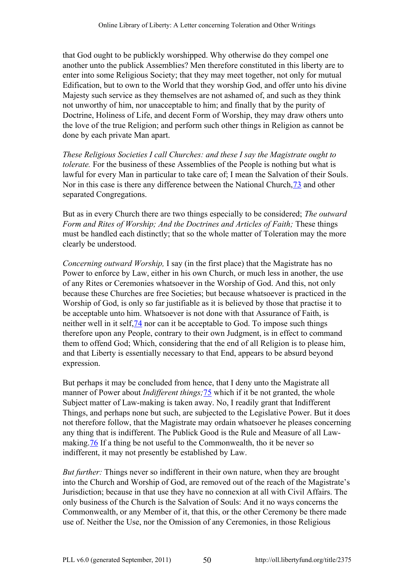that God ought to be publickly worshipped. Why otherwise do they compel one another unto the publick Assemblies? Men therefore constituted in this liberty are to enter into some Religious Society; that they may meet together, not only for mutual Edification, but to own to the World that they worship God, and offer unto his divine Majesty such service as they themselves are not ashamed of, and such as they think not unworthy of him, nor unacceptable to him; and finally that by the purity of Doctrine, Holiness of Life, and decent Form of Worship, they may draw others unto the love of the true Religion; and perform such other things in Religion as cannot be done by each private Man apart.

*These Religious Societies I call Churches: and these I say the Magistrate ought to tolerate.* For the business of these Assemblies of the People is nothing but what is lawful for every Man in particular to take care of; I mean the Salvation of their Souls. Nor in this case is there any difference between the National Church,[73](#page-145-1) and other separated Congregations.

But as in every Church there are two things especially to be considered; *The outward Form and Rites of Worship; And the Doctrines and Articles of Faith;* These things must be handled each distinctly; that so the whole matter of Toleration may the more clearly be understood.

*Concerning outward Worship,* I say (in the first place) that the Magistrate has no Power to enforce by Law, either in his own Church, or much less in another, the use of any Rites or Ceremonies whatsoever in the Worship of God. And this, not only because these Churches are free Societies; but because whatsoever is practiced in the Worship of God, is only so far justifiable as it is believed by those that practise it to be acceptable unto him. Whatsoever is not done with that Assurance of Faith, is neither well in it self[,74](#page-145-2) nor can it be acceptable to God. To impose such things therefore upon any People, contrary to their own Judgment, is in effect to command them to offend God; Which, considering that the end of all Religion is to please him, and that Liberty is essentially necessary to that End, appears to be absurd beyond expression.

But perhaps it may be concluded from hence, that I deny unto the Magistrate all manner of Power about *Indifferent things;*[75](#page-145-3) which if it be not granted, the whole Subject matter of Law-making is taken away. No, I readily grant that Indifferent Things, and perhaps none but such, are subjected to the Legislative Power. But it does not therefore follow, that the Magistrate may ordain whatsoever he pleases concerning any thing that is indifferent. The Publick Good is the Rule and Measure of all Lawmaking.[76](#page-145-4) If a thing be not useful to the Commonwealth, tho it be never so indifferent, it may not presently be established by Law.

*But further:* Things never so indifferent in their own nature, when they are brought into the Church and Worship of God, are removed out of the reach of the Magistrate's Jurisdiction; because in that use they have no connexion at all with Civil Affairs. The only business of the Church is the Salvation of Souls: And it no ways concerns the Commonwealth, or any Member of it, that this, or the other Ceremony be there made use of. Neither the Use, nor the Omission of any Ceremonies, in those Religious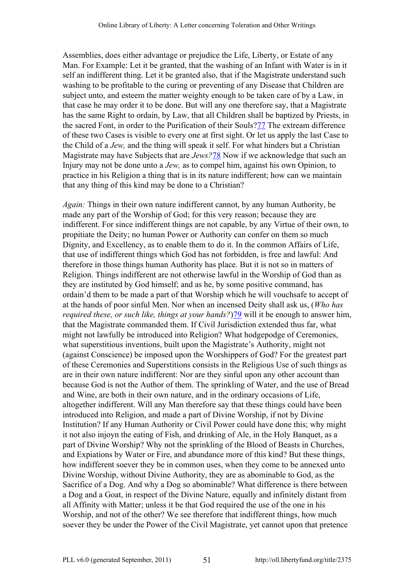Assemblies, does either advantage or prejudice the Life, Liberty, or Estate of any Man. For Example: Let it be granted, that the washing of an Infant with Water is in it self an indifferent thing. Let it be granted also, that if the Magistrate understand such washing to be profitable to the curing or preventing of any Disease that Children are subject unto, and esteem the matter weighty enough to be taken care of by a Law, in that case he may order it to be done. But will any one therefore say, that a Magistrate has the same Right to ordain, by Law, that all Children shall be baptized by Priests, in the sacred Font, in order to the Purification of their Souls?[77](#page-145-5) The extream difference of these two Cases is visible to every one at first sight. Or let us apply the last Case to the Child of a *Jew,* and the thing will speak it self. For what hinders but a Christian Magistrate may have Subjects that are *Jews?*[78](#page-145-6) Now if we acknowledge that such an Injury may not be done unto a *Jew,* as to compel him, against his own Opinion, to practice in his Religion a thing that is in its nature indifferent; how can we maintain that any thing of this kind may be done to a Christian?

*Again:* Things in their own nature indifferent cannot, by any human Authority, be made any part of the Worship of God; for this very reason; because they are indifferent. For since indifferent things are not capable, by any Virtue of their own, to propitiate the Deity; no human Power or Authority can confer on them so much Dignity, and Excellency, as to enable them to do it. In the common Affairs of Life, that use of indifferent things which God has not forbidden, is free and lawful: And therefore in those things human Authority has place. But it is not so in matters of Religion. Things indifferent are not otherwise lawful in the Worship of God than as they are instituted by God himself; and as he, by some positive command, has ordain'd them to be made a part of that Worship which he will vouchsafe to accept of at the hands of poor sinful Men. Nor when an incensed Deity shall ask us, (*Who has required these, or such like, things at your hands?*[\)79](#page-145-7) will it be enough to answer him, that the Magistrate commanded them. If Civil Jurisdiction extended thus far, what might not lawfully be introduced into Religion? What hodgepodge of Ceremonies, what superstitious inventions, built upon the Magistrate's Authority, might not (against Conscience) be imposed upon the Worshippers of God? For the greatest part of these Ceremonies and Superstitions consists in the Religious Use of such things as are in their own nature indifferent: Nor are they sinful upon any other account than because God is not the Author of them. The sprinkling of Water, and the use of Bread and Wine, are both in their own nature, and in the ordinary occasions of Life, altogether indifferent. Will any Man therefore say that these things could have been introduced into Religion, and made a part of Divine Worship, if not by Divine Institution? If any Human Authority or Civil Power could have done this; why might it not also injoyn the eating of Fish, and drinking of Ale, in the Holy Banquet, as a part of Divine Worship? Why not the sprinkling of the Blood of Beasts in Churches, and Expiations by Water or Fire, and abundance more of this kind? But these things, how indifferent soever they be in common uses, when they come to be annexed unto Divine Worship, without Divine Authority, they are as abominable to God, as the Sacrifice of a Dog. And why a Dog so abominable? What difference is there between a Dog and a Goat, in respect of the Divine Nature, equally and infinitely distant from all Affinity with Matter; unless it be that God required the use of the one in his Worship, and not of the other? We see therefore that indifferent things, how much soever they be under the Power of the Civil Magistrate, yet cannot upon that pretence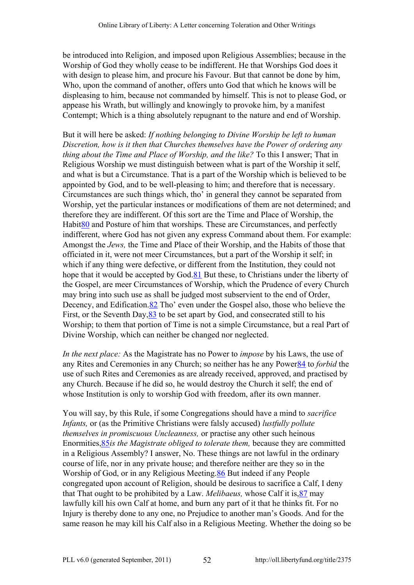be introduced into Religion, and imposed upon Religious Assemblies; because in the Worship of God they wholly cease to be indifferent. He that Worships God does it with design to please him, and procure his Favour. But that cannot be done by him, Who, upon the command of another, offers unto God that which he knows will be displeasing to him, because not commanded by himself. This is not to please God, or appease his Wrath, but willingly and knowingly to provoke him, by a manifest Contempt; Which is a thing absolutely repugnant to the nature and end of Worship.

But it will here be asked: *If nothing belonging to Divine Worship be left to human Discretion, how is it then that Churches themselves have the Power of ordering any thing about the Time and Place of Worship, and the like?* To this I answer; That in Religious Worship we must distinguish between what is part of the Worship it self, and what is but a Circumstance. That is a part of the Worship which is believed to be appointed by God, and to be well-pleasing to him; and therefore that is necessary. Circumstances are such things which, tho' in general they cannot be separated from Worship, yet the particular instances or modifications of them are not determined; and therefore they are indifferent. Of this sort are the Time and Place of Worship, the Habit<sup>[80](#page-145-8)</sup> and Posture of him that worships. These are Circumstances, and perfectly indifferent, where God has not given any express Command about them. For example: Amongst the *Jews,* the Time and Place of their Worship, and the Habits of those that officiated in it, were not meer Circumstances, but a part of the Worship it self; in which if any thing were defective, or different from the Institution, they could not hope that it would be accepted by God.[81](#page-145-9) But these, to Christians under the liberty of the Gospel, are meer Circumstances of Worship, which the Prudence of every Church may bring into such use as shall be judged most subservient to the end of Order, Decency, and Edification.[82](#page-145-10) Tho' even under the Gospel also, those who believe the First, or the Seventh Day[,83](#page-145-11) to be set apart by God, and consecrated still to his Worship; to them that portion of Time is not a simple Circumstance, but a real Part of Divine Worship, which can neither be changed nor neglected.

*In the next place:* As the Magistrate has no Power to *impose* by his Laws, the use of any Rites and Ceremonies in any Church; so neither has he any Power[84](#page-145-12) to *forbid* the use of such Rites and Ceremonies as are already received, approved, and practised by any Church. Because if he did so, he would destroy the Church it self; the end of whose Institution is only to worship God with freedom, after its own manner.

You will say, by this Rule, if some Congregations should have a mind to *sacrifice Infants,* or (as the Primitive Christians were falsly accused) *lustfully pollute themselves in promiscuous Uncleanness,* or practise any other such heinous Enormities,[85](#page-145-13)*is the Magistrate obliged to tolerate them,* because they are committed in a Religious Assembly? I answer, No. These things are not lawful in the ordinary course of life, nor in any private house; and therefore neither are they so in the Worship of God, or in any Religious Meeting.[86](#page-146-0) But indeed if any People congregated upon account of Religion, should be desirous to sacrifice a Calf, I deny that That ought to be prohibited by a Law. *Melibaeus,* whose Calf it is,[87](#page-146-1) may lawfully kill his own Calf at home, and burn any part of it that he thinks fit. For no Injury is thereby done to any one, no Prejudice to another man's Goods. And for the same reason he may kill his Calf also in a Religious Meeting. Whether the doing so be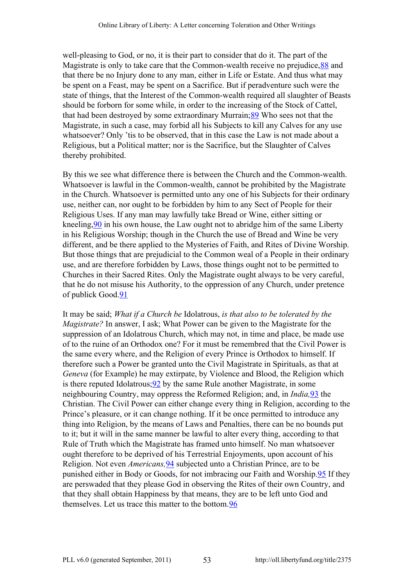well-pleasing to God, or no, it is their part to consider that do it. The part of the Magistrate is only to take care that the Common-wealth receive no prejudice,[88](#page-146-2) and that there be no Injury done to any man, either in Life or Estate. And thus what may be spent on a Feast, may be spent on a Sacrifice. But if peradventure such were the state of things, that the Interest of the Common-wealth required all slaughter of Beasts should be forborn for some while, in order to the increasing of the Stock of Cattel, that had been destroyed by some extraordinary Murrain[;89](#page-146-3) Who sees not that the Magistrate, in such a case, may forbid all his Subjects to kill any Calves for any use whatsoever? Only 'tis to be observed, that in this case the Law is not made about a Religious, but a Political matter; nor is the Sacrifice, but the Slaughter of Calves thereby prohibited.

By this we see what difference there is between the Church and the Common-wealth. Whatsoever is lawful in the Common-wealth, cannot be prohibited by the Magistrate in the Church. Whatsoever is permitted unto any one of his Subjects for their ordinary use, neither can, nor ought to be forbidden by him to any Sect of People for their Religious Uses. If any man may lawfully take Bread or Wine, either sitting or kneeling[,90](#page-146-4) in his own house, the Law ought not to abridge him of the same Liberty in his Religious Worship; though in the Church the use of Bread and Wine be very different, and be there applied to the Mysteries of Faith, and Rites of Divine Worship. But those things that are prejudicial to the Common weal of a People in their ordinary use, and are therefore forbidden by Laws, those things ought not to be permitted to Churches in their Sacred Rites. Only the Magistrate ought always to be very careful, that he do not misuse his Authority, to the oppression of any Church, under pretence of publick Good.[91](#page-146-5)

It may be said; *What if a Church be* Idolatrous, *is that also to be tolerated by the Magistrate?* In answer, I ask; What Power can be given to the Magistrate for the suppression of an Idolatrous Church, which may not, in time and place, be made use of to the ruine of an Orthodox one? For it must be remembred that the Civil Power is the same every where, and the Religion of every Prince is Orthodox to himself. If therefore such a Power be granted unto the Civil Magistrate in Spirituals, as that at *Geneva* (for Example) he may extirpate, by Violence and Blood, the Religion which is there reputed Idolatrous;[92](#page-146-6) by the same Rule another Magistrate, in some neighbouring Country, may oppress the Reformed Religion; and, in *India,*[93](#page-146-7) the Christian. The Civil Power can either change every thing in Religion, according to the Prince's pleasure, or it can change nothing. If it be once permitted to introduce any thing into Religion, by the means of Laws and Penalties, there can be no bounds put to it; but it will in the same manner be lawful to alter every thing, according to that Rule of Truth which the Magistrate has framed unto himself. No man whatsoever ought therefore to be deprived of his Terrestrial Enjoyments, upon account of his Religion. Not even *Americans,*[94](#page-146-8) subjected unto a Christian Prince, are to be punished either in Body or Goods, for not imbracing our Faith and Worship.[95](#page-146-9) If they are perswaded that they please God in observing the Rites of their own Country, and that they shall obtain Happiness by that means, they are to be left unto God and themselves. Let us trace this matter to the bottom[.96](#page-146-10)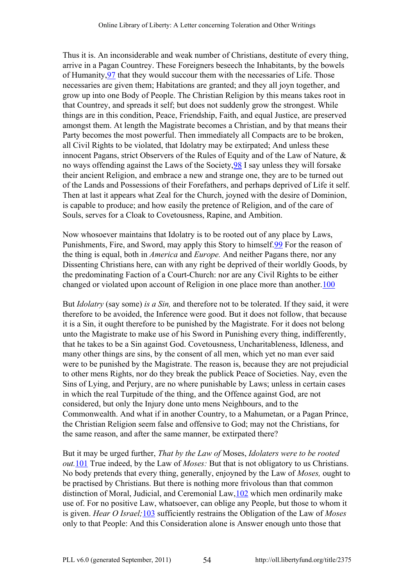Thus it is. An inconsiderable and weak number of Christians, destitute of every thing, arrive in a Pagan Countrey. These Foreigners beseech the Inhabitants, by the bowels of Humanity,[97](#page-146-11) that they would succour them with the necessaries of Life. Those necessaries are given them; Habitations are granted; and they all joyn together, and grow up into one Body of People. The Christian Religion by this means takes root in that Countrey, and spreads it self; but does not suddenly grow the strongest. While things are in this condition, Peace, Friendship, Faith, and equal Justice, are preserved amongst them. At length the Magistrate becomes a Christian, and by that means their Party becomes the most powerful. Then immediately all Compacts are to be broken, all Civil Rights to be violated, that Idolatry may be extirpated; And unless these innocent Pagans, strict Observers of the Rules of Equity and of the Law of Nature, & no ways offending against the Laws of the Society,[98](#page-146-12) I say unless they will forsake their ancient Religion, and embrace a new and strange one, they are to be turned out of the Lands and Possessions of their Forefathers, and perhaps deprived of Life it self. Then at last it appears what Zeal for the Church, joyned with the desire of Dominion, is capable to produce; and how easily the pretence of Religion, and of the care of Souls, serves for a Cloak to Covetousness, Rapine, and Ambition.

Now whosoever maintains that Idolatry is to be rooted out of any place by Laws, Punishments, Fire, and Sword, may apply this Story to himself[.99](#page-146-13) For the reason of the thing is equal, both in *America* and *Europe.* And neither Pagans there, nor any Dissenting Christians here, can with any right be deprived of their worldly Goods, by the predominating Faction of a Court-Church: nor are any Civil Rights to be either changed or violated upon account of Religion in one place more than another.[100](#page-146-14)

But *Idolatry* (say some) *is a Sin,* and therefore not to be tolerated. If they said, it were therefore to be avoided, the Inference were good. But it does not follow, that because it is a Sin, it ought therefore to be punished by the Magistrate. For it does not belong unto the Magistrate to make use of his Sword in Punishing every thing, indifferently, that he takes to be a Sin against God. Covetousness, Uncharitableness, Idleness, and many other things are sins, by the consent of all men, which yet no man ever said were to be punished by the Magistrate. The reason is, because they are not prejudicial to other mens Rights, nor do they break the publick Peace of Societies. Nay, even the Sins of Lying, and Perjury, are no where punishable by Laws; unless in certain cases in which the real Turpitude of the thing, and the Offence against God, are not considered, but only the Injury done unto mens Neighbours, and to the Commonwealth. And what if in another Country, to a Mahumetan, or a Pagan Prince, the Christian Religion seem false and offensive to God; may not the Christians, for the same reason, and after the same manner, be extirpated there?

But it may be urged further, *That by the Law of* Moses, *Idolaters were to be rooted out.*[101](#page-147-0) True indeed, by the Law of *Moses:* But that is not obligatory to us Christians. No body pretends that every thing, generally, enjoyned by the Law of *Moses,* ought to be practised by Christians. But there is nothing more frivolous than that common distinction of Moral, Judicial, and Ceremonial Law,[102](#page-147-1) which men ordinarily make use of. For no positive Law, whatsoever, can oblige any People, but those to whom it is given. *Hear O Israel;*[103](#page-147-2) sufficiently restrains the Obligation of the Law of *Moses* only to that People: And this Consideration alone is Answer enough unto those that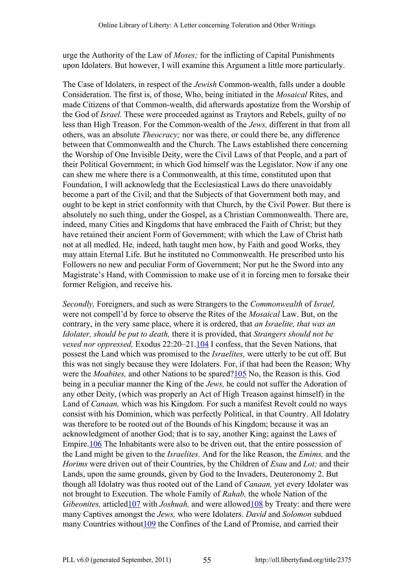urge the Authority of the Law of *Moses;* for the inflicting of Capital Punishments upon Idolaters. But however, I will examine this Argument a little more particularly.

The Case of Idolaters, in respect of the *Jewish* Common-wealth, falls under a double Consideration. The first is, of those, Who, being initiated in the *Mosaical* Rites, and made Citizens of that Common-wealth, did afterwards apostatize from the Worship of the God of *Israel.* These were proceeded against as Traytors and Rebels, guilty of no less than High Treason. For the Common-wealth of the *Jews,* different in that from all others, was an absolute *Theocracy;* nor was there, or could there be, any difference between that Commonwealth and the Church. The Laws established there concerning the Worship of One Invisible Deity, were the Civil Laws of that People, and a part of their Political Government; in which God himself was the Legislator. Now if any one can shew me where there is a Commonwealth, at this time, constituted upon that Foundation, I will acknowledg that the Ecclesiastical Laws do there unavoidably become a part of the Civil; and that the Subjects of that Government both may, and ought to be kept in strict conformity with that Church, by the Civil Power. But there is absolutely no such thing, under the Gospel, as a Christian Commonwealth. There are, indeed, many Cities and Kingdoms that have embraced the Faith of Christ; but they have retained their ancient Form of Government; with which the Law of Christ hath not at all medled. He, indeed, hath taught men how, by Faith and good Works, they may attain Eternal Life. But he instituted no Commonwealth. He prescribed unto his Followers no new and peculiar Form of Government; Nor put he the Sword into any Magistrate's Hand, with Commission to make use of it in forcing men to forsake their former Religion, and receive his.

*Secondly,* Foreigners, and such as were Strangers to the *Commonwealth* of *Israel,* were not compell'd by force to observe the Rites of the *Mosaical* Law. But, on the contrary, in the very same place, where it is ordered, that *an Israelite, that was an Idolater, should be put to death,* there it is provided, that *Strangers should not be vexed nor oppressed,* Exodus 22:20–21.[104](#page-147-3) I confess, that the Seven Nations, that possest the Land which was promised to the *Israelites,* were utterly to be cut off. But this was not singly because they were Idolaters. For, if that had been the Reason; Why were the *Moabites,* and other Nations to be spared[?105](#page-147-4) No, the Reason is this. God being in a peculiar manner the King of the *Jews,* he could not suffer the Adoration of any other Deity, (which was properly an Act of High Treason against himself) in the Land of *Canaan,* which was his Kingdom. For such a manifest Revolt could no ways consist with his Dominion, which was perfectly Political, in that Country. All Idolatry was therefore to be rooted out of the Bounds of his Kingdom; because it was an acknowledgment of another God; that is to say, another King; against the Laws of Empire[.106](#page-147-5) The Inhabitants were also to be driven out, that the entire possession of the Land might be given to the *Israelites.* And for the like Reason, the *Emims,* and the *Horims* were driven out of their Countries, by the Children of *Esau* and *Lot;* and their Lands, upon the same grounds, given by God to the Invaders, Deuteronomy 2. But though all Idolatry was thus rooted out of the Land of *Canaan,* yet every Idolater was not brought to Execution. The whole Family of *Rahab,* the whole Nation of the *Gibeonites,* articled<sup>[107](#page-147-6)</sup> with *Joshuah*, and were allowed<sup>[108](#page-147-7)</sup> by Treaty: and there were many Captives amongst the *Jews,* who were Idolaters. *David* and *Solomon* subdued many Countries without [109](#page-147-8) the Confines of the Land of Promise, and carried their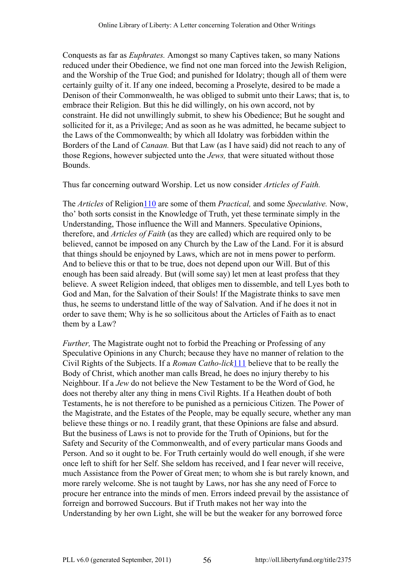Conquests as far as *Euphrates.* Amongst so many Captives taken, so many Nations reduced under their Obedience, we find not one man forced into the Jewish Religion, and the Worship of the True God; and punished for Idolatry; though all of them were certainly guilty of it. If any one indeed, becoming a Proselyte, desired to be made a Denison of their Commonwealth, he was obliged to submit unto their Laws; that is, to embrace their Religion. But this he did willingly, on his own accord, not by constraint. He did not unwillingly submit, to shew his Obedience; But he sought and sollicited for it, as a Privilege; And as soon as he was admitted, he became subject to the Laws of the Commonwealth; by which all Idolatry was forbidden within the Borders of the Land of *Canaan.* But that Law (as I have said) did not reach to any of those Regions, however subjected unto the *Jews,* that were situated without those Bounds.

Thus far concerning outward Worship. Let us now consider *Articles of Faith.*

The *Articles* of Religio[n110](#page-147-9) are some of them *Practical,* and some *Speculative.* Now, tho' both sorts consist in the Knowledge of Truth, yet these terminate simply in the Understanding, Those influence the Will and Manners. Speculative Opinions, therefore, and *Articles of Faith* (as they are called) which are required only to be believed, cannot be imposed on any Church by the Law of the Land. For it is absurd that things should be enjoyned by Laws, which are not in mens power to perform. And to believe this or that to be true, does not depend upon our Will. But of this enough has been said already. But (will some say) let men at least profess that they believe. A sweet Religion indeed, that obliges men to dissemble, and tell Lyes both to God and Man, for the Salvation of their Souls! If the Magistrate thinks to save men thus, he seems to understand little of the way of Salvation. And if he does it not in order to save them; Why is he so sollicitous about the Articles of Faith as to enact them by a Law?

*Further,* The Magistrate ought not to forbid the Preaching or Professing of any Speculative Opinions in any Church; because they have no manner of relation to the Civil Rights of the Subjects. If a *Roman Catho-lick*[111](#page-147-10) believe that to be really the Body of Christ, which another man calls Bread, he does no injury thereby to his Neighbour. If a *Jew* do not believe the New Testament to be the Word of God, he does not thereby alter any thing in mens Civil Rights. If a Heathen doubt of both Testaments, he is not therefore to be punished as a pernicious Citizen. The Power of the Magistrate, and the Estates of the People, may be equally secure, whether any man believe these things or no. I readily grant, that these Opinions are false and absurd. But the business of Laws is not to provide for the Truth of Opinions, but for the Safety and Security of the Commonwealth, and of every particular mans Goods and Person. And so it ought to be. For Truth certainly would do well enough, if she were once left to shift for her Self. She seldom has received, and I fear never will receive, much Assistance from the Power of Great men; to whom she is but rarely known, and more rarely welcome. She is not taught by Laws, nor has she any need of Force to procure her entrance into the minds of men. Errors indeed prevail by the assistance of forreign and borrowed Succours. But if Truth makes not her way into the Understanding by her own Light, she will be but the weaker for any borrowed force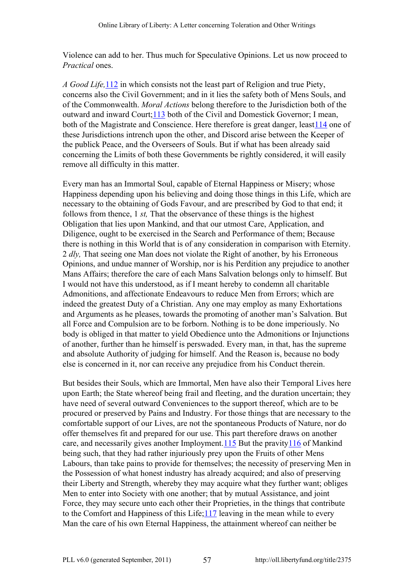Violence can add to her. Thus much for Speculative Opinions. Let us now proceed to *Practical* ones.

*A Good Life,*[112](#page-147-11) in which consists not the least part of Religion and true Piety, concerns also the Civil Government; and in it lies the safety both of Mens Souls, and of the Commonwealth. *Moral Actions* belong therefore to the Jurisdiction both of the outward and inward Court;[113](#page-147-12) both of the Civil and Domestick Governor; I mean, both of the Magistrate and Conscience. Here therefore is great danger, least [114](#page-147-13) one of these Jurisdictions intrench upon the other, and Discord arise between the Keeper of the publick Peace, and the Overseers of Souls. But if what has been already said concerning the Limits of both these Governments be rightly considered, it will easily remove all difficulty in this matter.

Every man has an Immortal Soul, capable of Eternal Happiness or Misery; whose Happiness depending upon his believing and doing those things in this Life, which are necessary to the obtaining of Gods Favour, and are prescribed by God to that end; it follows from thence, 1 *st,* That the observance of these things is the highest Obligation that lies upon Mankind, and that our utmost Care, Application, and Diligence, ought to be exercised in the Search and Performance of them; Because there is nothing in this World that is of any consideration in comparison with Eternity. 2 *dly,* That seeing one Man does not violate the Right of another, by his Erroneous Opinions, and undue manner of Worship, nor is his Perdition any prejudice to another Mans Affairs; therefore the care of each Mans Salvation belongs only to himself. But I would not have this understood, as if I meant hereby to condemn all charitable Admonitions, and affectionate Endeavours to reduce Men from Errors; which are indeed the greatest Duty of a Christian. Any one may employ as many Exhortations and Arguments as he pleases, towards the promoting of another man's Salvation. But all Force and Compulsion are to be forborn. Nothing is to be done imperiously. No body is obliged in that matter to yield Obedience unto the Admonitions or Injunctions of another, further than he himself is perswaded. Every man, in that, has the supreme and absolute Authority of judging for himself. And the Reason is, because no body else is concerned in it, nor can receive any prejudice from his Conduct therein.

But besides their Souls, which are Immortal, Men have also their Temporal Lives here upon Earth; the State whereof being frail and fleeting, and the duration uncertain; they have need of several outward Conveniences to the support thereof, which are to be procured or preserved by Pains and Industry. For those things that are necessary to the comfortable support of our Lives, are not the spontaneous Products of Nature, nor do offer themselves fit and prepared for our use. This part therefore draws on another care, and necessarily gives another Imployment.[115](#page-147-14) But the pravity[116](#page-147-15) of Mankind being such, that they had rather injuriously prey upon the Fruits of other Mens Labours, than take pains to provide for themselves; the necessity of preserving Men in the Possession of what honest industry has already acquired; and also of preserving their Liberty and Strength, whereby they may acquire what they further want; obliges Men to enter into Society with one another; that by mutual Assistance, and joint Force, they may secure unto each other their Proprieties, in the things that contribute to the Comfort and Happiness of this Life;[117](#page-148-0) leaving in the mean while to every Man the care of his own Eternal Happiness, the attainment whereof can neither be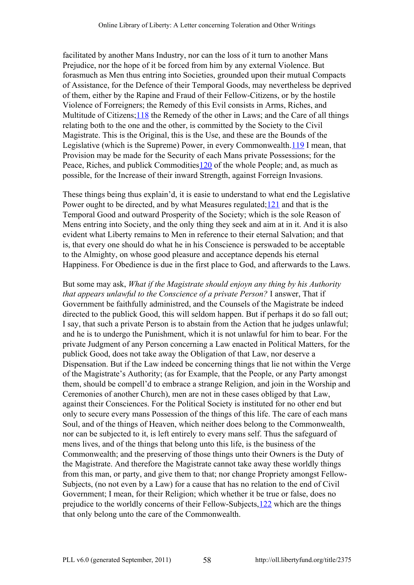facilitated by another Mans Industry, nor can the loss of it turn to another Mans Prejudice, nor the hope of it be forced from him by any external Violence. But forasmuch as Men thus entring into Societies, grounded upon their mutual Compacts of Assistance, for the Defence of their Temporal Goods, may nevertheless be deprived of them, either by the Rapine and Fraud of their Fellow-Citizens, or by the hostile Violence of Forreigners; the Remedy of this Evil consists in Arms, Riches, and Multitude of Citizens; [118](#page-148-1) the Remedy of the other in Laws; and the Care of all things relating both to the one and the other, is committed by the Society to the Civil Magistrate. This is the Original, this is the Use, and these are the Bounds of the Legislative (which is the Supreme) Power, in every Commonwealth.[119](#page-148-2) I mean, that Provision may be made for the Security of each Mans private Possessions; for the Peace, Riches, and publick Commodities[120](#page-148-3) of the whole People; and, as much as possible, for the Increase of their inward Strength, against Forreign Invasions.

These things being thus explain'd, it is easie to understand to what end the Legislative Power ought to be directed, and by what Measures regulated;[121](#page-148-4) and that is the Temporal Good and outward Prosperity of the Society; which is the sole Reason of Mens entring into Society, and the only thing they seek and aim at in it. And it is also evident what Liberty remains to Men in reference to their eternal Salvation; and that is, that every one should do what he in his Conscience is perswaded to be acceptable to the Almighty, on whose good pleasure and acceptance depends his eternal Happiness. For Obedience is due in the first place to God, and afterwards to the Laws.

But some may ask, *What if the Magistrate should enjoyn any thing by his Authority that appears unlawful to the Conscience of a private Person?* I answer, That if Government be faithfully administred, and the Counsels of the Magistrate be indeed directed to the publick Good, this will seldom happen. But if perhaps it do so fall out; I say, that such a private Person is to abstain from the Action that he judges unlawful; and he is to undergo the Punishment, which it is not unlawful for him to bear. For the private Judgment of any Person concerning a Law enacted in Political Matters, for the publick Good, does not take away the Obligation of that Law, nor deserve a Dispensation. But if the Law indeed be concerning things that lie not within the Verge of the Magistrate's Authority; (as for Example, that the People, or any Party amongst them, should be compell'd to embrace a strange Religion, and join in the Worship and Ceremonies of another Church), men are not in these cases obliged by that Law, against their Consciences. For the Political Society is instituted for no other end but only to secure every mans Possession of the things of this life. The care of each mans Soul, and of the things of Heaven, which neither does belong to the Commonwealth, nor can be subjected to it, is left entirely to every mans self. Thus the safeguard of mens lives, and of the things that belong unto this life, is the business of the Commonwealth; and the preserving of those things unto their Owners is the Duty of the Magistrate. And therefore the Magistrate cannot take away these worldly things from this man, or party, and give them to that; nor change Propriety amongst Fellow-Subjects, (no not even by a Law) for a cause that has no relation to the end of Civil Government; I mean, for their Religion; which whether it be true or false, does no prejudice to the worldly concerns of their Fellow-Subjects,[122](#page-148-5) which are the things that only belong unto the care of the Commonwealth.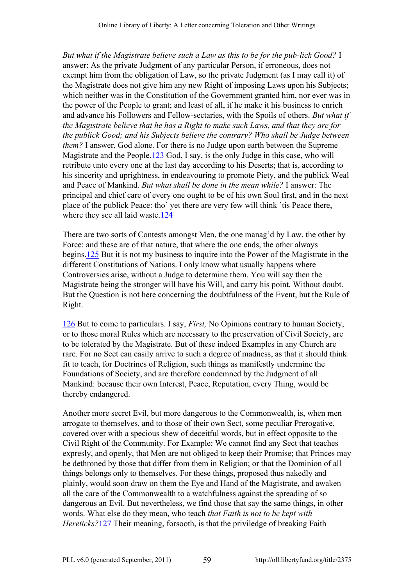*But what if the Magistrate believe such a Law as this to be for the pub-lick Good?* I answer: As the private Judgment of any particular Person, if erroneous, does not exempt him from the obligation of Law, so the private Judgment (as I may call it) of the Magistrate does not give him any new Right of imposing Laws upon his Subjects; which neither was in the Constitution of the Government granted him, nor ever was in the power of the People to grant; and least of all, if he make it his business to enrich and advance his Followers and Fellow-sectaries, with the Spoils of others. *But what if the Magistrate believe that he has a Right to make such Laws, and that they are for the publick Good; and his Subjects believe the contrary? Who shall be Judge between them?* I answer, God alone. For there is no Judge upon earth between the Supreme Magistrate and the People.[123](#page-148-6) God, I say, is the only Judge in this case, who will retribute unto every one at the last day according to his Deserts; that is, according to his sincerity and uprightness, in endeavouring to promote Piety, and the publick Weal and Peace of Mankind. *But what shall be done in the mean while?* I answer: The principal and chief care of every one ought to be of his own Soul first, and in the next place of the publick Peace: tho' yet there are very few will think 'tis Peace there, where they see all laid waste.[124](#page-148-7)

There are two sorts of Contests amongst Men, the one manag'd by Law, the other by Force: and these are of that nature, that where the one ends, the other always begins[.125](#page-148-8) But it is not my business to inquire into the Power of the Magistrate in the different Constitutions of Nations. I only know what usually happens where Controversies arise, without a Judge to determine them. You will say then the Magistrate being the stronger will have his Will, and carry his point. Without doubt. But the Question is not here concerning the doubtfulness of the Event, but the Rule of Right.

[126](#page-148-9) But to come to particulars. I say, *First,* No Opinions contrary to human Society, or to those moral Rules which are necessary to the preservation of Civil Society, are to be tolerated by the Magistrate. But of these indeed Examples in any Church are rare. For no Sect can easily arrive to such a degree of madness, as that it should think fit to teach, for Doctrines of Religion, such things as manifestly undermine the Foundations of Society, and are therefore condemned by the Judgment of all Mankind: because their own Interest, Peace, Reputation, every Thing, would be thereby endangered.

Another more secret Evil, but more dangerous to the Commonwealth, is, when men arrogate to themselves, and to those of their own Sect, some peculiar Prerogative, covered over with a specious shew of deceitful words, but in effect opposite to the Civil Right of the Community. For Example: We cannot find any Sect that teaches expresly, and openly, that Men are not obliged to keep their Promise; that Princes may be dethroned by those that differ from them in Religion; or that the Dominion of all things belongs only to themselves. For these things, proposed thus nakedly and plainly, would soon draw on them the Eye and Hand of the Magistrate, and awaken all the care of the Commonwealth to a watchfulness against the spreading of so dangerous an Evil. But nevertheless, we find those that say the same things, in other words. What else do they mean, who teach *that Faith is not to be kept with Hereticks?*[127](#page-148-10) Their meaning, forsooth, is that the priviledge of breaking Faith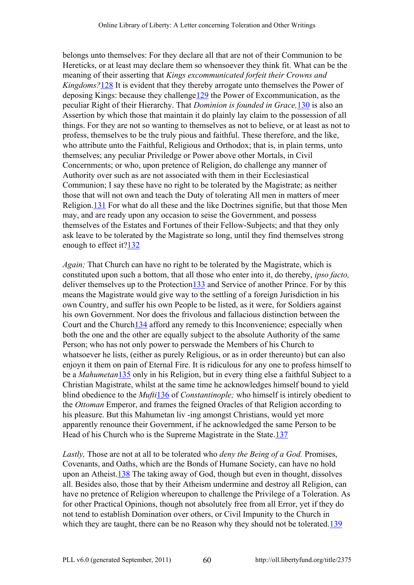belongs unto themselves: For they declare all that are not of their Communion to be Hereticks, or at least may declare them so whensoever they think fit. What can be the meaning of their asserting that *Kings excommunicated forfeit their Crowns and Kingdoms?*[128](#page-148-11) It is evident that they thereby arrogate unto themselves the Power of deposing Kings: because they challenge[129](#page-149-0) the Power of Excommunication, as the peculiar Right of their Hierarchy. That *Dominion is founded in Grace,*[130](#page-149-1) is also an Assertion by which those that maintain it do plainly lay claim to the possession of all things. For they are not so wanting to themselves as not to believe, or at least as not to profess, themselves to be the truly pious and faithful. These therefore, and the like, who attribute unto the Faithful, Religious and Orthodox; that is, in plain terms, unto themselves; any peculiar Priviledge or Power above other Mortals, in Civil Concernments; or who, upon pretence of Religion, do challenge any manner of Authority over such as are not associated with them in their Ecclesiastical Communion; I say these have no right to be tolerated by the Magistrate; as neither those that will not own and teach the Duty of tolerating All men in matters of meer Religion[.131](#page-149-2) For what do all these and the like Doctrines signifie, but that those Men may, and are ready upon any occasion to seise the Government, and possess themselves of the Estates and Fortunes of their Fellow-Subjects; and that they only ask leave to be tolerated by the Magistrate so long, until they find themselves strong enough to effect it?[132](#page-149-3)

*Again;* That Church can have no right to be tolerated by the Magistrate, which is constituted upon such a bottom, that all those who enter into it, do thereby, *ipso facto,* deliver themselves up to the Protection $133$  and Service of another Prince. For by this means the Magistrate would give way to the settling of a foreign Jurisdiction in his own Country, and suffer his own People to be listed, as it were, for Soldiers against his own Government. Nor does the frivolous and fallacious distinction between the Court and the Church[134](#page-149-5) afford any remedy to this Inconvenience; especially when both the one and the other are equally subject to the absolute Authority of the same Person; who has not only power to perswade the Members of his Church to whatsoever he lists, (either as purely Religious, or as in order thereunto) but can also enjoyn it them on pain of Eternal Fire. It is ridiculous for any one to profess himself to be a *Mahumetan*[135](#page-149-6) only in his Religion, but in every thing else a faithful Subject to a Christian Magistrate, whilst at the same time he acknowledges himself bound to yield blind obedience to the *Mufti*[136](#page-149-7) of *Constantinople;* who himself is intirely obedient to the *Ottoman* Emperor, and frames the feigned Oracles of that Religion according to his pleasure. But this Mahumetan liv -ing amongst Christians, would yet more apparently renounce their Government, if he acknowledged the same Person to be Head of his Church who is the Supreme Magistrate in the State.<sup>[137](#page-149-8)</sup>

*Lastly,* Those are not at all to be tolerated who *deny the Being of a God.* Promises, Covenants, and Oaths, which are the Bonds of Humane Society, can have no hold upon an Atheist.[138](#page-149-9) The taking away of God, though but even in thought, dissolves all. Besides also, those that by their Atheism undermine and destroy all Religion, can have no pretence of Religion whereupon to challenge the Privilege of a Toleration. As for other Practical Opinions, though not absolutely free from all Error, yet if they do not tend to establish Domination over others, or Civil Impunity to the Church in which they are taught, there can be no Reason why they should not be tolerated.[139](#page-149-10)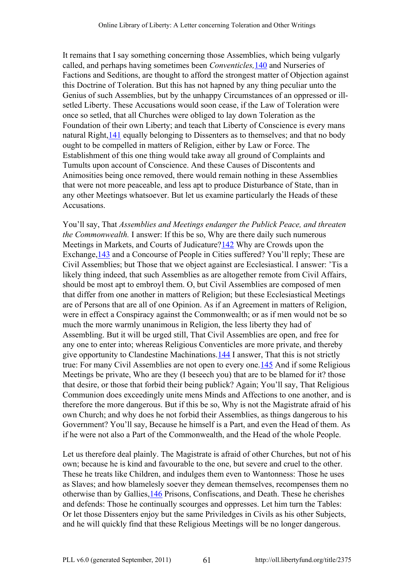It remains that I say something concerning those Assemblies, which being vulgarly called, and perhaps having sometimes been *Conventicles,*[140](#page-150-0) and Nurseries of Factions and Seditions, are thought to afford the strongest matter of Objection against this Doctrine of Toleration. But this has not hapned by any thing peculiar unto the Genius of such Assemblies, but by the unhappy Circumstances of an oppressed or illsetled Liberty. These Accusations would soon cease, if the Law of Toleration were once so setled, that all Churches were obliged to lay down Toleration as the Foundation of their own Liberty; and teach that Liberty of Conscience is every mans natural Right,[141](#page-150-1) equally belonging to Dissenters as to themselves; and that no body ought to be compelled in matters of Religion, either by Law or Force. The Establishment of this one thing would take away all ground of Complaints and Tumults upon account of Conscience. And these Causes of Discontents and Animosities being once removed, there would remain nothing in these Assemblies that were not more peaceable, and less apt to produce Disturbance of State, than in any other Meetings whatsoever. But let us examine particularly the Heads of these **Accusations** 

You'll say, That *Assemblies and Meetings endanger the Publick Peace, and threaten the Commonwealth.* I answer: If this be so, Why are there daily such numerous Meetings in Markets, and Courts of Judicature[?142](#page-150-2) Why are Crowds upon the Exchange[,143](#page-150-3) and a Concourse of People in Cities suffered? You'll reply; These are Civil Assemblies; but Those that we object against are Ecclesiastical. I answer: 'Tis a likely thing indeed, that such Assemblies as are altogether remote from Civil Affairs, should be most apt to embroyl them. O, but Civil Assemblies are composed of men that differ from one another in matters of Religion; but these Ecclesiastical Meetings are of Persons that are all of one Opinion. As if an Agreement in matters of Religion, were in effect a Conspiracy against the Commonwealth; or as if men would not be so much the more warmly unanimous in Religion, the less liberty they had of Assembling. But it will be urged still, That Civil Assemblies are open, and free for any one to enter into; whereas Religious Conventicles are more private, and thereby give opportunity to Clandestine Machinations.[144](#page-150-4) I answer, That this is not strictly true: For many Civil Assemblies are not open to every one[.145](#page-150-5) And if some Religious Meetings be private, Who are they (I beseech you) that are to be blamed for it? those that desire, or those that forbid their being publick? Again; You'll say, That Religious Communion does exceedingly unite mens Minds and Affections to one another, and is therefore the more dangerous. But if this be so, Why is not the Magistrate afraid of his own Church; and why does he not forbid their Assemblies, as things dangerous to his Government? You'll say, Because he himself is a Part, and even the Head of them. As if he were not also a Part of the Commonwealth, and the Head of the whole People.

Let us therefore deal plainly. The Magistrate is afraid of other Churches, but not of his own; because he is kind and favourable to the one, but severe and cruel to the other. These he treats like Children, and indulges them even to Wantonness: Those he uses as Slaves; and how blamelesly soever they demean themselves, recompenses them no otherwise than by Gallies[,146](#page-150-6) Prisons, Confiscations, and Death. These he cherishes and defends: Those he continually scourges and oppresses. Let him turn the Tables: Or let those Dissenters enjoy but the same Priviledges in Civils as his other Subjects, and he will quickly find that these Religious Meetings will be no longer dangerous.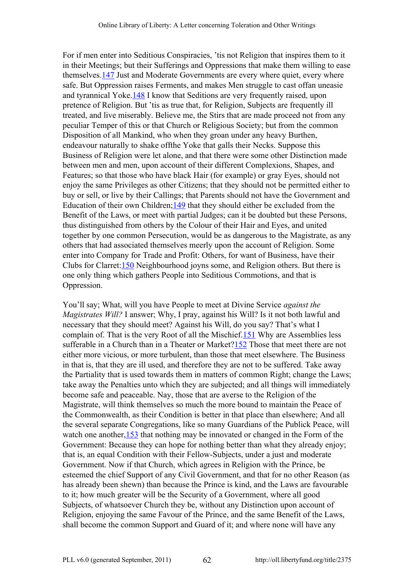For if men enter into Seditious Conspiracies, 'tis not Religion that inspires them to it in their Meetings; but their Sufferings and Oppressions that make them willing to ease themselves[.147](#page-150-7) Just and Moderate Governments are every where quiet, every where safe. But Oppression raises Ferments, and makes Men struggle to cast offan uneasie and tyrannical Yoke[.148](#page-150-8) I know that Seditions are very frequently raised, upon pretence of Religion. But 'tis as true that, for Religion, Subjects are frequently ill treated, and live miserably. Believe me, the Stirs that are made proceed not from any peculiar Temper of this or that Church or Religious Society; but from the common Disposition of all Mankind, who when they groan under any heavy Burthen, endeavour naturally to shake offthe Yoke that galls their Necks. Suppose this Business of Religion were let alone, and that there were some other Distinction made between men and men, upon account of their different Complexions, Shapes, and Features; so that those who have black Hair (for example) or gray Eyes, should not enjoy the same Privileges as other Citizens; that they should not be permitted either to buy or sell, or live by their Callings; that Parents should not have the Government and Education of their own Children;[149](#page-150-9) that they should either be excluded from the Benefit of the Laws, or meet with partial Judges; can it be doubted but these Persons, thus distinguished from others by the Colour of their Hair and Eyes, and united together by one common Persecution, would be as dangerous to the Magistrate, as any others that had associated themselves meerly upon the account of Religion. Some enter into Company for Trade and Profit: Others, for want of Business, have their Clubs for Clarret:[150](#page-150-10) Neighbourhood joyns some, and Religion others. But there is one only thing which gathers People into Seditious Commotions, and that is Oppression.

You'll say; What, will you have People to meet at Divine Service *against the Magistrates Will?* I answer; Why, I pray, against his Will? Is it not both lawful and necessary that they should meet? Against his Will, do you say? That's what I complain of. That is the very Root of all the Mischief[.151](#page-150-11) Why are Assemblies less sufferable in a Church than in a Theater or Market?[152](#page-151-0) Those that meet there are not either more vicious, or more turbulent, than those that meet elsewhere. The Business in that is, that they are ill used, and therefore they are not to be suffered. Take away the Partiality that is used towards them in matters of common Right; change the Laws; take away the Penalties unto which they are subjected; and all things will immediately become safe and peaceable. Nay, those that are averse to the Religion of the Magistrate, will think themselves so much the more bound to maintain the Peace of the Commonwealth, as their Condition is better in that place than elsewhere; And all the several separate Congregations, like so many Guardians of the Publick Peace, will watch one another, [153](#page-151-1) that nothing may be innovated or changed in the Form of the Government: Because they can hope for nothing better than what they already enjoy; that is, an equal Condition with their Fellow-Subjects, under a just and moderate Government. Now if that Church, which agrees in Religion with the Prince, be esteemed the chief Support of any Civil Government, and that for no other Reason (as has already been shewn) than because the Prince is kind, and the Laws are favourable to it; how much greater will be the Security of a Government, where all good Subjects, of whatsoever Church they be, without any Distinction upon account of Religion, enjoying the same Favour of the Prince, and the same Benefit of the Laws, shall become the common Support and Guard of it; and where none will have any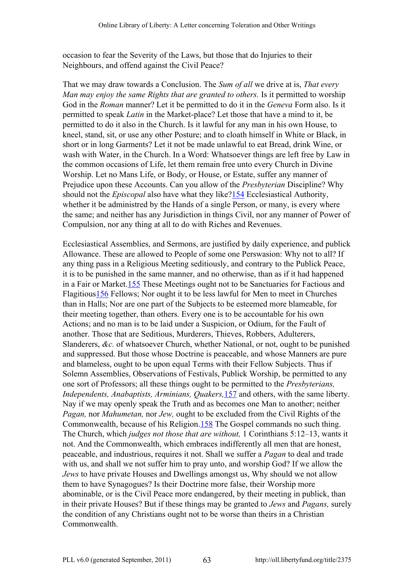occasion to fear the Severity of the Laws, but those that do Injuries to their Neighbours, and offend against the Civil Peace?

That we may draw towards a Conclusion. The *Sum of all* we drive at is, *That every Man may enjoy the same Rights that are granted to others.* Is it permitted to worship God in the *Roman* manner? Let it be permitted to do it in the *Geneva* Form also. Is it permitted to speak *Latin* in the Market-place? Let those that have a mind to it, be permitted to do it also in the Church. Is it lawful for any man in his own House, to kneel, stand, sit, or use any other Posture; and to cloath himself in White or Black, in short or in long Garments? Let it not be made unlawful to eat Bread, drink Wine, or wash with Water, in the Church. In a Word: Whatsoever things are left free by Law in the common occasions of Life, let them remain free unto every Church in Divine Worship. Let no Mans Life, or Body, or House, or Estate, suffer any manner of Prejudice upon these Accounts. Can you allow of the *Presbyterian* Discipline? Why should not the *Episcopal* also have what they like[?154](#page-151-2) Ecclesiastical Authority, whether it be administred by the Hands of a single Person, or many, is every where the same; and neither has any Jurisdiction in things Civil, nor any manner of Power of Compulsion, nor any thing at all to do with Riches and Revenues.

Ecclesiastical Assemblies, and Sermons, are justified by daily experience, and publick Allowance. These are allowed to People of some one Perswasion: Why not to all? If any thing pass in a Religious Meeting seditiously, and contrary to the Publick Peace, it is to be punished in the same manner, and no otherwise, than as if it had happened in a Fair or Market.[155](#page-151-3) These Meetings ought not to be Sanctuaries for Factious and Flagitious[156](#page-151-4) Fellows; Nor ought it to be less lawful for Men to meet in Churches than in Halls; Nor are one part of the Subjects to be esteemed more blameable, for their meeting together, than others. Every one is to be accountable for his own Actions; and no man is to be laid under a Suspicion, or Odium, for the Fault of another. Those that are Seditious, Murderers, Thieves, Robbers, Adulterers, Slanderers, *&c.* of whatsoever Church, whether National, or not, ought to be punished and suppressed. But those whose Doctrine is peaceable, and whose Manners are pure and blameless, ought to be upon equal Terms with their Fellow Subjects. Thus if Solemn Assemblies, Observations of Festivals, Publick Worship, be permitted to any one sort of Professors; all these things ought to be permitted to the *Presbyterians, Independents, Anabaptists, Arminians, Quakers,*[157](#page-151-5) and others, with the same liberty. Nay if we may openly speak the Truth and as becomes one Man to another; neither *Pagan,* nor *Mahumetan,* nor *Jew,* ought to be excluded from the Civil Rights of the Commonwealth, because of his Religion.[158](#page-151-6) The Gospel commands no such thing. The Church, which *judges not those that are without,* 1 Corinthians 5:12–13, wants it not. And the Commonwealth, which embraces indifferently all men that are honest, peaceable, and industrious, requires it not. Shall we suffer a *Pagan* to deal and trade with us, and shall we not suffer him to pray unto, and worship God? If we allow the *Jews* to have private Houses and Dwellings amongst us, Why should we not allow them to have Synagogues? Is their Doctrine more false, their Worship more abominable, or is the Civil Peace more endangered, by their meeting in publick, than in their private Houses? But if these things may be granted to *Jews* and *Pagans,* surely the condition of any Christians ought not to be worse than theirs in a Christian **Commonwealth**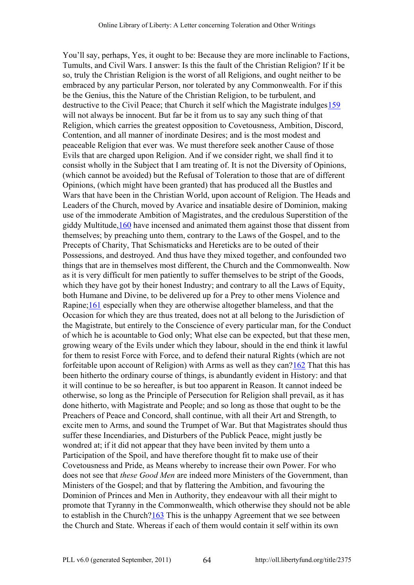You'll say, perhaps, Yes, it ought to be: Because they are more inclinable to Factions, Tumults, and Civil Wars. I answer: Is this the fault of the Christian Religion? If it be so, truly the Christian Religion is the worst of all Religions, and ought neither to be embraced by any particular Person, nor tolerated by any Commonwealth. For if this be the Genius, this the Nature of the Christian Religion, to be turbulent, and destructive to the Civil Peace; that Church it self which the Magistrate indulges[159](#page-151-7) will not always be innocent. But far be it from us to say any such thing of that Religion, which carries the greatest opposition to Covetousness, Ambition, Discord, Contention, and all manner of inordinate Desires; and is the most modest and peaceable Religion that ever was. We must therefore seek another Cause of those Evils that are charged upon Religion. And if we consider right, we shall find it to consist wholly in the Subject that I am treating of. It is not the Diversity of Opinions, (which cannot be avoided) but the Refusal of Toleration to those that are of different Opinions, (which might have been granted) that has produced all the Bustles and Wars that have been in the Christian World, upon account of Religion. The Heads and Leaders of the Church, moved by Avarice and insatiable desire of Dominion, making use of the immoderate Ambition of Magistrates, and the credulous Superstition of the giddy Multitude,[160](#page-151-8) have incensed and animated them against those that dissent from themselves; by preaching unto them, contrary to the Laws of the Gospel, and to the Precepts of Charity, That Schismaticks and Hereticks are to be outed of their Possessions, and destroyed. And thus have they mixed together, and confounded two things that are in themselves most different, the Church and the Commonwealth. Now as it is very difficult for men patiently to suffer themselves to be stript of the Goods, which they have got by their honest Industry; and contrary to all the Laws of Equity, both Humane and Divine, to be delivered up for a Prey to other mens Violence and Rapine[;161](#page-151-9) especially when they are otherwise altogether blameless, and that the Occasion for which they are thus treated, does not at all belong to the Jurisdiction of the Magistrate, but entirely to the Conscience of every particular man, for the Conduct of which he is acountable to God only; What else can be expected, but that these men, growing weary of the Evils under which they labour, should in the end think it lawful for them to resist Force with Force, and to defend their natural Rights (which are not forfeitable upon account of Religion) with Arms as well as they can?[162](#page-151-10) That this has been hitherto the ordinary course of things, is abundantly evident in History: and that it will continue to be so hereafter, is but too apparent in Reason. It cannot indeed be otherwise, so long as the Principle of Persecution for Religion shall prevail, as it has done hitherto, with Magistrate and People; and so long as those that ought to be the Preachers of Peace and Concord, shall continue, with all their Art and Strength, to excite men to Arms, and sound the Trumpet of War. But that Magistrates should thus suffer these Incendiaries, and Disturbers of the Publick Peace, might justly be wondred at; if it did not appear that they have been invited by them unto a Participation of the Spoil, and have therefore thought fit to make use of their Covetousness and Pride, as Means whereby to increase their own Power. For who does not see that *these Good Men* are indeed more Ministers of the Government, than Ministers of the Gospel; and that by flattering the Ambition, and favouring the Dominion of Princes and Men in Authority, they endeavour with all their might to promote that Tyranny in the Commonwealth, which otherwise they should not be able to establish in the Church?<sup>[163](#page-151-11)</sup> This is the unhappy Agreement that we see between the Church and State. Whereas if each of them would contain it self within its own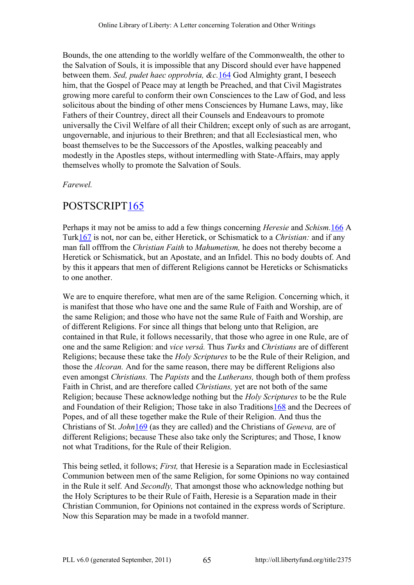Bounds, the one attending to the worldly welfare of the Commonwealth, the other to the Salvation of Souls, it is impossible that any Discord should ever have happened between them. *Sed, pudet haec opprobria, &c.*[164](#page-152-0) God Almighty grant, I beseech him, that the Gospel of Peace may at length be Preached, and that Civil Magistrates growing more careful to conform their own Consciences to the Law of God, and less solicitous about the binding of other mens Consciences by Humane Laws, may, like Fathers of their Countrey, direct all their Counsels and Endeavours to promote universally the Civil Welfare of all their Children; except only of such as are arrogant, ungovernable, and injurious to their Brethren; and that all Ecclesiastical men, who boast themselves to be the Successors of the Apostles, walking peaceably and modestly in the Apostles steps, without intermedling with State-Affairs, may apply themselves wholly to promote the Salvation of Souls.

#### *Farewel.*

## POSTSCRIP[T165](#page-152-1)

Perhaps it may not be amiss to add a few things concerning *Heresie* and *Schism.*[166](#page-152-2) A Tur[k167](#page-152-3) is not, nor can be, either Heretick, or Schismatick to a *Christian:* and if any man fall offfrom the *Christian Faith* to *Mahumetism,* he does not thereby become a Heretick or Schismatick, but an Apostate, and an Infidel. This no body doubts of. And by this it appears that men of different Religions cannot be Hereticks or Schismaticks to one another.

We are to enquire therefore, what men are of the same Religion. Concerning which, it is manifest that those who have one and the same Rule of Faith and Worship, are of the same Religion; and those who have not the same Rule of Faith and Worship, are of different Religions. For since all things that belong unto that Religion, are contained in that Rule, it follows necessarily, that those who agree in one Rule, are of one and the same Religion: and *vice versâ.* Thus *Turks* and *Christians* are of different Religions; because these take the *Holy Scriptures* to be the Rule of their Religion, and those the *Alcoran.* And for the same reason, there may be different Religions also even amongst *Christians.* The *Papists* and the *Lutherans,* though both of them profess Faith in Christ, and are therefore called *Christians,* yet are not both of the same Religion; because These acknowledge nothing but the *Holy Scriptures* to be the Rule and Foundation of their Religion; Those take in also Traditions[168](#page-152-4) and the Decrees of Popes, and of all these together make the Rule of their Religion. And thus the Christians of St. *John*[169](#page-152-5) (as they are called) and the Christians of *Geneva,* are of different Religions; because These also take only the Scriptures; and Those, I know not what Traditions, for the Rule of their Religion.

This being setled, it follows; *First,* that Heresie is a Separation made in Ecclesiastical Communion between men of the same Religion, for some Opinions no way contained in the Rule it self. And *Secondly,* That amongst those who acknowledge nothing but the Holy Scriptures to be their Rule of Faith, Heresie is a Separation made in their Christian Communion, for Opinions not contained in the express words of Scripture. Now this Separation may be made in a twofold manner.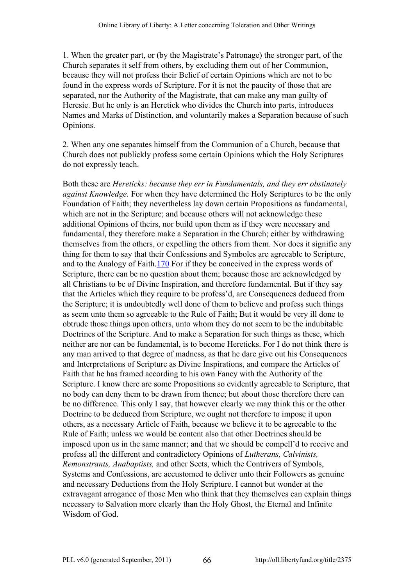1. When the greater part, or (by the Magistrate's Patronage) the stronger part, of the Church separates it self from others, by excluding them out of her Communion, because they will not profess their Belief of certain Opinions which are not to be found in the express words of Scripture. For it is not the paucity of those that are separated, nor the Authority of the Magistrate, that can make any man guilty of Heresie. But he only is an Heretick who divides the Church into parts, introduces Names and Marks of Distinction, and voluntarily makes a Separation because of such Opinions.

2. When any one separates himself from the Communion of a Church, because that Church does not publickly profess some certain Opinions which the Holy Scriptures do not expressly teach.

Both these are *Hereticks: because they err in Fundamentals, and they err obstinately against Knowledge.* For when they have determined the Holy Scriptures to be the only Foundation of Faith; they nevertheless lay down certain Propositions as fundamental, which are not in the Scripture; and because others will not acknowledge these additional Opinions of theirs, nor build upon them as if they were necessary and fundamental, they therefore make a Separation in the Church; either by withdrawing themselves from the others, or expelling the others from them. Nor does it signifie any thing for them to say that their Confessions and Symboles are agreeable to Scripture, and to the Analogy of Faith[.170](#page-152-6) For if they be conceived in the express words of Scripture, there can be no question about them; because those are acknowledged by all Christians to be of Divine Inspiration, and therefore fundamental. But if they say that the Articles which they require to be profess'd, are Consequences deduced from the Scripture; it is undoubtedly well done of them to believe and profess such things as seem unto them so agreeable to the Rule of Faith; But it would be very ill done to obtrude those things upon others, unto whom they do not seem to be the indubitable Doctrines of the Scripture. And to make a Separation for such things as these, which neither are nor can be fundamental, is to become Hereticks. For I do not think there is any man arrived to that degree of madness, as that he dare give out his Consequences and Interpretations of Scripture as Divine Inspirations, and compare the Articles of Faith that he has framed according to his own Fancy with the Authority of the Scripture. I know there are some Propositions so evidently agreeable to Scripture, that no body can deny them to be drawn from thence; but about those therefore there can be no difference. This only I say, that however clearly we may think this or the other Doctrine to be deduced from Scripture, we ought not therefore to impose it upon others, as a necessary Article of Faith, because we believe it to be agreeable to the Rule of Faith; unless we would be content also that other Doctrines should be imposed upon us in the same manner; and that we should be compell'd to receive and profess all the different and contradictory Opinions of *Lutherans, Calvinists, Remonstrants, Anabaptists,* and other Sects, which the Contrivers of Symbols, Systems and Confessions, are accustomed to deliver unto their Followers as genuine and necessary Deductions from the Holy Scripture. I cannot but wonder at the extravagant arrogance of those Men who think that they themselves can explain things necessary to Salvation more clearly than the Holy Ghost, the Eternal and Infinite Wisdom of God.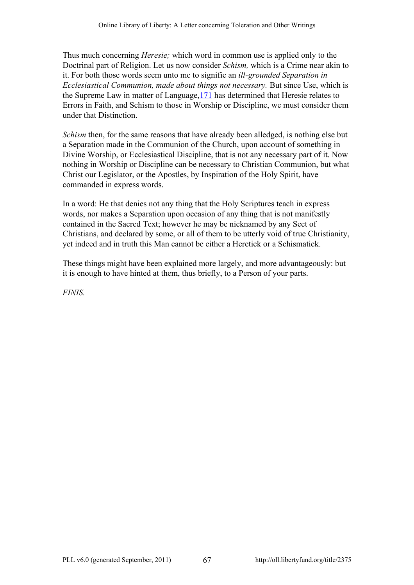Thus much concerning *Heresie;* which word in common use is applied only to the Doctrinal part of Religion. Let us now consider *Schism,* which is a Crime near akin to it. For both those words seem unto me to signifie an *ill-grounded Separation in Ecclesiastical Communion, made about things not necessary.* But since Use, which is the Supreme Law in matter of Language,[171](#page-152-7) has determined that Heresie relates to Errors in Faith, and Schism to those in Worship or Discipline, we must consider them under that Distinction.

*Schism* then, for the same reasons that have already been alledged, is nothing else but a Separation made in the Communion of the Church, upon account of something in Divine Worship, or Ecclesiastical Discipline, that is not any necessary part of it. Now nothing in Worship or Discipline can be necessary to Christian Communion, but what Christ our Legislator, or the Apostles, by Inspiration of the Holy Spirit, have commanded in express words.

In a word: He that denies not any thing that the Holy Scriptures teach in express words, nor makes a Separation upon occasion of any thing that is not manifestly contained in the Sacred Text; however he may be nicknamed by any Sect of Christians, and declared by some, or all of them to be utterly void of true Christianity, yet indeed and in truth this Man cannot be either a Heretick or a Schismatick.

These things might have been explained more largely, and more advantageously: but it is enough to have hinted at them, thus briefly, to a Person of your parts.

*FINIS.*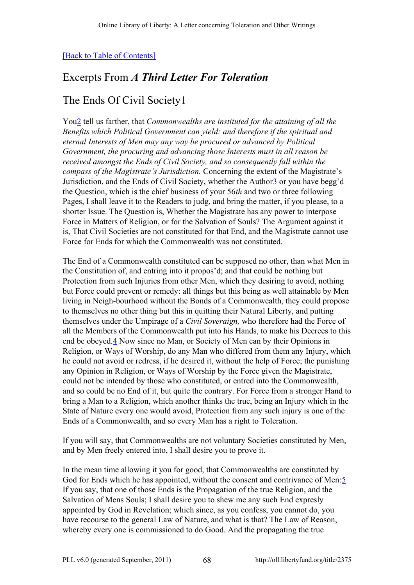#### [Back to Table of Contents]

### Excerpts From *A Third Letter For Toleration*

### The Ends Of Civil Society[1](#page-152-8)

You[2](#page-152-9) tell us farther, that *Commonwealths are instituted for the attaining of all the Benefits which Political Government can yield: and therefore if the spiritual and eternal Interests of Men may any way be procured or advanced by Political Government, the procuring and advancing those Interests must in all reason be received amongst the Ends of Civil Society, and so consequently fall within the compass of the Magistrate's Jurisdiction.* Concerning the extent of the Magistrate's Jurisdiction, and the Ends of Civil Society, whether the Autho[r3](#page-153-0) or you have begg'd the Question, which is the chief business of your 56*th* and two or three following Pages, I shall leave it to the Readers to judg, and bring the matter, if you please, to a shorter Issue. The Question is, Whether the Magistrate has any power to interpose Force in Matters of Religion, or for the Salvation of Souls? The Argument against it is, That Civil Societies are not constituted for that End, and the Magistrate cannot use Force for Ends for which the Commonwealth was not constituted.

The End of a Commonwealth constituted can be supposed no other, than what Men in the Constitution of, and entring into it propos'd; and that could be nothing but Protection from such Injuries from other Men, which they desiring to avoid, nothing but Force could prevent or remedy: all things but this being as well attainable by Men living in Neigh-bourhood without the Bonds of a Commonwealth, they could propose to themselves no other thing but this in quitting their Natural Liberty, and putting themselves under the Umpirage of a *Civil Soveraign,* who therefore had the Force of all the Members of the Commonwealth put into his Hands, to make his Decrees to this end be obeyed[.4](#page-153-1) Now since no Man, or Society of Men can by their Opinions in Religion, or Ways of Worship, do any Man who differed from them any Injury, which he could not avoid or redress, if he desired it, without the help of Force; the punishing any Opinion in Religion, or Ways of Worship by the Force given the Magistrate, could not be intended by those who constituted, or entred into the Commonwealth, and so could be no End of it, but quite the contrary. For Force from a stronger Hand to bring a Man to a Religion, which another thinks the true, being an Injury which in the State of Nature every one would avoid, Protection from any such injury is one of the Ends of a Commonwealth, and so every Man has a right to Toleration.

If you will say, that Commonwealths are not voluntary Societies constituted by Men, and by Men freely entered into, I shall desire you to prove it.

In the mean time allowing it you for good, that Commonwealths are constituted by God for Ends which he has appointed, without the consent and contrivance of Men: [5](#page-153-2) If you say, that one of those Ends is the Propagation of the true Religion, and the Salvation of Mens Souls; I shall desire you to shew me any such End expresly appointed by God in Revelation; which since, as you confess, you cannot do, you have recourse to the general Law of Nature, and what is that? The Law of Reason, whereby every one is commissioned to do Good. And the propagating the true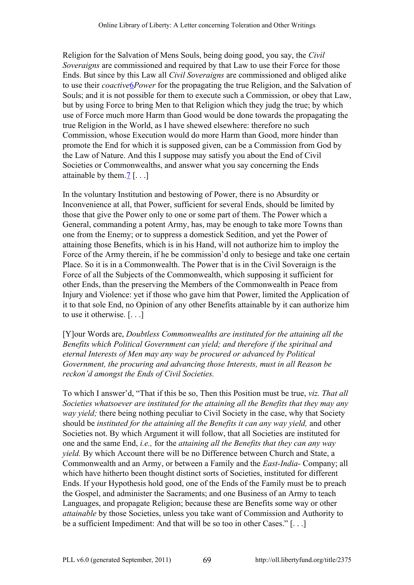Religion for the Salvation of Mens Souls, being doing good, you say, the *Civil Soveraigns* are commissioned and required by that Law to use their Force for those Ends. But since by this Law all *Civil Soveraigns* are commissioned and obliged alike to use their *coactive*[6](#page-153-3)*Power* for the propagating the true Religion, and the Salvation of Souls; and it is not possible for them to execute such a Commission, or obey that Law, but by using Force to bring Men to that Religion which they judg the true; by which use of Force much more Harm than Good would be done towards the propagating the true Religion in the World, as I have shewed elsewhere: therefore no such Commission, whose Execution would do more Harm than Good, more hinder than promote the End for which it is supposed given, can be a Commission from God by the Law of Nature. And this I suppose may satisfy you about the End of Civil Societies or Commonwealths, and answer what you say concerning the Ends attainable by them.[7](#page-153-4) [. . .]

In the voluntary Institution and bestowing of Power, there is no Absurdity or Inconvenience at all, that Power, sufficient for several Ends, should be limited by those that give the Power only to one or some part of them. The Power which a General, commanding a potent Army, has, may be enough to take more Towns than one from the Enemy; or to suppress a domestick Sedition, and yet the Power of attaining those Benefits, which is in his Hand, will not authorize him to imploy the Force of the Army therein, if he be commission'd only to besiege and take one certain Place. So it is in a Commonwealth. The Power that is in the Civil Soveraign is the Force of all the Subjects of the Commonwealth, which supposing it sufficient for other Ends, than the preserving the Members of the Commonwealth in Peace from Injury and Violence: yet if those who gave him that Power, limited the Application of it to that sole End, no Opinion of any other Benefits attainable by it can authorize him to use it otherwise. [. . .]

[Y]our Words are, *Doubtless Commonwealths are instituted for the attaining all the Benefits which Political Government can yield; and therefore if the spiritual and eternal Interests of Men may any way be procured or advanced by Political Government, the procuring and advancing those Interests, must in all Reason be reckon'd amongst the Ends of Civil Societies.*

To which I answer'd, "That if this be so, Then this Position must be true, *viz. That all Societies whatsoever are instituted for the attaining all the Benefits that they may any way yield;* there being nothing peculiar to Civil Society in the case, why that Society should be *instituted for the attaining all the Benefits it can any way yield,* and other Societies not. By which Argument it will follow, that all Societies are instituted for one and the same End, *i.e.,* for the *attaining all the Benefits that they can any way yield.* By which Account there will be no Difference between Church and State, a Commonwealth and an Army, or between a Family and the *East-India-* Company; all which have hitherto been thought distinct sorts of Societies, instituted for different Ends. If your Hypothesis hold good, one of the Ends of the Family must be to preach the Gospel, and administer the Sacraments; and one Business of an Army to teach Languages, and propagate Religion; because these are Benefits some way or other *attainable* by those Societies, unless you take want of Commission and Authority to be a sufficient Impediment: And that will be so too in other Cases." [. . .]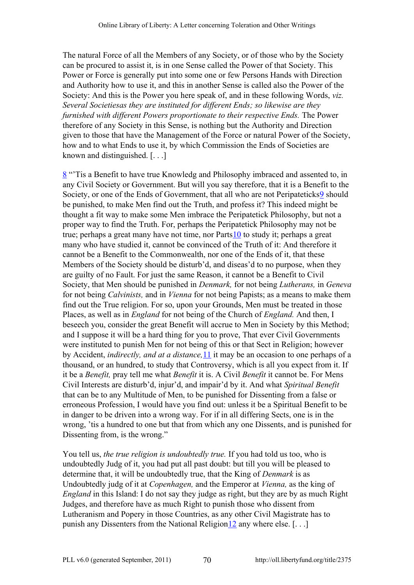The natural Force of all the Members of any Society, or of those who by the Society can be procured to assist it, is in one Sense called the Power of that Society. This Power or Force is generally put into some one or few Persons Hands with Direction and Authority how to use it, and this in another Sense is called also the Power of the Society: And this is the Power you here speak of, and in these following Words, *viz. Several Societiesas they are instituted for different Ends; so likewise are they furnished with different Powers proportionate to their respective Ends.* The Power therefore of any Society in this Sense, is nothing but the Authority and Direction given to those that have the Management of the Force or natural Power of the Society, how and to what Ends to use it, by which Commission the Ends of Societies are known and distinguished. [. . .]

[8](#page-153-5) "'Tis a Benefit to have true Knowledg and Philosophy imbraced and assented to, in any Civil Society or Government. But will you say therefore, that it is a Benefit to the Society, or one of the Ends of Government, that all who are not Peripateticks[9](#page-153-6) should be punished, to make Men find out the Truth, and profess it? This indeed might be thought a fit way to make some Men imbrace the Peripatetick Philosophy, but not a proper way to find the Truth. For, perhaps the Peripatetick Philosophy may not be true; perhaps a great many have not time, nor Parts[10](#page-153-7) to study it; perhaps a great many who have studied it, cannot be convinced of the Truth of it: And therefore it cannot be a Benefit to the Commonwealth, nor one of the Ends of it, that these Members of the Society should be disturb'd, and diseas'd to no purpose, when they are guilty of no Fault. For just the same Reason, it cannot be a Benefit to Civil Society, that Men should be punished in *Denmark,* for not being *Lutherans,* in *Geneva* for not being *Calvinists,* and in *Vienna* for not being Papists; as a means to make them find out the True religion. For so, upon your Grounds, Men must be treated in those Places, as well as in *England* for not being of the Church of *England.* And then, I beseech you, consider the great Benefit will accrue to Men in Society by this Method; and I suppose it will be a hard thing for you to prove, That ever Civil Governments were instituted to punish Men for not being of this or that Sect in Religion; however by Accident, *indirectly, and at a distance,*[11](#page-153-8) it may be an occasion to one perhaps of a thousand, or an hundred, to study that Controversy, which is all you expect from it. If it be a *Benefit,* pray tell me what *Benefit* it is. A Civil *Benefit* it cannot be. For Mens Civil Interests are disturb'd, injur'd, and impair'd by it. And what *Spiritual Benefit* that can be to any Multitude of Men, to be punished for Dissenting from a false or erroneous Profession, I would have you find out: unless it be a Spiritual Benefit to be in danger to be driven into a wrong way. For if in all differing Sects, one is in the wrong, 'tis a hundred to one but that from which any one Dissents, and is punished for Dissenting from, is the wrong."

You tell us, *the true religion is undoubtedly true.* If you had told us too, who is undoubtedly Judg of it, you had put all past doubt: but till you will be pleased to determine that, it will be undoubtedly true, that the King of *Denmark* is as Undoubtedly judg of it at *Copenhagen,* and the Emperor at *Vienna,* as the king of *England* in this Island: I do not say they judge as right, but they are by as much Right Judges, and therefore have as much Right to punish those who dissent from Lutheranism and Popery in those Countries, as any other Civil Magistrate has to punish any Dissenters from the National Religion[12](#page-153-9) any where else. [. . .]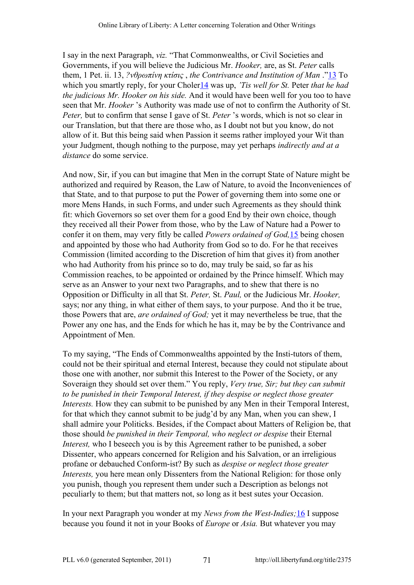I say in the next Paragraph, *viz.* "That Commonwealths, or Civil Societies and Governments, if you will believe the Judicious Mr. *Hooker,* are, as St. *Peter* calls them, 1 Pet. ii. 13, *?νθρωπίνη κτίσις* , *the Contrivance and Institution of Man* ."[13](#page-153-10) To which you smartly reply, for your Choler<sup>[14](#page-153-11)</sup> was up, *'Tis well for St*. Peter *that he had the judicious Mr. Hooker on his side.* And it would have been well for you too to have seen that Mr. *Hooker* 's Authority was made use of not to confirm the Authority of St. *Peter,* but to confirm that sense I gave of St. *Peter* 's words, which is not so clear in our Translation, but that there are those who, as I doubt not but you know, do not allow of it. But this being said when Passion it seems rather imployed your Wit than your Judgment, though nothing to the purpose, may yet perhaps *indirectly and at a distance* do some service.

And now, Sir, if you can but imagine that Men in the corrupt State of Nature might be authorized and required by Reason, the Law of Nature, to avoid the Inconveniences of that State, and to that purpose to put the Power of governing them into some one or more Mens Hands, in such Forms, and under such Agreements as they should think fit: which Governors so set over them for a good End by their own choice, though they received all their Power from those, who by the Law of Nature had a Power to confer it on them, may very fitly be called *Powers ordained of God,*[15](#page-153-12) being chosen and appointed by those who had Authority from God so to do. For he that receives Commission (limited according to the Discretion of him that gives it) from another who had Authority from his prince so to do, may truly be said, so far as his Commission reaches, to be appointed or ordained by the Prince himself. Which may serve as an Answer to your next two Paragraphs, and to shew that there is no Opposition or Difficulty in all that St. *Peter,* St. *Paul,* or the Judicious Mr. *Hooker,* says; nor any thing, in what either of them says, to your purpose. And tho it be true, those Powers that are, *are ordained of God;* yet it may nevertheless be true, that the Power any one has, and the Ends for which he has it, may be by the Contrivance and Appointment of Men.

To my saying, "The Ends of Commonwealths appointed by the Insti-tutors of them, could not be their spiritual and eternal Interest, because they could not stipulate about those one with another, nor submit this Interest to the Power of the Society, or any Soveraign they should set over them." You reply, *Very true, Sir; but they can submit to be punished in their Temporal Interest, if they despise or neglect those greater Interests.* How they can submit to be punished by any Men in their Temporal Interest, for that which they cannot submit to be judg'd by any Man, when you can shew, I shall admire your Politicks. Besides, if the Compact about Matters of Religion be, that those should *be punished in their Temporal, who neglect or despise* their Eternal *Interest*, who I beseech you is by this Agreement rather to be punished, a sober Dissenter, who appears concerned for Religion and his Salvation, or an irreligious profane or debauched Conform-ist? By such as *despise or neglect those greater Interests,* you here mean only Dissenters from the National Religion: for those only you punish, though you represent them under such a Description as belongs not peculiarly to them; but that matters not, so long as it best sutes your Occasion.

In your next Paragraph you wonder at my *News from the West-Indies;*[16](#page-154-0) I suppose because you found it not in your Books of *Europe* or *Asia.* But whatever you may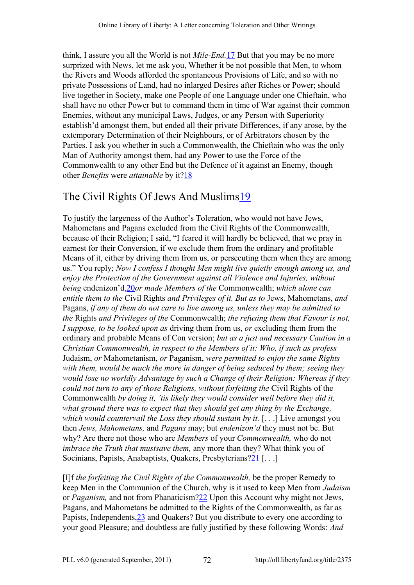think, I assure you all the World is not *Mile-End.*[17](#page-154-1) But that you may be no more surprized with News, let me ask you, Whether it be not possible that Men, to whom the Rivers and Woods afforded the spontaneous Provisions of Life, and so with no private Possessions of Land, had no inlarged Desires after Riches or Power; should live together in Society, make one People of one Language under one Chieftain, who shall have no other Power but to command them in time of War against their common Enemies, without any municipal Laws, Judges, or any Person with Superiority establish'd amongst them, but ended all their private Differences, if any arose, by the extemporary Determination of their Neighbours, or of Arbitrators chosen by the Parties. I ask you whether in such a Commonwealth, the Chieftain who was the only Man of Authority amongst them, had any Power to use the Force of the Commonwealth to any other End but the Defence of it against an Enemy, though other *Benefits* were *attainable* by it[?18](#page-154-2)

# The Civil Rights Of Jews And Muslim[s19](#page-154-3)

To justify the largeness of the Author's Toleration, who would not have Jews, Mahometans and Pagans excluded from the Civil Rights of the Commonwealth, because of their Religion; I said, "I feared it will hardly be believed, that we pray in earnest for their Conversion, if we exclude them from the ordinary and profitable Means of it, either by driving them from us, or persecuting them when they are among us." You reply; *Now I confess I thought Men might live quietly enough among us, and enjoy the Protection of the Government against all Violence and Injuries, without being* endenizon'd,[20](#page-154-4)*or made Members of the* Commonwealth; *which alone can entitle them to the* Civil Rights *and Privileges of it. But as to* Jews, Mahometans, *and* Pagans, *if any of them do not care to live among us, unless they may be admitted to the* Rights *and Privileges of the* Commonwealth; *the refusing them that Favour is not, I suppose, to be looked upon as* driving them from us, *or* excluding them from the ordinary and probable Means of Con version; *but as a just and necessary Caution in a Christian Commonwealth, in respect to the Members of it: Who, if such as profess* Judaism, *or* Mahometanism, *or* Paganism, *were permitted to enjoy the same Rights with them, would be much the more in danger of being seduced by them; seeing they would lose no worldly Advantage by such a Change of their Religion: Whereas if they could not turn to any of those Religions, without forfeiting the* Civil Rights of the Commonwealth *by doing it, 'tis likely they would consider well before they did it, what ground there was to expect that they should get any thing by the Exchange, which would countervail the Loss they should sustain by it.* [. . .] Live amongst you then *Jews, Mahometans,* and *Pagans* may; but *endenizon'd* they must not be. But why? Are there not those who are *Members* of your *Commonwealth,* who do not *imbrace the Truth that mustsave them,* any more than they? What think you of Socinians, Papists, Anabaptists, Quakers, Presbyterians[?21](#page-154-5) [. . .]

[I]f *the forfeiting the Civil Rights of the Commonwealth,* be the proper Remedy to keep Men in the Communion of the Church, why is it used to keep Men from *Judaism* or *Paganism,* and not from Phanaticism?[22](#page-154-6) Upon this Account why might not Jews, Pagans, and Mahometans be admitted to the Rights of the Commonwealth, as far as Papists, Independents,[23](#page-154-7) and Quakers? But you distribute to every one according to your good Pleasure; and doubtless are fully justified by these following Words: *And*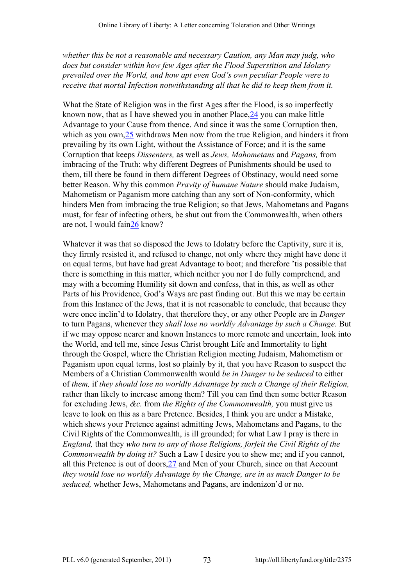*whether this be not a reasonable and necessary Caution, any Man may judg, who does but consider within how few Ages after the Flood Superstition and Idolatry prevailed over the World, and how apt even God's own peculiar People were to receive that mortal Infection notwithstanding all that he did to keep them from it.*

What the State of Religion was in the first Ages after the Flood, is so imperfectly known now, that as I have shewed you in another Place[,24](#page-154-0) you can make little Advantage to your Cause from thence. And since it was the same Corruption then, which as you own, [25](#page-154-1) withdraws Men now from the true Religion, and hinders it from prevailing by its own Light, without the Assistance of Force; and it is the same Corruption that keeps *Dissenters,* as well as *Jews, Mahometans* and *Pagans,* from imbracing of the Truth: why different Degrees of Punishments should be used to them, till there be found in them different Degrees of Obstinacy, would need some better Reason. Why this common *Pravity of humane Nature* should make Judaism, Mahometism or Paganism more catching than any sort of Non-conformity, which hinders Men from imbracing the true Religion; so that Jews, Mahometans and Pagans must, for fear of infecting others, be shut out from the Commonwealth, when others are not, I would fain[26](#page-154-2) know?

Whatever it was that so disposed the Jews to Idolatry before the Captivity, sure it is, they firmly resisted it, and refused to change, not only where they might have done it on equal terms, but have had great Advantage to boot; and therefore 'tis possible that there is something in this matter, which neither you nor I do fully comprehend, and may with a becoming Humility sit down and confess, that in this, as well as other Parts of his Providence, God's Ways are past finding out. But this we may be certain from this Instance of the Jews, that it is not reasonable to conclude, that because they were once inclin'd to Idolatry, that therefore they, or any other People are in *Danger* to turn Pagans, whenever they *shall lose no worldly Advantage by such a Change.* But if we may oppose nearer and known Instances to more remote and uncertain, look into the World, and tell me, since Jesus Christ brought Life and Immortality to light through the Gospel, where the Christian Religion meeting Judaism, Mahometism or Paganism upon equal terms, lost so plainly by it, that you have Reason to suspect the Members of a Christian Commonwealth would *be in Danger to be seduced* to either of *them,* if *they should lose no worldly Advantage by such a Change of their Religion,* rather than likely to increase among them? Till you can find then some better Reason for excluding Jews, *&c.* from *the Rights of the Commonwealth,* you must give us leave to look on this as a bare Pretence. Besides, I think you are under a Mistake, which shews your Pretence against admitting Jews, Mahometans and Pagans, to the Civil Rights of the Commonwealth, is ill grounded; for what Law I pray is there in *England,* that they *who turn to any of those Religions, forfeit the Civil Rights of the Commonwealth by doing it?* Such a Law I desire you to shew me; and if you cannot, all this Pretence is out of doors,[27](#page-154-3) and Men of your Church, since on that Account *they would lose no worldly Advantage by the Change, are in as much Danger to be seduced,* whether Jews, Mahometans and Pagans, are indenizon'd or no.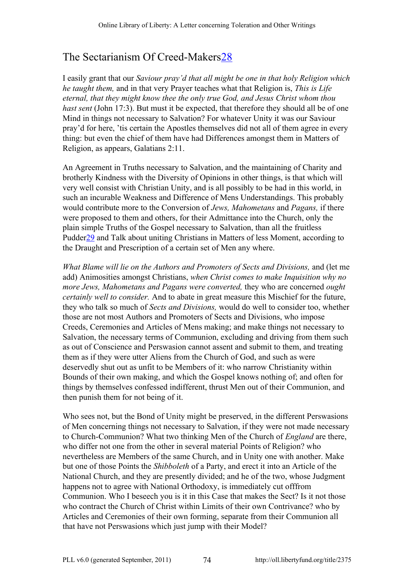## The Sectarianism Of Creed-Makers[28](#page-154-4)

I easily grant that our *Saviour pray'd that all might be one in that holy Religion which he taught them,* and in that very Prayer teaches what that Religion is, *This is Life eternal, that they might know thee the only true God, and Jesus Christ whom thou hast sent* (John 17:3). But must it be expected, that therefore they should all be of one Mind in things not necessary to Salvation? For whatever Unity it was our Saviour pray'd for here, 'tis certain the Apostles themselves did not all of them agree in every thing: but even the chief of them have had Differences amongst them in Matters of Religion, as appears, Galatians 2:11.

An Agreement in Truths necessary to Salvation, and the maintaining of Charity and brotherly Kindness with the Diversity of Opinions in other things, is that which will very well consist with Christian Unity, and is all possibly to be had in this world, in such an incurable Weakness and Difference of Mens Understandings. This probably would contribute more to the Conversion of *Jews, Mahometans* and *Pagans,* if there were proposed to them and others, for their Admittance into the Church, only the plain simple Truths of the Gospel necessary to Salvation, than all the fruitless Pudder[29](#page-154-5) and Talk about uniting Christians in Matters of less Moment, according to the Draught and Prescription of a certain set of Men any where.

*What Blame will lie on the Authors and Promoters of Sects and Divisions,* and (let me add) Animosities amongst Christians, *when Christ comes to make Inquisition why no more Jews, Mahometans and Pagans were converted,* they who are concerned *ought certainly well to consider.* And to abate in great measure this Mischief for the future, they who talk so much of *Sects and Divisions,* would do well to consider too, whether those are not most Authors and Promoters of Sects and Divisions, who impose Creeds, Ceremonies and Articles of Mens making; and make things not necessary to Salvation, the necessary terms of Communion, excluding and driving from them such as out of Conscience and Perswasion cannot assent and submit to them, and treating them as if they were utter Aliens from the Church of God, and such as were deservedly shut out as unfit to be Members of it: who narrow Christianity within Bounds of their own making, and which the Gospel knows nothing of; and often for things by themselves confessed indifferent, thrust Men out of their Communion, and then punish them for not being of it.

Who sees not, but the Bond of Unity might be preserved, in the different Perswasions of Men concerning things not necessary to Salvation, if they were not made necessary to Church-Communion? What two thinking Men of the Church of *England* are there, who differ not one from the other in several material Points of Religion? who nevertheless are Members of the same Church, and in Unity one with another. Make but one of those Points the *Shibboleth* of a Party, and erect it into an Article of the National Church, and they are presently divided; and he of the two, whose Judgment happens not to agree with National Orthodoxy, is immediately cut offfrom Communion. Who I beseech you is it in this Case that makes the Sect? Is it not those who contract the Church of Christ within Limits of their own Contrivance? who by Articles and Ceremonies of their own forming, separate from their Communion all that have not Perswasions which just jump with their Model?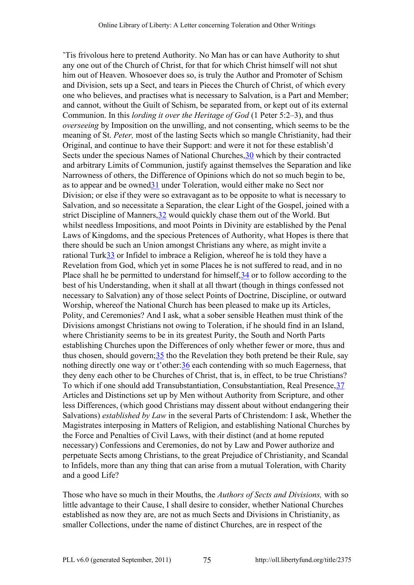'Tis frivolous here to pretend Authority. No Man has or can have Authority to shut any one out of the Church of Christ, for that for which Christ himself will not shut him out of Heaven. Whosoever does so, is truly the Author and Promoter of Schism and Division, sets up a Sect, and tears in Pieces the Church of Christ, of which every one who believes, and practises what is necessary to Salvation, is a Part and Member; and cannot, without the Guilt of Schism, be separated from, or kept out of its external Communion. In this *lording it over the Heritage of God* (1 Peter 5:2–3), and thus *overseeing* by Imposition on the unwilling, and not consenting, which seems to be the meaning of St. *Peter,* most of the lasting Sects which so mangle Christianity, had their Original, and continue to have their Support: and were it not for these establish'd Sects under the specious Names of National Churches,[30](#page-154-6) which by their contracted and arbitrary Limits of Communion, justify against themselves the Separation and like Narrowness of others, the Difference of Opinions which do not so much begin to be, as to appear and be owned[31](#page-154-7) under Toleration, would either make no Sect nor Division; or else if they were so extravagant as to be opposite to what is necessary to Salvation, and so necessitate a Separation, the clear Light of the Gospel, joined with a strict Discipline of Manners[,32](#page-154-8) would quickly chase them out of the World. But whilst needless Impositions, and moot Points in Divinity are established by the Penal Laws of Kingdoms, and the specious Pretences of Authority, what Hopes is there that there should be such an Union amongst Christians any where, as might invite a rational Turk[33](#page-154-9) or Infidel to imbrace a Religion, whereof he is told they have a Revelation from God, which yet in some Places he is not suffered to read, and in no Place shall he be permitted to understand for himself[,34](#page-155-0) or to follow according to the best of his Understanding, when it shall at all thwart (though in things confessed not necessary to Salvation) any of those select Points of Doctrine, Discipline, or outward Worship, whereof the National Church has been pleased to make up its Articles, Polity, and Ceremonies? And I ask, what a sober sensible Heathen must think of the Divisions amongst Christians not owing to Toleration, if he should find in an Island, where Christianity seems to be in its greatest Purity, the South and North Parts establishing Churches upon the Differences of only whether fewer or more, thus and thus chosen, should govern;[35](#page-155-1) tho the Revelation they both pretend be their Rule, say nothing directly one way or t'other: [36](#page-155-2) each contending with so much Eagerness, that they deny each other to be Churches of Christ, that is, in effect, to be true Christians? To which if one should add Transubstantiation, Consubstantiation, Real Presence,[37](#page-155-3) Articles and Distinctions set up by Men without Authority from Scripture, and other less Differences, (which good Christians may dissent about without endangering their Salvations) *established by Law* in the several Parts of Christendom: I ask, Whether the Magistrates interposing in Matters of Religion, and establishing National Churches by the Force and Penalties of Civil Laws, with their distinct (and at home reputed necessary) Confessions and Ceremonies, do not by Law and Power authorize and perpetuate Sects among Christians, to the great Prejudice of Christianity, and Scandal to Infidels, more than any thing that can arise from a mutual Toleration, with Charity and a good Life?

Those who have so much in their Mouths, the *Authors of Sects and Divisions,* with so little advantage to their Cause, I shall desire to consider, whether National Churches established as now they are, are not as much Sects and Divisions in Christianity, as smaller Collections, under the name of distinct Churches, are in respect of the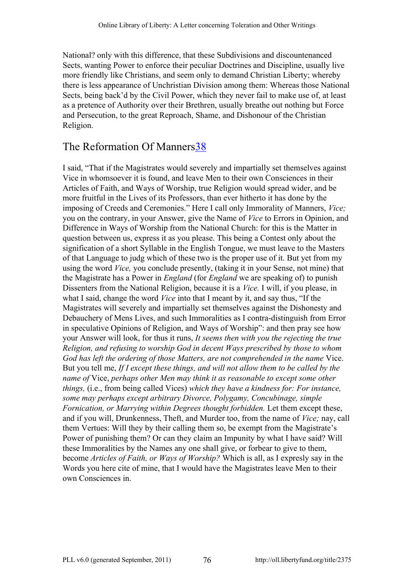National? only with this difference, that these Subdivisions and discountenanced Sects, wanting Power to enforce their peculiar Doctrines and Discipline, usually live more friendly like Christians, and seem only to demand Christian Liberty; whereby there is less appearance of Unchristian Division among them: Whereas those National Sects, being back'd by the Civil Power, which they never fail to make use of, at least as a pretence of Authority over their Brethren, usually breathe out nothing but Force and Persecution, to the great Reproach, Shame, and Dishonour of the Christian Religion.

#### The Reformation Of Manners<sup>[38](#page-155-4)</sup>

I said, "That if the Magistrates would severely and impartially set themselves against Vice in whomsoever it is found, and leave Men to their own Consciences in their Articles of Faith, and Ways of Worship, true Religion would spread wider, and be more fruitful in the Lives of its Professors, than ever hitherto it has done by the imposing of Creeds and Ceremonies." Here I call only Immorality of Manners, *Vice;* you on the contrary, in your Answer, give the Name of *Vice* to Errors in Opinion, and Difference in Ways of Worship from the National Church: for this is the Matter in question between us, express it as you please. This being a Contest only about the signification of a short Syllable in the English Tongue, we must leave to the Masters of that Language to judg which of these two is the proper use of it. But yet from my using the word *Vice,* you conclude presently, (taking it in your Sense, not mine) that the Magistrate has a Power in *England* (for *England* we are speaking of) to punish Dissenters from the National Religion, because it is a *Vice.* I will, if you please, in what I said, change the word *Vice* into that I meant by it, and say thus, "If the Magistrates will severely and impartially set themselves against the Dishonesty and Debauchery of Mens Lives, and such Immoralities as I contra-distinguish from Error in speculative Opinions of Religion, and Ways of Worship": and then pray see how your Answer will look, for thus it runs, *It seems then with you the rejecting the true Religion, and refusing to worship God in decent Ways prescribed by those to whom God has left the ordering of those Matters, are not comprehended in the name* Vice. But you tell me, *If I except these things, and will not allow them to be called by the name of* Vice, *perhaps other Men may think it as reasonable to except some other things,* (i.e., from being called Vices) *which they have a kindness for: For instance, some may perhaps except arbitrary Divorce, Polygamy, Concubinage, simple Fornication, or Marrying within Degrees thought forbidden.* Let them except these, and if you will, Drunkenness, Theft, and Murder too, from the name of *Vice;* nay, call them Vertues: Will they by their calling them so, be exempt from the Magistrate's Power of punishing them? Or can they claim an Impunity by what I have said? Will these Immoralities by the Names any one shall give, or forbear to give to them, become *Articles of Faith, or Ways of Worship?* Which is all, as I expresly say in the Words you here cite of mine, that I would have the Magistrates leave Men to their own Consciences in.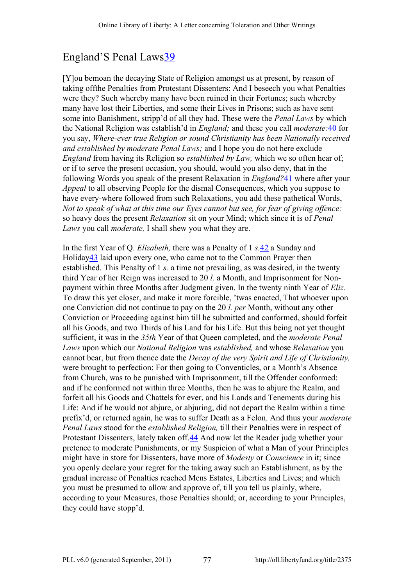### England'S Penal Laws[39](#page-155-5)

[Y]ou bemoan the decaying State of Religion amongst us at present, by reason of taking offthe Penalties from Protestant Dissenters: And I beseech you what Penalties were they? Such whereby many have been ruined in their Fortunes; such whereby many have lost their Liberties, and some their Lives in Prisons; such as have sent some into Banishment, stripp'd of all they had. These were the *Penal Laws* by which the National Religion was establish'd in *England;* and these you call *moderate:*[40](#page-155-6) for you say, *Where-ever true Religion or sound Christianity has been Nationally received and established by moderate Penal Laws;* and I hope you do not here exclude *England* from having its Religion so *established by Law,* which we so often hear of; or if to serve the present occasion, you should, would you also deny, that in the following Words you speak of the present Relaxation in *England?*[41](#page-155-7) where after your *Appeal* to all observing People for the dismal Consequences, which you suppose to have every-where followed from such Relaxations, you add these pathetical Words, *Not to speak of what at this time our Eyes cannot but see, for fear of giving offence:* so heavy does the present *Relaxation* sit on your Mind; which since it is of *Penal Laws* you call *moderate,* I shall shew you what they are.

In the first Year of Q. *Elizabeth,* there was a Penalty of 1 *s.*[42](#page-155-8) a Sunday and Holiday[43](#page-155-9) laid upon every one, who came not to the Common Prayer then established. This Penalty of 1 *s.* a time not prevailing, as was desired, in the twenty third Year of her Reign was increased to 20 *l.* a Month, and Imprisonment for Nonpayment within three Months after Judgment given. In the twenty ninth Year of *Eliz.* To draw this yet closer, and make it more forcible, 'twas enacted, That whoever upon one Conviction did not continue to pay on the 20 *l. per* Month, without any other Conviction or Proceeding against him till he submitted and conformed, should forfeit all his Goods, and two Thirds of his Land for his Life. But this being not yet thought sufficient, it was in the *35th* Year of that Queen completed, and the *moderate Penal Laws* upon which our *National Religion* was *established,* and whose *Relaxation* you cannot bear, but from thence date the *Decay of the very Spirit and Life of Christianity,* were brought to perfection: For then going to Conventicles, or a Month's Absence from Church, was to be punished with Imprisonment, till the Offender conformed: and if he conformed not within three Months, then he was to abjure the Realm, and forfeit all his Goods and Chattels for ever, and his Lands and Tenements during his Life: And if he would not abjure, or abjuring, did not depart the Realm within a time prefix'd, or returned again, he was to suffer Death as a Felon. And thus your *moderate Penal Laws* stood for the *established Religion,* till their Penalties were in respect of Protestant Dissenters, lately taken off.[44](#page-155-10) And now let the Reader judg whether your pretence to moderate Punishments, or my Suspicion of what a Man of your Principles might have in store for Dissenters, have more of *Modesty* or *Conscience* in it; since you openly declare your regret for the taking away such an Establishment, as by the gradual increase of Penalties reached Mens Estates, Liberties and Lives; and which you must be presumed to allow and approve of, till you tell us plainly, where, according to your Measures, those Penalties should; or, according to your Principles, they could have stopp'd.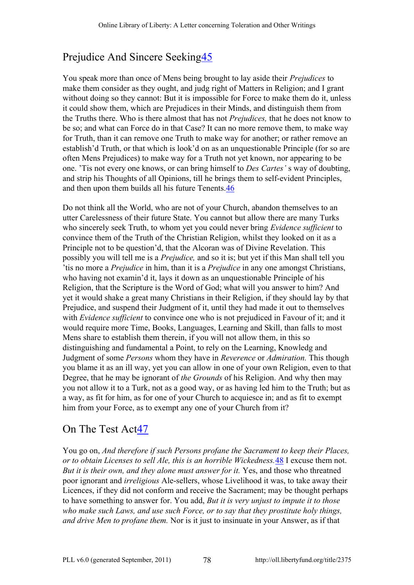## Prejudice And Sincere Seeking[45](#page-156-0)

You speak more than once of Mens being brought to lay aside their *Prejudices* to make them consider as they ought, and judg right of Matters in Religion; and I grant without doing so they cannot: But it is impossible for Force to make them do it, unless it could show them, which are Prejudices in their Minds, and distinguish them from the Truths there. Who is there almost that has not *Prejudices,* that he does not know to be so; and what can Force do in that Case? It can no more remove them, to make way for Truth, than it can remove one Truth to make way for another; or rather remove an establish'd Truth, or that which is look'd on as an unquestionable Principle (for so are often Mens Prejudices) to make way for a Truth not yet known, nor appearing to be one. 'Tis not every one knows, or can bring himself to *Des Cartes'* s way of doubting, and strip his Thoughts of all Opinions, till he brings them to self-evident Principles, and then upon them builds all his future Tenents.[46](#page-156-1)

Do not think all the World, who are not of your Church, abandon themselves to an utter Carelessness of their future State. You cannot but allow there are many Turks who sincerely seek Truth, to whom yet you could never bring *Evidence sufficient* to convince them of the Truth of the Christian Religion, whilst they looked on it as a Principle not to be question'd, that the Alcoran was of Divine Revelation. This possibly you will tell me is a *Prejudice,* and so it is; but yet if this Man shall tell you 'tis no more a *Prejudice* in him, than it is a *Prejudice* in any one amongst Christians, who having not examin'd it, lays it down as an unquestionable Principle of his Religion, that the Scripture is the Word of God; what will you answer to him? And yet it would shake a great many Christians in their Religion, if they should lay by that Prejudice, and suspend their Judgment of it, until they had made it out to themselves with *Evidence sufficient* to convince one who is not prejudiced in Favour of it; and it would require more Time, Books, Languages, Learning and Skill, than falls to most Mens share to establish them therein, if you will not allow them, in this so distinguishing and fundamental a Point, to rely on the Learning, Knowledg and Judgment of some *Persons* whom they have in *Reverence* or *Admiration.* This though you blame it as an ill way, yet you can allow in one of your own Religion, even to that Degree, that he may be ignorant of *the Grounds* of his Religion. And why then may you not allow it to a Turk, not as a good way, or as having led him to the Truth; but as a way, as fit for him, as for one of your Church to acquiesce in; and as fit to exempt him from your Force, as to exempt any one of your Church from it?

#### On The Test Act[47](#page-156-2)

You go on, *And therefore if such Persons profane the Sacrament to keep their Places, or to obtain Licenses to sell Ale, this is an horrible Wickedness.*[48](#page-156-3) I excuse them not. *But it is their own, and they alone must answer for it.* Yes, and those who threatned poor ignorant and *irreligious* Ale-sellers, whose Livelihood it was, to take away their Licences, if they did not conform and receive the Sacrament; may be thought perhaps to have something to answer for. You add, *But it is very unjust to impute it to those who make such Laws, and use such Force, or to say that they prostitute holy things, and drive Men to profane them.* Nor is it just to insinuate in your Answer, as if that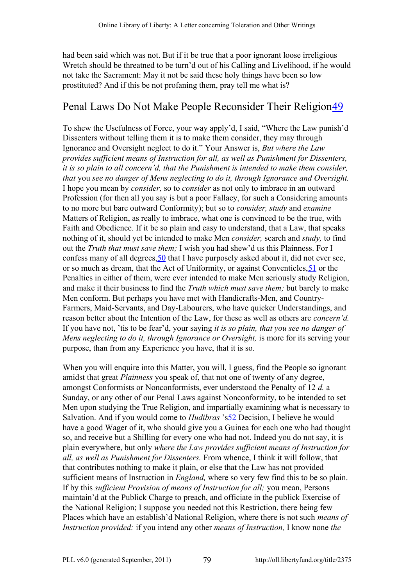had been said which was not. But if it be true that a poor ignorant loose irreligious Wretch should be threatned to be turn'd out of his Calling and Livelihood, if he would not take the Sacrament: May it not be said these holy things have been so low prostituted? And if this be not profaning them, pray tell me what is?

#### Penal Laws Do Not Make People Reconsider Their Religio[n49](#page-156-4)

To shew the Usefulness of Force, your way apply'd, I said, "Where the Law punish'd Dissenters without telling them it is to make them consider, they may through Ignorance and Oversight neglect to do it." Your Answer is, *But where the Law provides sufficient means of Instruction for all, as well as Punishment for Dissenters, it is so plain to all concern'd, that the Punishment is intended to make them consider, that* you *see no danger of Mens neglecting to do it, through Ignorance and Oversight.* I hope you mean by *consider,* so to *consider* as not only to imbrace in an outward Profession (for then all you say is but a poor Fallacy, for such a Considering amounts to no more but bare outward Conformity); but so to *consider, study* and *examine* Matters of Religion, as really to imbrace, what one is convinced to be the true, with Faith and Obedience. If it be so plain and easy to understand, that a Law, that speaks nothing of it, should yet be intended to make Men *consider,* search and *study,* to find out the *Truth that must save them;* I wish you had shew'd us this Plainness. For I confess many of all degrees, 50 that I have purposely asked about it, did not ever see, or so much as dream, that the Act of Uniformity, or against Conventicles,[51](#page-156-6) or the Penalties in either of them, were ever intended to make Men seriously study Religion, and make it their business to find the *Truth which must save them;* but barely to make Men conform. But perhaps you have met with Handicrafts-Men, and Country-Farmers, Maid-Servants, and Day-Labourers, who have quicker Understandings, and reason better about the Intention of the Law, for these as well as others are *concern'd.* If you have not, 'tis to be fear'd, your saying *it is so plain, that you see no danger of Mens neglecting to do it, through Ignorance or Oversight,* is more for its serving your purpose, than from any Experience you have, that it is so.

When you will enquire into this Matter, you will, I guess, find the People so ignorant amidst that great *Plainness* you speak of, that not one of twenty of any degree, amongst Conformists or Nonconformists, ever understood the Penalty of 12 *d.* a Sunday, or any other of our Penal Laws against Nonconformity, to be intended to set Men upon studying the True Religion, and impartially examining what is necessary to Salvation. And if you would come to *Hudibras* 's<sup>[52](#page-156-7)</sup> Decision, I believe he would have a good Wager of it, who should give you a Guinea for each one who had thought so, and receive but a Shilling for every one who had not. Indeed you do not say, it is plain everywhere, but only *where the Law provides sufficient means of Instruction for all, as well as Punishment for Dissenters.* From whence, I think it will follow, that that contributes nothing to make it plain, or else that the Law has not provided sufficient means of Instruction in *England,* where so very few find this to be so plain. If by this *sufficient Provision of means of Instruction for all;* you mean, Persons maintain'd at the Publick Charge to preach, and officiate in the publick Exercise of the National Religion; I suppose you needed not this Restriction, there being few Places which have an establish'd National Religion, where there is not such *means of Instruction provided:* if you intend any other *means of Instruction,* I know none *the*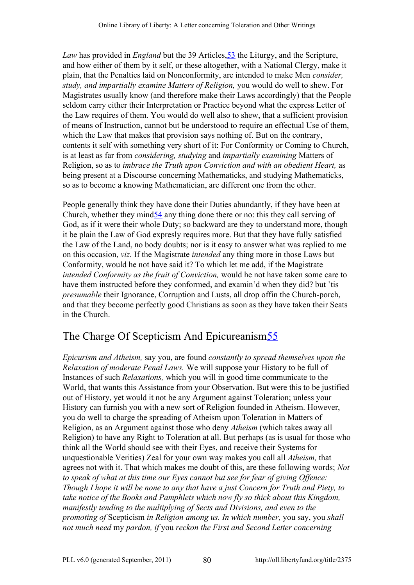*Law* has provided in *England* but the 39 Articles, 53 the Liturgy, and the Scripture, and how either of them by it self, or these altogether, with a National Clergy, make it plain, that the Penalties laid on Nonconformity, are intended to make Men *consider, study, and impartially examine Matters of Religion,* you would do well to shew. For Magistrates usually know (and therefore make their Laws accordingly) that the People seldom carry either their Interpretation or Practice beyond what the express Letter of the Law requires of them. You would do well also to shew, that a sufficient provision of means of Instruction, cannot but be understood to require an effectual Use of them, which the Law that makes that provision says nothing of. But on the contrary, contents it self with something very short of it: For Conformity or Coming to Church, is at least as far from *considering, studying* and *impartially examining* Matters of Religion, so as to *imbrace the Truth upon Conviction and with an obedient Heart,* as being present at a Discourse concerning Mathematicks, and studying Mathematicks, so as to become a knowing Mathematician, are different one from the other.

People generally think they have done their Duties abundantly, if they have been at Church, whether they min[d54](#page-156-9) any thing done there or no: this they call serving of God, as if it were their whole Duty; so backward are they to understand more, though it be plain the Law of God expresly requires more. But that they have fully satisfied the Law of the Land, no body doubts; nor is it easy to answer what was replied to me on this occasion, *viz.* If the Magistrate *intended* any thing more in those Laws but Conformity, would he not have said it? To which let me add, if the Magistrate *intended Conformity as the fruit of Conviction,* would he not have taken some care to have them instructed before they conformed, and examin'd when they did? but 'tis *presumable* their Ignorance, Corruption and Lusts, all drop offin the Church-porch, and that they become perfectly good Christians as soon as they have taken their Seats in the Church.

#### The Charge Of Scepticism And Epicureanism[55](#page-156-10)

*Epicurism and Atheism,* say you, are found *constantly to spread themselves upon the Relaxation of moderate Penal Laws.* We will suppose your History to be full of Instances of such *Relaxations,* which you will in good time communicate to the World, that wants this Assistance from your Observation. But were this to be justified out of History, yet would it not be any Argument against Toleration; unless your History can furnish you with a new sort of Religion founded in Atheism. However, you do well to charge the spreading of Atheism upon Toleration in Matters of Religion, as an Argument against those who deny *Atheism* (which takes away all Religion) to have any Right to Toleration at all. But perhaps (as is usual for those who think all the World should see with their Eyes, and receive their Systems for unquestionable Verities) Zeal for your own way makes you call all *Atheism,* that agrees not with it. That which makes me doubt of this, are these following words; *Not to speak of what at this time our Eyes cannot but see for fear of giving Offence: Though I hope it will be none to any that have a just Concern for Truth and Piety, to take notice of the Books and Pamphlets which now fly so thick about this Kingdom, manifestly tending to the multiplying of Sects and Divisions, and even to the promoting of* Scepticism *in Religion among us. In which number,* you say, you *shall not much need* my *pardon, if* you *reckon the First and Second Letter concerning*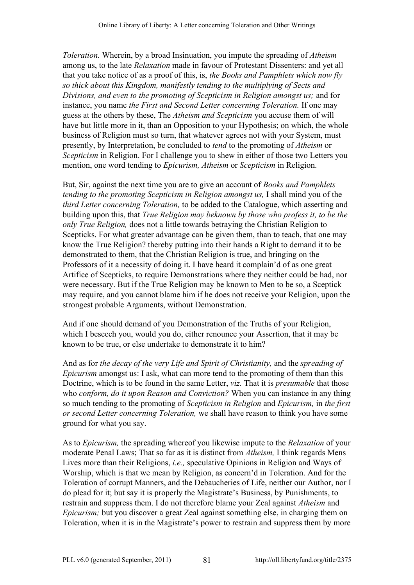*Toleration.* Wherein, by a broad Insinuation, you impute the spreading of *Atheism* among us, to the late *Relaxation* made in favour of Protestant Dissenters: and yet all that you take notice of as a proof of this, is, *the Books and Pamphlets which now fly so thick about this Kingdom, manifestly tending to the multiplying of Sects and Divisions, and even to the promoting of Scepticism in Religion amongst us;* and for instance, you name *the First and Second Letter concerning Toleration.* If one may guess at the others by these, The *Atheism and Scepticism* you accuse them of will have but little more in it, than an Opposition to your Hypothesis; on which, the whole business of Religion must so turn, that whatever agrees not with your System, must presently, by Interpretation, be concluded to *tend* to the promoting of *Atheism* or *Scepticism* in Religion. For I challenge you to shew in either of those two Letters you mention, one word tending to *Epicurism, Atheism* or *Scepticism* in Religion.

But, Sir, against the next time you are to give an account of *Books and Pamphlets tending to the promoting Scepticism in Religion amongst us,* I shall mind you of the *third Letter concerning Toleration,* to be added to the Catalogue, which asserting and building upon this, that *True Religion may beknown by those who profess it, to be the only True Religion,* does not a little towards betraying the Christian Religion to Scepticks. For what greater advantage can be given them, than to teach, that one may know the True Religion? thereby putting into their hands a Right to demand it to be demonstrated to them, that the Christian Religion is true, and bringing on the Professors of it a necessity of doing it. I have heard it complain'd of as one great Artifice of Scepticks, to require Demonstrations where they neither could be had, nor were necessary. But if the True Religion may be known to Men to be so, a Sceptick may require, and you cannot blame him if he does not receive your Religion, upon the strongest probable Arguments, without Demonstration.

And if one should demand of you Demonstration of the Truths of your Religion, which I beseech you, would you do, either renounce your Assertion, that it may be known to be true, or else undertake to demonstrate it to him?

And as for *the decay of the very Life and Spirit of Christianity,* and the *spreading of Epicurism* amongst us: I ask, what can more tend to the promoting of them than this Doctrine, which is to be found in the same Letter, *viz.* That it is *presumable* that those who *conform, do it upon Reason and Conviction?* When you can instance in any thing so much tending to the promoting of *Scepticism in Religion* and *Epicurism,* in *the first or second Letter concerning Toleration,* we shall have reason to think you have some ground for what you say.

As to *Epicurism,* the spreading whereof you likewise impute to the *Relaxation* of your moderate Penal Laws; That so far as it is distinct from *Atheism,* I think regards Mens Lives more than their Religions, *i.e.,* speculative Opinions in Religion and Ways of Worship, which is that we mean by Religion, as concern'd in Toleration. And for the Toleration of corrupt Manners, and the Debaucheries of Life, neither our Author, nor I do plead for it; but say it is properly the Magistrate's Business, by Punishments, to restrain and suppress them. I do not therefore blame your Zeal against *Atheism* and *Epicurism;* but you discover a great Zeal against something else, in charging them on Toleration, when it is in the Magistrate's power to restrain and suppress them by more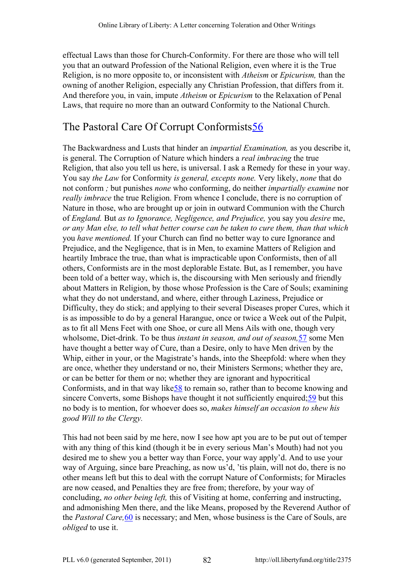effectual Laws than those for Church-Conformity. For there are those who will tell you that an outward Profession of the National Religion, even where it is the True Religion, is no more opposite to, or inconsistent with *Atheism* or *Epicurism,* than the owning of another Religion, especially any Christian Profession, that differs from it. And therefore you, in vain, impute *Atheism* or *Epicurism* to the Relaxation of Penal Laws, that require no more than an outward Conformity to the National Church.

#### The Pastoral Care Of Corrupt Conformist[s56](#page-156-11)

The Backwardness and Lusts that hinder an *impartial Examination,* as you describe it, is general. The Corruption of Nature which hinders a *real imbracing* the true Religion, that also you tell us here, is universal. I ask a Remedy for these in your way. You say *the Law* for Conformity *is general, excepts none.* Very likely, *none* that do not conform *;* but punishes *none* who conforming, do neither *impartially examine* nor *really imbrace* the true Religion. From whence I conclude, there is no corruption of Nature in those, who are brought up or join in outward Communion with the Church of *England.* But *as to Ignorance, Negligence, and Prejudice,* you say you *desire* me, *or any Man else, to tell what better course can be taken to cure them, than that which* you *have mentioned.* If your Church can find no better way to cure Ignorance and Prejudice, and the Negligence, that is in Men, to examine Matters of Religion and heartily Imbrace the true, than what is impracticable upon Conformists, then of all others, Conformists are in the most deplorable Estate. But, as I remember, you have been told of a better way, which is, the discoursing with Men seriously and friendly about Matters in Religion, by those whose Profession is the Care of Souls; examining what they do not understand, and where, either through Laziness, Prejudice or Difficulty, they do stick; and applying to their several Diseases proper Cures, which it is as impossible to do by a general Harangue, once or twice a Week out of the Pulpit, as to fit all Mens Feet with one Shoe, or cure all Mens Ails with one, though very wholsome, Diet-drink. To be thus *instant in season, and out of season,*[57](#page-156-12) some Men have thought a better way of Cure, than a Desire, only to have Men driven by the Whip, either in your, or the Magistrate's hands, into the Sheepfold: where when they are once, whether they understand or no, their Ministers Sermons; whether they are, or can be better for them or no; whether they are ignorant and hypocritical Conformists, and in that way like[58](#page-156-13) to remain so, rather than to become knowing and sincere Converts, some Bishops have thought it not sufficiently enquired; [59](#page-157-0) but this no body is to mention, for whoever does so, *makes himself an occasion to shew his good Will to the Clergy.*

This had not been said by me here, now I see how apt you are to be put out of temper with any thing of this kind (though it be in every serious Man's Mouth) had not you desired me to shew you a better way than Force, your way apply'd. And to use your way of Arguing, since bare Preaching, as now us'd, 'tis plain, will not do, there is no other means left but this to deal with the corrupt Nature of Conformists; for Miracles are now ceased, and Penalties they are free from; therefore, by your way of concluding, *no other being left,* this of Visiting at home, conferring and instructing, and admonishing Men there, and the like Means, proposed by the Reverend Author of the *Pastoral Care,*[60](#page-157-1) is necessary; and Men, whose business is the Care of Souls, are *obliged* to use it.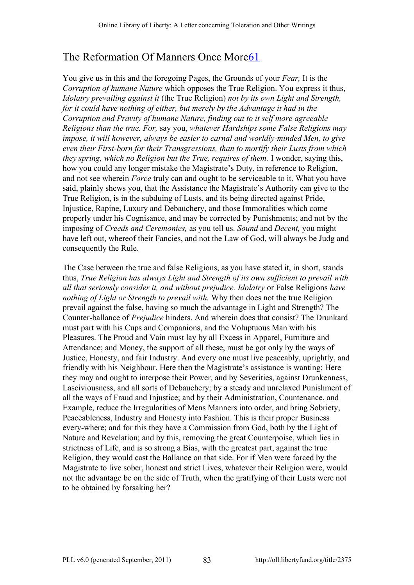## The Reformation Of Manners Once More[61](#page-157-2)

You give us in this and the foregoing Pages, the Grounds of your *Fear,* It is the *Corruption of humane Nature* which opposes the True Religion. You express it thus, *Idolatry prevailing against it* (the True Religion) *not by its own Light and Strength, for it could have nothing of either, but merely by the Advantage it had in the Corruption and Pravity of humane Nature, finding out to it self more agreeable Religions than the true. For,* say you, *whatever Hardships some False Religions may impose, it will however, always be easier to carnal and worldly-minded Men, to give even their First-born for their Transgressions, than to mortify their Lusts from which they spring, which no Religion but the True, requires of them.* I wonder, saying this, how you could any longer mistake the Magistrate's Duty, in reference to Religion, and not see wherein *Force* truly can and ought to be serviceable to it. What you have said, plainly shews you, that the Assistance the Magistrate's Authority can give to the True Religion, is in the subduing of Lusts, and its being directed against Pride, Injustice, Rapine, Luxury and Debauchery, and those Immoralities which come properly under his Cognisance, and may be corrected by Punishments; and not by the imposing of *Creeds and Ceremonies,* as you tell us. *Sound* and *Decent,* you might have left out, whereof their Fancies, and not the Law of God, will always be Judg and consequently the Rule.

The Case between the true and false Religions, as you have stated it, in short, stands thus, *True Religion has always Light and Strength of its own sufficient to prevail with all that seriously consider it, and without prejudice. Idolatry* or False Religions *have nothing of Light or Strength to prevail with.* Why then does not the true Religion prevail against the false, having so much the advantage in Light and Strength? The Counter-ballance of *Prejudice* hinders. And wherein does that consist? The Drunkard must part with his Cups and Companions, and the Voluptuous Man with his Pleasures. The Proud and Vain must lay by all Excess in Apparel, Furniture and Attendance; and Money, the support of all these, must be got only by the ways of Justice, Honesty, and fair Industry. And every one must live peaceably, uprightly, and friendly with his Neighbour. Here then the Magistrate's assistance is wanting: Here they may and ought to interpose their Power, and by Severities, against Drunkenness, Lasciviousness, and all sorts of Debauchery; by a steady and unrelaxed Punishment of all the ways of Fraud and Injustice; and by their Administration, Countenance, and Example, reduce the Irregularities of Mens Manners into order, and bring Sobriety, Peaceableness, Industry and Honesty into Fashion. This is their proper Business every-where; and for this they have a Commission from God, both by the Light of Nature and Revelation; and by this, removing the great Counterpoise, which lies in strictness of Life, and is so strong a Bias, with the greatest part, against the true Religion, they would cast the Ballance on that side. For if Men were forced by the Magistrate to live sober, honest and strict Lives, whatever their Religion were, would not the advantage be on the side of Truth, when the gratifying of their Lusts were not to be obtained by forsaking her?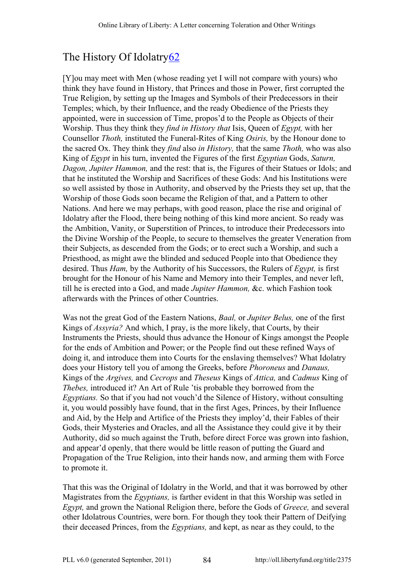## The History Of Idolatr[y62](#page-157-3)

[Y]ou may meet with Men (whose reading yet I will not compare with yours) who think they have found in History, that Princes and those in Power, first corrupted the True Religion, by setting up the Images and Symbols of their Predecessors in their Temples; which, by their Influence, and the ready Obedience of the Priests they appointed, were in succession of Time, propos'd to the People as Objects of their Worship. Thus they think they *find in History that* Isis, Queen of *Egypt,* with her Counsellor *Thoth,* instituted the Funeral-Rites of King *Osiris,* by the Honour done to the sacred Ox. They think they *find* also *in History,* that the same *Thoth,* who was also King of *Egypt* in his turn, invented the Figures of the first *Egyptian* Gods, *Saturn, Dagon, Jupiter Hammon,* and the rest: that is, the Figures of their Statues or Idols; and that he instituted the Worship and Sacrifices of these Gods: And his Institutions were so well assisted by those in Authority, and observed by the Priests they set up, that the Worship of those Gods soon became the Religion of that, and a Pattern to other Nations. And here we may perhaps, with good reason, place the rise and original of Idolatry after the Flood, there being nothing of this kind more ancient. So ready was the Ambition, Vanity, or Superstition of Princes, to introduce their Predecessors into the Divine Worship of the People, to secure to themselves the greater Veneration from their Subjects, as descended from the Gods; or to erect such a Worship, and such a Priesthood, as might awe the blinded and seduced People into that Obedience they desired. Thus *Ham,* by the Authority of his Successors, the Rulers of *Egypt,* is first brought for the Honour of his Name and Memory into their Temples, and never left, till he is erected into a God, and made *Jupiter Hammon,* &c. which Fashion took afterwards with the Princes of other Countries.

Was not the great God of the Eastern Nations, *Baal,* or *Jupiter Belus,* one of the first Kings of *Assyria?* And which, I pray, is the more likely, that Courts, by their Instruments the Priests, should thus advance the Honour of Kings amongst the People for the ends of Ambition and Power; or the People find out these refined Ways of doing it, and introduce them into Courts for the enslaving themselves? What Idolatry does your History tell you of among the Greeks, before *Phoroneus* and *Danaus,* Kings of the *Argives,* and *Cecrops* and *Theseus* Kings of *Attica,* and *Cadmus* King of *Thebes,* introduced it? An Art of Rule 'tis probable they borrowed from the *Egyptians.* So that if you had not vouch'd the Silence of History, without consulting it, you would possibly have found, that in the first Ages, Princes, by their Influence and Aid, by the Help and Artifice of the Priests they imploy'd, their Fables of their Gods, their Mysteries and Oracles, and all the Assistance they could give it by their Authority, did so much against the Truth, before direct Force was grown into fashion, and appear'd openly, that there would be little reason of putting the Guard and Propagation of the True Religion, into their hands now, and arming them with Force to promote it.

That this was the Original of Idolatry in the World, and that it was borrowed by other Magistrates from the *Egyptians,* is farther evident in that this Worship was setled in *Egypt,* and grown the National Religion there, before the Gods of *Greece,* and several other Idolatrous Countries, were born. For though they took their Pattern of Deifying their deceased Princes, from the *Egyptians,* and kept, as near as they could, to the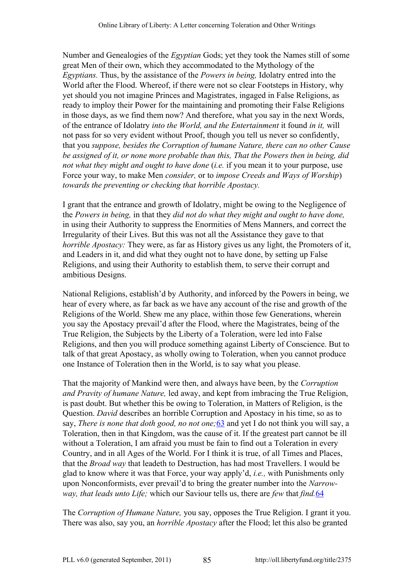Number and Genealogies of the *Egyptian* Gods; yet they took the Names still of some great Men of their own, which they accommodated to the Mythology of the *Egyptians.* Thus, by the assistance of the *Powers in being,* Idolatry entred into the World after the Flood. Whereof, if there were not so clear Footsteps in History, why yet should you not imagine Princes and Magistrates, ingaged in False Religions, as ready to imploy their Power for the maintaining and promoting their False Religions in those days, as we find them now? And therefore, what you say in the next Words, of the entrance of Idolatry *into the World, and the Entertainment* it found *in it,* will not pass for so very evident without Proof, though you tell us never so confidently, that you *suppose, besides the Corruption of humane Nature, there can no other Cause be assigned of it, or none more probable than this, That the Powers then in being, did not what they might and ought to have done* (*i.e.* if you mean it to your purpose, use Force your way, to make Men *consider,* or to *impose Creeds and Ways of Worship*) *towards the preventing or checking that horrible Apostacy.*

I grant that the entrance and growth of Idolatry, might be owing to the Negligence of the *Powers in being,* in that they *did not do what they might and ought to have done,* in using their Authority to suppress the Enormities of Mens Manners, and correct the Irregularity of their Lives. But this was not all the Assistance they gave to that *horrible Apostacy:* They were, as far as History gives us any light, the Promoters of it, and Leaders in it, and did what they ought not to have done, by setting up False Religions, and using their Authority to establish them, to serve their corrupt and ambitious Designs.

National Religions, establish'd by Authority, and inforced by the Powers in being, we hear of every where, as far back as we have any account of the rise and growth of the Religions of the World. Shew me any place, within those few Generations, wherein you say the Apostacy prevail'd after the Flood, where the Magistrates, being of the True Religion, the Subjects by the Liberty of a Toleration, were led into False Religions, and then you will produce something against Liberty of Conscience. But to talk of that great Apostacy, as wholly owing to Toleration, when you cannot produce one Instance of Toleration then in the World, is to say what you please.

That the majority of Mankind were then, and always have been, by the *Corruption and Pravity of humane Nature,* led away, and kept from imbracing the True Religion, is past doubt. But whether this be owing to Toleration, in Matters of Religion, is the Question. *David* describes an horrible Corruption and Apostacy in his time, so as to say, *There is none that doth good, no not one;*[63](#page-157-4) and yet I do not think you will say, a Toleration, then in that Kingdom, was the cause of it. If the greatest part cannot be ill without a Toleration, I am afraid you must be fain to find out a Toleration in every Country, and in all Ages of the World. For I think it is true, of all Times and Places, that the *Broad way* that leadeth to Destruction, has had most Travellers. I would be glad to know where it was that Force, your way apply'd, *i.e.,* with Punishments only upon Nonconformists, ever prevail'd to bring the greater number into the *Narrowway, that leads unto Life;* which our Saviour tells us, there are *few* that *find.*[64](#page-157-5)

The *Corruption of Humane Nature,* you say, opposes the True Religion. I grant it you. There was also, say you, an *horrible Apostacy* after the Flood; let this also be granted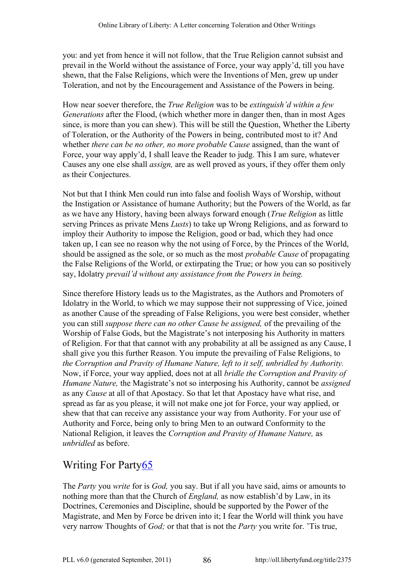you: and yet from hence it will not follow, that the True Religion cannot subsist and prevail in the World without the assistance of Force, your way apply'd, till you have shewn, that the False Religions, which were the Inventions of Men, grew up under Toleration, and not by the Encouragement and Assistance of the Powers in being.

How near soever therefore, the *True Religion* was to be *extinguish'd within a few Generations* after the Flood, (which whether more in danger then, than in most Ages since, is more than you can shew). This will be still the Question, Whether the Liberty of Toleration, or the Authority of the Powers in being, contributed most to it? And whether *there can be no other, no more probable Cause* assigned, than the want of Force, your way apply'd, I shall leave the Reader to judg. This I am sure, whatever Causes any one else shall *assign,* are as well proved as yours, if they offer them only as their Conjectures.

Not but that I think Men could run into false and foolish Ways of Worship, without the Instigation or Assistance of humane Authority; but the Powers of the World, as far as we have any History, having been always forward enough (*True Religion* as little serving Princes as private Mens *Lusts*) to take up Wrong Religions, and as forward to imploy their Authority to impose the Religion, good or bad, which they had once taken up, I can see no reason why the not using of Force, by the Princes of the World, should be assigned as the sole, or so much as the most *probable Cause* of propagating the False Religions of the World, or extirpating the True; or how you can so positively say, Idolatry *prevail'd without any assistance from the Powers in being.*

Since therefore History leads us to the Magistrates, as the Authors and Promoters of Idolatry in the World, to which we may suppose their not suppressing of Vice, joined as another Cause of the spreading of False Religions, you were best consider, whether you can still *suppose there can no other Cause be assigned,* of the prevailing of the Worship of False Gods, but the Magistrate's not interposing his Authority in matters of Religion. For that that cannot with any probability at all be assigned as any Cause, I shall give you this further Reason. You impute the prevailing of False Religions, to *the Corruption and Pravity of Humane Nature, left to it self, unbridled by Authority.* Now, if Force, your way applied, does not at all *bridle the Corruption and Pravity of Humane Nature,* the Magistrate's not so interposing his Authority, cannot be *assigned* as any *Cause* at all of that Apostacy. So that let that Apostacy have what rise, and spread as far as you please, it will not make one jot for Force, your way applied, or shew that that can receive any assistance your way from Authority. For your use of Authority and Force, being only to bring Men to an outward Conformity to the National Religion, it leaves the *Corruption and Pravity of Humane Nature,* as *unbridled* as before.

# Writing For Party[65](#page-157-6)

The *Party* you *write* for is *God,* you say. But if all you have said, aims or amounts to nothing more than that the Church of *England,* as now establish'd by Law, in its Doctrines, Ceremonies and Discipline, should be supported by the Power of the Magistrate, and Men by Force be driven into it; I fear the World will think you have very narrow Thoughts of *God;* or that that is not the *Party* you write for. 'Tis true,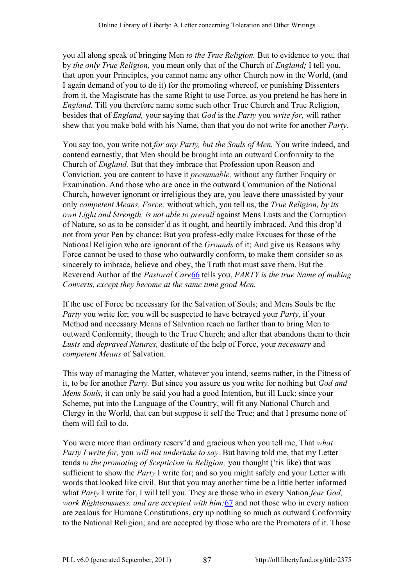you all along speak of bringing Men *to the True Religion.* But to evidence to you, that by *the only True Religion,* you mean only that of the Church of *England;* I tell you, that upon your Principles, you cannot name any other Church now in the World, (and I again demand of you to do it) for the promoting whereof, or punishing Dissenters from it, the Magistrate has the same Right to use Force, as you pretend he has here in *England.* Till you therefore name some such other True Church and True Religion, besides that of *England,* your saying that *God* is the *Party* you *write for,* will rather shew that you make bold with his Name, than that you do not write for another *Party.*

You say too, you write not *for any Party, but the Souls of Men.* You write indeed, and contend earnestly, that Men should be brought into an outward Conformity to the Church of *England.* But that they imbrace that Profession upon Reason and Conviction, you are content to have it *presumable,* without any farther Enquiry or Examination. And those who are once in the outward Communion of the National Church, however ignorant or irreligious they are, you leave there unassisted by your only *competent Means, Force;* without which, you tell us, the *True Religion, by its own Light and Strength, is not able to prevail* against Mens Lusts and the Corruption of Nature, so as to be consider'd as it ought, and heartily imbraced. And this drop'd not from your Pen by chance: But you profess-edly make Excuses for those of the National Religion who are ignorant of the *Grounds* of it; And give us Reasons why Force cannot be used to those who outwardly conform, to make them consider so as sincerely to imbrace, believe and obey, the Truth that must save them. But the Reverend Author of the *Pastoral Care*[66](#page-157-7) tells you, *PARTY is the true Name of making Converts, except they become at the same time good Men.*

If the use of Force be necessary for the Salvation of Souls; and Mens Souls be the *Party* you write for; you will be suspected to have betrayed your *Party,* if your Method and necessary Means of Salvation reach no farther than to bring Men to outward Conformity, though to the True Church; and after that abandons them to their *Lusts* and *depraved Natures,* destitute of the help of Force, your *necessary* and *competent Means* of Salvation.

This way of managing the Matter, whatever you intend, seems rather, in the Fitness of it, to be for another *Party.* But since you assure us you write for nothing but *God and Mens Souls,* it can only be said you had a good Intention, but ill Luck; since your Scheme, put into the Language of the Country, will fit any National Church and Clergy in the World, that can but suppose it self the True; and that I presume none of them will fail to do.

You were more than ordinary reserv'd and gracious when you tell me, That *what Party I write for,* you *will not undertake to say.* But having told me, that my Letter tends *to the promoting of Scepticism in Religion;* you thought ('tis like) that was sufficient to show the *Party* I write for; and so you might safely end your Letter with words that looked like civil. But that you may another time be a little better informed what *Party* I write for, I will tell you. They are those who in every Nation *fear God, work Righteousness, and are accepted with him;*[67](#page-157-8) and not those who in every nation are zealous for Humane Constitutions, cry up nothing so much as outward Conformity to the National Religion; and are accepted by those who are the Promoters of it. Those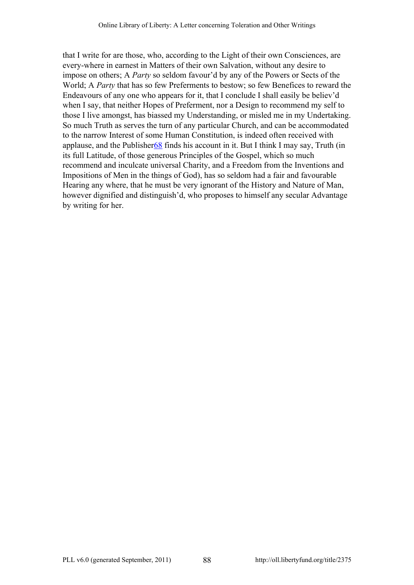that I write for are those, who, according to the Light of their own Consciences, are every-where in earnest in Matters of their own Salvation, without any desire to impose on others; A *Party* so seldom favour'd by any of the Powers or Sects of the World; A *Party* that has so few Preferments to bestow; so few Benefices to reward the Endeavours of any one who appears for it, that I conclude I shall easily be believ'd when I say, that neither Hopes of Preferment, nor a Design to recommend my self to those I live amongst, has biassed my Understanding, or misled me in my Undertaking. So much Truth as serves the turn of any particular Church, and can be accommodated to the narrow Interest of some Human Constitution, is indeed often received with applause, and the Publishe[r68](#page-157-9) finds his account in it. But I think I may say, Truth (in its full Latitude, of those generous Principles of the Gospel, which so much recommend and inculcate universal Charity, and a Freedom from the Inventions and Impositions of Men in the things of God), has so seldom had a fair and favourable Hearing any where, that he must be very ignorant of the History and Nature of Man, however dignified and distinguish'd, who proposes to himself any secular Advantage by writing for her.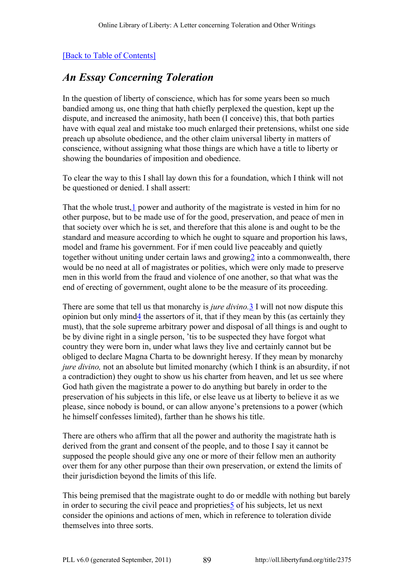#### [Back to Table of Contents]

#### *An Essay Concerning Toleration*

In the question of liberty of conscience, which has for some years been so much bandied among us, one thing that hath chiefly perplexed the question, kept up the dispute, and increased the animosity, hath been (I conceive) this, that both parties have with equal zeal and mistake too much enlarged their pretensions, whilst one side preach up absolute obedience, and the other claim universal liberty in matters of conscience, without assigning what those things are which have a title to liberty or showing the boundaries of imposition and obedience.

To clear the way to this I shall lay down this for a foundation, which I think will not be questioned or denied. I shall assert:

That the whole trust, 1 power and authority of the magistrate is vested in him for no other purpose, but to be made use of for the good, preservation, and peace of men in that society over which he is set, and therefore that this alone is and ought to be the standard and measure according to which he ought to square and proportion his laws, model and frame his government. For if men could live peaceably and quietly together without uniting under certain laws and growin[g2](#page-157-11) into a commonwealth, there would be no need at all of magistrates or polities, which were only made to preserve men in this world from the fraud and violence of one another, so that what was the end of erecting of government, ought alone to be the measure of its proceeding.

There are some that tell us that monarchy is *jure divino.*[3](#page-157-12) I will not now dispute this opinion but only mind[4](#page-157-13) the assertors of it, that if they mean by this (as certainly they must), that the sole supreme arbitrary power and disposal of all things is and ought to be by divine right in a single person, 'tis to be suspected they have forgot what country they were born in, under what laws they live and certainly cannot but be obliged to declare Magna Charta to be downright heresy. If they mean by monarchy *jure divino,* not an absolute but limited monarchy (which I think is an absurdity, if not a contradiction) they ought to show us his charter from heaven, and let us see where God hath given the magistrate a power to do anything but barely in order to the preservation of his subjects in this life, or else leave us at liberty to believe it as we please, since nobody is bound, or can allow anyone's pretensions to a power (which he himself confesses limited), farther than he shows his title.

There are others who affirm that all the power and authority the magistrate hath is derived from the grant and consent of the people, and to those I say it cannot be supposed the people should give any one or more of their fellow men an authority over them for any other purpose than their own preservation, or extend the limits of their jurisdiction beyond the limits of this life.

This being premised that the magistrate ought to do or meddle with nothing but barely in order to securing the civil peace and proprieties[5](#page-157-14) of his subjects, let us next consider the opinions and actions of men, which in reference to toleration divide themselves into three sorts.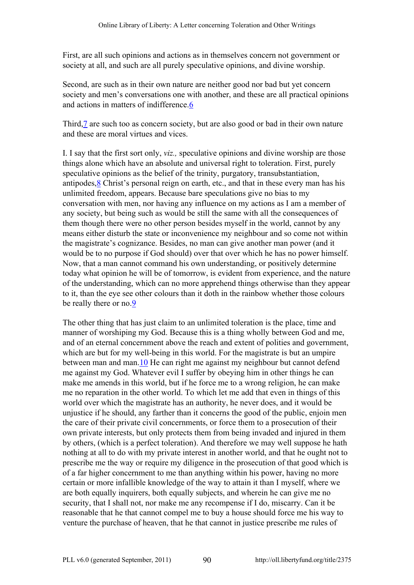First, are all such opinions and actions as in themselves concern not government or society at all, and such are all purely speculative opinions, and divine worship.

Second, are such as in their own nature are neither good nor bad but yet concern society and men's conversations one with another, and these are all practical opinions and actions in matters of indifference.[6](#page-157-15)

Third,[7](#page-157-16) are such too as concern society, but are also good or bad in their own nature and these are moral virtues and vices.

I. I say that the first sort only, *viz.,* speculative opinions and divine worship are those things alone which have an absolute and universal right to toleration. First, purely speculative opinions as the belief of the trinity, purgatory, transubstantiation, antipodes,[8](#page-157-17) Christ's personal reign on earth, etc., and that in these every man has his unlimited freedom, appears. Because bare speculations give no bias to my conversation with men, nor having any influence on my actions as I am a member of any society, but being such as would be still the same with all the consequences of them though there were no other person besides myself in the world, cannot by any means either disturb the state or inconvenience my neighbour and so come not within the magistrate's cognizance. Besides, no man can give another man power (and it would be to no purpose if God should) over that over which he has no power himself. Now, that a man cannot command his own understanding, or positively determine today what opinion he will be of tomorrow, is evident from experience, and the nature of the understanding, which can no more apprehend things otherwise than they appear to it, than the eye see other colours than it doth in the rainbow whether those colours be really there or no.[9](#page-157-18)

The other thing that has just claim to an unlimited toleration is the place, time and manner of worshiping my God. Because this is a thing wholly between God and me, and of an eternal concernment above the reach and extent of polities and government, which are but for my well-being in this world. For the magistrate is but an umpire between man and man.[10](#page-158-0) He can right me against my neighbour but cannot defend me against my God. Whatever evil I suffer by obeying him in other things he can make me amends in this world, but if he force me to a wrong religion, he can make me no reparation in the other world. To which let me add that even in things of this world over which the magistrate has an authority, he never does, and it would be unjustice if he should, any farther than it concerns the good of the public, enjoin men the care of their private civil concernments, or force them to a prosecution of their own private interests, but only protects them from being invaded and injured in them by others, (which is a perfect toleration). And therefore we may well suppose he hath nothing at all to do with my private interest in another world, and that he ought not to prescribe me the way or require my diligence in the prosecution of that good which is of a far higher concernment to me than anything within his power, having no more certain or more infallible knowledge of the way to attain it than I myself, where we are both equally inquirers, both equally subjects, and wherein he can give me no security, that I shall not, nor make me any recompense if I do, miscarry. Can it be reasonable that he that cannot compel me to buy a house should force me his way to venture the purchase of heaven, that he that cannot in justice prescribe me rules of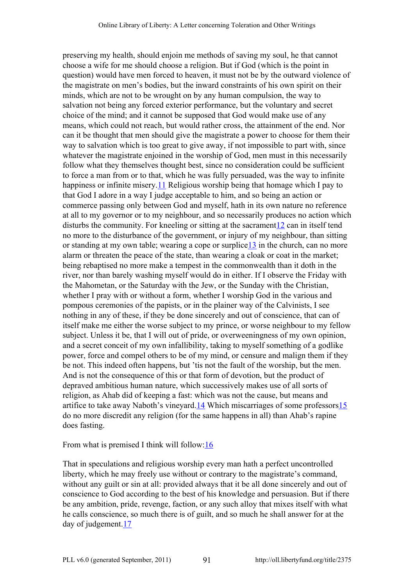preserving my health, should enjoin me methods of saving my soul, he that cannot choose a wife for me should choose a religion. But if God (which is the point in question) would have men forced to heaven, it must not be by the outward violence of the magistrate on men's bodies, but the inward constraints of his own spirit on their minds, which are not to be wrought on by any human compulsion, the way to salvation not being any forced exterior performance, but the voluntary and secret choice of the mind; and it cannot be supposed that God would make use of any means, which could not reach, but would rather cross, the attainment of the end. Nor can it be thought that men should give the magistrate a power to choose for them their way to salvation which is too great to give away, if not impossible to part with, since whatever the magistrate enjoined in the worship of God, men must in this necessarily follow what they themselves thought best, since no consideration could be sufficient to force a man from or to that, which he was fully persuaded, was the way to infinite happiness or infinite misery.<sup>[11](#page-158-1)</sup> Religious worship being that homage which I pay to that God I adore in a way I judge acceptable to him, and so being an action or commerce passing only between God and myself, hath in its own nature no reference at all to my governor or to my neighbour, and so necessarily produces no action which disturbs the community. For kneeling or sitting at the sacrament[12](#page-158-2) can in itself tend no more to the disturbance of the government, or injury of my neighbour, than sitting or standing at my own table; wearing a cope or surplice[13](#page-158-3) in the church, can no more alarm or threaten the peace of the state, than wearing a cloak or coat in the market; being rebaptised no more make a tempest in the commonwealth than it doth in the river, nor than barely washing myself would do in either. If I observe the Friday with the Mahometan, or the Saturday with the Jew, or the Sunday with the Christian, whether I pray with or without a form, whether I worship God in the various and pompous ceremonies of the papists, or in the plainer way of the Calvinists, I see nothing in any of these, if they be done sincerely and out of conscience, that can of itself make me either the worse subject to my prince, or worse neighbour to my fellow subject. Unless it be, that I will out of pride, or overweeningness of my own opinion, and a secret conceit of my own infallibility, taking to myself something of a godlike power, force and compel others to be of my mind, or censure and malign them if they be not. This indeed often happens, but 'tis not the fault of the worship, but the men. And is not the consequence of this or that form of devotion, but the product of depraved ambitious human nature, which successively makes use of all sorts of religion, as Ahab did of keeping a fast: which was not the cause, but means and artifice to take away Naboth's vineyard.[14](#page-158-4) Which miscarriages of some professors[15](#page-158-5) do no more discredit any religion (for the same happens in all) than Ahab's rapine does fasting.

#### From what is premised I think will follow[:16](#page-158-6)

That in speculations and religious worship every man hath a perfect uncontrolled liberty, which he may freely use without or contrary to the magistrate's command, without any guilt or sin at all: provided always that it be all done sincerely and out of conscience to God according to the best of his knowledge and persuasion. But if there be any ambition, pride, revenge, faction, or any such alloy that mixes itself with what he calls conscience, so much there is of guilt, and so much he shall answer for at the day of judgement.<sup>[17](#page-158-7)</sup>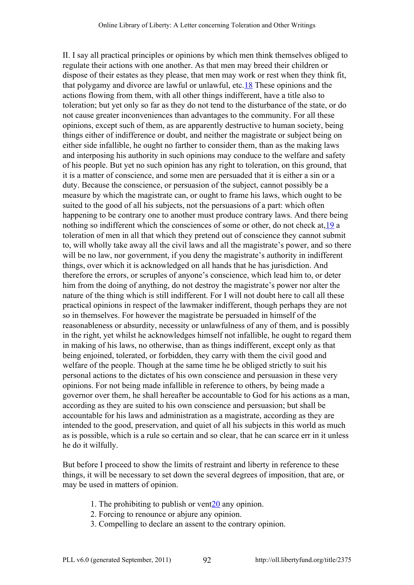II. I say all practical principles or opinions by which men think themselves obliged to regulate their actions with one another. As that men may breed their children or dispose of their estates as they please, that men may work or rest when they think fit, that polygamy and divorce are lawful or unlawful, etc[.18](#page-158-8) These opinions and the actions flowing from them, with all other things indifferent, have a title also to toleration; but yet only so far as they do not tend to the disturbance of the state, or do not cause greater inconveniences than advantages to the community. For all these opinions, except such of them, as are apparently destructive to human society, being things either of indifference or doubt, and neither the magistrate or subject being on either side infallible, he ought no farther to consider them, than as the making laws and interposing his authority in such opinions may conduce to the welfare and safety of his people. But yet no such opinion has any right to toleration, on this ground, that it is a matter of conscience, and some men are persuaded that it is either a sin or a duty. Because the conscience, or persuasion of the subject, cannot possibly be a measure by which the magistrate can, or ought to frame his laws, which ought to be suited to the good of all his subjects, not the persuasions of a part: which often happening to be contrary one to another must produce contrary laws. And there being nothing so indifferent which the consciences of some or other, do not check at,[19](#page-158-9) a toleration of men in all that which they pretend out of conscience they cannot submit to, will wholly take away all the civil laws and all the magistrate's power, and so there will be no law, nor government, if you deny the magistrate's authority in indifferent things, over which it is acknowledged on all hands that he has jurisdiction. And therefore the errors, or scruples of anyone's conscience, which lead him to, or deter him from the doing of anything, do not destroy the magistrate's power nor alter the nature of the thing which is still indifferent. For I will not doubt here to call all these practical opinions in respect of the lawmaker indifferent, though perhaps they are not so in themselves. For however the magistrate be persuaded in himself of the reasonableness or absurdity, necessity or unlawfulness of any of them, and is possibly in the right, yet whilst he acknowledges himself not infallible, he ought to regard them in making of his laws, no otherwise, than as things indifferent, except only as that being enjoined, tolerated, or forbidden, they carry with them the civil good and welfare of the people. Though at the same time he be obliged strictly to suit his personal actions to the dictates of his own conscience and persuasion in these very opinions. For not being made infallible in reference to others, by being made a governor over them, he shall hereafter be accountable to God for his actions as a man, according as they are suited to his own conscience and persuasion; but shall be accountable for his laws and administration as a magistrate, according as they are intended to the good, preservation, and quiet of all his subjects in this world as much as is possible, which is a rule so certain and so clear, that he can scarce err in it unless he do it wilfully.

But before I proceed to show the limits of restraint and liberty in reference to these things, it will be necessary to set down the several degrees of imposition, that are, or may be used in matters of opinion.

- 1. The prohibiting to publish or vent $\frac{20}{20}$  any opinion.
- 2. Forcing to renounce or abjure any opinion.
- 3. Compelling to declare an assent to the contrary opinion.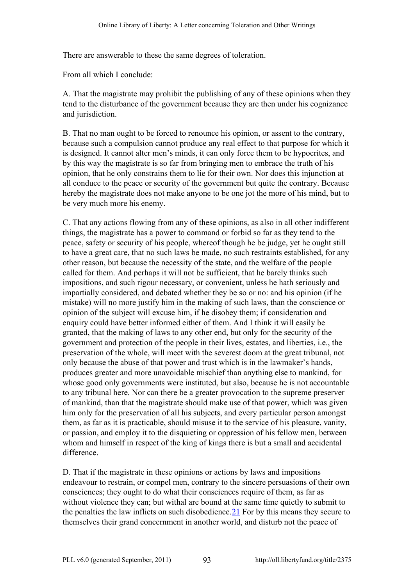There are answerable to these the same degrees of toleration.

From all which I conclude:

A. That the magistrate may prohibit the publishing of any of these opinions when they tend to the disturbance of the government because they are then under his cognizance and jurisdiction.

B. That no man ought to be forced to renounce his opinion, or assent to the contrary, because such a compulsion cannot produce any real effect to that purpose for which it is designed. It cannot alter men's minds, it can only force them to be hypocrites, and by this way the magistrate is so far from bringing men to embrace the truth of his opinion, that he only constrains them to lie for their own. Nor does this injunction at all conduce to the peace or security of the government but quite the contrary. Because hereby the magistrate does not make anyone to be one jot the more of his mind, but to be very much more his enemy.

C. That any actions flowing from any of these opinions, as also in all other indifferent things, the magistrate has a power to command or forbid so far as they tend to the peace, safety or security of his people, whereof though he be judge, yet he ought still to have a great care, that no such laws be made, no such restraints established, for any other reason, but because the necessity of the state, and the welfare of the people called for them. And perhaps it will not be sufficient, that he barely thinks such impositions, and such rigour necessary, or convenient, unless he hath seriously and impartially considered, and debated whether they be so or no: and his opinion (if he mistake) will no more justify him in the making of such laws, than the conscience or opinion of the subject will excuse him, if he disobey them; if consideration and enquiry could have better informed either of them. And I think it will easily be granted, that the making of laws to any other end, but only for the security of the government and protection of the people in their lives, estates, and liberties, i.e., the preservation of the whole, will meet with the severest doom at the great tribunal, not only because the abuse of that power and trust which is in the lawmaker's hands, produces greater and more unavoidable mischief than anything else to mankind, for whose good only governments were instituted, but also, because he is not accountable to any tribunal here. Nor can there be a greater provocation to the supreme preserver of mankind, than that the magistrate should make use of that power, which was given him only for the preservation of all his subjects, and every particular person amongst them, as far as it is practicable, should misuse it to the service of his pleasure, vanity, or passion, and employ it to the disquieting or oppression of his fellow men, between whom and himself in respect of the king of kings there is but a small and accidental difference.

D. That if the magistrate in these opinions or actions by laws and impositions endeavour to restrain, or compel men, contrary to the sincere persuasions of their own consciences; they ought to do what their consciences require of them, as far as without violence they can; but withal are bound at the same time quietly to submit to the penalties the law inflicts on such disobedience[.21](#page-158-11) For by this means they secure to themselves their grand concernment in another world, and disturb not the peace of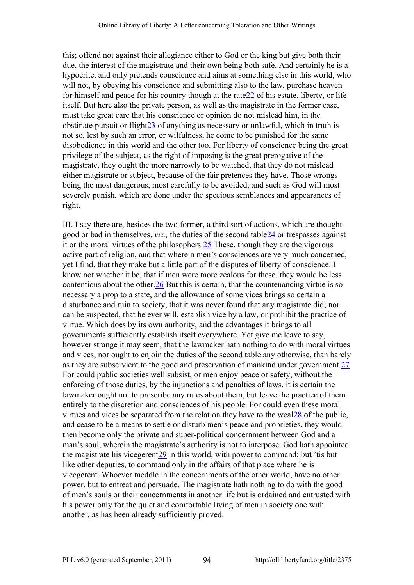this; offend not against their allegiance either to God or the king but give both their due, the interest of the magistrate and their own being both safe. And certainly he is a hypocrite, and only pretends conscience and aims at something else in this world, who will not, by obeying his conscience and submitting also to the law, purchase heaven for himself and peace for his country though at the rate[22](#page-158-12) of his estate, liberty, or life itself. But here also the private person, as well as the magistrate in the former case, must take great care that his conscience or opinion do not mislead him, in the obstinate pursuit or flight[23](#page-158-13) of anything as necessary or unlawful, which in truth is not so, lest by such an error, or wilfulness, he come to be punished for the same disobedience in this world and the other too. For liberty of conscience being the great privilege of the subject, as the right of imposing is the great prerogative of the magistrate, they ought the more narrowly to be watched, that they do not mislead either magistrate or subject, because of the fair pretences they have. Those wrongs being the most dangerous, most carefully to be avoided, and such as God will most severely punish, which are done under the specious semblances and appearances of right.

III. I say there are, besides the two former, a third sort of actions, which are thought good or bad in themselves, *viz.,* the duties of the second table[24](#page-158-14) or trespasses against it or the moral virtues of the philosophers.[25](#page-159-0) These, though they are the vigorous active part of religion, and that wherein men's consciences are very much concerned, yet I find, that they make but a little part of the disputes of liberty of conscience. I know not whether it be, that if men were more zealous for these, they would be less contentious about the other[.26](#page-159-1) But this is certain, that the countenancing virtue is so necessary a prop to a state, and the allowance of some vices brings so certain a disturbance and ruin to society, that it was never found that any magistrate did; nor can be suspected, that he ever will, establish vice by a law, or prohibit the practice of virtue. Which does by its own authority, and the advantages it brings to all governments sufficiently establish itself everywhere. Yet give me leave to say, however strange it may seem, that the lawmaker hath nothing to do with moral virtues and vices, nor ought to enjoin the duties of the second table any otherwise, than barely as they are subservient to the good and preservation of mankind under government.[27](#page-159-2) For could public societies well subsist, or men enjoy peace or safety, without the enforcing of those duties, by the injunctions and penalties of laws, it is certain the lawmaker ought not to prescribe any rules about them, but leave the practice of them entirely to the discretion and consciences of his people. For could even these moral virtues and vices be separated from the relation they have to the weal[28](#page-159-3) of the public, and cease to be a means to settle or disturb men's peace and proprieties, they would then become only the private and super-political concernment between God and a man's soul, wherein the magistrate's authority is not to interpose. God hath appointed the magistrate his vicegerent[29](#page-159-4) in this world, with power to command; but 'tis but like other deputies, to command only in the affairs of that place where he is vicegerent. Whoever meddle in the concernments of the other world, have no other power, but to entreat and persuade. The magistrate hath nothing to do with the good of men's souls or their concernments in another life but is ordained and entrusted with his power only for the quiet and comfortable living of men in society one with another, as has been already sufficiently proved.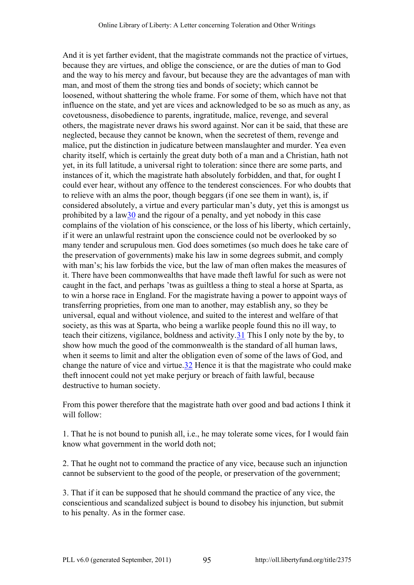And it is yet farther evident, that the magistrate commands not the practice of virtues, because they are virtues, and oblige the conscience, or are the duties of man to God and the way to his mercy and favour, but because they are the advantages of man with man, and most of them the strong ties and bonds of society; which cannot be loosened, without shattering the whole frame. For some of them, which have not that influence on the state, and yet are vices and acknowledged to be so as much as any, as covetousness, disobedience to parents, ingratitude, malice, revenge, and several others, the magistrate never draws his sword against. Nor can it be said, that these are neglected, because they cannot be known, when the secretest of them, revenge and malice, put the distinction in judicature between manslaughter and murder. Yea even charity itself, which is certainly the great duty both of a man and a Christian, hath not yet, in its full latitude, a universal right to toleration: since there are some parts, and instances of it, which the magistrate hath absolutely forbidden, and that, for ought I could ever hear, without any offence to the tenderest consciences. For who doubts that to relieve with an alms the poor, though beggars (if one see them in want), is, if considered absolutely, a virtue and every particular man's duty, yet this is amongst us prohibited by a law[30](#page-159-5) and the rigour of a penalty, and yet nobody in this case complains of the violation of his conscience, or the loss of his liberty, which certainly, if it were an unlawful restraint upon the conscience could not be overlooked by so many tender and scrupulous men. God does sometimes (so much does he take care of the preservation of governments) make his law in some degrees submit, and comply with man's; his law forbids the vice, but the law of man often makes the measures of it. There have been commonwealths that have made theft lawful for such as were not caught in the fact, and perhaps 'twas as guiltless a thing to steal a horse at Sparta, as to win a horse race in England. For the magistrate having a power to appoint ways of transferring proprieties, from one man to another, may establish any, so they be universal, equal and without violence, and suited to the interest and welfare of that society, as this was at Sparta, who being a warlike people found this no ill way, to teach their citizens, vigilance, boldness and activity.[31](#page-159-6) This I only note by the by, to show how much the good of the commonwealth is the standard of all human laws, when it seems to limit and alter the obligation even of some of the laws of God, and change the nature of vice and virtue.[32](#page-159-7) Hence it is that the magistrate who could make theft innocent could not yet make perjury or breach of faith lawful, because destructive to human society.

From this power therefore that the magistrate hath over good and bad actions I think it will follow:

1. That he is not bound to punish all, i.e., he may tolerate some vices, for I would fain know what government in the world doth not;

2. That he ought not to command the practice of any vice, because such an injunction cannot be subservient to the good of the people, or preservation of the government;

3. That if it can be supposed that he should command the practice of any vice, the conscientious and scandalized subject is bound to disobey his injunction, but submit to his penalty. As in the former case.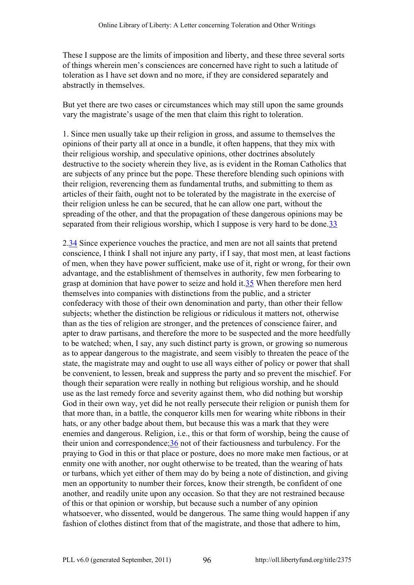These I suppose are the limits of imposition and liberty, and these three several sorts of things wherein men's consciences are concerned have right to such a latitude of toleration as I have set down and no more, if they are considered separately and abstractly in themselves.

But yet there are two cases or circumstances which may still upon the same grounds vary the magistrate's usage of the men that claim this right to toleration.

1. Since men usually take up their religion in gross, and assume to themselves the opinions of their party all at once in a bundle, it often happens, that they mix with their religious worship, and speculative opinions, other doctrines absolutely destructive to the society wherein they live, as is evident in the Roman Catholics that are subjects of any prince but the pope. These therefore blending such opinions with their religion, reverencing them as fundamental truths, and submitting to them as articles of their faith, ought not to be tolerated by the magistrate in the exercise of their religion unless he can be secured, that he can allow one part, without the spreading of the other, and that the propagation of these dangerous opinions may be separated from their religious worship, which I suppose is very hard to be done.[33](#page-159-8)

2.[34](#page-159-9) Since experience vouches the practice, and men are not all saints that pretend conscience, I think I shall not injure any party, if I say, that most men, at least factions of men, when they have power sufficient, make use of it, right or wrong, for their own advantage, and the establishment of themselves in authority, few men forbearing to grasp at dominion that have power to seize and hold it.[35](#page-159-10) When therefore men herd themselves into companies with distinctions from the public, and a stricter confederacy with those of their own denomination and party, than other their fellow subjects; whether the distinction be religious or ridiculous it matters not, otherwise than as the ties of religion are stronger, and the pretences of conscience fairer, and apter to draw partisans, and therefore the more to be suspected and the more heedfully to be watched; when, I say, any such distinct party is grown, or growing so numerous as to appear dangerous to the magistrate, and seem visibly to threaten the peace of the state, the magistrate may and ought to use all ways either of policy or power that shall be convenient, to lessen, break and suppress the party and so prevent the mischief. For though their separation were really in nothing but religious worship, and he should use as the last remedy force and severity against them, who did nothing but worship God in their own way, yet did he not really persecute their religion or punish them for that more than, in a battle, the conqueror kills men for wearing white ribbons in their hats, or any other badge about them, but because this was a mark that they were enemies and dangerous. Religion, i.e., this or that form of worship, being the cause of their union and correspondence; 36 not of their factiousness and turbulency. For the praying to God in this or that place or posture, does no more make men factious, or at enmity one with another, nor ought otherwise to be treated, than the wearing of hats or turbans, which yet either of them may do by being a note of distinction, and giving men an opportunity to number their forces, know their strength, be confident of one another, and readily unite upon any occasion. So that they are not restrained because of this or that opinion or worship, but because such a number of any opinion whatsoever, who dissented, would be dangerous. The same thing would happen if any fashion of clothes distinct from that of the magistrate, and those that adhere to him,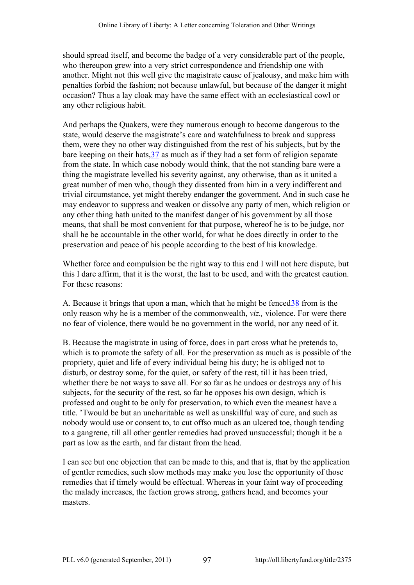should spread itself, and become the badge of a very considerable part of the people, who thereupon grew into a very strict correspondence and friendship one with another. Might not this well give the magistrate cause of jealousy, and make him with penalties forbid the fashion; not because unlawful, but because of the danger it might occasion? Thus a lay cloak may have the same effect with an ecclesiastical cowl or any other religious habit.

And perhaps the Quakers, were they numerous enough to become dangerous to the state, would deserve the magistrate's care and watchfulness to break and suppress them, were they no other way distinguished from the rest of his subjects, but by the bare keeping on their hats,[37](#page-160-0) as much as if they had a set form of religion separate from the state. In which case nobody would think, that the not standing bare were a thing the magistrate levelled his severity against, any otherwise, than as it united a great number of men who, though they dissented from him in a very indifferent and trivial circumstance, yet might thereby endanger the government. And in such case he may endeavor to suppress and weaken or dissolve any party of men, which religion or any other thing hath united to the manifest danger of his government by all those means, that shall be most convenient for that purpose, whereof he is to be judge, nor shall he be accountable in the other world, for what he does directly in order to the preservation and peace of his people according to the best of his knowledge.

Whether force and compulsion be the right way to this end I will not here dispute, but this I dare affirm, that it is the worst, the last to be used, and with the greatest caution. For these reasons:

A. Because it brings that upon a man, which that he might be fenced[38](#page-160-1) from is the only reason why he is a member of the commonwealth, *viz.,* violence. For were there no fear of violence, there would be no government in the world, nor any need of it.

B. Because the magistrate in using of force, does in part cross what he pretends to, which is to promote the safety of all. For the preservation as much as is possible of the propriety, quiet and life of every individual being his duty; he is obliged not to disturb, or destroy some, for the quiet, or safety of the rest, till it has been tried, whether there be not ways to save all. For so far as he undoes or destroys any of his subjects, for the security of the rest, so far he opposes his own design, which is professed and ought to be only for preservation, to which even the meanest have a title. 'Twould be but an uncharitable as well as unskillful way of cure, and such as nobody would use or consent to, to cut offso much as an ulcered toe, though tending to a gangrene, till all other gentler remedies had proved unsuccessful; though it be a part as low as the earth, and far distant from the head.

I can see but one objection that can be made to this, and that is, that by the application of gentler remedies, such slow methods may make you lose the opportunity of those remedies that if timely would be effectual. Whereas in your faint way of proceeding the malady increases, the faction grows strong, gathers head, and becomes your masters.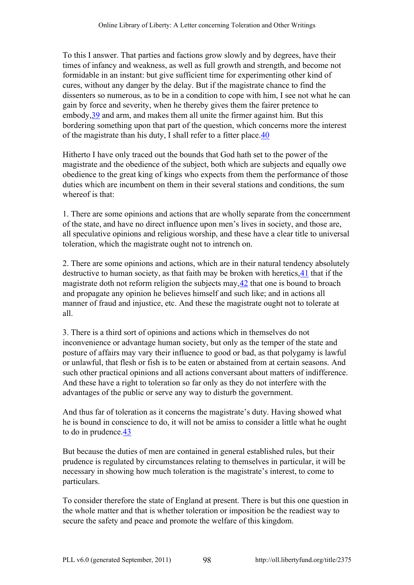To this I answer. That parties and factions grow slowly and by degrees, have their times of infancy and weakness, as well as full growth and strength, and become not formidable in an instant: but give sufficient time for experimenting other kind of cures, without any danger by the delay. But if the magistrate chance to find the dissenters so numerous, as to be in a condition to cope with him, I see not what he can gain by force and severity, when he thereby gives them the fairer pretence to embody,[39](#page-160-2) and arm, and makes them all unite the firmer against him. But this bordering something upon that part of the question, which concerns more the interest of the magistrate than his duty, I shall refer to a fitter place.[40](#page-160-3)

Hitherto I have only traced out the bounds that God hath set to the power of the magistrate and the obedience of the subject, both which are subjects and equally owe obedience to the great king of kings who expects from them the performance of those duties which are incumbent on them in their several stations and conditions, the sum whereof is that:

1. There are some opinions and actions that are wholly separate from the concernment of the state, and have no direct influence upon men's lives in society, and those are, all speculative opinions and religious worship, and these have a clear title to universal toleration, which the magistrate ought not to intrench on.

2. There are some opinions and actions, which are in their natural tendency absolutely destructive to human society, as that faith may be broken with heretics,  $\frac{41}{1}$  $\frac{41}{1}$  $\frac{41}{1}$  that if the magistrate doth not reform religion the subjects may,[42](#page-160-5) that one is bound to broach and propagate any opinion he believes himself and such like; and in actions all manner of fraud and injustice, etc. And these the magistrate ought not to tolerate at all.

3. There is a third sort of opinions and actions which in themselves do not inconvenience or advantage human society, but only as the temper of the state and posture of affairs may vary their influence to good or bad, as that polygamy is lawful or unlawful, that flesh or fish is to be eaten or abstained from at certain seasons. And such other practical opinions and all actions conversant about matters of indifference. And these have a right to toleration so far only as they do not interfere with the advantages of the public or serve any way to disturb the government.

And thus far of toleration as it concerns the magistrate's duty. Having showed what he is bound in conscience to do, it will not be amiss to consider a little what he ought to do in prudence.[43](#page-160-6)

But because the duties of men are contained in general established rules, but their prudence is regulated by circumstances relating to themselves in particular, it will be necessary in showing how much toleration is the magistrate's interest, to come to particulars.

To consider therefore the state of England at present. There is but this one question in the whole matter and that is whether toleration or imposition be the readiest way to secure the safety and peace and promote the welfare of this kingdom.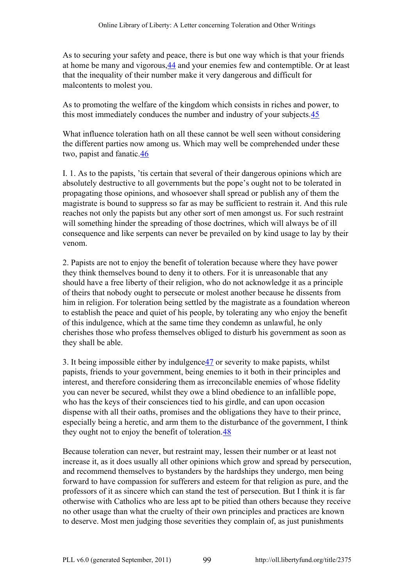As to securing your safety and peace, there is but one way which is that your friends at home be many and vigorous,[44](#page-160-7) and your enemies few and contemptible. Or at least that the inequality of their number make it very dangerous and difficult for malcontents to molest you.

As to promoting the welfare of the kingdom which consists in riches and power, to this most immediately conduces the number and industry of your subjects.[45](#page-160-8)

What influence toleration hath on all these cannot be well seen without considering the different parties now among us. Which may well be comprehended under these two, papist and fanatic.[46](#page-160-9)

I. 1. As to the papists, 'tis certain that several of their dangerous opinions which are absolutely destructive to all governments but the pope's ought not to be tolerated in propagating those opinions, and whosoever shall spread or publish any of them the magistrate is bound to suppress so far as may be sufficient to restrain it. And this rule reaches not only the papists but any other sort of men amongst us. For such restraint will something hinder the spreading of those doctrines, which will always be of ill consequence and like serpents can never be prevailed on by kind usage to lay by their venom.

2. Papists are not to enjoy the benefit of toleration because where they have power they think themselves bound to deny it to others. For it is unreasonable that any should have a free liberty of their religion, who do not acknowledge it as a principle of theirs that nobody ought to persecute or molest another because he dissents from him in religion. For toleration being settled by the magistrate as a foundation whereon to establish the peace and quiet of his people, by tolerating any who enjoy the benefit of this indulgence, which at the same time they condemn as unlawful, he only cherishes those who profess themselves obliged to disturb his government as soon as they shall be able.

3. It being impossible either by indulgence[47](#page-160-10) or severity to make papists, whilst papists, friends to your government, being enemies to it both in their principles and interest, and therefore considering them as irreconcilable enemies of whose fidelity you can never be secured, whilst they owe a blind obedience to an infallible pope, who has the keys of their consciences tied to his girdle, and can upon occasion dispense with all their oaths, promises and the obligations they have to their prince, especially being a heretic, and arm them to the disturbance of the government, I think they ought not to enjoy the benefit of toleration[.48](#page-160-11)

Because toleration can never, but restraint may, lessen their number or at least not increase it, as it does usually all other opinions which grow and spread by persecution, and recommend themselves to bystanders by the hardships they undergo, men being forward to have compassion for sufferers and esteem for that religion as pure, and the professors of it as sincere which can stand the test of persecution. But I think it is far otherwise with Catholics who are less apt to be pitied than others because they receive no other usage than what the cruelty of their own principles and practices are known to deserve. Most men judging those severities they complain of, as just punishments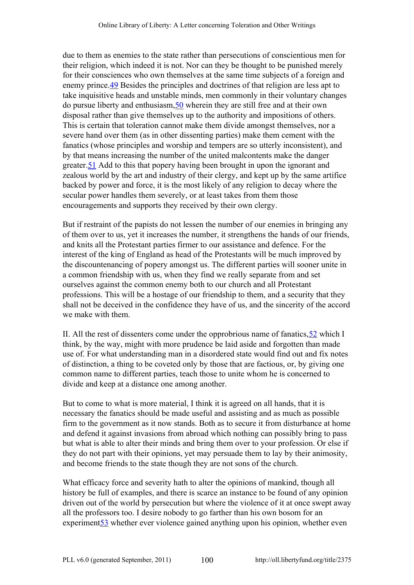due to them as enemies to the state rather than persecutions of conscientious men for their religion, which indeed it is not. Nor can they be thought to be punished merely for their consciences who own themselves at the same time subjects of a foreign and enemy prince.[49](#page-160-12) Besides the principles and doctrines of that religion are less apt to take inquisitive heads and unstable minds, men commonly in their voluntary changes do pursue liberty and enthusiasm,[50](#page-160-13) wherein they are still free and at their own disposal rather than give themselves up to the authority and impositions of others. This is certain that toleration cannot make them divide amongst themselves, nor a severe hand over them (as in other dissenting parties) make them cement with the fanatics (whose principles and worship and tempers are so utterly inconsistent), and by that means increasing the number of the united malcontents make the danger greater[.51](#page-160-14) Add to this that popery having been brought in upon the ignorant and zealous world by the art and industry of their clergy, and kept up by the same artifice backed by power and force, it is the most likely of any religion to decay where the secular power handles them severely, or at least takes from them those encouragements and supports they received by their own clergy.

But if restraint of the papists do not lessen the number of our enemies in bringing any of them over to us, yet it increases the number, it strengthens the hands of our friends, and knits all the Protestant parties firmer to our assistance and defence. For the interest of the king of England as head of the Protestants will be much improved by the discountenancing of popery amongst us. The different parties will sooner unite in a common friendship with us, when they find we really separate from and set ourselves against the common enemy both to our church and all Protestant professions. This will be a hostage of our friendship to them, and a security that they shall not be deceived in the confidence they have of us, and the sincerity of the accord we make with them.

II. All the rest of dissenters come under the opprobrious name of fanatics,[52](#page-161-0) which I think, by the way, might with more prudence be laid aside and forgotten than made use of. For what understanding man in a disordered state would find out and fix notes of distinction, a thing to be coveted only by those that are factious, or, by giving one common name to different parties, teach those to unite whom he is concerned to divide and keep at a distance one among another.

But to come to what is more material, I think it is agreed on all hands, that it is necessary the fanatics should be made useful and assisting and as much as possible firm to the government as it now stands. Both as to secure it from disturbance at home and defend it against invasions from abroad which nothing can possibly bring to pass but what is able to alter their minds and bring them over to your profession. Or else if they do not part with their opinions, yet may persuade them to lay by their animosity, and become friends to the state though they are not sons of the church.

What efficacy force and severity hath to alter the opinions of mankind, though all history be full of examples, and there is scarce an instance to be found of any opinion driven out of the world by persecution but where the violence of it at once swept away all the professors too. I desire nobody to go farther than his own bosom for an experiment[53](#page-161-1) whether ever violence gained anything upon his opinion, whether even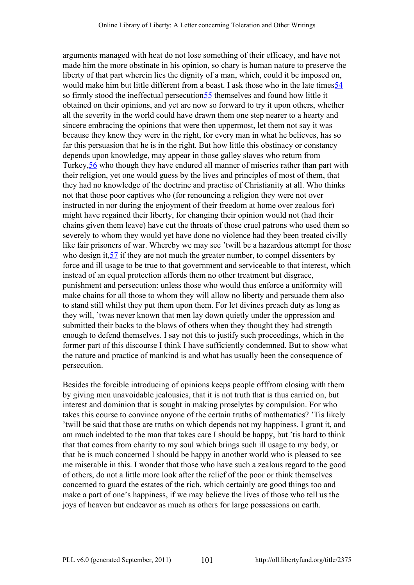arguments managed with heat do not lose something of their efficacy, and have not made him the more obstinate in his opinion, so chary is human nature to preserve the liberty of that part wherein lies the dignity of a man, which, could it be imposed on, would make him but little different from a beast. I ask those who in the late times [54](#page-161-2) so firmly stood the ineffectual persecution[55](#page-161-3) themselves and found how little it obtained on their opinions, and yet are now so forward to try it upon others, whether all the severity in the world could have drawn them one step nearer to a hearty and sincere embracing the opinions that were then uppermost, let them not say it was because they knew they were in the right, for every man in what he believes, has so far this persuasion that he is in the right. But how little this obstinacy or constancy depends upon knowledge, may appear in those galley slaves who return from Turkey,[56](#page-161-4) who though they have endured all manner of miseries rather than part with their religion, yet one would guess by the lives and principles of most of them, that they had no knowledge of the doctrine and practise of Christianity at all. Who thinks not that those poor captives who (for renouncing a religion they were not over instructed in nor during the enjoyment of their freedom at home over zealous for) might have regained their liberty, for changing their opinion would not (had their chains given them leave) have cut the throats of those cruel patrons who used them so severely to whom they would yet have done no violence had they been treated civilly like fair prisoners of war. Whereby we may see 'twill be a hazardous attempt for those who design it, [57](#page-161-5) if they are not much the greater number, to compel dissenters by force and ill usage to be true to that government and serviceable to that interest, which instead of an equal protection affords them no other treatment but disgrace, punishment and persecution: unless those who would thus enforce a uniformity will make chains for all those to whom they will allow no liberty and persuade them also to stand still whilst they put them upon them. For let divines preach duty as long as they will, 'twas never known that men lay down quietly under the oppression and submitted their backs to the blows of others when they thought they had strength enough to defend themselves. I say not this to justify such proceedings, which in the former part of this discourse I think I have sufficiently condemned. But to show what the nature and practice of mankind is and what has usually been the consequence of persecution.

Besides the forcible introducing of opinions keeps people offfrom closing with them by giving men unavoidable jealousies, that it is not truth that is thus carried on, but interest and dominion that is sought in making proselytes by compulsion. For who takes this course to convince anyone of the certain truths of mathematics? 'Tis likely 'twill be said that those are truths on which depends not my happiness. I grant it, and am much indebted to the man that takes care I should be happy, but 'tis hard to think that that comes from charity to my soul which brings such ill usage to my body, or that he is much concerned I should be happy in another world who is pleased to see me miserable in this. I wonder that those who have such a zealous regard to the good of others, do not a little more look after the relief of the poor or think themselves concerned to guard the estates of the rich, which certainly are good things too and make a part of one's happiness, if we may believe the lives of those who tell us the joys of heaven but endeavor as much as others for large possessions on earth.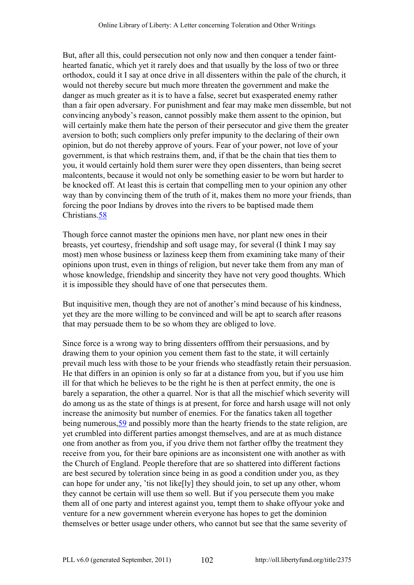But, after all this, could persecution not only now and then conquer a tender fainthearted fanatic, which yet it rarely does and that usually by the loss of two or three orthodox, could it I say at once drive in all dissenters within the pale of the church, it would not thereby secure but much more threaten the government and make the danger as much greater as it is to have a false, secret but exasperated enemy rather than a fair open adversary. For punishment and fear may make men dissemble, but not convincing anybody's reason, cannot possibly make them assent to the opinion, but will certainly make them hate the person of their persecutor and give them the greater aversion to both; such compliers only prefer impunity to the declaring of their own opinion, but do not thereby approve of yours. Fear of your power, not love of your government, is that which restrains them, and, if that be the chain that ties them to you, it would certainly hold them surer were they open dissenters, than being secret malcontents, because it would not only be something easier to be worn but harder to be knocked off. At least this is certain that compelling men to your opinion any other way than by convincing them of the truth of it, makes them no more your friends, than forcing the poor Indians by droves into the rivers to be baptised made them Christians.[58](#page-161-6)

Though force cannot master the opinions men have, nor plant new ones in their breasts, yet courtesy, friendship and soft usage may, for several (I think I may say most) men whose business or laziness keep them from examining take many of their opinions upon trust, even in things of religion, but never take them from any man of whose knowledge, friendship and sincerity they have not very good thoughts. Which it is impossible they should have of one that persecutes them.

But inquisitive men, though they are not of another's mind because of his kindness, yet they are the more willing to be convinced and will be apt to search after reasons that may persuade them to be so whom they are obliged to love.

Since force is a wrong way to bring dissenters offfrom their persuasions, and by drawing them to your opinion you cement them fast to the state, it will certainly prevail much less with those to be your friends who steadfastly retain their persuasion. He that differs in an opinion is only so far at a distance from you, but if you use him ill for that which he believes to be the right he is then at perfect enmity, the one is barely a separation, the other a quarrel. Nor is that all the mischief which severity will do among us as the state of things is at present, for force and harsh usage will not only increase the animosity but number of enemies. For the fanatics taken all together being numerous, [59](#page-161-7) and possibly more than the hearty friends to the state religion, are yet crumbled into different parties amongst themselves, and are at as much distance one from another as from you, if you drive them not farther offby the treatment they receive from you, for their bare opinions are as inconsistent one with another as with the Church of England. People therefore that are so shattered into different factions are best secured by toleration since being in as good a condition under you, as they can hope for under any, 'tis not like[ly] they should join, to set up any other, whom they cannot be certain will use them so well. But if you persecute them you make them all of one party and interest against you, tempt them to shake offyour yoke and venture for a new government wherein everyone has hopes to get the dominion themselves or better usage under others, who cannot but see that the same severity of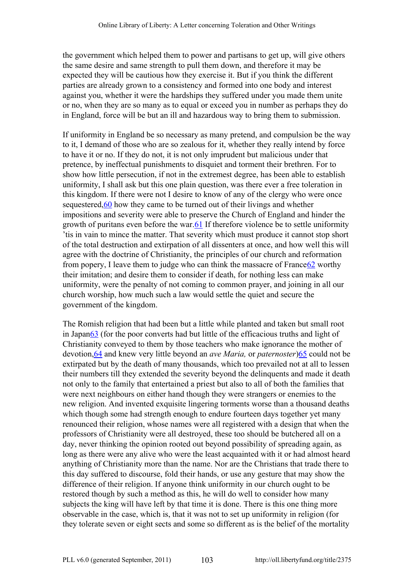the government which helped them to power and partisans to get up, will give others the same desire and same strength to pull them down, and therefore it may be expected they will be cautious how they exercise it. But if you think the different parties are already grown to a consistency and formed into one body and interest against you, whether it were the hardships they suffered under you made them unite or no, when they are so many as to equal or exceed you in number as perhaps they do in England, force will be but an ill and hazardous way to bring them to submission.

If uniformity in England be so necessary as many pretend, and compulsion be the way to it, I demand of those who are so zealous for it, whether they really intend by force to have it or no. If they do not, it is not only imprudent but malicious under that pretence, by ineffectual punishments to disquiet and torment their brethren. For to show how little persecution, if not in the extremest degree, has been able to establish uniformity, I shall ask but this one plain question, was there ever a free toleration in this kingdom. If there were not I desire to know of any of the clergy who were once sequestered,[60](#page-161-8) how they came to be turned out of their livings and whether impositions and severity were able to preserve the Church of England and hinder the growth of puritans even before the war. $61$  If therefore violence be to settle uniformity 'tis in vain to mince the matter. That severity which must produce it cannot stop short of the total destruction and extirpation of all dissenters at once, and how well this will agree with the doctrine of Christianity, the principles of our church and reformation from popery, I leave them to judge who can think the massacre of France[62](#page-161-10) worthy their imitation; and desire them to consider if death, for nothing less can make uniformity, were the penalty of not coming to common prayer, and joining in all our church worship, how much such a law would settle the quiet and secure the government of the kingdom.

The Romish religion that had been but a little while planted and taken but small root in Japan[63](#page-161-11) (for the poor converts had but little of the efficacious truths and light of Christianity conveyed to them by those teachers who make ignorance the mother of devotion,[64](#page-161-12) and knew very little beyond an *ave Maria,* or *paternoster*[\)65](#page-162-0) could not be extirpated but by the death of many thousands, which too prevailed not at all to lessen their numbers till they extended the severity beyond the delinquents and made it death not only to the family that entertained a priest but also to all of both the families that were next neighbours on either hand though they were strangers or enemies to the new religion. And invented exquisite lingering torments worse than a thousand deaths which though some had strength enough to endure fourteen days together yet many renounced their religion, whose names were all registered with a design that when the professors of Christianity were all destroyed, these too should be butchered all on a day, never thinking the opinion rooted out beyond possibility of spreading again, as long as there were any alive who were the least acquainted with it or had almost heard anything of Christianity more than the name. Nor are the Christians that trade there to this day suffered to discourse, fold their hands, or use any gesture that may show the difference of their religion. If anyone think uniformity in our church ought to be restored though by such a method as this, he will do well to consider how many subjects the king will have left by that time it is done. There is this one thing more observable in the case, which is, that it was not to set up uniformity in religion (for they tolerate seven or eight sects and some so different as is the belief of the mortality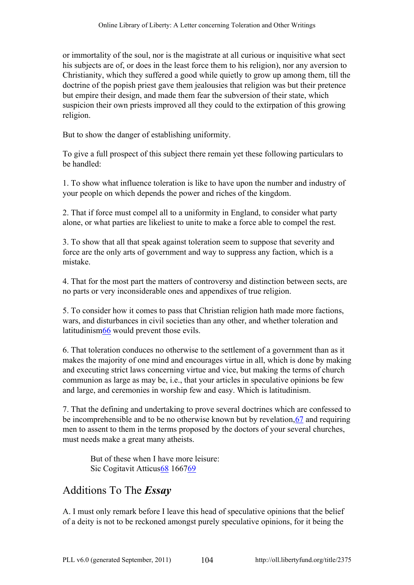or immortality of the soul, nor is the magistrate at all curious or inquisitive what sect his subjects are of, or does in the least force them to his religion), nor any aversion to Christianity, which they suffered a good while quietly to grow up among them, till the doctrine of the popish priest gave them jealousies that religion was but their pretence but empire their design, and made them fear the subversion of their state, which suspicion their own priests improved all they could to the extirpation of this growing religion.

But to show the danger of establishing uniformity.

To give a full prospect of this subject there remain yet these following particulars to be handled:

1. To show what influence toleration is like to have upon the number and industry of your people on which depends the power and riches of the kingdom.

2. That if force must compel all to a uniformity in England, to consider what party alone, or what parties are likeliest to unite to make a force able to compel the rest.

3. To show that all that speak against toleration seem to suppose that severity and force are the only arts of government and way to suppress any faction, which is a mistake.

4. That for the most part the matters of controversy and distinction between sects, are no parts or very inconsiderable ones and appendixes of true religion.

5. To consider how it comes to pass that Christian religion hath made more factions, wars, and disturbances in civil societies than any other, and whether toleration and latitudinis[m66](#page-162-1) would prevent those evils.

6. That toleration conduces no otherwise to the settlement of a government than as it makes the majority of one mind and encourages virtue in all, which is done by making and executing strict laws concerning virtue and vice, but making the terms of church communion as large as may be, i.e., that your articles in speculative opinions be few and large, and ceremonies in worship few and easy. Which is latitudinism.

7. That the defining and undertaking to prove several doctrines which are confessed to be incomprehensible and to be no otherwise known but by revelation[,67](#page-162-2) and requiring men to assent to them in the terms proposed by the doctors of your several churches, must needs make a great many atheists.

But of these when I have more leisure: Sic Cogitavit Atticus[68](#page-162-3) 1667[69](#page-162-4)

#### Additions To The *Essay*

A. I must only remark before I leave this head of speculative opinions that the belief of a deity is not to be reckoned amongst purely speculative opinions, for it being the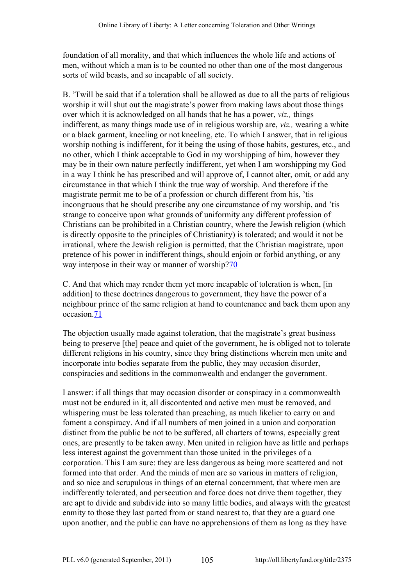foundation of all morality, and that which influences the whole life and actions of men, without which a man is to be counted no other than one of the most dangerous sorts of wild beasts, and so incapable of all society.

B. 'Twill be said that if a toleration shall be allowed as due to all the parts of religious worship it will shut out the magistrate's power from making laws about those things over which it is acknowledged on all hands that he has a power, *viz.,* things indifferent, as many things made use of in religious worship are, *viz.,* wearing a white or a black garment, kneeling or not kneeling, etc. To which I answer, that in religious worship nothing is indifferent, for it being the using of those habits, gestures, etc., and no other, which I think acceptable to God in my worshipping of him, however they may be in their own nature perfectly indifferent, yet when I am worshipping my God in a way I think he has prescribed and will approve of, I cannot alter, omit, or add any circumstance in that which I think the true way of worship. And therefore if the magistrate permit me to be of a profession or church different from his, 'tis incongruous that he should prescribe any one circumstance of my worship, and 'tis strange to conceive upon what grounds of uniformity any different profession of Christians can be prohibited in a Christian country, where the Jewish religion (which is directly opposite to the principles of Christianity) is tolerated; and would it not be irrational, where the Jewish religion is permitted, that the Christian magistrate, upon pretence of his power in indifferent things, should enjoin or forbid anything, or any way interpose in their way or manner of worship[?70](#page-162-5)

C. And that which may render them yet more incapable of toleration is when, [in addition] to these doctrines dangerous to government, they have the power of a neighbour prince of the same religion at hand to countenance and back them upon any occasion.[71](#page-162-6)

The objection usually made against toleration, that the magistrate's great business being to preserve [the] peace and quiet of the government, he is obliged not to tolerate different religions in his country, since they bring distinctions wherein men unite and incorporate into bodies separate from the public, they may occasion disorder, conspiracies and seditions in the commonwealth and endanger the government.

I answer: if all things that may occasion disorder or conspiracy in a commonwealth must not be endured in it, all discontented and active men must be removed, and whispering must be less tolerated than preaching, as much likelier to carry on and foment a conspiracy. And if all numbers of men joined in a union and corporation distinct from the public be not to be suffered, all charters of towns, especially great ones, are presently to be taken away. Men united in religion have as little and perhaps less interest against the government than those united in the privileges of a corporation. This I am sure: they are less dangerous as being more scattered and not formed into that order. And the minds of men are so various in matters of religion, and so nice and scrupulous in things of an eternal concernment, that where men are indifferently tolerated, and persecution and force does not drive them together, they are apt to divide and subdivide into so many little bodies, and always with the greatest enmity to those they last parted from or stand nearest to, that they are a guard one upon another, and the public can have no apprehensions of them as long as they have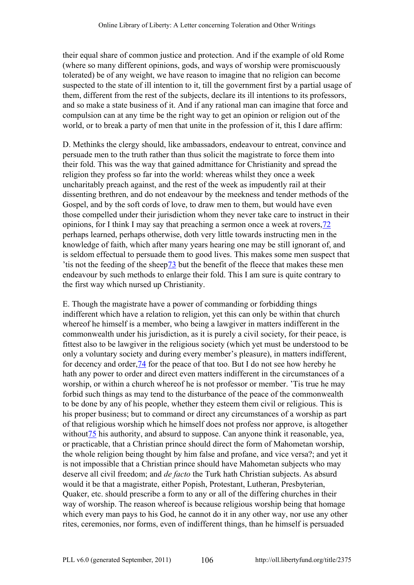their equal share of common justice and protection. And if the example of old Rome (where so many different opinions, gods, and ways of worship were promiscuously tolerated) be of any weight, we have reason to imagine that no religion can become suspected to the state of ill intention to it, till the government first by a partial usage of them, different from the rest of the subjects, declare its ill intentions to its professors, and so make a state business of it. And if any rational man can imagine that force and compulsion can at any time be the right way to get an opinion or religion out of the world, or to break a party of men that unite in the profession of it, this I dare affirm:

D. Methinks the clergy should, like ambassadors, endeavour to entreat, convince and persuade men to the truth rather than thus solicit the magistrate to force them into their fold. This was the way that gained admittance for Christianity and spread the religion they profess so far into the world: whereas whilst they once a week uncharitably preach against, and the rest of the week as impudently rail at their dissenting brethren, and do not endeavour by the meekness and tender methods of the Gospel, and by the soft cords of love, to draw men to them, but would have even those compelled under their jurisdiction whom they never take care to instruct in their opinions, for I think I may say that preaching a sermon once a week at rovers,[72](#page-162-7) perhaps learned, perhaps otherwise, doth very little towards instructing men in the knowledge of faith, which after many years hearing one may be still ignorant of, and is seldom effectual to persuade them to good lives. This makes some men suspect that 'tis not the feeding of the shee[p73](#page-162-8) but the benefit of the fleece that makes these men endeavour by such methods to enlarge their fold. This I am sure is quite contrary to the first way which nursed up Christianity.

E. Though the magistrate have a power of commanding or forbidding things indifferent which have a relation to religion, yet this can only be within that church whereof he himself is a member, who being a lawgiver in matters indifferent in the commonwealth under his jurisdiction, as it is purely a civil society, for their peace, is fittest also to be lawgiver in the religious society (which yet must be understood to be only a voluntary society and during every member's pleasure), in matters indifferent, for decency and order,[74](#page-162-9) for the peace of that too. But I do not see how hereby he hath any power to order and direct even matters indifferent in the circumstances of a worship, or within a church whereof he is not professor or member. 'Tis true he may forbid such things as may tend to the disturbance of the peace of the commonwealth to be done by any of his people, whether they esteem them civil or religious. This is his proper business; but to command or direct any circumstances of a worship as part of that religious worship which he himself does not profess nor approve, is altogether without<sup>[75](#page-162-10)</sup> his authority, and absurd to suppose. Can anyone think it reasonable, yea, or practicable, that a Christian prince should direct the form of Mahometan worship, the whole religion being thought by him false and profane, and vice versa?; and yet it is not impossible that a Christian prince should have Mahometan subjects who may deserve all civil freedom; and *de facto* the Turk hath Christian subjects. As absurd would it be that a magistrate, either Popish, Protestant, Lutheran, Presbyterian, Quaker, etc. should prescribe a form to any or all of the differing churches in their way of worship. The reason whereof is because religious worship being that homage which every man pays to his God, he cannot do it in any other way, nor use any other rites, ceremonies, nor forms, even of indifferent things, than he himself is persuaded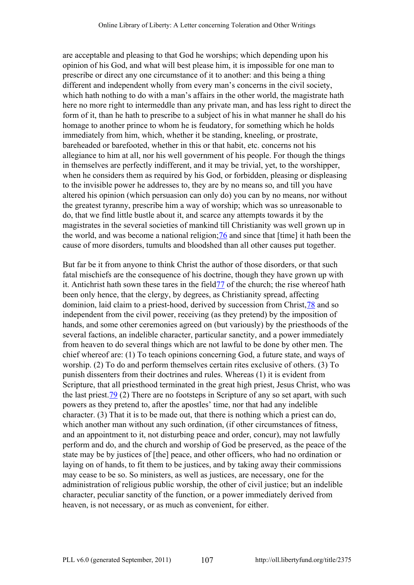are acceptable and pleasing to that God he worships; which depending upon his opinion of his God, and what will best please him, it is impossible for one man to prescribe or direct any one circumstance of it to another: and this being a thing different and independent wholly from every man's concerns in the civil society, which hath nothing to do with a man's affairs in the other world, the magistrate hath here no more right to intermeddle than any private man, and has less right to direct the form of it, than he hath to prescribe to a subject of his in what manner he shall do his homage to another prince to whom he is feudatory, for something which he holds immediately from him, which, whether it be standing, kneeling, or prostrate, bareheaded or barefooted, whether in this or that habit, etc. concerns not his allegiance to him at all, nor his well government of his people. For though the things in themselves are perfectly indifferent, and it may be trivial, yet, to the worshipper, when he considers them as required by his God, or forbidden, pleasing or displeasing to the invisible power he addresses to, they are by no means so, and till you have altered his opinion (which persuasion can only do) you can by no means, nor without the greatest tyranny, prescribe him a way of worship; which was so unreasonable to do, that we find little bustle about it, and scarce any attempts towards it by the magistrates in the several societies of mankind till Christianity was well grown up in the world, and was become a national religion;[76](#page-162-11) and since that [time] it hath been the cause of more disorders, tumults and bloodshed than all other causes put together.

But far be it from anyone to think Christ the author of those disorders, or that such fatal mischiefs are the consequence of his doctrine, though they have grown up with it. Antichrist hath sown these tares in the field[77](#page-162-12) of the church; the rise whereof hath been only hence, that the clergy, by degrees, as Christianity spread, affecting dominion, laid claim to a priest-hood, derived by succession from Christ,[78](#page-162-13) and so independent from the civil power, receiving (as they pretend) by the imposition of hands, and some other ceremonies agreed on (but variously) by the priesthoods of the several factions, an indelible character, particular sanctity, and a power immediately from heaven to do several things which are not lawful to be done by other men. The chief whereof are: (1) To teach opinions concerning God, a future state, and ways of worship. (2) To do and perform themselves certain rites exclusive of others. (3) To punish dissenters from their doctrines and rules. Whereas (1) it is evident from Scripture, that all priesthood terminated in the great high priest, Jesus Christ, who was the last priest.[79](#page-162-14) (2) There are no footsteps in Scripture of any so set apart, with such powers as they pretend to, after the apostles' time, nor that had any indelible character. (3) That it is to be made out, that there is nothing which a priest can do, which another man without any such ordination, (if other circumstances of fitness, and an appointment to it, not disturbing peace and order, concur), may not lawfully perform and do, and the church and worship of God be preserved, as the peace of the state may be by justices of [the] peace, and other officers, who had no ordination or laying on of hands, to fit them to be justices, and by taking away their commissions may cease to be so. So ministers, as well as justices, are necessary, one for the administration of religious public worship, the other of civil justice; but an indelible character, peculiar sanctity of the function, or a power immediately derived from heaven, is not necessary, or as much as convenient, for either.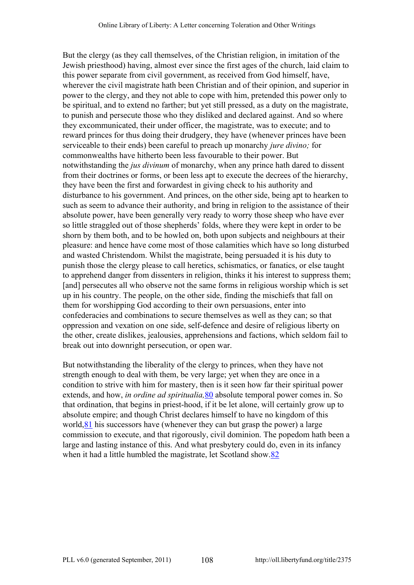But the clergy (as they call themselves, of the Christian religion, in imitation of the Jewish priesthood) having, almost ever since the first ages of the church, laid claim to this power separate from civil government, as received from God himself, have, wherever the civil magistrate hath been Christian and of their opinion, and superior in power to the clergy, and they not able to cope with him, pretended this power only to be spiritual, and to extend no farther; but yet still pressed, as a duty on the magistrate, to punish and persecute those who they disliked and declared against. And so where they excommunicated, their under officer, the magistrate, was to execute; and to reward princes for thus doing their drudgery, they have (whenever princes have been serviceable to their ends) been careful to preach up monarchy *jure divino;* for commonwealths have hitherto been less favourable to their power. But notwithstanding the *jus divinum* of monarchy, when any prince hath dared to dissent from their doctrines or forms, or been less apt to execute the decrees of the hierarchy, they have been the first and forwardest in giving check to his authority and disturbance to his government. And princes, on the other side, being apt to hearken to such as seem to advance their authority, and bring in religion to the assistance of their absolute power, have been generally very ready to worry those sheep who have ever so little straggled out of those shepherds' folds, where they were kept in order to be shorn by them both, and to be howled on, both upon subjects and neighbours at their pleasure: and hence have come most of those calamities which have so long disturbed and wasted Christendom. Whilst the magistrate, being persuaded it is his duty to punish those the clergy please to call heretics, schismatics, or fanatics, or else taught to apprehend danger from dissenters in religion, thinks it his interest to suppress them; [and] persecutes all who observe not the same forms in religious worship which is set up in his country. The people, on the other side, finding the mischiefs that fall on them for worshipping God according to their own persuasions, enter into confederacies and combinations to secure themselves as well as they can; so that oppression and vexation on one side, self-defence and desire of religious liberty on the other, create dislikes, jealousies, apprehensions and factions, which seldom fail to break out into downright persecution, or open war.

But notwithstanding the liberality of the clergy to princes, when they have not strength enough to deal with them, be very large; yet when they are once in a condition to strive with him for mastery, then is it seen how far their spiritual power extends, and how, *in ordine ad spiritualia,*[80](#page-162-15) absolute temporal power comes in. So that ordination, that begins in priest-hood, if it be let alone, will certainly grow up to absolute empire; and though Christ declares himself to have no kingdom of this world,[81](#page-162-16) his successors have (whenever they can but grasp the power) a large commission to execute, and that rigorously, civil dominion. The popedom hath been a large and lasting instance of this. And what presbytery could do, even in its infancy when it had a little humbled the magistrate, let Scotland show.[82](#page-163-0)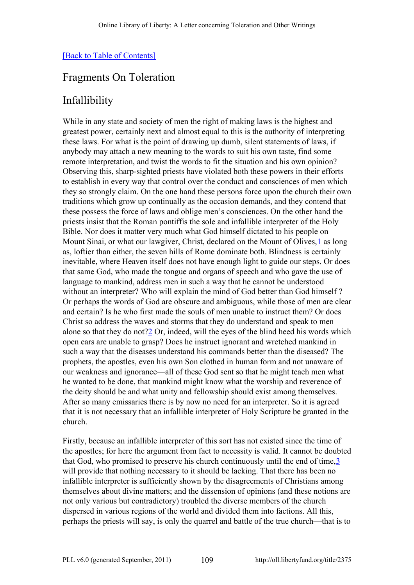#### [Back to Table of Contents]

### Fragments On Toleration

### Infallibility

While in any state and society of men the right of making laws is the highest and greatest power, certainly next and almost equal to this is the authority of interpreting these laws. For what is the point of drawing up dumb, silent statements of laws, if anybody may attach a new meaning to the words to suit his own taste, find some remote interpretation, and twist the words to fit the situation and his own opinion? Observing this, sharp-sighted priests have violated both these powers in their efforts to establish in every way that control over the conduct and consciences of men which they so strongly claim. On the one hand these persons force upon the church their own traditions which grow up continually as the occasion demands, and they contend that these possess the force of laws and oblige men's consciences. On the other hand the priests insist that the Roman pontiffis the sole and infallible interpreter of the Holy Bible. Nor does it matter very much what God himself dictated to his people on Mount Sinai, or what our lawgiver, Christ, declared on the Mount of Olives,[1](#page-163-0) as long as, loftier than either, the seven hills of Rome dominate both. Blindness is certainly inevitable, where Heaven itself does not have enough light to guide our steps. Or does that same God, who made the tongue and organs of speech and who gave the use of language to mankind, address men in such a way that he cannot be understood without an interpreter? Who will explain the mind of God better than God himself ? Or perhaps the words of God are obscure and ambiguous, while those of men are clear and certain? Is he who first made the souls of men unable to instruct them? Or does Christ so address the waves and storms that they do understand and speak to men alone so that they do not?[2](#page-163-1) Or, indeed, will the eyes of the blind heed his words which open ears are unable to grasp? Does he instruct ignorant and wretched mankind in such a way that the diseases understand his commands better than the diseased? The prophets, the apostles, even his own Son clothed in human form and not unaware of our weakness and ignorance—all of these God sent so that he might teach men what he wanted to be done, that mankind might know what the worship and reverence of the deity should be and what unity and fellowship should exist among themselves. After so many emissaries there is by now no need for an interpreter. So it is agreed that it is not necessary that an infallible interpreter of Holy Scripture be granted in the church.

Firstly, because an infallible interpreter of this sort has not existed since the time of the apostles; for here the argument from fact to necessity is valid. It cannot be doubted that God, who promised to preserve his church continuously until the end of time,[3](#page-163-2) will provide that nothing necessary to it should be lacking. That there has been no infallible interpreter is sufficiently shown by the disagreements of Christians among themselves about divine matters; and the dissension of opinions (and these notions are not only various but contradictory) troubled the diverse members of the church dispersed in various regions of the world and divided them into factions. All this, perhaps the priests will say, is only the quarrel and battle of the true church—that is to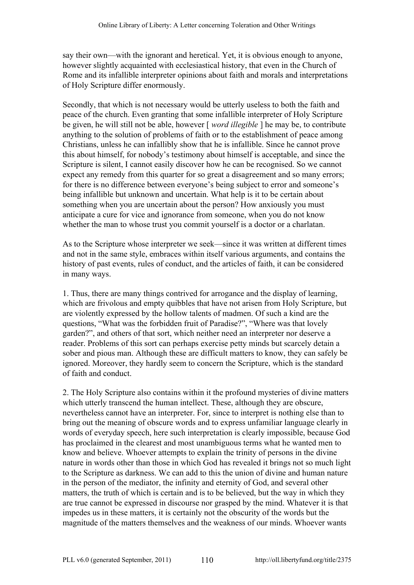say their own—with the ignorant and heretical. Yet, it is obvious enough to anyone, however slightly acquainted with ecclesiastical history, that even in the Church of Rome and its infallible interpreter opinions about faith and morals and interpretations of Holy Scripture differ enormously.

Secondly, that which is not necessary would be utterly useless to both the faith and peace of the church. Even granting that some infallible interpreter of Holy Scripture be given, he will still not be able, however [ *word illegible* ] he may be, to contribute anything to the solution of problems of faith or to the establishment of peace among Christians, unless he can infallibly show that he is infallible. Since he cannot prove this about himself, for nobody's testimony about himself is acceptable, and since the Scripture is silent, I cannot easily discover how he can be recognised. So we cannot expect any remedy from this quarter for so great a disagreement and so many errors; for there is no difference between everyone's being subject to error and someone's being infallible but unknown and uncertain. What help is it to be certain about something when you are uncertain about the person? How anxiously you must anticipate a cure for vice and ignorance from someone, when you do not know whether the man to whose trust you commit yourself is a doctor or a charlatan.

As to the Scripture whose interpreter we seek—since it was written at different times and not in the same style, embraces within itself various arguments, and contains the history of past events, rules of conduct, and the articles of faith, it can be considered in many ways.

1. Thus, there are many things contrived for arrogance and the display of learning, which are frivolous and empty quibbles that have not arisen from Holy Scripture, but are violently expressed by the hollow talents of madmen. Of such a kind are the questions, "What was the forbidden fruit of Paradise?", "Where was that lovely garden?", and others of that sort, which neither need an interpreter nor deserve a reader. Problems of this sort can perhaps exercise petty minds but scarcely detain a sober and pious man. Although these are difficult matters to know, they can safely be ignored. Moreover, they hardly seem to concern the Scripture, which is the standard of faith and conduct.

2. The Holy Scripture also contains within it the profound mysteries of divine matters which utterly transcend the human intellect. These, although they are obscure, nevertheless cannot have an interpreter. For, since to interpret is nothing else than to bring out the meaning of obscure words and to express unfamiliar language clearly in words of everyday speech, here such interpretation is clearly impossible, because God has proclaimed in the clearest and most unambiguous terms what he wanted men to know and believe. Whoever attempts to explain the trinity of persons in the divine nature in words other than those in which God has revealed it brings not so much light to the Scripture as darkness. We can add to this the union of divine and human nature in the person of the mediator, the infinity and eternity of God, and several other matters, the truth of which is certain and is to be believed, but the way in which they are true cannot be expressed in discourse nor grasped by the mind. Whatever it is that impedes us in these matters, it is certainly not the obscurity of the words but the magnitude of the matters themselves and the weakness of our minds. Whoever wants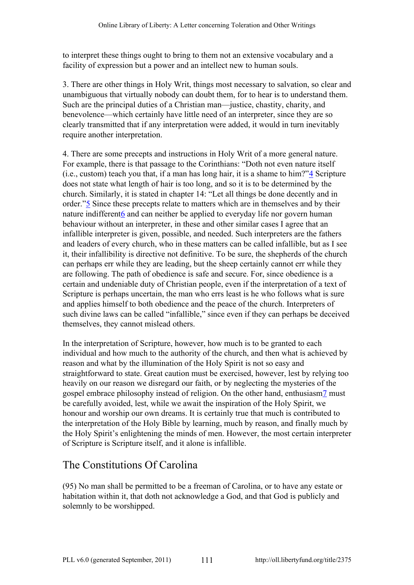to interpret these things ought to bring to them not an extensive vocabulary and a facility of expression but a power and an intellect new to human souls.

3. There are other things in Holy Writ, things most necessary to salvation, so clear and unambiguous that virtually nobody can doubt them, for to hear is to understand them. Such are the principal duties of a Christian man—justice, chastity, charity, and benevolence—which certainly have little need of an interpreter, since they are so clearly transmitted that if any interpretation were added, it would in turn inevitably require another interpretation.

4. There are some precepts and instructions in Holy Writ of a more general nature. For example, there is that passage to the Corinthians: "Doth not even nature itself (i.e., custom) teach you that, if a man has long hair, it is a shame to him?"[4](#page-163-3) Scripture does not state what length of hair is too long, and so it is to be determined by the church. Similarly, it is stated in chapter 14: "Let all things be done decently and in order."[5](#page-163-4) Since these precepts relate to matters which are in themselves and by their nature indifferent<sub>[6](#page-163-5)</sub> and can neither be applied to everyday life nor govern human behaviour without an interpreter, in these and other similar cases I agree that an infallible interpreter is given, possible, and needed. Such interpreters are the fathers and leaders of every church, who in these matters can be called infallible, but as I see it, their infallibility is directive not definitive. To be sure, the shepherds of the church can perhaps err while they are leading, but the sheep certainly cannot err while they are following. The path of obedience is safe and secure. For, since obedience is a certain and undeniable duty of Christian people, even if the interpretation of a text of Scripture is perhaps uncertain, the man who errs least is he who follows what is sure and applies himself to both obedience and the peace of the church. Interpreters of such divine laws can be called "infallible," since even if they can perhaps be deceived themselves, they cannot mislead others.

In the interpretation of Scripture, however, how much is to be granted to each individual and how much to the authority of the church, and then what is achieved by reason and what by the illumination of the Holy Spirit is not so easy and straightforward to state. Great caution must be exercised, however, lest by relying too heavily on our reason we disregard our faith, or by neglecting the mysteries of the gospel embrace philosophy instead of religion. On the other hand, enthusiasm[7](#page-163-6) must be carefully avoided, lest, while we await the inspiration of the Holy Spirit, we honour and worship our own dreams. It is certainly true that much is contributed to the interpretation of the Holy Bible by learning, much by reason, and finally much by the Holy Spirit's enlightening the minds of men. However, the most certain interpreter of Scripture is Scripture itself, and it alone is infallible.

## The Constitutions Of Carolina

(95) No man shall be permitted to be a freeman of Carolina, or to have any estate or habitation within it, that doth not acknowledge a God, and that God is publicly and solemnly to be worshipped.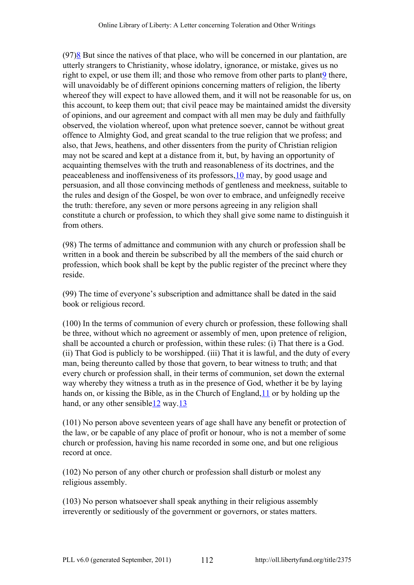(97)[8](#page-163-7) But since the natives of that place, who will be concerned in our plantation, are utterly strangers to Christianity, whose idolatry, ignorance, or mistake, gives us no right to expel, or use them ill; and those who remove from other parts to plant[9](#page-163-8) there, will unavoidably be of different opinions concerning matters of religion, the liberty whereof they will expect to have allowed them, and it will not be reasonable for us, on this account, to keep them out; that civil peace may be maintained amidst the diversity of opinions, and our agreement and compact with all men may be duly and faithfully observed, the violation whereof, upon what pretence soever, cannot be without great offence to Almighty God, and great scandal to the true religion that we profess; and also, that Jews, heathens, and other dissenters from the purity of Christian religion may not be scared and kept at a distance from it, but, by having an opportunity of acquainting themselves with the truth and reasonableness of its doctrines, and the peaceableness and inoffensiveness of its professors,[10](#page-163-9) may, by good usage and persuasion, and all those convincing methods of gentleness and meekness, suitable to the rules and design of the Gospel, be won over to embrace, and unfeignedly receive the truth: therefore, any seven or more persons agreeing in any religion shall constitute a church or profession, to which they shall give some name to distinguish it from others.

(98) The terms of admittance and communion with any church or profession shall be written in a book and therein be subscribed by all the members of the said church or profession, which book shall be kept by the public register of the precinct where they reside.

(99) The time of everyone's subscription and admittance shall be dated in the said book or religious record.

(100) In the terms of communion of every church or profession, these following shall be three, without which no agreement or assembly of men, upon pretence of religion, shall be accounted a church or profession, within these rules: (i) That there is a God. (ii) That God is publicly to be worshipped. (iii) That it is lawful, and the duty of every man, being thereunto called by those that govern, to bear witness to truth; and that every church or profession shall, in their terms of communion, set down the external way whereby they witness a truth as in the presence of God, whether it be by laying hands on, or kissing the Bible, as in the Church of England,[11](#page-163-10) or by holding up the hand, or any other sensible [12](#page-163-11) way.[13](#page-163-12)

(101) No person above seventeen years of age shall have any benefit or protection of the law, or be capable of any place of profit or honour, who is not a member of some church or profession, having his name recorded in some one, and but one religious record at once.

(102) No person of any other church or profession shall disturb or molest any religious assembly.

(103) No person whatsoever shall speak anything in their religious assembly irreverently or seditiously of the government or governors, or states matters.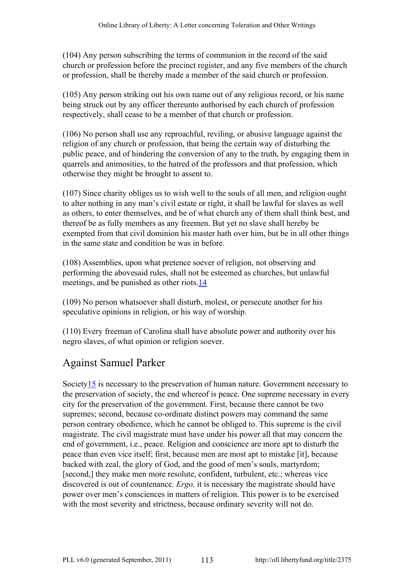(104) Any person subscribing the terms of communion in the record of the said church or profession before the precinct register, and any five members of the church or profession, shall be thereby made a member of the said church or profession.

(105) Any person striking out his own name out of any religious record, or his name being struck out by any officer thereunto authorised by each church of profession respectively, shall cease to be a member of that church or profession.

(106) No person shall use any reproachful, reviling, or abusive language against the religion of any church or profession, that being the certain way of disturbing the public peace, and of hindering the conversion of any to the truth, by engaging them in quarrels and animosities, to the hatred of the professors and that profession, which otherwise they might be brought to assent to.

(107) Since charity obliges us to wish well to the souls of all men, and religion ought to alter nothing in any man's civil estate or right, it shall be lawful for slaves as well as others, to enter themselves, and be of what church any of them shall think best, and thereof be as fully members as any freemen. But yet no slave shall hereby be exempted from that civil dominion his master hath over him, but be in all other things in the same state and condition he was in before.

(108) Assemblies, upon what pretence soever of religion, not observing and performing the abovesaid rules, shall not be esteemed as churches, but unlawful meetings, and be punished as other riots[.14](#page-163-13)

(109) No person whatsoever shall disturb, molest, or persecute another for his speculative opinions in religion, or his way of worship.

(110) Every freeman of Carolina shall have absolute power and authority over his negro slaves, of what opinion or religion soever.

# Against Samuel Parker

Society[15](#page-163-14) is necessary to the preservation of human nature. Government necessary to the preservation of society, the end whereof is peace. One supreme necessary in every city for the preservation of the government. First, because there cannot be two supremes; second, because co-ordinate distinct powers may command the same person contrary obedience, which he cannot be obliged to. This supreme is the civil magistrate. The civil magistrate must have under his power all that may concern the end of government, i.e., peace. Religion and conscience are more apt to disturb the peace than even vice itself; first, because men are most apt to mistake [it], because backed with zeal, the glory of God, and the good of men's souls, martyrdom; [second,] they make men more resolute, confident, turbulent, etc.; whereas vice discovered is out of countenance. *Ergo,* it is necessary the magistrate should have power over men's consciences in matters of religion. This power is to be exercised with the most severity and strictness, because ordinary severity will not do.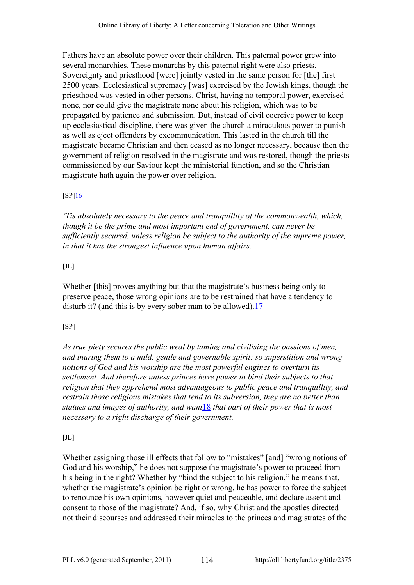Fathers have an absolute power over their children. This paternal power grew into several monarchies. These monarchs by this paternal right were also priests. Sovereignty and priesthood [were] jointly vested in the same person for [the] first 2500 years. Ecclesiastical supremacy [was] exercised by the Jewish kings, though the priesthood was vested in other persons. Christ, having no temporal power, exercised none, nor could give the magistrate none about his religion, which was to be propagated by patience and submission. But, instead of civil coercive power to keep up ecclesiastical discipline, there was given the church a miraculous power to punish as well as eject offenders by excommunication. This lasted in the church till the magistrate became Christian and then ceased as no longer necessary, because then the government of religion resolved in the magistrate and was restored, though the priests commissioned by our Saviour kept the ministerial function, and so the Christian magistrate hath again the power over religion.

#### $[SP]$ <sup>[16](#page-164-0)</sup>

*'Tis absolutely necessary to the peace and tranquillity of the commonwealth, which, though it be the prime and most important end of government, can never be sufficiently secured, unless religion be subject to the authority of the supreme power, in that it has the strongest influence upon human affairs.*

#### $[JL]$

Whether [this] proves anything but that the magistrate's business being only to preserve peace, those wrong opinions are to be restrained that have a tendency to disturb it? (and this is by every sober man to be allowed).<sup>[17](#page-164-1)</sup>

#### $[SP]$

*As true piety secures the public weal by taming and civilising the passions of men, and inuring them to a mild, gentle and governable spirit: so superstition and wrong notions of God and his worship are the most powerful engines to overturn its settlement. And therefore unless princes have power to bind their subjects to that religion that they apprehend most advantageous to public peace and tranquillity, and restrain those religious mistakes that tend to its subversion, they are no better than statues and images of authority, and want*[18](#page-164-2) *that part of their power that is most necessary to a right discharge of their government.*

#### $[JL]$

Whether assigning those ill effects that follow to "mistakes" [and] "wrong notions of God and his worship," he does not suppose the magistrate's power to proceed from his being in the right? Whether by "bind the subject to his religion," he means that, whether the magistrate's opinion be right or wrong, he has power to force the subject to renounce his own opinions, however quiet and peaceable, and declare assent and consent to those of the magistrate? And, if so, why Christ and the apostles directed not their discourses and addressed their miracles to the princes and magistrates of the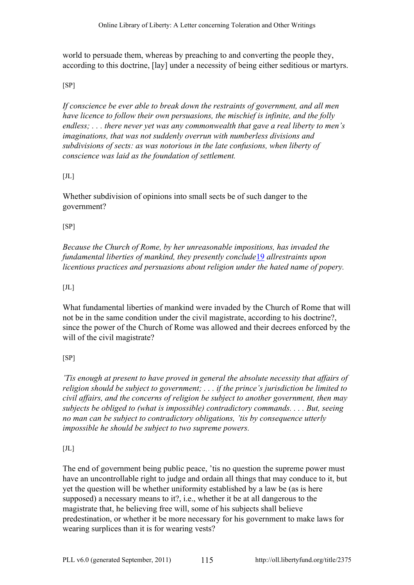world to persuade them, whereas by preaching to and converting the people they, according to this doctrine, [lay] under a necessity of being either seditious or martyrs.

### [SP]

*If conscience be ever able to break down the restraints of government, and all men have licence to follow their own persuasions, the mischief is infinite, and the folly endless; . . . there never yet was any commonwealth that gave a real liberty to men's imaginations, that was not suddenly overrun with numberless divisions and subdivisions of sects: as was notorious in the late confusions, when liberty of conscience was laid as the foundation of settlement.*

### $[JL]$

Whether subdivision of opinions into small sects be of such danger to the government?

### $[SP]$

*Because the Church of Rome, by her unreasonable impositions, has invaded the fundamental liberties of mankind, they presently conclude*[19](#page-164-3) *allrestraints upon licentious practices and persuasions about religion under the hated name of popery.*

### $[JL]$

What fundamental liberties of mankind were invaded by the Church of Rome that will not be in the same condition under the civil magistrate, according to his doctrine?, since the power of the Church of Rome was allowed and their decrees enforced by the will of the civil magistrate?

### $[SP]$

*'Tis enough at present to have proved in general the absolute necessity that affairs of religion should be subject to government; . . . if the prince's jurisdiction be limited to civil affairs, and the concerns of religion be subject to another government, then may subjects be obliged to (what is impossible) contradictory commands. . . . But, seeing no man can be subject to contradictory obligations, 'tis by consequence utterly impossible he should be subject to two supreme powers.*

### $[JL]$

The end of government being public peace, 'tis no question the supreme power must have an uncontrollable right to judge and ordain all things that may conduce to it, but yet the question will be whether uniformity established by a law be (as is here supposed) a necessary means to it?, i.e., whether it be at all dangerous to the magistrate that, he believing free will, some of his subjects shall believe predestination, or whether it be more necessary for his government to make laws for wearing surplices than it is for wearing vests?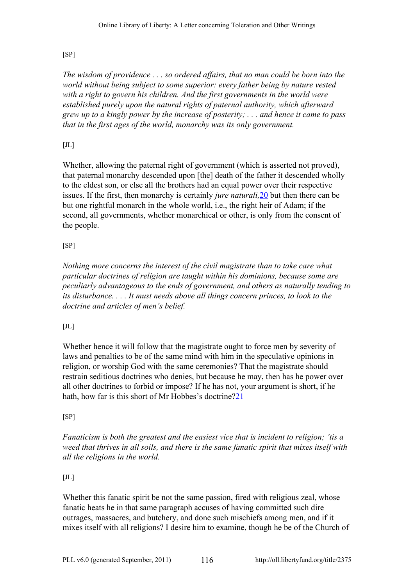### $[SP]$

*The wisdom of providence . . . so ordered affairs, that no man could be born into the world without being subject to some superior: every father being by nature vested with a right to govern his children. And the first governments in the world were established purely upon the natural rights of paternal authority, which afterward grew up to a kingly power by the increase of posterity; . . . and hence it came to pass that in the first ages of the world, monarchy was its only government.*

### $[JL]$

Whether, allowing the paternal right of government (which is asserted not proved), that paternal monarchy descended upon [the] death of the father it descended wholly to the eldest son, or else all the brothers had an equal power over their respective issues. If the first, then monarchy is certainly *jure naturali,*[20](#page-164-4) but then there can be but one rightful monarch in the whole world, i.e., the right heir of Adam; if the second, all governments, whether monarchical or other, is only from the consent of the people.

### $[SP]$

*Nothing more concerns the interest of the civil magistrate than to take care what particular doctrines of religion are taught within his dominions, because some are peculiarly advantageous to the ends of government, and others as naturally tending to its disturbance. . . . It must needs above all things concern princes, to look to the doctrine and articles of men's belief.*

### $[JL]$

Whether hence it will follow that the magistrate ought to force men by severity of laws and penalties to be of the same mind with him in the speculative opinions in religion, or worship God with the same ceremonies? That the magistrate should restrain seditious doctrines who denies, but because he may, then has he power over all other doctrines to forbid or impose? If he has not, your argument is short, if he hath, how far is this short of Mr Hobbes's doctrine?[21](#page-164-5)

### $[SP]$

*Fanaticism is both the greatest and the easiest vice that is incident to religion; 'tis a weed that thrives in all soils, and there is the same fanatic spirit that mixes itself with all the religions in the world.*

### $[JL]$

Whether this fanatic spirit be not the same passion, fired with religious zeal, whose fanatic heats he in that same paragraph accuses of having committed such dire outrages, massacres, and butchery, and done such mischiefs among men, and if it mixes itself with all religions? I desire him to examine, though he be of the Church of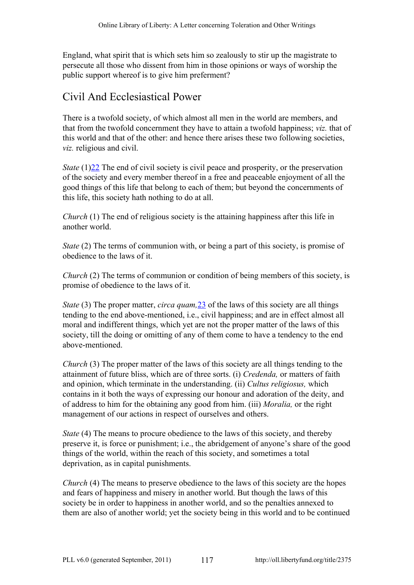England, what spirit that is which sets him so zealously to stir up the magistrate to persecute all those who dissent from him in those opinions or ways of worship the public support whereof is to give him preferment?

## Civil And Ecclesiastical Power

There is a twofold society, of which almost all men in the world are members, and that from the twofold concernment they have to attain a twofold happiness; *viz.* that of this world and that of the other: and hence there arises these two following societies, *viz.* religious and civil.

*State* (1)[22](#page-164-6) The end of civil society is civil peace and prosperity, or the preservation of the society and every member thereof in a free and peaceable enjoyment of all the good things of this life that belong to each of them; but beyond the concernments of this life, this society hath nothing to do at all.

*Church* (1) The end of religious society is the attaining happiness after this life in another world.

*State* (2) The terms of communion with, or being a part of this society, is promise of obedience to the laws of it.

*Church* (2) The terms of communion or condition of being members of this society, is promise of obedience to the laws of it.

*State* (3) The proper matter, *circa quam*, [23](#page-164-7) of the laws of this society are all things tending to the end above-mentioned, i.e., civil happiness; and are in effect almost all moral and indifferent things, which yet are not the proper matter of the laws of this society, till the doing or omitting of any of them come to have a tendency to the end above-mentioned.

*Church* (3) The proper matter of the laws of this society are all things tending to the attainment of future bliss, which are of three sorts. (i) *Credenda,* or matters of faith and opinion, which terminate in the understanding. (ii) *Cultus religiosus,* which contains in it both the ways of expressing our honour and adoration of the deity, and of address to him for the obtaining any good from him. (iii) *Moralia,* or the right management of our actions in respect of ourselves and others.

*State* (4) The means to procure obedience to the laws of this society, and thereby preserve it, is force or punishment; i.e., the abridgement of anyone's share of the good things of the world, within the reach of this society, and sometimes a total deprivation, as in capital punishments.

*Church* (4) The means to preserve obedience to the laws of this society are the hopes and fears of happiness and misery in another world. But though the laws of this society be in order to happiness in another world, and so the penalties annexed to them are also of another world; yet the society being in this world and to be continued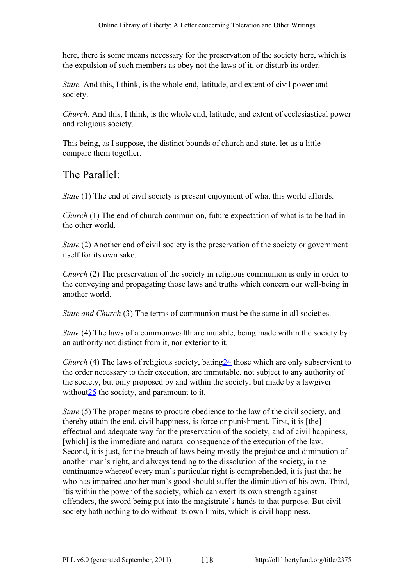here, there is some means necessary for the preservation of the society here, which is the expulsion of such members as obey not the laws of it, or disturb its order.

*State.* And this, I think, is the whole end, latitude, and extent of civil power and society.

*Church.* And this, I think, is the whole end, latitude, and extent of ecclesiastical power and religious society.

This being, as I suppose, the distinct bounds of church and state, let us a little compare them together.

# The Parallel:

*State* (1) The end of civil society is present enjoyment of what this world affords.

*Church* (1) The end of church communion, future expectation of what is to be had in the other world.

*State* (2) Another end of civil society is the preservation of the society or government itself for its own sake.

*Church* (2) The preservation of the society in religious communion is only in order to the conveying and propagating those laws and truths which concern our well-being in another world.

*State and Church* (3) The terms of communion must be the same in all societies.

*State* (4) The laws of a commonwealth are mutable, being made within the society by an authority not distinct from it, nor exterior to it.

*Church* (4) The laws of religious society, bating [24](#page-164-8) those which are only subservient to the order necessary to their execution, are immutable, not subject to any authority of the society, but only proposed by and within the society, but made by a lawgiver without [25](#page-164-9) the society, and paramount to it.

*State* (5) The proper means to procure obedience to the law of the civil society, and thereby attain the end, civil happiness, is force or punishment. First, it is [the] effectual and adequate way for the preservation of the society, and of civil happiness, [which] is the immediate and natural consequence of the execution of the law. Second, it is just, for the breach of laws being mostly the prejudice and diminution of another man's right, and always tending to the dissolution of the society, in the continuance whereof every man's particular right is comprehended, it is just that he who has impaired another man's good should suffer the diminution of his own. Third, 'tis within the power of the society, which can exert its own strength against offenders, the sword being put into the magistrate's hands to that purpose. But civil society hath nothing to do without its own limits, which is civil happiness.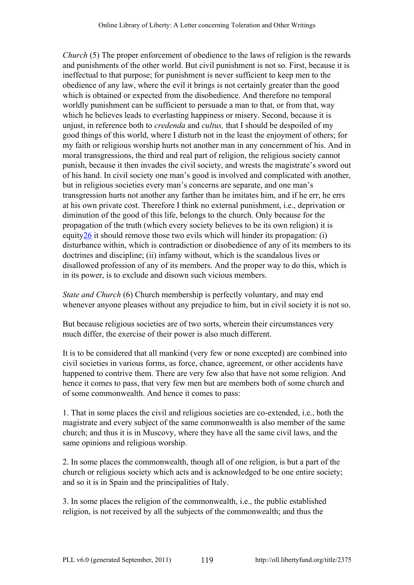*Church* (5) The proper enforcement of obedience to the laws of religion is the rewards and punishments of the other world. But civil punishment is not so. First, because it is ineffectual to that purpose; for punishment is never sufficient to keep men to the obedience of any law, where the evil it brings is not certainly greater than the good which is obtained or expected from the disobedience. And therefore no temporal worldly punishment can be sufficient to persuade a man to that, or from that, way which he believes leads to everlasting happiness or misery. Second, because it is unjust, in reference both to *credenda* and *cultus,* that I should be despoiled of my good things of this world, where I disturb not in the least the enjoyment of others; for my faith or religious worship hurts not another man in any concernment of his. And in moral transgressions, the third and real part of religion, the religious society cannot punish, because it then invades the civil society, and wrests the magistrate's sword out of his hand. In civil society one man's good is involved and complicated with another, but in religious societies every man's concerns are separate, and one man's transgression hurts not another any farther than he imitates him, and if he err, he errs at his own private cost. Therefore I think no external punishment, i.e., deprivation or diminution of the good of this life, belongs to the church. Only because for the propagation of the truth (which every society believes to be its own religion) it is equity[26](#page-164-10) it should remove those two evils which will hinder its propagation: (i) disturbance within, which is contradiction or disobedience of any of its members to its doctrines and discipline; (ii) infamy without, which is the scandalous lives or disallowed profession of any of its members. And the proper way to do this, which is in its power, is to exclude and disown such vicious members.

*State and Church* (6) Church membership is perfectly voluntary, and may end whenever anyone pleases without any prejudice to him, but in civil society it is not so.

But because religious societies are of two sorts, wherein their circumstances very much differ, the exercise of their power is also much different.

It is to be considered that all mankind (very few or none excepted) are combined into civil societies in various forms, as force, chance, agreement, or other accidents have happened to contrive them. There are very few also that have not some religion. And hence it comes to pass, that very few men but are members both of some church and of some commonwealth. And hence it comes to pass:

1. That in some places the civil and religious societies are co-extended, i.e., both the magistrate and every subject of the same commonwealth is also member of the same church; and thus it is in Muscovy, where they have all the same civil laws, and the same opinions and religious worship.

2. In some places the commonwealth, though all of one religion, is but a part of the church or religious society which acts and is acknowledged to be one entire society; and so it is in Spain and the principalities of Italy.

3. In some places the religion of the commonwealth, i.e., the public established religion, is not received by all the subjects of the commonwealth; and thus the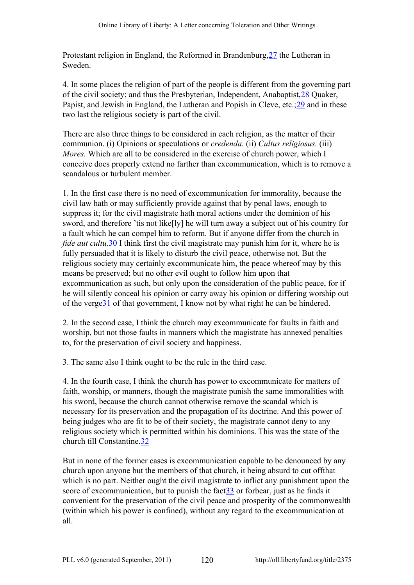Protestant religion in England, the Reformed in Brandenburg[,27](#page-164-11) the Lutheran in Sweden.

4. In some places the religion of part of the people is different from the governing part of the civil society; and thus the Presbyterian, Independent, Anabaptist,[28](#page-164-12) Quaker, Papist, and Jewish in England, the Lutheran and Popish in Cleve, etc.;[29](#page-164-13) and in these two last the religious society is part of the civil.

There are also three things to be considered in each religion, as the matter of their communion. (i) Opinions or speculations or *credenda.* (ii) *Cultus religiosus.* (iii) *Mores.* Which are all to be considered in the exercise of church power, which I conceive does properly extend no farther than excommunication, which is to remove a scandalous or turbulent member.

1. In the first case there is no need of excommunication for immorality, because the civil law hath or may sufficiently provide against that by penal laws, enough to suppress it; for the civil magistrate hath moral actions under the dominion of his sword, and therefore 'tis not like[ly] he will turn away a subject out of his country for a fault which he can compel him to reform. But if anyone differ from the church in *fide aut cultu,* [30](#page-164-14) I think first the civil magistrate may punish him for it, where he is fully persuaded that it is likely to disturb the civil peace, otherwise not. But the religious society may certainly excommunicate him, the peace whereof may by this means be preserved; but no other evil ought to follow him upon that excommunication as such, but only upon the consideration of the public peace, for if he will silently conceal his opinion or carry away his opinion or differing worship out of the verg[e31](#page-164-15) of that government, I know not by what right he can be hindered.

2. In the second case, I think the church may excommunicate for faults in faith and worship, but not those faults in manners which the magistrate has annexed penalties to, for the preservation of civil society and happiness.

3. The same also I think ought to be the rule in the third case.

4. In the fourth case, I think the church has power to excommunicate for matters of faith, worship, or manners, though the magistrate punish the same immoralities with his sword, because the church cannot otherwise remove the scandal which is necessary for its preservation and the propagation of its doctrine. And this power of being judges who are fit to be of their society, the magistrate cannot deny to any religious society which is permitted within his dominions. This was the state of the church till Constantine[.32](#page-164-16)

But in none of the former cases is excommunication capable to be denounced by any church upon anyone but the members of that church, it being absurd to cut offthat which is no part. Neither ought the civil magistrate to inflict any punishment upon the score of excommunication, but to punish the fact [33](#page-164-17) or forbear, just as he finds it convenient for the preservation of the civil peace and prosperity of the commonwealth (within which his power is confined), without any regard to the excommunication at all.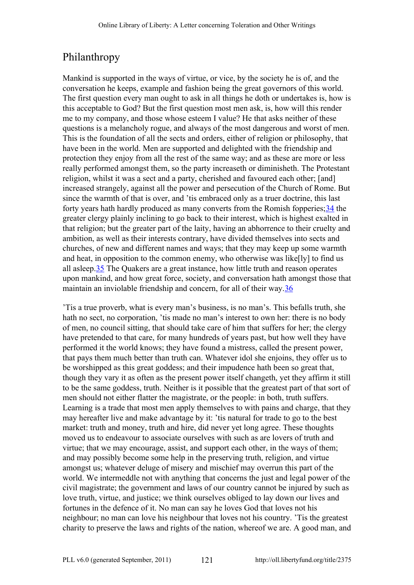# Philanthropy

Mankind is supported in the ways of virtue, or vice, by the society he is of, and the conversation he keeps, example and fashion being the great governors of this world. The first question every man ought to ask in all things he doth or undertakes is, how is this acceptable to God? But the first question most men ask, is, how will this render me to my company, and those whose esteem I value? He that asks neither of these questions is a melancholy rogue, and always of the most dangerous and worst of men. This is the foundation of all the sects and orders, either of religion or philosophy, that have been in the world. Men are supported and delighted with the friendship and protection they enjoy from all the rest of the same way; and as these are more or less really performed amongst them, so the party increaseth or diminisheth. The Protestant religion, whilst it was a sect and a party, cherished and favoured each other; [and] increased strangely, against all the power and persecution of the Church of Rome. But since the warmth of that is over, and 'tis embraced only as a truer doctrine, this last forty years hath hardly produced as many converts from the Romish fopperies; [34](#page-164-18) the greater clergy plainly inclining to go back to their interest, which is highest exalted in that religion; but the greater part of the laity, having an abhorrence to their cruelty and ambition, as well as their interests contrary, have divided themselves into sects and churches, of new and different names and ways; that they may keep up some warmth and heat, in opposition to the common enemy, who otherwise was like[ly] to find us all asleep.[35](#page-164-19) The Quakers are a great instance, how little truth and reason operates upon mankind, and how great force, society, and conversation hath amongst those that maintain an inviolable friendship and concern, for all of their way.[36](#page-165-0)

'Tis a true proverb, what is every man's business, is no man's. This befalls truth, she hath no sect, no corporation, 'tis made no man's interest to own her: there is no body of men, no council sitting, that should take care of him that suffers for her; the clergy have pretended to that care, for many hundreds of years past, but how well they have performed it the world knows; they have found a mistress, called the present power, that pays them much better than truth can. Whatever idol she enjoins, they offer us to be worshipped as this great goddess; and their impudence hath been so great that, though they vary it as often as the present power itself changeth, yet they affirm it still to be the same goddess, truth. Neither is it possible that the greatest part of that sort of men should not either flatter the magistrate, or the people: in both, truth suffers. Learning is a trade that most men apply themselves to with pains and charge, that they may hereafter live and make advantage by it: 'tis natural for trade to go to the best market: truth and money, truth and hire, did never yet long agree. These thoughts moved us to endeavour to associate ourselves with such as are lovers of truth and virtue; that we may encourage, assist, and support each other, in the ways of them; and may possibly become some help in the preserving truth, religion, and virtue amongst us; whatever deluge of misery and mischief may overrun this part of the world. We intermeddle not with anything that concerns the just and legal power of the civil magistrate; the government and laws of our country cannot be injured by such as love truth, virtue, and justice; we think ourselves obliged to lay down our lives and fortunes in the defence of it. No man can say he loves God that loves not his neighbour; no man can love his neighbour that loves not his country. 'Tis the greatest charity to preserve the laws and rights of the nation, whereof we are. A good man, and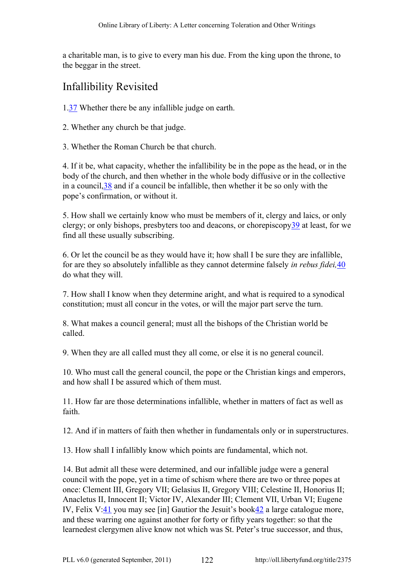a charitable man, is to give to every man his due. From the king upon the throne, to the beggar in the street.

# Infallibility Revisited

1.[37](#page-165-1) Whether there be any infallible judge on earth.

- 2. Whether any church be that judge.
- 3. Whether the Roman Church be that church.

4. If it be, what capacity, whether the infallibility be in the pope as the head, or in the body of the church, and then whether in the whole body diffusive or in the collective in a council,[38](#page-165-2) and if a council be infallible, then whether it be so only with the pope's confirmation, or without it.

5. How shall we certainly know who must be members of it, clergy and laics, or only clergy; or only bishops, presbyters too and deacons, or chorepiscopy[39](#page-165-3) at least, for we find all these usually subscribing.

6. Or let the council be as they would have it; how shall I be sure they are infallible, for are they so absolutely infallible as they cannot determine falsely *in rebus fidei,*[40](#page-165-4) do what they will.

7. How shall I know when they determine aright, and what is required to a synodical constitution; must all concur in the votes, or will the major part serve the turn.

8. What makes a council general; must all the bishops of the Christian world be called.

9. When they are all called must they all come, or else it is no general council.

10. Who must call the general council, the pope or the Christian kings and emperors, and how shall I be assured which of them must.

11. How far are those determinations infallible, whether in matters of fact as well as faith.

12. And if in matters of faith then whether in fundamentals only or in superstructures.

13. How shall I infallibly know which points are fundamental, which not.

14. But admit all these were determined, and our infallible judge were a general council with the pope, yet in a time of schism where there are two or three popes at once: Clement III, Gregory VII; Gelasius II, Gregory VIII; Celestine II, Honorius II; Anacletus II, Innocent II; Victor IV, Alexander III; Clement VII, Urban VI; Eugene IV, Felix V[:41](#page-165-5) you may see [in] Gautior the Jesuit's book[42](#page-165-6) a large catalogue more, and these warring one against another for forty or fifty years together: so that the learnedest clergymen alive know not which was St. Peter's true successor, and thus,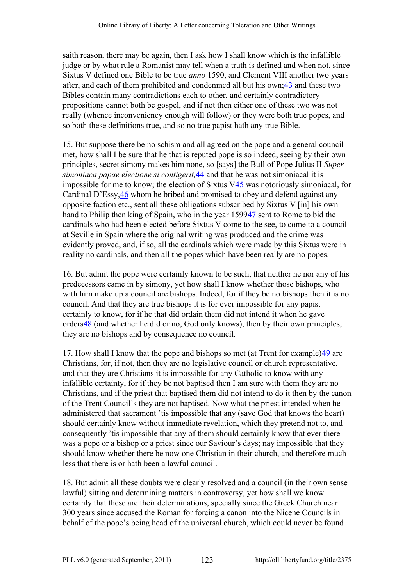saith reason, there may be again, then I ask how I shall know which is the infallible judge or by what rule a Romanist may tell when a truth is defined and when not, since Sixtus V defined one Bible to be true *anno* 1590, and Clement VIII another two years after, and each of them prohibited and condemned all but his own;[43](#page-165-7) and these two Bibles contain many contradictions each to other, and certainly contradictory propositions cannot both be gospel, and if not then either one of these two was not really (whence inconveniency enough will follow) or they were both true popes, and so both these definitions true, and so no true papist hath any true Bible.

15. But suppose there be no schism and all agreed on the pope and a general council met, how shall I be sure that he that is reputed pope is so indeed, seeing by their own principles, secret simony makes him none, so [says] the Bull of Pope Julius II *Super simoniaca papae electione si contigerit,*[44](#page-165-8) and that he was not simoniacal it is impossible for me to know; the election of Sixtus [V45](#page-165-9) was notoriously simoniacal, for Cardinal D'Essy,[46](#page-165-10) whom he bribed and promised to obey and defend against any opposite faction etc., sent all these obligations subscribed by Sixtus V [in] his own hand to Philip then king of Spain, who in the year 1599[47](#page-165-11) sent to Rome to bid the cardinals who had been elected before Sixtus V come to the see, to come to a council at Seville in Spain where the original writing was produced and the crime was evidently proved, and, if so, all the cardinals which were made by this Sixtus were in reality no cardinals, and then all the popes which have been really are no popes.

16. But admit the pope were certainly known to be such, that neither he nor any of his predecessors came in by simony, yet how shall I know whether those bishops, who with him make up a council are bishops. Indeed, for if they be no bishops then it is no council. And that they are true bishops it is for ever impossible for any papist certainly to know, for if he that did ordain them did not intend it when he gave orders[48](#page-165-12) (and whether he did or no, God only knows), then by their own principles, they are no bishops and by consequence no council.

17. How shall I know that the pope and bishops so met (at Trent for example)[49](#page-165-13) are Christians, for, if not, then they are no legislative council or church representative, and that they are Christians it is impossible for any Catholic to know with any infallible certainty, for if they be not baptised then I am sure with them they are no Christians, and if the priest that baptised them did not intend to do it then by the canon of the Trent Council's they are not baptised. Now what the priest intended when he administered that sacrament 'tis impossible that any (save God that knows the heart) should certainly know without immediate revelation, which they pretend not to, and consequently 'tis impossible that any of them should certainly know that ever there was a pope or a bishop or a priest since our Saviour's days; nay impossible that they should know whether there be now one Christian in their church, and therefore much less that there is or hath been a lawful council.

18. But admit all these doubts were clearly resolved and a council (in their own sense lawful) sitting and determining matters in controversy, yet how shall we know certainly that these are their determinations, specially since the Greek Church near 300 years since accused the Roman for forcing a canon into the Nicene Councils in behalf of the pope's being head of the universal church, which could never be found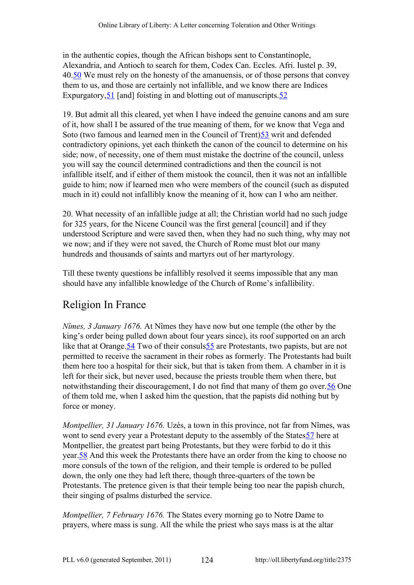in the authentic copies, though the African bishops sent to Constantinople, Alexandria, and Antioch to search for them, Codex Can. Eccles. Afri. Iustel p. 39, 40.[50](#page-165-14) We must rely on the honesty of the amanuensis, or of those persons that convey them to us, and those are certainly not infallible, and we know there are Indices Expurgatory, [51](#page-165-15) [and] foisting in and blotting out of manuscripts, 52

19. But admit all this cleared, yet when I have indeed the genuine canons and am sure of it, how shall I be assured of the true meaning of them, for we know that Vega and Soto (two famous and learned men in the Council of Trent)[53](#page-166-0) writ and defended contradictory opinions, yet each thinketh the canon of the council to determine on his side; now, of necessity, one of them must mistake the doctrine of the council, unless you will say the council determined contradictions and then the council is not infallible itself, and if either of them mistook the council, then it was not an infallible guide to him; now if learned men who were members of the council (such as disputed much in it) could not infallibly know the meaning of it, how can I who am neither.

20. What necessity of an infallible judge at all; the Christian world had no such judge for 325 years, for the Nicene Council was the first general [council] and if they understood Scripture and were saved then, when they had no such thing, why may not we now; and if they were not saved, the Church of Rome must blot our many hundreds and thousands of saints and martyrs out of her martyrology.

Till these twenty questions be infallibly resolved it seems impossible that any man should have any infallible knowledge of the Church of Rome's infallibility.

# Religion In France

*Nîmes, 3 January 1676.* At Nîmes they have now but one temple (the other by the king's order being pulled down about four years since), its roof supported on an arch like that at Orange.<sup>[54](#page-166-1)</sup> Two of their consuls<sup>[55](#page-166-2)</sup> are Protestants, two papists, but are not permitted to receive the sacrament in their robes as formerly. The Protestants had built them here too a hospital for their sick, but that is taken from them. A chamber in it is left for their sick, but never used, because the priests trouble them when there, but notwithstanding their discouragement, I do not find that many of them go over.[56](#page-166-3) One of them told me, when I asked him the question, that the papists did nothing but by force or money.

*Montpellier, 31 January 1676.* Uzès, a town in this province, not far from Nîmes, was wont to send every year a Protestant deputy to the assembly of the States[57](#page-166-4) here at Montpellier, the greatest part being Protestants, but they were forbid to do it this year.[58](#page-166-5) And this week the Protestants there have an order from the king to choose no more consuls of the town of the religion, and their temple is ordered to be pulled down, the only one they had left there, though three-quarters of the town be Protestants. The pretence given is that their temple being too near the papish church, their singing of psalms disturbed the service.

*Montpellier, 7 February 1676.* The States every morning go to Notre Dame to prayers, where mass is sung. All the while the priest who says mass is at the altar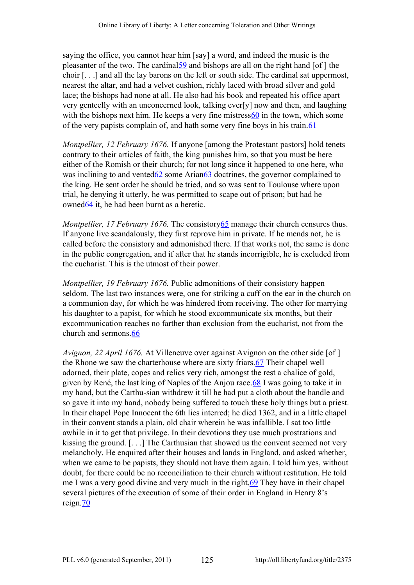saying the office, you cannot hear him [say] a word, and indeed the music is the pleasanter of the two. The cardinal[59](#page-166-6) and bishops are all on the right hand [of ] the choir [. . .] and all the lay barons on the left or south side. The cardinal sat uppermost, nearest the altar, and had a velvet cushion, richly laced with broad silver and gold lace; the bishops had none at all. He also had his book and repeated his office apart very genteelly with an unconcerned look, talking ever[y] now and then, and laughing with the bishops next him. He keeps a very fine mistress [60](#page-166-7) in the town, which some of the very papists complain of, and hath some very fine boys in his train[.61](#page-166-8)

*Montpellier, 12 February 1676.* If anyone [among the Protestant pastors] hold tenets contrary to their articles of faith, the king punishes him, so that you must be here either of the Romish or their church; for not long since it happened to one here, who was inclining to and vented[62](#page-166-9) some Arian<sub>[63](#page-166-10)</sub> doctrines, the governor complained to the king. He sent order he should be tried, and so was sent to Toulouse where upon trial, he denying it utterly, he was permitted to scape out of prison; but had he owned[64](#page-166-11) it, he had been burnt as a heretic.

*Montpellier, 17 February 1676.* The consistory [65](#page-166-12) manage their church censures thus. If anyone live scandalously, they first reprove him in private. If he mends not, he is called before the consistory and admonished there. If that works not, the same is done in the public congregation, and if after that he stands incorrigible, he is excluded from the eucharist. This is the utmost of their power.

*Montpellier, 19 February 1676.* Public admonitions of their consistory happen seldom. The last two instances were, one for striking a cuff on the ear in the church on a communion day, for which he was hindered from receiving. The other for marrying his daughter to a papist, for which he stood excommunicate six months, but their excommunication reaches no farther than exclusion from the eucharist, not from the church and sermons.[66](#page-166-13)

*Avignon, 22 April 1676.* At Villeneuve over against Avignon on the other side [of ] the Rhone we saw the charterhouse where are sixty friars.[67](#page-166-14) Their chapel well adorned, their plate, copes and relics very rich, amongst the rest a chalice of gold, given by René, the last king of Naples of the Anjou race.[68](#page-166-15) I was going to take it in my hand, but the Carthu-sian withdrew it till he had put a cloth about the handle and so gave it into my hand, nobody being suffered to touch these holy things but a priest. In their chapel Pope Innocent the 6th lies interred; he died 1362, and in a little chapel in their convent stands a plain, old chair wherein he was infallible. I sat too little awhile in it to get that privilege. In their devotions they use much prostrations and kissing the ground. [. . .] The Carthusian that showed us the convent seemed not very melancholy. He enquired after their houses and lands in England, and asked whether, when we came to be papists, they should not have them again. I told him yes, without doubt, for there could be no reconciliation to their church without restitution. He told me I was a very good divine and very much in the right.[69](#page-166-16) They have in their chapel several pictures of the execution of some of their order in England in Henry 8's reign.[70](#page-166-17)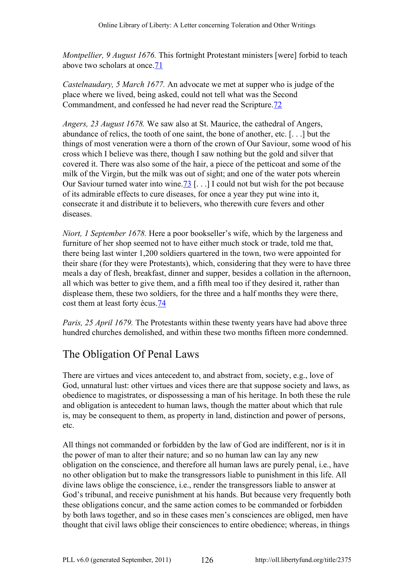*Montpellier, 9 August 1676.* This fortnight Protestant ministers [were] forbid to teach above two scholars at once[.71](#page-166-18)

*Castelnaudary, 5 March 1677.* An advocate we met at supper who is judge of the place where we lived, being asked, could not tell what was the Second Commandment, and confessed he had never read the Scripture.[72](#page-167-0)

*Angers, 23 August 1678.* We saw also at St. Maurice, the cathedral of Angers, abundance of relics, the tooth of one saint, the bone of another, etc. [. . .] but the things of most veneration were a thorn of the crown of Our Saviour, some wood of his cross which I believe was there, though I saw nothing but the gold and silver that covered it. There was also some of the hair, a piece of the petticoat and some of the milk of the Virgin, but the milk was out of sight; and one of the water pots wherein Our Saviour turned water into wine[.73](#page-167-1) [. . .] I could not but wish for the pot because of its admirable effects to cure diseases, for once a year they put wine into it, consecrate it and distribute it to believers, who therewith cure fevers and other diseases.

*Niort, 1 September 1678.* Here a poor bookseller's wife, which by the largeness and furniture of her shop seemed not to have either much stock or trade, told me that, there being last winter 1,200 soldiers quartered in the town, two were appointed for their share (for they were Protestants), which, considering that they were to have three meals a day of flesh, breakfast, dinner and supper, besides a collation in the afternoon, all which was better to give them, and a fifth meal too if they desired it, rather than displease them, these two soldiers, for the three and a half months they were there, cost them at least forty écus.[74](#page-167-2)

*Paris, 25 April 1679.* The Protestants within these twenty years have had above three hundred churches demolished, and within these two months fifteen more condemned.

# The Obligation Of Penal Laws

There are virtues and vices antecedent to, and abstract from, society, e.g., love of God, unnatural lust: other virtues and vices there are that suppose society and laws, as obedience to magistrates, or dispossessing a man of his heritage. In both these the rule and obligation is antecedent to human laws, though the matter about which that rule is, may be consequent to them, as property in land, distinction and power of persons, etc.

All things not commanded or forbidden by the law of God are indifferent, nor is it in the power of man to alter their nature; and so no human law can lay any new obligation on the conscience, and therefore all human laws are purely penal, i.e., have no other obligation but to make the transgressors liable to punishment in this life. All divine laws oblige the conscience, i.e., render the transgressors liable to answer at God's tribunal, and receive punishment at his hands. But because very frequently both these obligations concur, and the same action comes to be commanded or forbidden by both laws together, and so in these cases men's consciences are obliged, men have thought that civil laws oblige their consciences to entire obedience; whereas, in things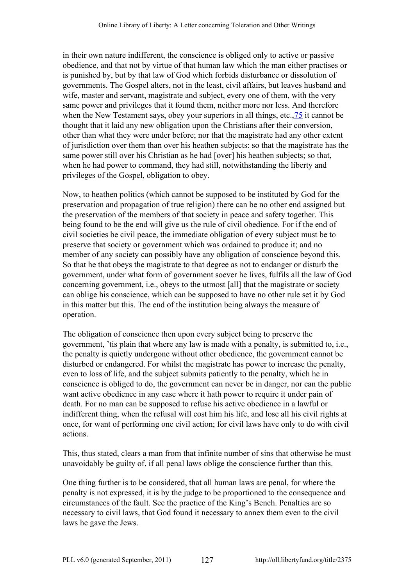in their own nature indifferent, the conscience is obliged only to active or passive obedience, and that not by virtue of that human law which the man either practises or is punished by, but by that law of God which forbids disturbance or dissolution of governments. The Gospel alters, not in the least, civil affairs, but leaves husband and wife, master and servant, magistrate and subject, every one of them, with the very same power and privileges that it found them, neither more nor less. And therefore when the New Testament says, obey your superiors in all things, etc.,[75](#page-167-3) it cannot be thought that it laid any new obligation upon the Christians after their conversion, other than what they were under before; nor that the magistrate had any other extent of jurisdiction over them than over his heathen subjects: so that the magistrate has the same power still over his Christian as he had [over] his heathen subjects; so that, when he had power to command, they had still, notwithstanding the liberty and privileges of the Gospel, obligation to obey.

Now, to heathen politics (which cannot be supposed to be instituted by God for the preservation and propagation of true religion) there can be no other end assigned but the preservation of the members of that society in peace and safety together. This being found to be the end will give us the rule of civil obedience. For if the end of civil societies be civil peace, the immediate obligation of every subject must be to preserve that society or government which was ordained to produce it; and no member of any society can possibly have any obligation of conscience beyond this. So that he that obeys the magistrate to that degree as not to endanger or disturb the government, under what form of government soever he lives, fulfils all the law of God concerning government, i.e., obeys to the utmost [all] that the magistrate or society can oblige his conscience, which can be supposed to have no other rule set it by God in this matter but this. The end of the institution being always the measure of operation.

The obligation of conscience then upon every subject being to preserve the government, 'tis plain that where any law is made with a penalty, is submitted to, i.e., the penalty is quietly undergone without other obedience, the government cannot be disturbed or endangered. For whilst the magistrate has power to increase the penalty, even to loss of life, and the subject submits patiently to the penalty, which he in conscience is obliged to do, the government can never be in danger, nor can the public want active obedience in any case where it hath power to require it under pain of death. For no man can be supposed to refuse his active obedience in a lawful or indifferent thing, when the refusal will cost him his life, and lose all his civil rights at once, for want of performing one civil action; for civil laws have only to do with civil actions.

This, thus stated, clears a man from that infinite number of sins that otherwise he must unavoidably be guilty of, if all penal laws oblige the conscience further than this.

One thing further is to be considered, that all human laws are penal, for where the penalty is not expressed, it is by the judge to be proportioned to the consequence and circumstances of the fault. See the practice of the King's Bench. Penalties are so necessary to civil laws, that God found it necessary to annex them even to the civil laws he gave the Jews.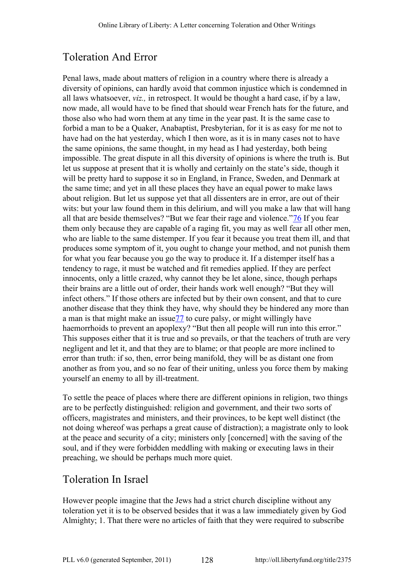# Toleration And Error

Penal laws, made about matters of religion in a country where there is already a diversity of opinions, can hardly avoid that common injustice which is condemned in all laws whatsoever, *viz.,* in retrospect. It would be thought a hard case, if by a law, now made, all would have to be fined that should wear French hats for the future, and those also who had worn them at any time in the year past. It is the same case to forbid a man to be a Quaker, Anabaptist, Presbyterian, for it is as easy for me not to have had on the hat yesterday, which I then wore, as it is in many cases not to have the same opinions, the same thought, in my head as I had yesterday, both being impossible. The great dispute in all this diversity of opinions is where the truth is. But let us suppose at present that it is wholly and certainly on the state's side, though it will be pretty hard to suppose it so in England, in France, Sweden, and Denmark at the same time; and yet in all these places they have an equal power to make laws about religion. But let us suppose yet that all dissenters are in error, are out of their wits: but your law found them in this delirium, and will you make a law that will hang all that are beside themselves? "But we fear their rage and violence."[76](#page-167-4) If you fear them only because they are capable of a raging fit, you may as well fear all other men, who are liable to the same distemper. If you fear it because you treat them ill, and that produces some symptom of it, you ought to change your method, and not punish them for what you fear because you go the way to produce it. If a distemper itself has a tendency to rage, it must be watched and fit remedies applied. If they are perfect innocents, only a little crazed, why cannot they be let alone, since, though perhaps their brains are a little out of order, their hands work well enough? "But they will infect others." If those others are infected but by their own consent, and that to cure another disease that they think they have, why should they be hindered any more than a man is that might make an issu[e77](#page-167-5) to cure palsy, or might willingly have haemorrhoids to prevent an apoplexy? "But then all people will run into this error." This supposes either that it is true and so prevails, or that the teachers of truth are very negligent and let it, and that they are to blame; or that people are more inclined to error than truth: if so, then, error being manifold, they will be as distant one from another as from you, and so no fear of their uniting, unless you force them by making yourself an enemy to all by ill-treatment.

To settle the peace of places where there are different opinions in religion, two things are to be perfectly distinguished: religion and government, and their two sorts of officers, magistrates and ministers, and their provinces, to be kept well distinct (the not doing whereof was perhaps a great cause of distraction); a magistrate only to look at the peace and security of a city; ministers only [concerned] with the saving of the soul, and if they were forbidden meddling with making or executing laws in their preaching, we should be perhaps much more quiet.

### Toleration In Israel

However people imagine that the Jews had a strict church discipline without any toleration yet it is to be observed besides that it was a law immediately given by God Almighty; 1. That there were no articles of faith that they were required to subscribe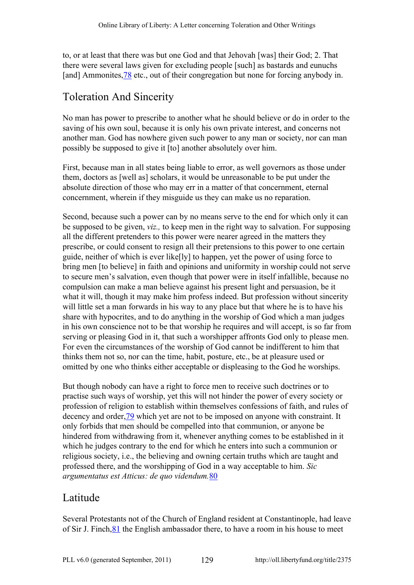to, or at least that there was but one God and that Jehovah [was] their God; 2. That there were several laws given for excluding people [such] as bastards and eunuchs [and] Ammonites, 78 etc., out of their congregation but none for forcing anybody in.

## Toleration And Sincerity

No man has power to prescribe to another what he should believe or do in order to the saving of his own soul, because it is only his own private interest, and concerns not another man. God has nowhere given such power to any man or society, nor can man possibly be supposed to give it [to] another absolutely over him.

First, because man in all states being liable to error, as well governors as those under them, doctors as [well as] scholars, it would be unreasonable to be put under the absolute direction of those who may err in a matter of that concernment, eternal concernment, wherein if they misguide us they can make us no reparation.

Second, because such a power can by no means serve to the end for which only it can be supposed to be given, *viz.,* to keep men in the right way to salvation. For supposing all the different pretenders to this power were nearer agreed in the matters they prescribe, or could consent to resign all their pretensions to this power to one certain guide, neither of which is ever like[ly] to happen, yet the power of using force to bring men [to believe] in faith and opinions and uniformity in worship could not serve to secure men's salvation, even though that power were in itself infallible, because no compulsion can make a man believe against his present light and persuasion, be it what it will, though it may make him profess indeed. But profession without sincerity will little set a man forwards in his way to any place but that where he is to have his share with hypocrites, and to do anything in the worship of God which a man judges in his own conscience not to be that worship he requires and will accept, is so far from serving or pleasing God in it, that such a worshipper affronts God only to please men. For even the circumstances of the worship of God cannot be indifferent to him that thinks them not so, nor can the time, habit, posture, etc., be at pleasure used or omitted by one who thinks either acceptable or displeasing to the God he worships.

But though nobody can have a right to force men to receive such doctrines or to practise such ways of worship, yet this will not hinder the power of every society or profession of religion to establish within themselves confessions of faith, and rules of decency and order,[79](#page-167-7) which yet are not to be imposed on anyone with constraint. It only forbids that men should be compelled into that communion, or anyone be hindered from withdrawing from it, whenever anything comes to be established in it which he judges contrary to the end for which he enters into such a communion or religious society, i.e., the believing and owning certain truths which are taught and professed there, and the worshipping of God in a way acceptable to him. *Sic argumentatus est Atticus: de quo videndum.*[80](#page-167-8)

## Latitude

Several Protestants not of the Church of England resident at Constantinople, had leave of Sir J. Finch,[81](#page-167-9) the English ambassador there, to have a room in his house to meet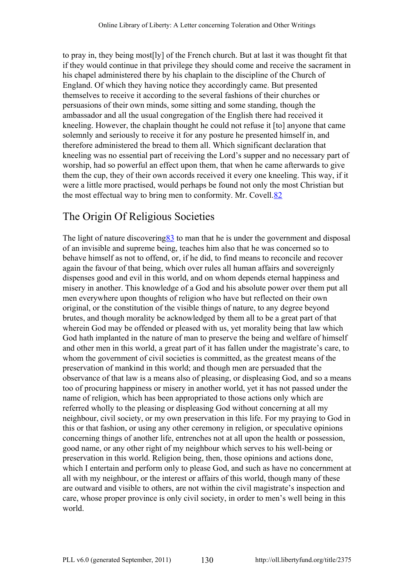to pray in, they being most[ly] of the French church. But at last it was thought fit that if they would continue in that privilege they should come and receive the sacrament in his chapel administered there by his chaplain to the discipline of the Church of England. Of which they having notice they accordingly came. But presented themselves to receive it according to the several fashions of their churches or persuasions of their own minds, some sitting and some standing, though the ambassador and all the usual congregation of the English there had received it kneeling. However, the chaplain thought he could not refuse it [to] anyone that came solemnly and seriously to receive it for any posture he presented himself in, and therefore administered the bread to them all. Which significant declaration that kneeling was no essential part of receiving the Lord's supper and no necessary part of worship, had so powerful an effect upon them, that when he came afterwards to give them the cup, they of their own accords received it every one kneeling. This way, if it were a little more practised, would perhaps be found not only the most Christian but the most effectual way to bring men to conformity. Mr. Covell.[82](#page-167-10)

## The Origin Of Religious Societies

The light of nature discovering [83](#page-167-11) to man that he is under the government and disposal of an invisible and supreme being, teaches him also that he was concerned so to behave himself as not to offend, or, if he did, to find means to reconcile and recover again the favour of that being, which over rules all human affairs and sovereignly dispenses good and evil in this world, and on whom depends eternal happiness and misery in another. This knowledge of a God and his absolute power over them put all men everywhere upon thoughts of religion who have but reflected on their own original, or the constitution of the visible things of nature, to any degree beyond brutes, and though morality be acknowledged by them all to be a great part of that wherein God may be offended or pleased with us, yet morality being that law which God hath implanted in the nature of man to preserve the being and welfare of himself and other men in this world, a great part of it has fallen under the magistrate's care, to whom the government of civil societies is committed, as the greatest means of the preservation of mankind in this world; and though men are persuaded that the observance of that law is a means also of pleasing, or displeasing God, and so a means too of procuring happiness or misery in another world, yet it has not passed under the name of religion, which has been appropriated to those actions only which are referred wholly to the pleasing or displeasing God without concerning at all my neighbour, civil society, or my own preservation in this life. For my praying to God in this or that fashion, or using any other ceremony in religion, or speculative opinions concerning things of another life, entrenches not at all upon the health or possession, good name, or any other right of my neighbour which serves to his well-being or preservation in this world. Religion being, then, those opinions and actions done, which I entertain and perform only to please God, and such as have no concernment at all with my neighbour, or the interest or affairs of this world, though many of these are outward and visible to others, are not within the civil magistrate's inspection and care, whose proper province is only civil society, in order to men's well being in this world.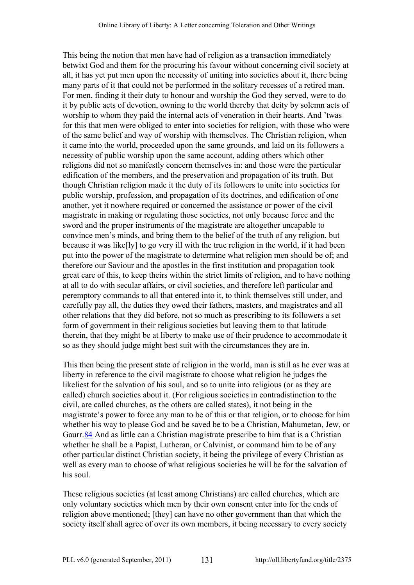This being the notion that men have had of religion as a transaction immediately betwixt God and them for the procuring his favour without concerning civil society at all, it has yet put men upon the necessity of uniting into societies about it, there being many parts of it that could not be performed in the solitary recesses of a retired man. For men, finding it their duty to honour and worship the God they served, were to do it by public acts of devotion, owning to the world thereby that deity by solemn acts of worship to whom they paid the internal acts of veneration in their hearts. And 'twas for this that men were obliged to enter into societies for religion, with those who were of the same belief and way of worship with themselves. The Christian religion, when it came into the world, proceeded upon the same grounds, and laid on its followers a necessity of public worship upon the same account, adding others which other religions did not so manifestly concern themselves in: and those were the particular edification of the members, and the preservation and propagation of its truth. But though Christian religion made it the duty of its followers to unite into societies for public worship, profession, and propagation of its doctrines, and edification of one another, yet it nowhere required or concerned the assistance or power of the civil magistrate in making or regulating those societies, not only because force and the sword and the proper instruments of the magistrate are altogether uncapable to convince men's minds, and bring them to the belief of the truth of any religion, but because it was like[ly] to go very ill with the true religion in the world, if it had been put into the power of the magistrate to determine what religion men should be of; and therefore our Saviour and the apostles in the first institution and propagation took great care of this, to keep theirs within the strict limits of religion, and to have nothing at all to do with secular affairs, or civil societies, and therefore left particular and peremptory commands to all that entered into it, to think themselves still under, and carefully pay all, the duties they owed their fathers, masters, and magistrates and all other relations that they did before, not so much as prescribing to its followers a set form of government in their religious societies but leaving them to that latitude therein, that they might be at liberty to make use of their prudence to accommodate it so as they should judge might best suit with the circumstances they are in.

This then being the present state of religion in the world, man is still as he ever was at liberty in reference to the civil magistrate to choose what religion he judges the likeliest for the salvation of his soul, and so to unite into religious (or as they are called) church societies about it. (For religious societies in contradistinction to the civil, are called churches, as the others are called states), it not being in the magistrate's power to force any man to be of this or that religion, or to choose for him whether his way to please God and be saved be to be a Christian, Mahumetan, Jew, or Gaurr.[84](#page-167-12) And as little can a Christian magistrate prescribe to him that is a Christian whether he shall be a Papist, Lutheran, or Calvinist, or command him to be of any other particular distinct Christian society, it being the privilege of every Christian as well as every man to choose of what religious societies he will be for the salvation of his soul.

These religious societies (at least among Christians) are called churches, which are only voluntary societies which men by their own consent enter into for the ends of religion above mentioned; [they] can have no other government than that which the society itself shall agree of over its own members, it being necessary to every society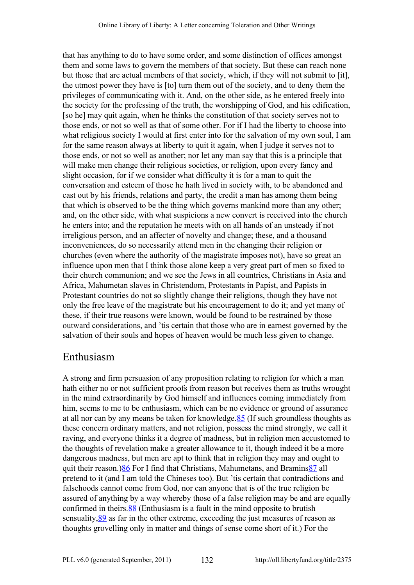that has anything to do to have some order, and some distinction of offices amongst them and some laws to govern the members of that society. But these can reach none but those that are actual members of that society, which, if they will not submit to [it], the utmost power they have is [to] turn them out of the society, and to deny them the privileges of communicating with it. And, on the other side, as he entered freely into the society for the professing of the truth, the worshipping of God, and his edification, [so he] may quit again, when he thinks the constitution of that society serves not to those ends, or not so well as that of some other. For if I had the liberty to choose into what religious society I would at first enter into for the salvation of my own soul, I am for the same reason always at liberty to quit it again, when I judge it serves not to those ends, or not so well as another; nor let any man say that this is a principle that will make men change their religious societies, or religion, upon every fancy and slight occasion, for if we consider what difficulty it is for a man to quit the conversation and esteem of those he hath lived in society with, to be abandoned and cast out by his friends, relations and party, the credit a man has among them being that which is observed to be the thing which governs mankind more than any other; and, on the other side, with what suspicions a new convert is received into the church he enters into; and the reputation he meets with on all hands of an unsteady if not irreligious person, and an affecter of novelty and change; these, and a thousand inconveniences, do so necessarily attend men in the changing their religion or churches (even where the authority of the magistrate imposes not), have so great an influence upon men that I think those alone keep a very great part of men so fixed to their church communion; and we see the Jews in all countries, Christians in Asia and Africa, Mahumetan slaves in Christendom, Protestants in Papist, and Papists in Protestant countries do not so slightly change their religions, though they have not only the free leave of the magistrate but his encouragement to do it; and yet many of these, if their true reasons were known, would be found to be restrained by those outward considerations, and 'tis certain that those who are in earnest governed by the salvation of their souls and hopes of heaven would be much less given to change.

### Enthusiasm

A strong and firm persuasion of any proposition relating to religion for which a man hath either no or not sufficient proofs from reason but receives them as truths wrought in the mind extraordinarily by God himself and influences coming immediately from him, seems to me to be enthusiasm, which can be no evidence or ground of assurance at all nor can by any means be taken for knowledge[.85](#page-167-13) (If such groundless thoughts as these concern ordinary matters, and not religion, possess the mind strongly, we call it raving, and everyone thinks it a degree of madness, but in religion men accustomed to the thoughts of revelation make a greater allowance to it, though indeed it be a more dangerous madness, but men are apt to think that in religion they may and ought to quit their reason.)[86](#page-167-14) For I find that Christians, Mahumetans, and Bramins[87](#page-167-15) all pretend to it (and I am told the Chineses too). But 'tis certain that contradictions and falsehoods cannot come from God, nor can anyone that is of the true religion be assured of anything by a way whereby those of a false religion may be and are equally confirmed in theirs[.88](#page-168-0) (Enthusiasm is a fault in the mind opposite to brutish sensuality,[89](#page-168-1) as far in the other extreme, exceeding the just measures of reason as thoughts grovelling only in matter and things of sense come short of it.) For the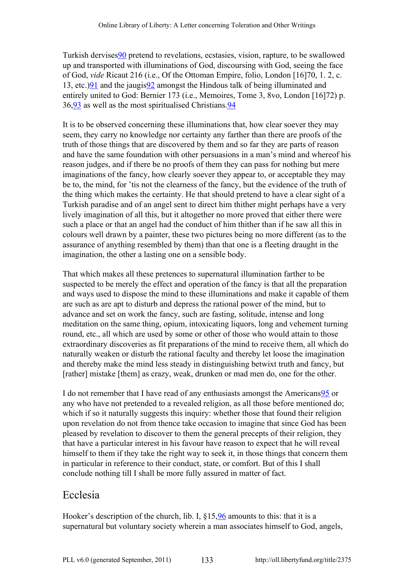Turkish dervises[90](#page-168-2) pretend to revelations, ecstasies, vision, rapture, to be swallowed up and transported with illuminations of God, discoursing with God, seeing the face of God, *vide* Ricaut 216 (i.e., Of the Ottoman Empire, folio, London [16]70, 1. 2, c. 13, etc.)[91](#page-168-3) and the jaugis[92](#page-168-4) amongst the Hindous talk of being illuminated and entirely united to God: Bernier 173 (i.e., Memoires, Tome 3, 8vo, London [16]72) p. 36,[93](#page-168-5) as well as the most spiritualised Christians.[94](#page-168-6)

It is to be observed concerning these illuminations that, how clear soever they may seem, they carry no knowledge nor certainty any farther than there are proofs of the truth of those things that are discovered by them and so far they are parts of reason and have the same foundation with other persuasions in a man's mind and whereof his reason judges, and if there be no proofs of them they can pass for nothing but mere imaginations of the fancy, how clearly soever they appear to, or acceptable they may be to, the mind, for 'tis not the clearness of the fancy, but the evidence of the truth of the thing which makes the certainty. He that should pretend to have a clear sight of a Turkish paradise and of an angel sent to direct him thither might perhaps have a very lively imagination of all this, but it altogether no more proved that either there were such a place or that an angel had the conduct of him thither than if he saw all this in colours well drawn by a painter, these two pictures being no more different (as to the assurance of anything resembled by them) than that one is a fleeting draught in the imagination, the other a lasting one on a sensible body.

That which makes all these pretences to supernatural illumination farther to be suspected to be merely the effect and operation of the fancy is that all the preparation and ways used to dispose the mind to these illuminations and make it capable of them are such as are apt to disturb and depress the rational power of the mind, but to advance and set on work the fancy, such are fasting, solitude, intense and long meditation on the same thing, opium, intoxicating liquors, long and vehement turning round, etc., all which are used by some or other of those who would attain to those extraordinary discoveries as fit preparations of the mind to receive them, all which do naturally weaken or disturb the rational faculty and thereby let loose the imagination and thereby make the mind less steady in distinguishing betwixt truth and fancy, but [rather] mistake [them] as crazy, weak, drunken or mad men do, one for the other.

I do not remember that I have read of any enthusiasts amongst the Americans[95](#page-168-7) or any who have not pretended to a revealed religion, as all those before mentioned do; which if so it naturally suggests this inquiry: whether those that found their religion upon revelation do not from thence take occasion to imagine that since God has been pleased by revelation to discover to them the general precepts of their religion, they that have a particular interest in his favour have reason to expect that he will reveal himself to them if they take the right way to seek it, in those things that concern them in particular in reference to their conduct, state, or comfort. But of this I shall conclude nothing till I shall be more fully assured in matter of fact.

### Ecclesia

Hooker's description of the church, lib. I, §15,[96](#page-168-8) amounts to this: that it is a supernatural but voluntary society wherein a man associates himself to God, angels,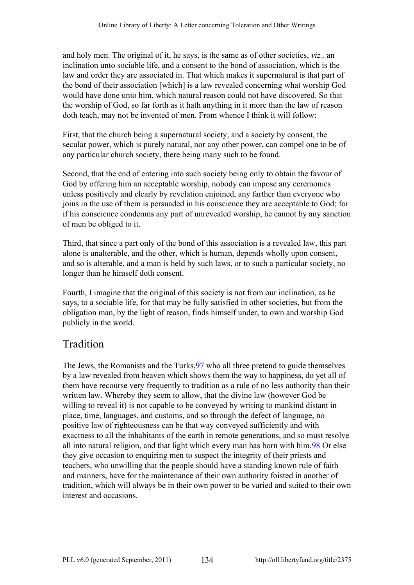and holy men. The original of it, he says, is the same as of other societies, *viz.,* an inclination unto sociable life, and a consent to the bond of association, which is the law and order they are associated in. That which makes it supernatural is that part of the bond of their association [which] is a law revealed concerning what worship God would have done unto him, which natural reason could not have discovered. So that the worship of God, so far forth as it hath anything in it more than the law of reason doth teach, may not be invented of men. From whence I think it will follow:

First, that the church being a supernatural society, and a society by consent, the secular power, which is purely natural, nor any other power, can compel one to be of any particular church society, there being many such to be found.

Second, that the end of entering into such society being only to obtain the favour of God by offering him an acceptable worship, nobody can impose any ceremonies unless positively and clearly by revelation enjoined, any farther than everyone who joins in the use of them is persuaded in his conscience they are acceptable to God; for if his conscience condemns any part of unrevealed worship, he cannot by any sanction of men be obliged to it.

Third, that since a part only of the bond of this association is a revealed law, this part alone is unalterable, and the other, which is human, depends wholly upon consent, and so is alterable, and a man is held by such laws, or to such a particular society, no longer than he himself doth consent.

Fourth, I imagine that the original of this society is not from our inclination, as he says, to a sociable life, for that may be fully satisfied in other societies, but from the obligation man, by the light of reason, finds himself under, to own and worship God publicly in the world.

### Tradition

The Jews, the Romanists and the Turks, 97 who all three pretend to guide themselves by a law revealed from heaven which shows them the way to happiness, do yet all of them have recourse very frequently to tradition as a rule of no less authority than their written law. Whereby they seem to allow, that the divine law (however God be willing to reveal it) is not capable to be conveyed by writing to mankind distant in place, time, languages, and customs, and so through the defect of language, no positive law of righteousness can be that way conveyed sufficiently and with exactness to all the inhabitants of the earth in remote generations, and so must resolve all into natural religion, and that light which every man has born with him.[98](#page-168-10) Or else they give occasion to enquiring men to suspect the integrity of their priests and teachers, who unwilling that the people should have a standing known rule of faith and manners, have for the maintenance of their own authority foisted in another of tradition, which will always be in their own power to be varied and suited to their own interest and occasions.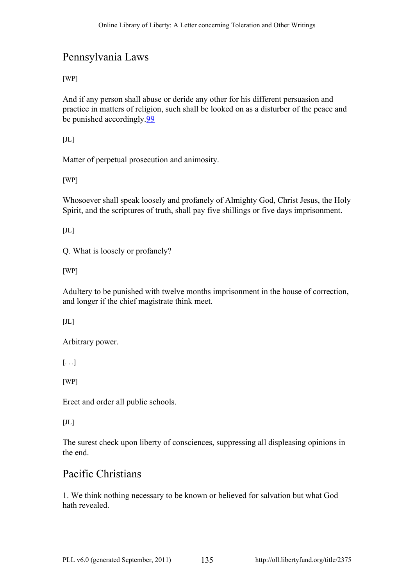# Pennsylvania Laws

[WP]

And if any person shall abuse or deride any other for his different persuasion and practice in matters of religion, such shall be looked on as a disturber of the peace and be punished accordingly[.99](#page-168-11)

 $[JL]$ 

Matter of perpetual prosecution and animosity.

[WP]

Whosoever shall speak loosely and profanely of Almighty God, Christ Jesus, the Holy Spirit, and the scriptures of truth, shall pay five shillings or five days imprisonment.

 $[\mathrm{JL}]$ 

Q. What is loosely or profanely?

[WP]

Adultery to be punished with twelve months imprisonment in the house of correction, and longer if the chief magistrate think meet.

 $[JL]$ 

Arbitrary power.

[. . .]

[WP]

Erect and order all public schools.

 $[JL]$ 

The surest check upon liberty of consciences, suppressing all displeasing opinions in the end.

## Pacific Christians

1. We think nothing necessary to be known or believed for salvation but what God hath revealed.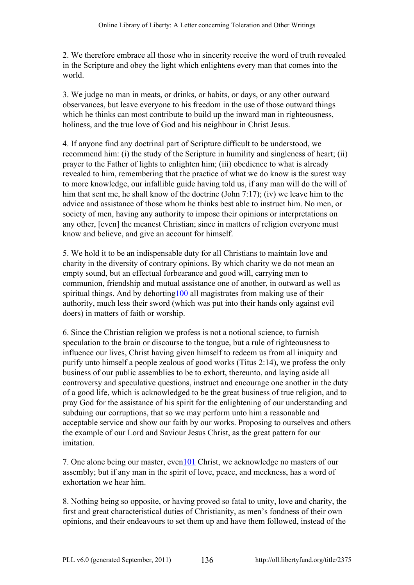2. We therefore embrace all those who in sincerity receive the word of truth revealed in the Scripture and obey the light which enlightens every man that comes into the world.

3. We judge no man in meats, or drinks, or habits, or days, or any other outward observances, but leave everyone to his freedom in the use of those outward things which he thinks can most contribute to build up the inward man in righteousness, holiness, and the true love of God and his neighbour in Christ Jesus.

4. If anyone find any doctrinal part of Scripture difficult to be understood, we recommend him: (i) the study of the Scripture in humility and singleness of heart; (ii) prayer to the Father of lights to enlighten him; (iii) obedience to what is already revealed to him, remembering that the practice of what we do know is the surest way to more knowledge, our infallible guide having told us, if any man will do the will of him that sent me, he shall know of the doctrine (John 7:17); (iv) we leave him to the advice and assistance of those whom he thinks best able to instruct him. No men, or society of men, having any authority to impose their opinions or interpretations on any other, [even] the meanest Christian; since in matters of religion everyone must know and believe, and give an account for himself.

5. We hold it to be an indispensable duty for all Christians to maintain love and charity in the diversity of contrary opinions. By which charity we do not mean an empty sound, but an effectual forbearance and good will, carrying men to communion, friendship and mutual assistance one of another, in outward as well as spiritual things. And by dehortin[g100](#page-168-12) all magistrates from making use of their authority, much less their sword (which was put into their hands only against evil doers) in matters of faith or worship.

6. Since the Christian religion we profess is not a notional science, to furnish speculation to the brain or discourse to the tongue, but a rule of righteousness to influence our lives, Christ having given himself to redeem us from all iniquity and purify unto himself a people zealous of good works (Titus 2:14), we profess the only business of our public assemblies to be to exhort, thereunto, and laying aside all controversy and speculative questions, instruct and encourage one another in the duty of a good life, which is acknowledged to be the great business of true religion, and to pray God for the assistance of his spirit for the enlightening of our understanding and subduing our corruptions, that so we may perform unto him a reasonable and acceptable service and show our faith by our works. Proposing to ourselves and others the example of our Lord and Saviour Jesus Christ, as the great pattern for our imitation.

7. One alone being our master, eve[n101](#page-168-13) Christ, we acknowledge no masters of our assembly; but if any man in the spirit of love, peace, and meekness, has a word of exhortation we hear him.

8. Nothing being so opposite, or having proved so fatal to unity, love and charity, the first and great characteristical duties of Christianity, as men's fondness of their own opinions, and their endeavours to set them up and have them followed, instead of the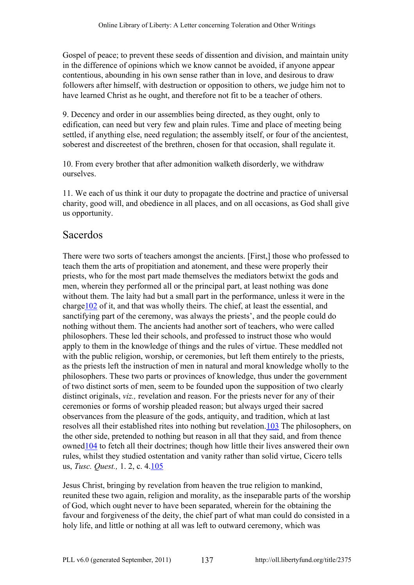Gospel of peace; to prevent these seeds of dissention and division, and maintain unity in the difference of opinions which we know cannot be avoided, if anyone appear contentious, abounding in his own sense rather than in love, and desirous to draw followers after himself, with destruction or opposition to others, we judge him not to have learned Christ as he ought, and therefore not fit to be a teacher of others.

9. Decency and order in our assemblies being directed, as they ought, only to edification, can need but very few and plain rules. Time and place of meeting being settled, if anything else, need regulation; the assembly itself, or four of the ancientest, soberest and discreetest of the brethren, chosen for that occasion, shall regulate it.

10. From every brother that after admonition walketh disorderly, we withdraw ourselves.

11. We each of us think it our duty to propagate the doctrine and practice of universal charity, good will, and obedience in all places, and on all occasions, as God shall give us opportunity.

### Sacerdos

There were two sorts of teachers amongst the ancients. [First,] those who professed to teach them the arts of propitiation and atonement, and these were properly their priests, who for the most part made themselves the mediators betwixt the gods and men, wherein they performed all or the principal part, at least nothing was done without them. The laity had but a small part in the performance, unless it were in the charge[102](#page-168-14) of it, and that was wholly theirs. The chief, at least the essential, and sanctifying part of the ceremony, was always the priests', and the people could do nothing without them. The ancients had another sort of teachers, who were called philosophers. These led their schools, and professed to instruct those who would apply to them in the knowledge of things and the rules of virtue. These meddled not with the public religion, worship, or ceremonies, but left them entirely to the priests, as the priests left the instruction of men in natural and moral knowledge wholly to the philosophers. These two parts or provinces of knowledge, thus under the government of two distinct sorts of men, seem to be founded upon the supposition of two clearly distinct originals, *viz.,* revelation and reason. For the priests never for any of their ceremonies or forms of worship pleaded reason; but always urged their sacred observances from the pleasure of the gods, antiquity, and tradition, which at last resolves all their established rites into nothing but revelation.[103](#page-168-15) The philosophers, on the other side, pretended to nothing but reason in all that they said, and from thence owned[104](#page-168-16) to fetch all their doctrines; though how little their lives answered their own rules, whilst they studied ostentation and vanity rather than solid virtue, Cicero tells us, *Tusc. Quest.,* 1. 2, c. 4.[105](#page-168-17)

Jesus Christ, bringing by revelation from heaven the true religion to mankind, reunited these two again, religion and morality, as the inseparable parts of the worship of God, which ought never to have been separated, wherein for the obtaining the favour and forgiveness of the deity, the chief part of what man could do consisted in a holy life, and little or nothing at all was left to outward ceremony, which was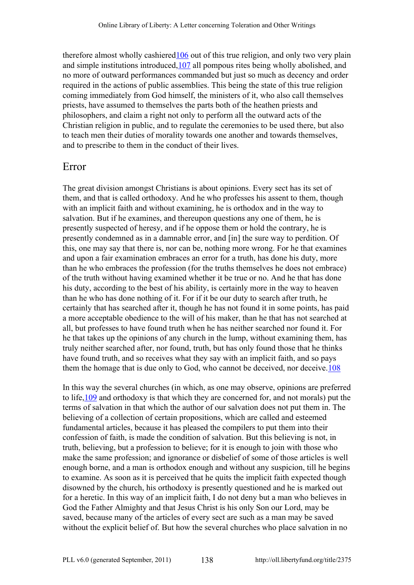therefore almost wholly cashiered[106](#page-168-18) out of this true religion, and only two very plain and simple institutions introduced,[107](#page-169-0) all pompous rites being wholly abolished, and no more of outward performances commanded but just so much as decency and order required in the actions of public assemblies. This being the state of this true religion coming immediately from God himself, the ministers of it, who also call themselves priests, have assumed to themselves the parts both of the heathen priests and philosophers, and claim a right not only to perform all the outward acts of the Christian religion in public, and to regulate the ceremonies to be used there, but also to teach men their duties of morality towards one another and towards themselves, and to prescribe to them in the conduct of their lives.

### Error

The great division amongst Christians is about opinions. Every sect has its set of them, and that is called orthodoxy. And he who professes his assent to them, though with an implicit faith and without examining, he is orthodox and in the way to salvation. But if he examines, and thereupon questions any one of them, he is presently suspected of heresy, and if he oppose them or hold the contrary, he is presently condemned as in a damnable error, and [in] the sure way to perdition. Of this, one may say that there is, nor can be, nothing more wrong. For he that examines and upon a fair examination embraces an error for a truth, has done his duty, more than he who embraces the profession (for the truths themselves he does not embrace) of the truth without having examined whether it be true or no. And he that has done his duty, according to the best of his ability, is certainly more in the way to heaven than he who has done nothing of it. For if it be our duty to search after truth, he certainly that has searched after it, though he has not found it in some points, has paid a more acceptable obedience to the will of his maker, than he that has not searched at all, but professes to have found truth when he has neither searched nor found it. For he that takes up the opinions of any church in the lump, without examining them, has truly neither searched after, nor found, truth, but has only found those that he thinks have found truth, and so receives what they say with an implicit faith, and so pays them the homage that is due only to God, who cannot be deceived, nor deceive.[108](#page-169-1)

In this way the several churches (in which, as one may observe, opinions are preferred to life[,109](#page-169-2) and orthodoxy is that which they are concerned for, and not morals) put the terms of salvation in that which the author of our salvation does not put them in. The believing of a collection of certain propositions, which are called and esteemed fundamental articles, because it has pleased the compilers to put them into their confession of faith, is made the condition of salvation. But this believing is not, in truth, believing, but a profession to believe; for it is enough to join with those who make the same profession; and ignorance or disbelief of some of those articles is well enough borne, and a man is orthodox enough and without any suspicion, till he begins to examine. As soon as it is perceived that he quits the implicit faith expected though disowned by the church, his orthodoxy is presently questioned and he is marked out for a heretic. In this way of an implicit faith, I do not deny but a man who believes in God the Father Almighty and that Jesus Christ is his only Son our Lord, may be saved, because many of the articles of every sect are such as a man may be saved without the explicit belief of. But how the several churches who place salvation in no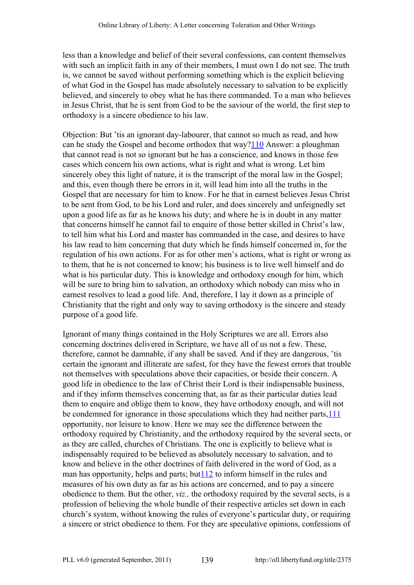less than a knowledge and belief of their several confessions, can content themselves with such an implicit faith in any of their members, I must own I do not see. The truth is, we cannot be saved without performing something which is the explicit believing of what God in the Gospel has made absolutely necessary to salvation to be explicitly believed, and sincerely to obey what he has there commanded. To a man who believes in Jesus Christ, that he is sent from God to be the saviour of the world, the first step to orthodoxy is a sincere obedience to his law.

Objection: But 'tis an ignorant day-labourer, that cannot so much as read, and how can he study the Gospel and become orthodox that way?[110](#page-169-3) Answer: a ploughman that cannot read is not so ignorant but he has a conscience, and knows in those few cases which concern his own actions, what is right and what is wrong. Let him sincerely obey this light of nature, it is the transcript of the moral law in the Gospel; and this, even though there be errors in it, will lead him into all the truths in the Gospel that are necessary for him to know. For he that in earnest believes Jesus Christ to be sent from God, to be his Lord and ruler, and does sincerely and unfeignedly set upon a good life as far as he knows his duty; and where he is in doubt in any matter that concerns himself he cannot fail to enquire of those better skilled in Christ's law. to tell him what his Lord and master has commanded in the case, and desires to have his law read to him concerning that duty which he finds himself concerned in, for the regulation of his own actions. For as for other men's actions, what is right or wrong as to them, that he is not concerned to know; his business is to live well himself and do what is his particular duty. This is knowledge and orthodoxy enough for him, which will be sure to bring him to salvation, an orthodoxy which nobody can miss who in earnest resolves to lead a good life. And, therefore, I lay it down as a principle of Christianity that the right and only way to saving orthodoxy is the sincere and steady purpose of a good life.

Ignorant of many things contained in the Holy Scriptures we are all. Errors also concerning doctrines delivered in Scripture, we have all of us not a few. These, therefore, cannot be damnable, if any shall be saved. And if they are dangerous, 'tis certain the ignorant and illiterate are safest, for they have the fewest errors that trouble not themselves with speculations above their capacities, or beside their concern. A good life in obedience to the law of Christ their Lord is their indispensable business, and if they inform themselves concerning that, as far as their particular duties lead them to enquire and oblige them to know, they have orthodoxy enough, and will not be condemned for ignorance in those speculations which they had neither parts, [111](#page-169-4) opportunity, nor leisure to know. Here we may see the difference between the orthodoxy required by Christianity, and the orthodoxy required by the several sects, or as they are called, churches of Christians. The one is explicitly to believe what is indispensably required to be believed as absolutely necessary to salvation, and to know and believe in the other doctrines of faith delivered in the word of God, as a man has opportunity, helps and parts; bu[t112](#page-169-5) to inform himself in the rules and measures of his own duty as far as his actions are concerned, and to pay a sincere obedience to them. But the other, *viz.,* the orthodoxy required by the several sects, is a profession of believing the whole bundle of their respective articles set down in each church's system, without knowing the rules of everyone's particular duty, or requiring a sincere or strict obedience to them. For they are speculative opinions, confessions of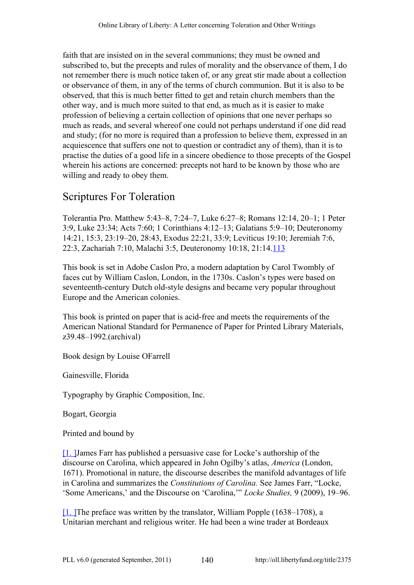faith that are insisted on in the several communions; they must be owned and subscribed to, but the precepts and rules of morality and the observance of them, I do not remember there is much notice taken of, or any great stir made about a collection or observance of them, in any of the terms of church communion. But it is also to be observed, that this is much better fitted to get and retain church members than the other way, and is much more suited to that end, as much as it is easier to make profession of believing a certain collection of opinions that one never perhaps so much as reads, and several whereof one could not perhaps understand if one did read and study; (for no more is required than a profession to believe them, expressed in an acquiescence that suffers one not to question or contradict any of them), than it is to practise the duties of a good life in a sincere obedience to those precepts of the Gospel wherein his actions are concerned: precepts not hard to be known by those who are willing and ready to obey them.

## Scriptures For Toleration

Tolerantia Pro. Matthew 5:43–8, 7:24–7, Luke 6:27–8; Romans 12:14, 20–1; 1 Peter 3:9, Luke 23:34; Acts 7:60; 1 Corinthians 4:12–13; Galatians 5:9–10; Deuteronomy 14:21, 15:3, 23:19–20, 28:43, Exodus 22:21, 33:9; Leviticus 19:10; Jeremiah 7:6, 22:3, Zachariah 7:10, Malachi 3:5, Deuteronomy 10:18, 21:14.[113](#page-169-6)

This book is set in Adobe Caslon Pro, a modern adaptation by Carol Twombly of faces cut by William Caslon, London, in the 1730s. Caslon's types were based on seventeenth-century Dutch old-style designs and became very popular throughout Europe and the American colonies.

This book is printed on paper that is acid-free and meets the requirements of the American National Standard for Permanence of Paper for Printed Library Materials, z39.48–1992.(archival)

Book design by Louise OFarrell

Gainesville, Florida

Typography by Graphic Composition, Inc.

Bogart, Georgia

Printed and bound by

[\[1.](#page-22-0) ]James Farr has published a persuasive case for Locke's authorship of the discourse on Carolina, which appeared in John Ogilby's atlas, *America* (London, 1671). Promotional in nature, the discourse describes the manifold advantages of life in Carolina and summarizes the *Constitutions of Carolina.* See James Farr, "Locke, 'Some Americans,' and the Discourse on 'Carolina,'" *Locke Studies,* 9 (2009), 19–96.

[\[1.](#page-34-0) ]The preface was written by the translator, William Popple (1638–1708), a Unitarian merchant and religious writer. He had been a wine trader at Bordeaux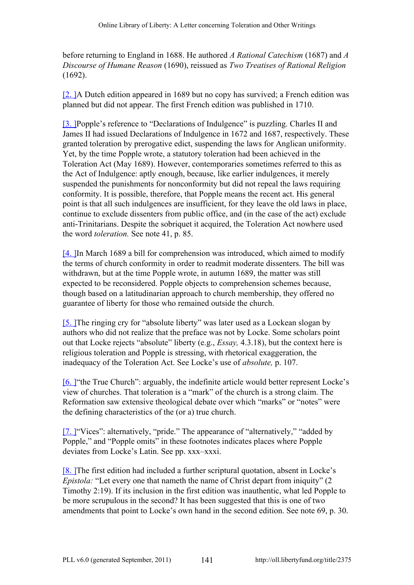before returning to England in 1688. He authored *A Rational Catechism* (1687) and *A Discourse of Humane Reason* (1690), reissued as *Two Treatises of Rational Religion* (1692).

[\[2.](#page-34-1) ]A Dutch edition appeared in 1689 but no copy has survived; a French edition was planned but did not appear. The first French edition was published in 1710.

[\[3.](#page-34-2) ]Popple's reference to "Declarations of Indulgence" is puzzling. Charles II and James II had issued Declarations of Indulgence in 1672 and 1687, respectively. These granted toleration by prerogative edict, suspending the laws for Anglican uniformity. Yet, by the time Popple wrote, a statutory toleration had been achieved in the Toleration Act (May 1689). However, contemporaries sometimes referred to this as the Act of Indulgence: aptly enough, because, like earlier indulgences, it merely suspended the punishments for nonconformity but did not repeal the laws requiring conformity. It is possible, therefore, that Popple means the recent act. His general point is that all such indulgences are insufficient, for they leave the old laws in place, continue to exclude dissenters from public office, and (in the case of the act) exclude anti-Trinitarians. Despite the sobriquet it acquired, the Toleration Act nowhere used the word *toleration.* See note 41, p. 85.

[\[4.](#page-34-2) ]In March 1689 a bill for comprehension was introduced, which aimed to modify the terms of church conformity in order to readmit moderate dissenters. The bill was withdrawn, but at the time Popple wrote, in autumn 1689, the matter was still expected to be reconsidered. Popple objects to comprehension schemes because, though based on a latitudinarian approach to church membership, they offered no guarantee of liberty for those who remained outside the church.

[\[5.](#page-34-3) ]The ringing cry for "absolute liberty" was later used as a Lockean slogan by authors who did not realize that the preface was not by Locke. Some scholars point out that Locke rejects "absolute" liberty (e.g., *Essay,* 4.3.18), but the context here is religious toleration and Popple is stressing, with rhetorical exaggeration, the inadequacy of the Toleration Act. See Locke's use of *absolute,* p. 107.

[\[6.](#page-35-0) ]"the True Church": arguably, the indefinite article would better represent Locke's view of churches. That toleration is a "mark" of the church is a strong claim. The Reformation saw extensive theological debate over which "marks" or "notes" were the defining characteristics of the (or a) true church.

[\[7.](#page-35-1) ]"Vices": alternatively, "pride." The appearance of "alternatively," "added by Popple," and "Popple omits" in these footnotes indicates places where Popple deviates from Locke's Latin. See pp. xxx–xxxi.

[\[8.](#page-35-2) ]The first edition had included a further scriptural quotation, absent in Locke's *Epistola:* "Let every one that nameth the name of Christ depart from iniquity" (2) Timothy 2:19). If its inclusion in the first edition was inauthentic, what led Popple to be more scrupulous in the second? It has been suggested that this is one of two amendments that point to Locke's own hand in the second edition. See note 69, p. 30.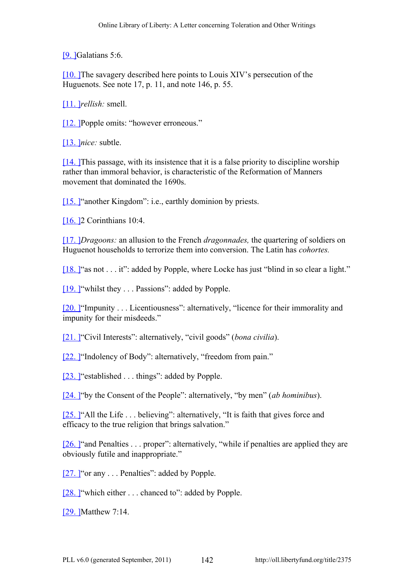[\[9.](#page-35-3) ]Galatians 5:6.

[\[10.](#page-35-4) ]The savagery described here points to Louis XIV's persecution of the Huguenots. See note 17, p. 11, and note 146, p. 55.

[\[11.](#page-36-0) ]*rellish:* smell.

[\[12.](#page-36-1) ] Popple omits: "however erroneous."

[\[13.](#page-36-2) ]*nice:* subtle.

[\[14.](#page-36-3) ]This passage, with its insistence that it is a false priority to discipline worship rather than immoral behavior, is characteristic of the Reformation of Manners movement that dominated the 1690s.

[\[15.](#page-36-4) ]"another Kingdom": i.e., earthly dominion by priests.

[\[16.](#page-36-5)] 2 Corinthians 10:4.

[\[17.](#page-37-0) ]*Dragoons:* an allusion to the French *dragonnades,* the quartering of soldiers on Huguenot households to terrorize them into conversion. The Latin has *cohortes.*

[\[18.](#page-37-1) ] "as not . . . it": added by Popple, where Locke has just "blind in so clear a light."

[\[19.](#page-37-2) ] "whilst they . . . Passions": added by Popple.

[\[20.](#page-37-3) ]"Impunity . . . Licentiousness": alternatively, "licence for their immorality and impunity for their misdeeds."

[\[21.](#page-37-4) ]"Civil Interests": alternatively, "civil goods" (*bona civilia*).

[\[22.](#page-37-5)] "Indolency of Body": alternatively, "freedom from pain."

[\[23.](#page-37-6) ] "established . . . things": added by Popple.

[\[24.](#page-38-0) ]"by the Consent of the People": alternatively, "by men" (*ab hominibus*).

[\[25.](#page-38-1) ]"All the Life . . . believing": alternatively, "It is faith that gives force and efficacy to the true religion that brings salvation."

[\[26.](#page-38-2) ] and Penalties . . . proper": alternatively, "while if penalties are applied they are obviously futile and inappropriate."

[\[27.](#page-39-0) ] or any ... Penalties": added by Popple.

[\[28.](#page-39-1) ] "which either . . . chanced to": added by Popple.

[\[29.](#page-39-2) ]Matthew 7:14.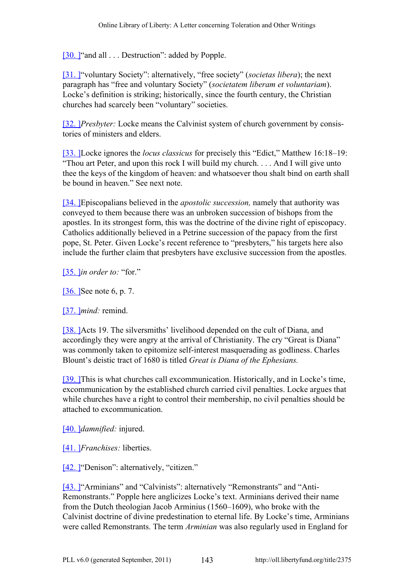[\[30.](#page-39-3) ] "and all . . . Destruction": added by Popple.

[\[31.](#page-39-4) ]"voluntary Society": alternatively, "free society" (*societas libera*); the next paragraph has "free and voluntary Society" (*societatem liberam et voluntariam*). Locke's definition is striking; historically, since the fourth century, the Christian churches had scarcely been "voluntary" societies.

[\[32.](#page-40-0) ]*Presbyter:* Locke means the Calvinist system of church government by consistories of ministers and elders.

[\[33.](#page-40-1) ]Locke ignores the *locus classicus* for precisely this "Edict," Matthew 16:18–19: "Thou art Peter, and upon this rock I will build my church. . . . And I will give unto thee the keys of the kingdom of heaven: and whatsoever thou shalt bind on earth shall be bound in heaven." See next note.

[\[34.](#page-40-2) ]Episcopalians believed in the *apostolic succession,* namely that authority was conveyed to them because there was an unbroken succession of bishops from the apostles. In its strongest form, this was the doctrine of the divine right of episcopacy. Catholics additionally believed in a Petrine succession of the papacy from the first pope, St. Peter. Given Locke's recent reference to "presbyters," his targets here also include the further claim that presbyters have exclusive succession from the apostles.

[\[35.](#page-41-0) ]*in order to:* "for."

[\[36.](#page-41-1) ]See note 6, p. 7.

[\[37.](#page-41-1) ]*mind:* remind.

[\[38.](#page-41-2) ]Acts 19. The silversmiths' livelihood depended on the cult of Diana, and accordingly they were angry at the arrival of Christianity. The cry "Great is Diana" was commonly taken to epitomize self-interest masquerading as godliness. Charles Blount's deistic tract of 1680 is titled *Great is Diana of the Ephesians.*

[\[39.](#page-41-3) ]This is what churches call excommunication. Historically, and in Locke's time, excommunication by the established church carried civil penalties. Locke argues that while churches have a right to control their membership, no civil penalties should be attached to excommunication.

[\[40.](#page-42-0) ]*damnified:* injured.

[\[41.](#page-42-1) ]*Franchises:* liberties.

[\[42.](#page-42-1) ] "Denison": alternatively, "citizen."

[\[43.](#page-42-2)] "Arminians" and "Calvinists": alternatively "Remonstrants" and "Anti-Remonstrants." Popple here anglicizes Locke's text. Arminians derived their name from the Dutch theologian Jacob Arminius (1560–1609), who broke with the Calvinist doctrine of divine predestination to eternal life. By Locke's time, Arminians were called Remonstrants. The term *Arminian* was also regularly used in England for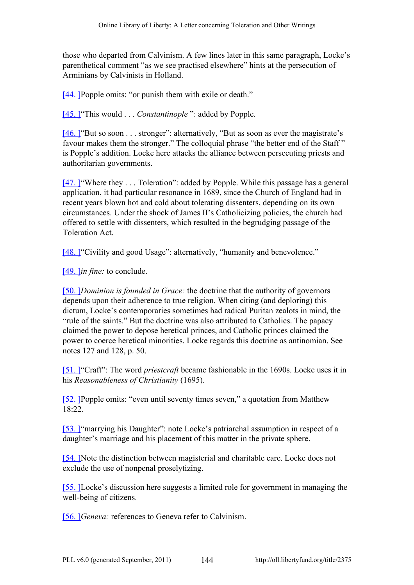those who departed from Calvinism. A few lines later in this same paragraph, Locke's parenthetical comment "as we see practised elsewhere" hints at the persecution of Arminians by Calvinists in Holland.

[\[44.](#page-42-3) ]Popple omits: "or punish them with exile or death."

[\[45.](#page-43-0) ]"This would . . . *Constantinople* ": added by Popple.

[\[46.](#page-43-1)] "But so soon . . . stronger": alternatively, "But as soon as ever the magistrate's favour makes them the stronger." The colloquial phrase "the better end of the Staff " is Popple's addition. Locke here attacks the alliance between persecuting priests and authoritarian governments.

[\[47.](#page-43-2) ]"Where they . . . Toleration": added by Popple. While this passage has a general application, it had particular resonance in 1689, since the Church of England had in recent years blown hot and cold about tolerating dissenters, depending on its own circumstances. Under the shock of James II's Catholicizing policies, the church had offered to settle with dissenters, which resulted in the begrudging passage of the Toleration Act.

[\[48.](#page-44-0) ]"Civility and good Usage": alternatively, "humanity and benevolence."

[\[49.](#page-44-1) *lin fine*: to conclude.

[\[50.](#page-44-2) ]*Dominion is founded in Grace:* the doctrine that the authority of governors depends upon their adherence to true religion. When citing (and deploring) this dictum, Locke's contemporaries sometimes had radical Puritan zealots in mind, the "rule of the saints." But the doctrine was also attributed to Catholics. The papacy claimed the power to depose heretical princes, and Catholic princes claimed the power to coerce heretical minorities. Locke regards this doctrine as antinomian. See notes 127 and 128, p. 50.

[\[51.](#page-44-3) ]"Craft": The word *priestcraft* became fashionable in the 1690s. Locke uses it in his *Reasonableness of Christianity* (1695).

[\[52.](#page-45-0) ]Popple omits: "even until seventy times seven," a quotation from Matthew 18:22.

[\[53.](#page-45-1) ]"marrying his Daughter": note Locke's patriarchal assumption in respect of a daughter's marriage and his placement of this matter in the private sphere.

[\[54.](#page-45-2) ]Note the distinction between magisterial and charitable care. Locke does not exclude the use of nonpenal proselytizing.

[\[55.](#page-45-3) ]Locke's discussion here suggests a limited role for government in managing the well-being of citizens.

[\[56.](#page-46-0) ]*Geneva:* references to Geneva refer to Calvinism.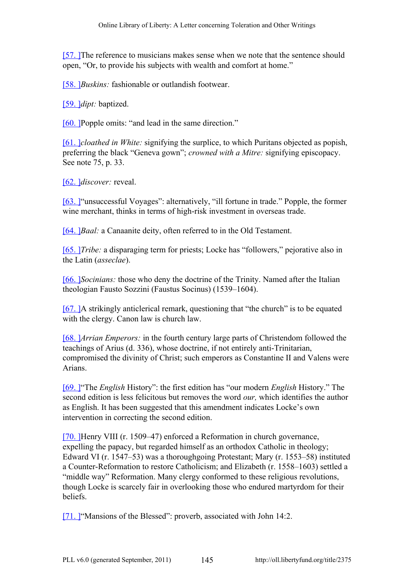[\[57.](#page-46-0) ]The reference to musicians makes sense when we note that the sentence should open, "Or, to provide his subjects with wealth and comfort at home."

[\[58.](#page-46-1) ]*Buskins:* fashionable or outlandish footwear.

[\[59.](#page-46-2) ]*dipt:* baptized.

[\[60.](#page-46-3) ]Popple omits: "and lead in the same direction."

[\[61.](#page-46-4) ]*cloathed in White:* signifying the surplice, to which Puritans objected as popish, preferring the black "Geneva gown"; *crowned with a Mitre:* signifying episcopacy. See note 75, p. 33.

[\[62.](#page-46-5) ]*discover:* reveal.

[\[63.](#page-47-0) ]"unsuccessful Voyages": alternatively, "ill fortune in trade." Popple, the former wine merchant, thinks in terms of high-risk investment in overseas trade.

[\[64.](#page-47-1) ]*Baal:* a Canaanite deity, often referred to in the Old Testament.

[\[65.](#page-47-2) ]*Tribe:* a disparaging term for priests; Locke has "followers," pejorative also in the Latin (*asseclae*).

[\[66.](#page-47-3) ]*Socinians:* those who deny the doctrine of the Trinity. Named after the Italian theologian Fausto Sozzini (Faustus Socinus) (1539–1604).

[\[67.](#page-48-0) ]A strikingly anticlerical remark, questioning that "the church" is to be equated with the clergy. Canon law is church law.

[\[68.](#page-48-1) ]*Arrian Emperors:* in the fourth century large parts of Christendom followed the teachings of Arius (d. 336), whose doctrine, if not entirely anti-Trinitarian, compromised the divinity of Christ; such emperors as Constantine II and Valens were Arians.

[\[69.](#page-48-2) ]"The *English* History": the first edition has "our modern *English* History." The second edition is less felicitous but removes the word *our,* which identifies the author as English. It has been suggested that this amendment indicates Locke's own intervention in correcting the second edition.

[\[70.](#page-48-3) ]Henry VIII (r. 1509–47) enforced a Reformation in church governance, expelling the papacy, but regarded himself as an orthodox Catholic in theology; Edward VI (r. 1547–53) was a thoroughgoing Protestant; Mary (r. 1553–58) instituted a Counter-Reformation to restore Catholicism; and Elizabeth (r. 1558–1603) settled a "middle way" Reformation. Many clergy conformed to these religious revolutions, though Locke is scarcely fair in overlooking those who endured martyrdom for their beliefs.

[\[71.](#page-48-4) ]"Mansions of the Blessed": proverb, associated with John 14:2.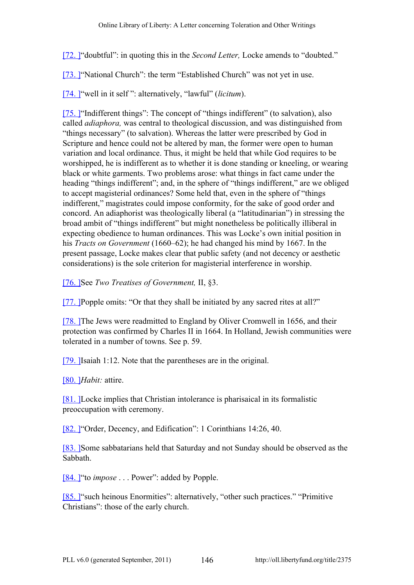[\[72.](#page-48-5) ]"doubtful": in quoting this in the *Second Letter,* Locke amends to "doubted."

[\[73.](#page-49-0) ]"National Church": the term "Established Church" was not yet in use.

[\[74.](#page-49-1) ]"well in it self ": alternatively, "lawful" (*licitum*).

[\[75.](#page-49-2) ]"Indifferent things": The concept of "things indifferent" (to salvation), also called *adiaphora,* was central to theological discussion, and was distinguished from "things necessary" (to salvation). Whereas the latter were prescribed by God in Scripture and hence could not be altered by man, the former were open to human variation and local ordinance. Thus, it might be held that while God requires to be worshipped, he is indifferent as to whether it is done standing or kneeling, or wearing black or white garments. Two problems arose: what things in fact came under the heading "things indifferent"; and, in the sphere of "things indifferent," are we obliged to accept magisterial ordinances? Some held that, even in the sphere of "things indifferent," magistrates could impose conformity, for the sake of good order and concord. An adiaphorist was theologically liberal (a "latitudinarian") in stressing the broad ambit of "things indifferent" but might nonetheless be politically illiberal in expecting obedience to human ordinances. This was Locke's own initial position in his *Tracts on Government* (1660–62); he had changed his mind by 1667. In the present passage, Locke makes clear that public safety (and not decency or aesthetic considerations) is the sole criterion for magisterial interference in worship.

[\[76.](#page-49-3) ]See *Two Treatises of Government,* II, §3.

[\[77.](#page-50-0) ]Popple omits: "Or that they shall be initiated by any sacred rites at all?"

[\[78.](#page-50-1) ]The Jews were readmitted to England by Oliver Cromwell in 1656, and their protection was confirmed by Charles II in 1664. In Holland, Jewish communities were tolerated in a number of towns. See p. 59.

[\[79.](#page-50-2) ]Isaiah 1:12. Note that the parentheses are in the original.

[\[80.](#page-51-0) ]*Habit:* attire.

[\[81.](#page-51-1) ]Locke implies that Christian intolerance is pharisaical in its formalistic preoccupation with ceremony.

[\[82.](#page-51-2) ]"Order, Decency, and Edification": 1 Corinthians 14:26, 40.

[\[83.](#page-51-3) ]Some sabbatarians held that Saturday and not Sunday should be observed as the Sabbath.

[\[84.](#page-51-4) ]"to *impose* . . . Power": added by Popple.

[\[85.](#page-51-5) ]"such heinous Enormities": alternatively, "other such practices." "Primitive Christians": those of the early church.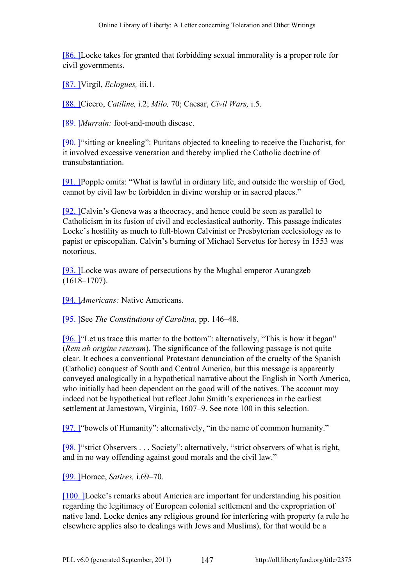[\[86.](#page-51-6) ]Locke takes for granted that forbidding sexual immorality is a proper role for civil governments.

[\[87.](#page-51-7) ]Virgil, *Eclogues,* iii.1.

[\[88.](#page-52-0) ]Cicero, *Catiline,* i.2; *Milo,* 70; Caesar, *Civil Wars,* i.5.

[\[89.](#page-52-1) ]*Murrain:* foot-and-mouth disease.

[\[90.](#page-52-2) ]"sitting or kneeling": Puritans objected to kneeling to receive the Eucharist, for it involved excessive veneration and thereby implied the Catholic doctrine of transubstantiation.

[\[91.](#page-52-3) ]Popple omits: "What is lawful in ordinary life, and outside the worship of God, cannot by civil law be forbidden in divine worship or in sacred places."

[\[92.](#page-52-4) ]Calvin's Geneva was a theocracy, and hence could be seen as parallel to Catholicism in its fusion of civil and ecclesiastical authority. This passage indicates Locke's hostility as much to full-blown Calvinist or Presbyterian ecclesiology as to papist or episcopalian. Calvin's burning of Michael Servetus for heresy in 1553 was notorious.

[\[93.](#page-52-5) ]Locke was aware of persecutions by the Mughal emperor Aurangzeb (1618–1707).

[\[94.](#page-52-6) ]*Americans:* Native Americans.

[\[95.](#page-52-7) ]See *The Constitutions of Carolina,* pp. 146–48.

[\[96.](#page-52-8) ]"Let us trace this matter to the bottom": alternatively, "This is how it began" (*Rem ab origine retexam*). The significance of the following passage is not quite clear. It echoes a conventional Protestant denunciation of the cruelty of the Spanish (Catholic) conquest of South and Central America, but this message is apparently conveyed analogically in a hypothetical narrative about the English in North America, who initially had been dependent on the good will of the natives. The account may indeed not be hypothetical but reflect John Smith's experiences in the earliest settlement at Jamestown, Virginia, 1607–9. See note 100 in this selection.

[\[97.](#page-53-0) ]"bowels of Humanity": alternatively, "in the name of common humanity."

[\[98.](#page-53-1) ]"strict Observers . . . Society": alternatively, "strict observers of what is right, and in no way offending against good morals and the civil law."

[\[99.](#page-53-2) ]Horace, *Satires,* i.69–70.

[\[100.](#page-53-3) ]Locke's remarks about America are important for understanding his position regarding the legitimacy of European colonial settlement and the expropriation of native land. Locke denies any religious ground for interfering with property (a rule he elsewhere applies also to dealings with Jews and Muslims), for that would be a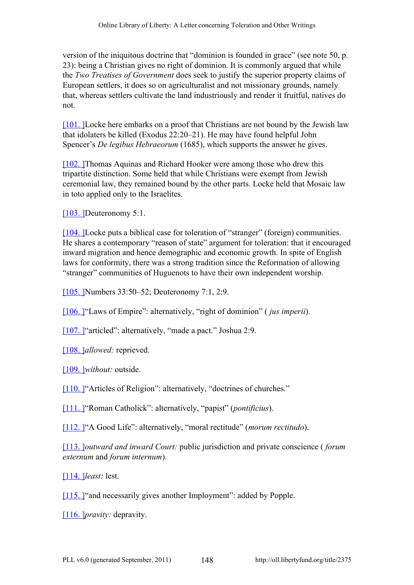version of the iniquitous doctrine that "dominion is founded in grace" (see note 50, p. 23): being a Christian gives no right of dominion. It is commonly argued that while the *Two Treatises of Government* does seek to justify the superior property claims of European settlers, it does so on agriculturalist and not missionary grounds, namely that, whereas settlers cultivate the land industriously and render it fruitful, natives do not.

[\[101.](#page-53-4) ]Locke here embarks on a proof that Christians are not bound by the Jewish law that idolaters be killed (Exodus 22:20–21). He may have found helpful John Spencer's *De legibus Hebraeorum* (1685), which supports the answer he gives.

[\[102.](#page-53-5) ]Thomas Aquinas and Richard Hooker were among those who drew this tripartite distinction. Some held that while Christians were exempt from Jewish ceremonial law, they remained bound by the other parts. Locke held that Mosaic law in toto applied only to the Israelites.

[\[103.](#page-53-6)] Deuteronomy 5:1.

[\[104.](#page-54-0) ]Locke puts a biblical case for toleration of "stranger" (foreign) communities. He shares a contemporary "reason of state" argument for toleration: that it encouraged inward migration and hence demographic and economic growth. In spite of English laws for conformity, there was a strong tradition since the Reformation of allowing "stranger" communities of Huguenots to have their own independent worship.

[\[105.](#page-54-1) ]Numbers 33:50–52; Deuteronomy 7:1, 2:9.

[\[106.](#page-54-2) ]"Laws of Empire": alternatively, "right of dominion" ( *jus imperii*).

[\[107.](#page-54-3) ]"articled": alternatively, "made a pact." Joshua 2:9.

[\[108.](#page-54-3) *]allowed:* reprieved.

[\[109.](#page-54-4) ]*without:* outside.

[\[110.](#page-55-0)] "Articles of Religion": alternatively, "doctrines of churches."

[\[111.](#page-55-1) ]"Roman Catholick": alternatively, "papist" (*pontificius*).

[\[112.](#page-56-0) ]"A Good Life": alternatively, "moral rectitude" (*morum rectitudo*).

[\[113.](#page-56-1) ]*outward and inward Court:* public jurisdiction and private conscience ( *forum externum* and *forum internum*).

[\[114.](#page-56-2) ]*least:* lest.

[\[115.](#page-56-3)] "and necessarily gives another Imployment": added by Popple.

[\[116.](#page-56-3) ]*pravity:* depravity.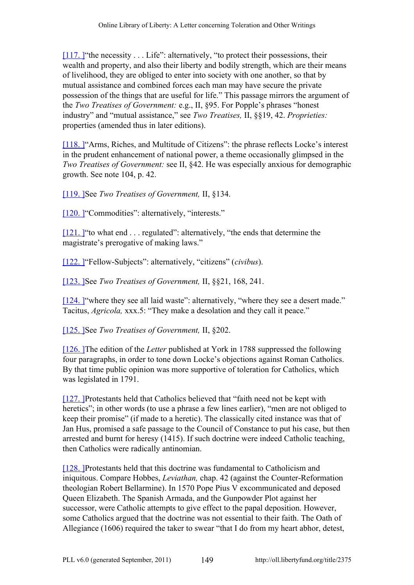[\[117.](#page-56-4)] "the necessity . . . Life": alternatively, "to protect their possessions, their wealth and property, and also their liberty and bodily strength, which are their means of livelihood, they are obliged to enter into society with one another, so that by mutual assistance and combined forces each man may have secure the private possession of the things that are useful for life." This passage mirrors the argument of the *Two Treatises of Government:* e.g., II, §95. For Popple's phrases "honest industry" and "mutual assistance," see *Two Treatises,* II, §§19, 42. *Proprieties:* properties (amended thus in later editions).

[\[118.](#page-57-0) ]"Arms, Riches, and Multitude of Citizens": the phrase reflects Locke's interest in the prudent enhancement of national power, a theme occasionally glimpsed in the *Two Treatises of Government:* see II, §42. He was especially anxious for demographic growth. See note 104, p. 42.

[\[119.](#page-57-1) ]See *Two Treatises of Government,* II, §134.

[\[120.](#page-57-2)] "Commodities": alternatively, "interests."

[\[121.](#page-57-3) ]"to what end . . . regulated": alternatively, "the ends that determine the magistrate's prerogative of making laws."

[\[122.](#page-57-4) ]"Fellow-Subjects": alternatively, "citizens" (*civibus*).

[\[123.](#page-58-0) ]See *Two Treatises of Government,* II, §§21, 168, 241.

[\[124.](#page-58-1)] "where they see all laid waste": alternatively, "where they see a desert made." Tacitus, *Agricola,* xxx.5: "They make a desolation and they call it peace."

[\[125.](#page-58-2) ]See *Two Treatises of Government,* II, §202.

[\[126.](#page-58-3) ]The edition of the *Letter* published at York in 1788 suppressed the following four paragraphs, in order to tone down Locke's objections against Roman Catholics. By that time public opinion was more supportive of toleration for Catholics, which was legislated in 1791.

[\[127.](#page-58-4) ]Protestants held that Catholics believed that "faith need not be kept with heretics"; in other words (to use a phrase a few lines earlier), "men are not obliged to keep their promise" (if made to a heretic). The classically cited instance was that of Jan Hus, promised a safe passage to the Council of Constance to put his case, but then arrested and burnt for heresy (1415). If such doctrine were indeed Catholic teaching, then Catholics were radically antinomian.

[\[128.](#page-59-0) ]Protestants held that this doctrine was fundamental to Catholicism and iniquitous. Compare Hobbes, *Leviathan,* chap. 42 (against the Counter-Reformation theologian Robert Bellarmine). In 1570 Pope Pius V excommunicated and deposed Queen Elizabeth. The Spanish Armada, and the Gunpowder Plot against her successor, were Catholic attempts to give effect to the papal deposition. However, some Catholics argued that the doctrine was not essential to their faith. The Oath of Allegiance (1606) required the taker to swear "that I do from my heart abhor, detest,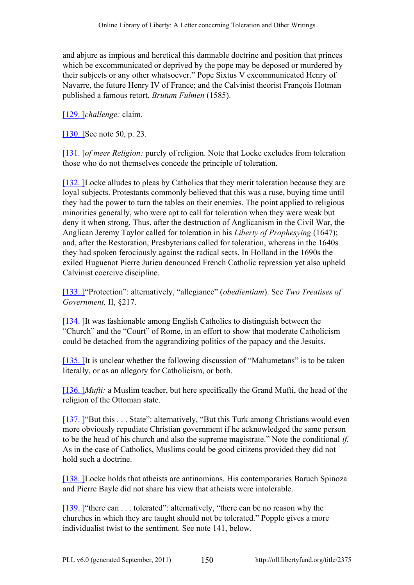and abjure as impious and heretical this damnable doctrine and position that princes which be excommunicated or deprived by the pope may be deposed or murdered by their subjects or any other whatsoever." Pope Sixtus V excommunicated Henry of Navarre, the future Henry IV of France; and the Calvinist theorist François Hotman published a famous retort, *Brutum Fulmen* (1585).

[\[129.](#page-59-1) ]*challenge:* claim.

[\[130.](#page-59-2) ]See note 50, p. 23.

[\[131.](#page-59-3) ]*of meer Religion:* purely of religion. Note that Locke excludes from toleration those who do not themselves concede the principle of toleration.

[\[132.](#page-59-4) ]Locke alludes to pleas by Catholics that they merit toleration because they are loyal subjects. Protestants commonly believed that this was a ruse, buying time until they had the power to turn the tables on their enemies. The point applied to religious minorities generally, who were apt to call for toleration when they were weak but deny it when strong. Thus, after the destruction of Anglicanism in the Civil War, the Anglican Jeremy Taylor called for toleration in his *Liberty of Prophesying* (1647); and, after the Restoration, Presbyterians called for toleration, whereas in the 1640s they had spoken ferociously against the radical sects. In Holland in the 1690s the exiled Huguenot Pierre Jurieu denounced French Catholic repression yet also upheld Calvinist coercive discipline.

[\[133.](#page-59-5) ]"Protection": alternatively, "allegiance" (*obedientiam*). See *Two Treatises of Government,* II, §217.

[\[134.](#page-59-6) ]It was fashionable among English Catholics to distinguish between the "Church" and the "Court" of Rome, in an effort to show that moderate Catholicism could be detached from the aggrandizing politics of the papacy and the Jesuits.

[\[135.](#page-59-7) ]It is unclear whether the following discussion of "Mahumetans" is to be taken literally, or as an allegory for Catholicism, or both.

[\[136.](#page-59-8) ]*Mufti:* a Muslim teacher, but here specifically the Grand Mufti, the head of the religion of the Ottoman state.

[\[137.](#page-59-9) ]"But this . . . State": alternatively, "But this Turk among Christians would even more obviously repudiate Christian government if he acknowledged the same person to be the head of his church and also the supreme magistrate." Note the conditional *if.* As in the case of Catholics, Muslims could be good citizens provided they did not hold such a doctrine.

[\[138.](#page-59-10) ]Locke holds that atheists are antinomians. His contemporaries Baruch Spinoza and Pierre Bayle did not share his view that atheists were intolerable.

[\[139.](#page-59-11)] "there can . . . tolerated": alternatively, "there can be no reason why the churches in which they are taught should not be tolerated." Popple gives a more individualist twist to the sentiment. See note 141, below.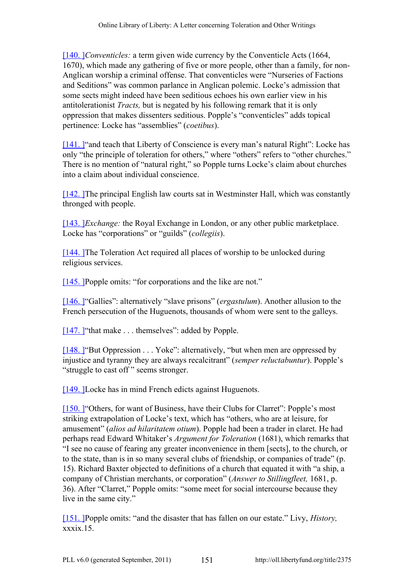[\[140.](#page-60-0)] *Conventicles:* a term given wide currency by the Conventicle Acts (1664, 1670), which made any gathering of five or more people, other than a family, for non-Anglican worship a criminal offense. That conventicles were "Nurseries of Factions and Seditions" was common parlance in Anglican polemic. Locke's admission that some sects might indeed have been seditious echoes his own earlier view in his antitolerationist *Tracts,* but is negated by his following remark that it is only oppression that makes dissenters seditious. Popple's "conventicles" adds topical pertinence: Locke has "assemblies" (*coetibus*).

[\[141.](#page-60-1) ]"and teach that Liberty of Conscience is every man's natural Right": Locke has only "the principle of toleration for others," where "others" refers to "other churches." There is no mention of "natural right," so Popple turns Locke's claim about churches into a claim about individual conscience.

[\[142.](#page-60-2) ]The principal English law courts sat in Westminster Hall, which was constantly thronged with people.

[\[143.](#page-60-3) ]*Exchange:* the Royal Exchange in London, or any other public marketplace. Locke has "corporations" or "guilds" (*collegiis*).

[\[144.](#page-60-4) ]The Toleration Act required all places of worship to be unlocked during religious services.

[\[145.](#page-60-5) ]Popple omits: "for corporations and the like are not."

[\[146.](#page-60-6) ]"Gallies": alternatively "slave prisons" (*ergastulum*). Another allusion to the French persecution of the Huguenots, thousands of whom were sent to the galleys.

[\[147.](#page-61-0)] "that make . . . themselves": added by Popple.

[\[148.](#page-61-1) ]"But Oppression . . . Yoke": alternatively, "but when men are oppressed by injustice and tyranny they are always recalcitrant" (*semper reluctabuntur*). Popple's "struggle to cast off " seems stronger.

[\[149.](#page-61-2)] Locke has in mind French edicts against Huguenots.

[\[150.](#page-61-3) ]"Others, for want of Business, have their Clubs for Clarret": Popple's most striking extrapolation of Locke's text, which has "others, who are at leisure, for amusement" (*alios ad hilaritatem otium*). Popple had been a trader in claret. He had perhaps read Edward Whitaker's *Argument for Toleration* (1681), which remarks that "I see no cause of fearing any greater inconvenience in them [sects], to the church, or to the state, than is in so many several clubs of friendship, or companies of trade" (p. 15). Richard Baxter objected to definitions of a church that equated it with "a ship, a company of Christian merchants, or corporation" (*Answer to Stillingfleet,* 1681, p. 36). After "Clarret," Popple omits: "some meet for social intercourse because they live in the same city."

[\[151.](#page-61-4) ]Popple omits: "and the disaster that has fallen on our estate." Livy, *History,* xxxix.15.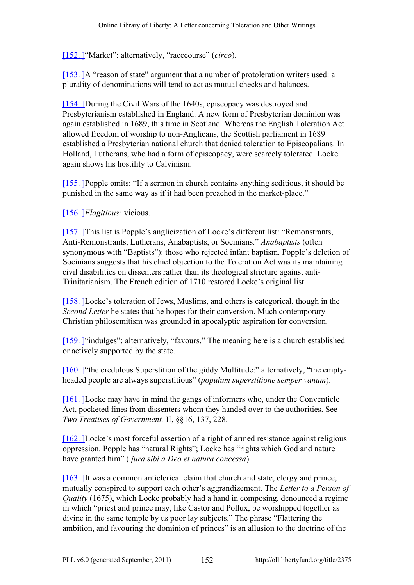[\[152.](#page-61-5) ]"Market": alternatively, "racecourse" (*circo*).

[\[153.](#page-61-6) ]A "reason of state" argument that a number of protoleration writers used: a plurality of denominations will tend to act as mutual checks and balances.

[\[154.](#page-62-0) ]During the Civil Wars of the 1640s, episcopacy was destroyed and Presbyterianism established in England. A new form of Presbyterian dominion was again established in 1689, this time in Scotland. Whereas the English Toleration Act allowed freedom of worship to non-Anglicans, the Scottish parliament in 1689 established a Presbyterian national church that denied toleration to Episcopalians. In Holland, Lutherans, who had a form of episcopacy, were scarcely tolerated. Locke again shows his hostility to Calvinism.

[\[155.](#page-62-1) ]Popple omits: "If a sermon in church contains anything seditious, it should be punished in the same way as if it had been preached in the market-place."

[\[156.](#page-62-2) ]*Flagitious:* vicious.

[\[157.](#page-62-3) ]This list is Popple's anglicization of Locke's different list: "Remonstrants, Anti-Remonstrants, Lutherans, Anabaptists, or Socinians." *Anabaptists* (often synonymous with "Baptists"): those who rejected infant baptism. Popple's deletion of Socinians suggests that his chief objection to the Toleration Act was its maintaining civil disabilities on dissenters rather than its theological stricture against anti-Trinitarianism. The French edition of 1710 restored Locke's original list.

[\[158.](#page-62-4) ]Locke's toleration of Jews, Muslims, and others is categorical, though in the *Second Letter* he states that he hopes for their conversion. Much contemporary Christian philosemitism was grounded in apocalyptic aspiration for conversion.

[\[159.](#page-63-0) ] "indulges": alternatively, "favours." The meaning here is a church established or actively supported by the state.

[\[160.](#page-63-1)] "the credulous Superstition of the giddy Multitude:" alternatively, "the emptyheaded people are always superstitious" (*populum superstitione semper vanum*).

[\[161.](#page-63-2) ]Locke may have in mind the gangs of informers who, under the Conventicle Act, pocketed fines from dissenters whom they handed over to the authorities. See *Two Treatises of Government,* II, §§16, 137, 228.

[\[162.](#page-63-3) ]Locke's most forceful assertion of a right of armed resistance against religious oppression. Popple has "natural Rights"; Locke has "rights which God and nature have granted him" ( *jura sibi a Deo et natura concessa*).

[\[163.](#page-63-4) ]It was a common anticlerical claim that church and state, clergy and prince, mutually conspired to support each other's aggrandizement. The *Letter to a Person of Quality* (1675), which Locke probably had a hand in composing, denounced a regime in which "priest and prince may, like Castor and Pollux, be worshipped together as divine in the same temple by us poor lay subjects." The phrase "Flattering the ambition, and favouring the dominion of princes" is an allusion to the doctrine of the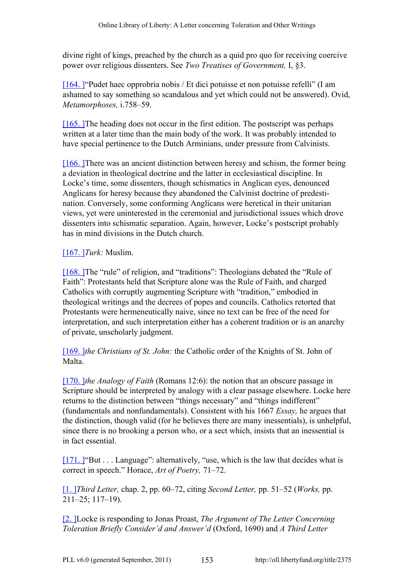divine right of kings, preached by the church as a quid pro quo for receiving coercive power over religious dissenters. See *Two Treatises of Government,* I, §3.

[\[164.](#page-64-0) ]"Pudet haec opprobria nobis / Et dici potuisse et non potuisse refelli" (I am ashamed to say something so scandalous and yet which could not be answered). Ovid, *Metamorphoses,* i.758–59.

[\[165.](#page-64-1) ]The heading does not occur in the first edition. The postscript was perhaps written at a later time than the main body of the work. It was probably intended to have special pertinence to the Dutch Arminians, under pressure from Calvinists.

[\[166.](#page-64-2) ]There was an ancient distinction between heresy and schism, the former being a deviation in theological doctrine and the latter in ecclesiastical discipline. In Locke's time, some dissenters, though schismatics in Anglican eyes, denounced Anglicans for heresy because they abandoned the Calvinist doctrine of predestination. Conversely, some conforming Anglicans were heretical in their unitarian views, yet were uninterested in the ceremonial and jurisdictional issues which drove dissenters into schismatic separation. Again, however, Locke's postscript probably has in mind divisions in the Dutch church.

## [\[167.](#page-64-3) ]*Turk:* Muslim.

[\[168.](#page-64-4) ]The "rule" of religion, and "traditions": Theologians debated the "Rule of Faith": Protestants held that Scripture alone was the Rule of Faith, and charged Catholics with corruptly augmenting Scripture with "tradition," embodied in theological writings and the decrees of popes and councils. Catholics retorted that Protestants were hermeneutically naive, since no text can be free of the need for interpretation, and such interpretation either has a coherent tradition or is an anarchy of private, unscholarly judgment.

[\[169.](#page-64-5) ]*the Christians of St. John:* the Catholic order of the Knights of St. John of Malta.

[\[170.](#page-65-0) ]*the Analogy of Faith* (Romans 12:6): the notion that an obscure passage in Scripture should be interpreted by analogy with a clear passage elsewhere. Locke here returns to the distinction between "things necessary" and "things indifferent" (fundamentals and nonfundamentals). Consistent with his 1667 *Essay,* he argues that the distinction, though valid (for he believes there are many inessentials), is unhelpful, since there is no brooking a person who, or a sect which, insists that an inessential is in fact essential.

[\[171.](#page-66-0) ] "But . . . Language": alternatively, "use, which is the law that decides what is correct in speech." Horace, *Art of Poetry,* 71–72.

[\[1.](#page-67-0) ]*Third Letter,* chap. 2, pp. 60–72, citing *Second Letter,* pp. 51–52 (*Works,* pp. 211–25; 117–19).

[\[2.](#page-67-1) ]Locke is responding to Jonas Proast, *The Argument of The Letter Concerning Toleration Briefly Consider'd and Answer'd* (Oxford, 1690) and *A Third Letter*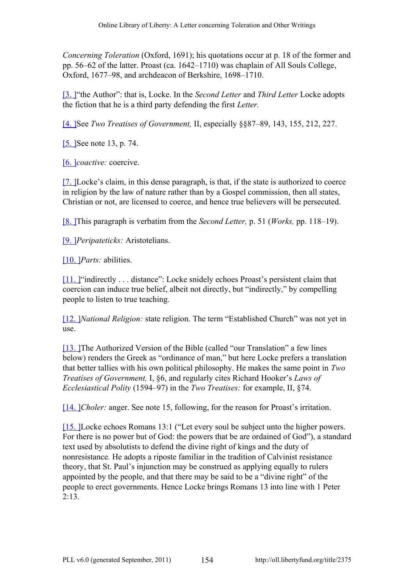*Concerning Toleration* (Oxford, 1691); his quotations occur at p. 18 of the former and pp. 56–62 of the latter. Proast (ca. 1642–1710) was chaplain of All Souls College, Oxford, 1677–98, and archdeacon of Berkshire, 1698–1710.

[\[3.](#page-67-2) ]"the Author": that is, Locke. In the *Second Letter* and *Third Letter* Locke adopts the fiction that he is a third party defending the first *Letter.*

[\[4.](#page-67-3) ]See *Two Treatises of Government,* II, especially §§87–89, 143, 155, 212, 227.

[\[5.](#page-67-4) ]See note 13, p. 74.

[\[6.](#page-68-0) ]*coactive:* coercive.

[\[7.](#page-68-1) ]Locke's claim, in this dense paragraph, is that, if the state is authorized to coerce in religion by the law of nature rather than by a Gospel commission, then all states, Christian or not, are licensed to coerce, and hence true believers will be persecuted.

[\[8.](#page-69-0) ]This paragraph is verbatim from the *Second Letter,* p. 51 (*Works,* pp. 118–19).

[\[9.](#page-69-1) ]*Peripateticks:* Aristotelians.

[\[10.](#page-69-2) *]Parts:* abilities.

[\[11.](#page-69-3) ]"indirectly . . . distance": Locke snidely echoes Proast's persistent claim that coercion can induce true belief, albeit not directly, but "indirectly," by compelling people to listen to true teaching.

[\[12.](#page-69-4) ]*National Religion:* state religion. The term "Established Church" was not yet in use.

[\[13.](#page-70-0) ]The Authorized Version of the Bible (called "our Translation" a few lines below) renders the Greek as "ordinance of man," but here Locke prefers a translation that better tallies with his own political philosophy. He makes the same point in *Two Treatises of Government,* I, §6, and regularly cites Richard Hooker's *Laws of Ecclesiastical Polity* (1594–97) in the *Two Treatises:* for example, II, §74.

[\[14.](#page-70-1) ]*Choler:* anger. See note 15, following, for the reason for Proast's irritation.

[\[15.](#page-70-2) ]Locke echoes Romans 13:1 ("Let every soul be subject unto the higher powers. For there is no power but of God: the powers that be are ordained of God"), a standard text used by absolutists to defend the divine right of kings and the duty of nonresistance. He adopts a riposte familiar in the tradition of Calvinist resistance theory, that St. Paul's injunction may be construed as applying equally to rulers appointed by the people, and that there may be said to be a "divine right" of the people to erect governments. Hence Locke brings Romans 13 into line with 1 Peter  $2:13.$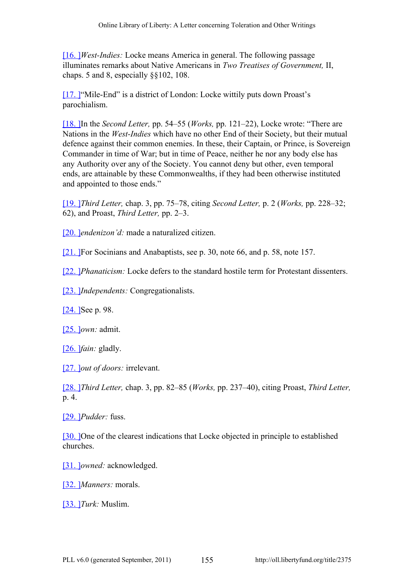[\[16.](#page-70-3) ]*West-Indies:* Locke means America in general. The following passage illuminates remarks about Native Americans in *Two Treatises of Government,* II, chaps. 5 and 8, especially §§102, 108.

[\[17.](#page-71-0) ]"Mile-End" is a district of London: Locke wittily puts down Proast's parochialism.

[\[18.](#page-71-1) ]In the *Second Letter,* pp. 54–55 (*Works,* pp. 121–22), Locke wrote: "There are Nations in the *West-Indies* which have no other End of their Society, but their mutual defence against their common enemies. In these, their Captain, or Prince, is Sovereign Commander in time of War; but in time of Peace, neither he nor any body else has any Authority over any of the Society. You cannot deny but other, even temporal ends, are attainable by these Commonwealths, if they had been otherwise instituted and appointed to those ends."

[\[19.](#page-71-2) ]*Third Letter,* chap. 3, pp. 75–78, citing *Second Letter,* p. 2 (*Works,* pp. 228–32; 62), and Proast, *Third Letter,* pp. 2–3.

[\[20.](#page-71-3) ]*endenizon'd:* made a naturalized citizen.

[\[21.](#page-71-4) ]For Socinians and Anabaptists, see p. 30, note 66, and p. 58, note 157.

[\[22.](#page-71-5) ]*Phanaticism:* Locke defers to the standard hostile term for Protestant dissenters.

[\[23.](#page-71-6) ]*Independents:* Congregationalists.

[\[24.](#page-72-0) ]See p. 98.

[\[25.](#page-72-1) ]*own:* admit.

[\[26.](#page-72-2) ]*fain:* gladly.

[\[27.](#page-72-3) ]*out of doors:* irrelevant.

[\[28.](#page-73-0) ]*Third Letter,* chap. 3, pp. 82–85 (*Works,* pp. 237–40), citing Proast, *Third Letter,* p. 4.

[\[29.](#page-73-1) ]*Pudder:* fuss.

[\[30.](#page-74-0) ]One of the clearest indications that Locke objected in principle to established churches.

[\[31.](#page-74-1) *]owned:* acknowledged.

[\[32.](#page-74-2) ]*Manners:* morals.

[\[33.](#page-74-3) ]*Turk:* Muslim.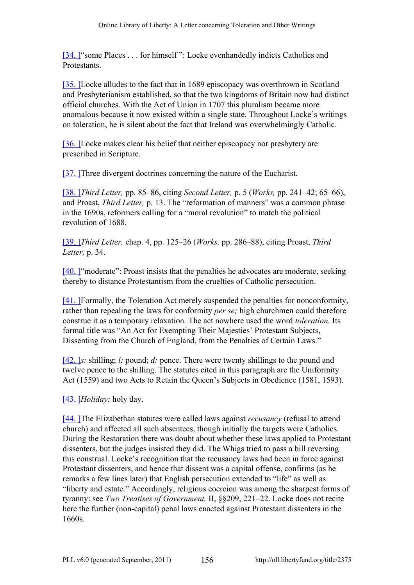[\[34.](#page-74-4) ]"some Places . . . for himself ": Locke evenhandedly indicts Catholics and **Protestants** 

[\[35.](#page-74-5) ]Locke alludes to the fact that in 1689 episcopacy was overthrown in Scotland and Presbyterianism established, so that the two kingdoms of Britain now had distinct official churches. With the Act of Union in 1707 this pluralism became more anomalous because it now existed within a single state. Throughout Locke's writings on toleration, he is silent about the fact that Ireland was overwhelmingly Catholic.

[\[36.](#page-74-6) ]Locke makes clear his belief that neither episcopacy nor presbytery are prescribed in Scripture.

[\[37.](#page-74-7) ]Three divergent doctrines concerning the nature of the Eucharist.

[\[38.](#page-75-0) ]*Third Letter,* pp. 85–86, citing *Second Letter,* p. 5 (*Works,* pp. 241–42; 65–66), and Proast, *Third Letter,* p. 13. The "reformation of manners" was a common phrase in the 1690s, reformers calling for a "moral revolution" to match the political revolution of 1688.

[\[39.](#page-76-0) ]*Third Letter,* chap. 4, pp. 125–26 (*Works,* pp. 286–88), citing Proast, *Third Letter,* p. 34.

[\[40.](#page-76-1) ]"moderate": Proast insists that the penalties he advocates are moderate, seeking thereby to distance Protestantism from the cruelties of Catholic persecution.

[\[41.](#page-76-2) ]Formally, the Toleration Act merely suspended the penalties for nonconformity, rather than repealing the laws for conformity *per se;* high churchmen could therefore construe it as a temporary relaxation. The act nowhere used the word *toleration.* Its formal title was "An Act for Exempting Their Majesties' Protestant Subjects, Dissenting from the Church of England, from the Penalties of Certain Laws."

[\[42.](#page-76-3) ]*s:* shilling; *l:* pound; *d:* pence. There were twenty shillings to the pound and twelve pence to the shilling. The statutes cited in this paragraph are the Uniformity Act (1559) and two Acts to Retain the Queen's Subjects in Obedience (1581, 1593).

[\[43.](#page-76-4) ]*Holiday:* holy day.

[\[44.](#page-76-5) ]The Elizabethan statutes were called laws against *recusancy* (refusal to attend church) and affected all such absentees, though initially the targets were Catholics. During the Restoration there was doubt about whether these laws applied to Protestant dissenters, but the judges insisted they did. The Whigs tried to pass a bill reversing this construal. Locke's recognition that the recusancy laws had been in force against Protestant dissenters, and hence that dissent was a capital offense, confirms (as he remarks a few lines later) that English persecution extended to "life" as well as "liberty and estate." Accordingly, religious coercion was among the sharpest forms of tyranny: see *Two Treatises of Government,* II, §§209, 221–22. Locke does not recite here the further (non-capital) penal laws enacted against Protestant dissenters in the 1660s.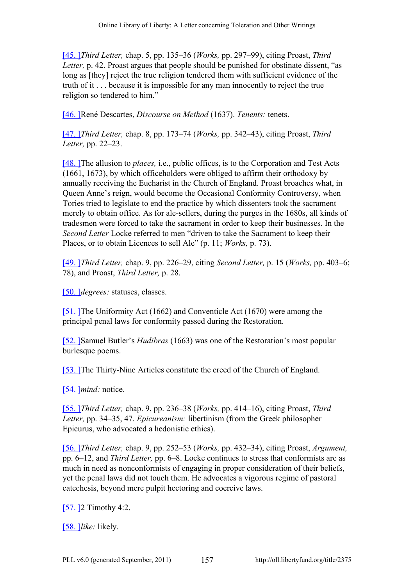[\[45.](#page-77-0) ]*Third Letter,* chap. 5, pp. 135–36 (*Works,* pp. 297–99), citing Proast, *Third Letter*, p. 42. Proast argues that people should be punished for obstinate dissent, "as long as [they] reject the true religion tendered them with sufficient evidence of the truth of it . . . because it is impossible for any man innocently to reject the true religion so tendered to him."

[\[46.](#page-77-1) ]René Descartes, *Discourse on Method* (1637). *Tenents:* tenets.

[\[47.](#page-77-2) ]*Third Letter,* chap. 8, pp. 173–74 (*Works,* pp. 342–43), citing Proast, *Third Letter,* pp. 22–23.

[\[48.](#page-77-3) ]The allusion to *places,* i.e., public offices, is to the Corporation and Test Acts (1661, 1673), by which officeholders were obliged to affirm their orthodoxy by annually receiving the Eucharist in the Church of England. Proast broaches what, in Queen Anne's reign, would become the Occasional Conformity Controversy, when Tories tried to legislate to end the practice by which dissenters took the sacrament merely to obtain office. As for ale-sellers, during the purges in the 1680s, all kinds of tradesmen were forced to take the sacrament in order to keep their businesses. In the *Second Letter* Locke referred to men "driven to take the Sacrament to keep their Places, or to obtain Licences to sell Ale" (p. 11; *Works,* p. 73).

[\[49.](#page-78-0) ]*Third Letter,* chap. 9, pp. 226–29, citing *Second Letter,* p. 15 (*Works,* pp. 403–6; 78), and Proast, *Third Letter,* p. 28.

[\[50.](#page-78-1) ]*degrees:* statuses, classes.

[\[51.](#page-78-2) ]The Uniformity Act (1662) and Conventicle Act (1670) were among the principal penal laws for conformity passed during the Restoration.

[\[52.](#page-78-3) ]Samuel Butler's *Hudibras* (1663) was one of the Restoration's most popular burlesque poems.

[\[53.](#page-79-0) ]The Thirty-Nine Articles constitute the creed of the Church of England.

[\[54.](#page-79-1) ]*mind:* notice.

[\[55.](#page-79-2) ]*Third Letter,* chap. 9, pp. 236–38 (*Works,* pp. 414–16), citing Proast, *Third Letter,* pp. 34–35, 47. *Epicureanism:* libertinism (from the Greek philosopher Epicurus, who advocated a hedonistic ethics).

[\[56.](#page-81-0) ]*Third Letter,* chap. 9, pp. 252–53 (*Works,* pp. 432–34), citing Proast, *Argument,* pp. 6–12, and *Third Letter,* pp. 6–8. Locke continues to stress that conformists are as much in need as nonconformists of engaging in proper consideration of their beliefs, yet the penal laws did not touch them. He advocates a vigorous regime of pastoral catechesis, beyond mere pulpit hectoring and coercive laws.

[\[57.](#page-81-1) ]2 Timothy 4:2.

[\[58.](#page-81-2) ]*like:* likely.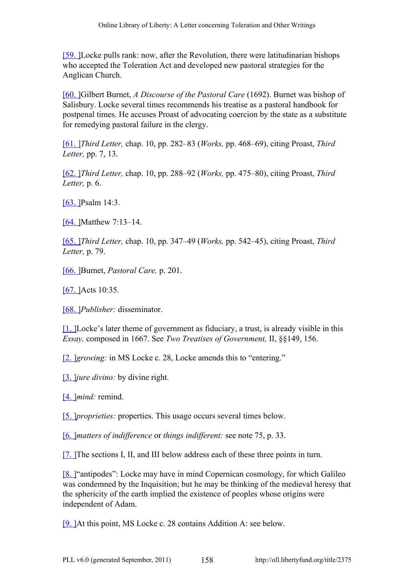[\[59.](#page-81-3) ]Locke pulls rank: now, after the Revolution, there were latitudinarian bishops who accepted the Toleration Act and developed new pastoral strategies for the Anglican Church.

[\[60.](#page-81-4) ]Gilbert Burnet, *A Discourse of the Pastoral Care* (1692). Burnet was bishop of Salisbury. Locke several times recommends his treatise as a pastoral handbook for postpenal times. He accuses Proast of advocating coercion by the state as a substitute for remedying pastoral failure in the clergy.

[\[61.](#page-82-0) ]*Third Letter,* chap. 10, pp. 282–83 (*Works,* pp. 468–69), citing Proast, *Third Letter,* pp. 7, 13.

[\[62.](#page-83-0) ]*Third Letter,* chap. 10, pp. 288–92 (*Works,* pp. 475–80), citing Proast, *Third Letter,* p. 6.

[\[63.](#page-84-0) ]Psalm 14:3.

[\[64.](#page-84-1) ]Matthew 7:13–14.

[\[65.](#page-85-0) ]*Third Letter,* chap. 10, pp. 347–49 (*Works,* pp. 542–45), citing Proast, *Third Letter,* p. 79.

[\[66.](#page-86-0) ]Burnet, *Pastoral Care,* p. 201.

[\[67.](#page-86-1) ]Acts 10:35.

[\[68.](#page-87-0) ]*Publisher:* disseminator.

[\[1.](#page-88-0) ]Locke's later theme of government as fiduciary, a trust, is already visible in this *Essay,* composed in 1667. See *Two Treatises of Government,* II, §§149, 156.

[\[2.](#page-88-1) ]*growing:* in MS Locke c. 28, Locke amends this to "entering."

[\[3.](#page-88-2) ]*jure divino:* by divine right.

[\[4.](#page-88-3) ]*mind:* remind.

[\[5.](#page-88-4) ]*proprieties:* properties. This usage occurs several times below.

[\[6.](#page-89-0) ]*matters of indifference* or *things indifferent:* see note 75, p. 33.

[\[7.](#page-89-1) ]The sections I, II, and III below address each of these three points in turn.

[\[8.](#page-89-2) ]"antipodes": Locke may have in mind Copernican cosmology, for which Galileo was condemned by the Inquisition; but he may be thinking of the medieval heresy that the sphericity of the earth implied the existence of peoples whose origins were independent of Adam.

[\[9.](#page-89-3) ]At this point, MS Locke c. 28 contains Addition A: see below.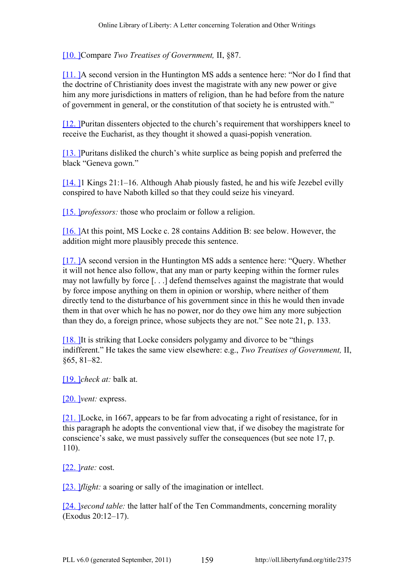[\[10.](#page-89-4) ]Compare *Two Treatises of Government,* II, §87.

[\[11.](#page-90-0) ]A second version in the Huntington MS adds a sentence here: "Nor do I find that the doctrine of Christianity does invest the magistrate with any new power or give him any more jurisdictions in matters of religion, than he had before from the nature of government in general, or the constitution of that society he is entrusted with."

[\[12.](#page-90-1) ]Puritan dissenters objected to the church's requirement that worshippers kneel to receive the Eucharist, as they thought it showed a quasi-popish veneration.

[\[13.](#page-90-2) ]Puritans disliked the church's white surplice as being popish and preferred the black "Geneva gown."

[\[14.](#page-90-3) ]1 Kings 21:1–16. Although Ahab piously fasted, he and his wife Jezebel evilly conspired to have Naboth killed so that they could seize his vineyard.

[\[15.](#page-90-3) ]*professors:* those who proclaim or follow a religion.

[\[16.](#page-90-4) ]At this point, MS Locke c. 28 contains Addition B: see below. However, the addition might more plausibly precede this sentence.

[\[17.](#page-90-5) ]A second version in the Huntington MS adds a sentence here: "Query. Whether it will not hence also follow, that any man or party keeping within the former rules may not lawfully by force [. . .] defend themselves against the magistrate that would by force impose anything on them in opinion or worship, where neither of them directly tend to the disturbance of his government since in this he would then invade them in that over which he has no power, nor do they owe him any more subjection than they do, a foreign prince, whose subjects they are not." See note 21, p. 133.

[\[18.](#page-91-0) ]It is striking that Locke considers polygamy and divorce to be "things indifferent." He takes the same view elsewhere: e.g., *Two Treatises of Government,* II, §65, 81–82.

[\[19.](#page-91-1) ]*check at:* balk at.

[\[20.](#page-91-2) *vent:* express.

[\[21.](#page-92-0) ]Locke, in 1667, appears to be far from advocating a right of resistance, for in this paragraph he adopts the conventional view that, if we disobey the magistrate for conscience's sake, we must passively suffer the consequences (but see note 17, p. 110).

[\[22.](#page-93-0) ]*rate:* cost.

[\[23.](#page-93-1) ]*flight:* a soaring or sally of the imagination or intellect.

[\[24.](#page-93-2) ]*second table:* the latter half of the Ten Commandments, concerning morality (Exodus 20:12–17).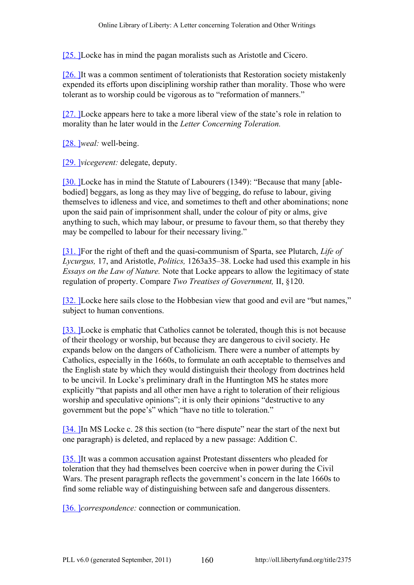[\[25.](#page-93-3) ]Locke has in mind the pagan moralists such as Aristotle and Cicero.

[\[26.](#page-93-4) ]It was a common sentiment of tolerationists that Restoration society mistakenly expended its efforts upon disciplining worship rather than morality. Those who were tolerant as to worship could be vigorous as to "reformation of manners."

[\[27.](#page-93-5) ]Locke appears here to take a more liberal view of the state's role in relation to morality than he later would in the *Letter Concerning Toleration.*

[\[28.](#page-93-6) ]*weal:* well-being.

[\[29.](#page-93-7) ]*vicegerent:* delegate, deputy.

[\[30.](#page-94-0) ]Locke has in mind the Statute of Labourers (1349): "Because that many [ablebodied] beggars, as long as they may live of begging, do refuse to labour, giving themselves to idleness and vice, and sometimes to theft and other abominations; none upon the said pain of imprisonment shall, under the colour of pity or alms, give anything to such, which may labour, or presume to favour them, so that thereby they may be compelled to labour for their necessary living."

[\[31.](#page-94-1) ]For the right of theft and the quasi-communism of Sparta, see Plutarch, *Life of Lycurgus,* 17, and Aristotle, *Politics,* 1263a35–38. Locke had used this example in his *Essays on the Law of Nature.* Note that Locke appears to allow the legitimacy of state regulation of property. Compare *Two Treatises of Government,* II, §120.

[\[32.](#page-94-2)] Locke here sails close to the Hobbesian view that good and evil are "but names." subject to human conventions.

[\[33.](#page-95-0) ]Locke is emphatic that Catholics cannot be tolerated, though this is not because of their theology or worship, but because they are dangerous to civil society. He expands below on the dangers of Catholicism. There were a number of attempts by Catholics, especially in the 1660s, to formulate an oath acceptable to themselves and the English state by which they would distinguish their theology from doctrines held to be uncivil. In Locke's preliminary draft in the Huntington MS he states more explicitly "that papists and all other men have a right to toleration of their religious worship and speculative opinions"; it is only their opinions "destructive to any government but the pope's" which "have no title to toleration."

[\[34.](#page-95-1) ]In MS Locke c. 28 this section (to "here dispute" near the start of the next but one paragraph) is deleted, and replaced by a new passage: Addition C.

[\[35.](#page-95-2) ]It was a common accusation against Protestant dissenters who pleaded for toleration that they had themselves been coercive when in power during the Civil Wars. The present paragraph reflects the government's concern in the late 1660s to find some reliable way of distinguishing between safe and dangerous dissenters.

[\[36.](#page-95-3) ]*correspondence:* connection or communication.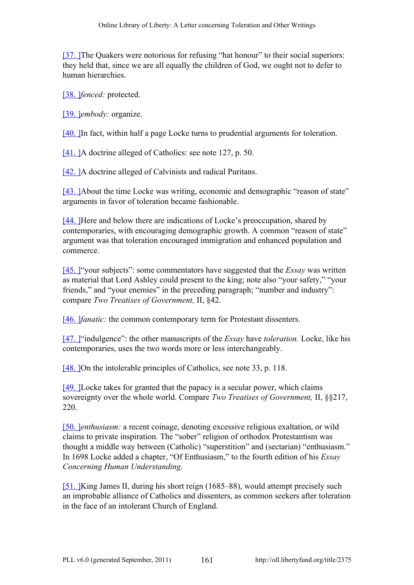[\[37.](#page-96-0) ]The Quakers were notorious for refusing "hat honour" to their social superiors: they held that, since we are all equally the children of God, we ought not to defer to human hierarchies.

[\[38.](#page-96-1) *]fenced:* protected.

[\[39.](#page-97-0) *]embody:* organize.

[\[40.](#page-97-1) ]In fact, within half a page Locke turns to prudential arguments for toleration.

[\[41.](#page-97-2) ]A doctrine alleged of Catholics: see note 127, p. 50.

[\[42.](#page-97-3) ]A doctrine alleged of Calvinists and radical Puritans.

[\[43.](#page-97-4) ]About the time Locke was writing, economic and demographic "reason of state" arguments in favor of toleration became fashionable.

[\[44.](#page-98-0) ]Here and below there are indications of Locke's preoccupation, shared by contemporaries, with encouraging demographic growth. A common "reason of state" argument was that toleration encouraged immigration and enhanced population and commerce.

[\[45.](#page-98-1) ]"your subjects": some commentators have suggested that the *Essay* was written as material that Lord Ashley could present to the king; note also "your safety," "your friends," and "your enemies" in the preceding paragraph; "number and industry": compare *Two Treatises of Government,* II, §42.

[\[46.](#page-98-2) *]fanatic:* the common contemporary term for Protestant dissenters.

[\[47.](#page-98-3) ]"indulgence": the other manuscripts of the *Essay* have *toleration.* Locke, like his contemporaries, uses the two words more or less interchangeably.

[\[48.](#page-98-4)] On the intolerable principles of Catholics, see note 33, p. 118.]

[\[49.](#page-99-0) ]Locke takes for granted that the papacy is a secular power, which claims sovereignty over the whole world. Compare *Two Treatises of Government,* II, §§217, 220.

[\[50.](#page-99-1) ]*enthusiasm:* a recent coinage, denoting excessive religious exaltation, or wild claims to private inspiration. The "sober" religion of orthodox Protestantism was thought a middle way between (Catholic) "superstition" and (sectarian) "enthusiasm." In 1698 Locke added a chapter, "Of Enthusiasm," to the fourth edition of his *Essay Concerning Human Understanding.*

[\[51.](#page-99-2) ]King James II, during his short reign (1685–88), would attempt precisely such an improbable alliance of Catholics and dissenters, as common seekers after toleration in the face of an intolerant Church of England.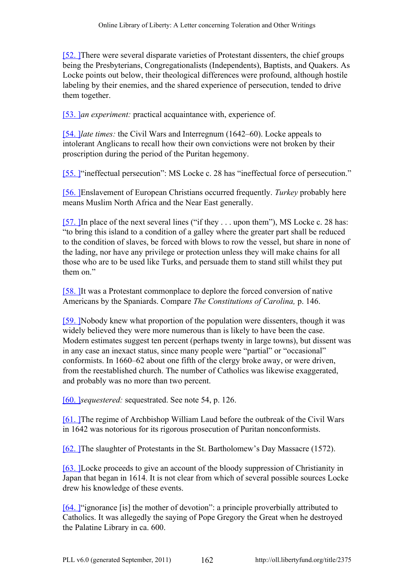[\[52.](#page-99-3) ]There were several disparate varieties of Protestant dissenters, the chief groups being the Presbyterians, Congregationalists (Independents), Baptists, and Quakers. As Locke points out below, their theological differences were profound, although hostile labeling by their enemies, and the shared experience of persecution, tended to drive them together.

[\[53.](#page-99-4) ]*an experiment:* practical acquaintance with, experience of.

[\[54.](#page-100-0) ]*late times:* the Civil Wars and Interregnum (1642–60). Locke appeals to intolerant Anglicans to recall how their own convictions were not broken by their proscription during the period of the Puritan hegemony.

[\[55.](#page-100-1) ]"ineffectual persecution": MS Locke c. 28 has "ineffectual force of persecution."

[\[56.](#page-100-2) ]Enslavement of European Christians occurred frequently. *Turkey* probably here means Muslim North Africa and the Near East generally.

[\[57.](#page-100-3) ]In place of the next several lines ("if they . . . upon them"), MS Locke c. 28 has: "to bring this island to a condition of a galley where the greater part shall be reduced to the condition of slaves, be forced with blows to row the vessel, but share in none of the lading, nor have any privilege or protection unless they will make chains for all those who are to be used like Turks, and persuade them to stand still whilst they put them on"

[\[58.](#page-101-0) ]It was a Protestant commonplace to deplore the forced conversion of native Americans by the Spaniards. Compare *The Constitutions of Carolina,* p. 146.

[\[59.](#page-101-1) ]Nobody knew what proportion of the population were dissenters, though it was widely believed they were more numerous than is likely to have been the case. Modern estimates suggest ten percent (perhaps twenty in large towns), but dissent was in any case an inexact status, since many people were "partial" or "occasional" conformists. In 1660–62 about one fifth of the clergy broke away, or were driven, from the reestablished church. The number of Catholics was likewise exaggerated, and probably was no more than two percent.

[\[60.](#page-102-0) ]*sequestered:* sequestrated. See note 54, p. 126.

[\[61.](#page-102-1) ]The regime of Archbishop William Laud before the outbreak of the Civil Wars in 1642 was notorious for its rigorous prosecution of Puritan nonconformists.

[\[62.](#page-102-2) ]The slaughter of Protestants in the St. Bartholomew's Day Massacre (1572).

[\[63.](#page-102-3) ]Locke proceeds to give an account of the bloody suppression of Christianity in Japan that began in 1614. It is not clear from which of several possible sources Locke drew his knowledge of these events.

[\[64.](#page-102-4) ]"ignorance [is] the mother of devotion": a principle proverbially attributed to Catholics. It was allegedly the saying of Pope Gregory the Great when he destroyed the Palatine Library in ca. 600.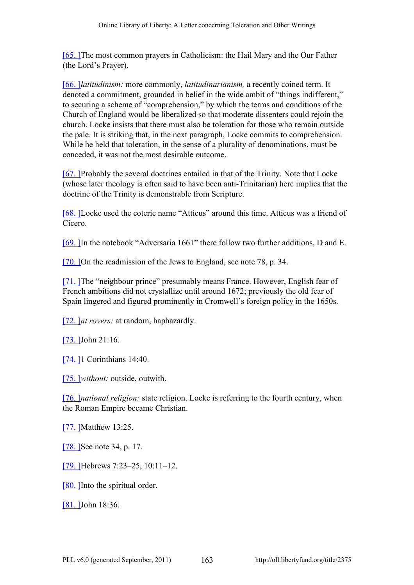[\[65.](#page-102-4) ]The most common prayers in Catholicism: the Hail Mary and the Our Father (the Lord's Prayer).

[\[66.](#page-103-0) ]*latitudinism:* more commonly, *latitudinarianism,* a recently coined term. It denoted a commitment, grounded in belief in the wide ambit of "things indifferent," to securing a scheme of "comprehension," by which the terms and conditions of the Church of England would be liberalized so that moderate dissenters could rejoin the church. Locke insists that there must also be toleration for those who remain outside the pale. It is striking that, in the next paragraph, Locke commits to comprehension. While he held that toleration, in the sense of a plurality of denominations, must be conceded, it was not the most desirable outcome.

[\[67.](#page-103-1) ]Probably the several doctrines entailed in that of the Trinity. Note that Locke (whose later theology is often said to have been anti-Trinitarian) here implies that the doctrine of the Trinity is demonstrable from Scripture.

[\[68.](#page-103-2) ]Locke used the coterie name "Atticus" around this time. Atticus was a friend of Cicero.

[\[69.](#page-103-2) ]In the notebook "Adversaria 1661" there follow two further additions, D and E.

[\[70.](#page-104-0)] On the readmission of the Jews to England, see note 78, p. 34.]

[\[71.](#page-104-1) ]The "neighbour prince" presumably means France. However, English fear of French ambitions did not crystallize until around 1672; previously the old fear of Spain lingered and figured prominently in Cromwell's foreign policy in the 1650s.

[\[72.](#page-105-0) *]at rovers:* at random, haphazardly.

[\[73.](#page-105-1) ]John 21:16.

[\[74.](#page-105-2)] 1 Corinthians 14:40.

[\[75.](#page-105-3) ]*without:* outside, outwith.

[\[76.](#page-106-0) ]*national religion:* state religion. Locke is referring to the fourth century, when the Roman Empire became Christian.

[\[77.](#page-106-1) ]Matthew 13:25.

[\[78.](#page-106-2) ]See note 34, p. 17.

[\[79.](#page-106-3) ] Hebrews 7:23–25, 10:11–12.

[\[80.](#page-107-0)] Into the spiritual order.

[\[81.](#page-107-1)] John 18:36.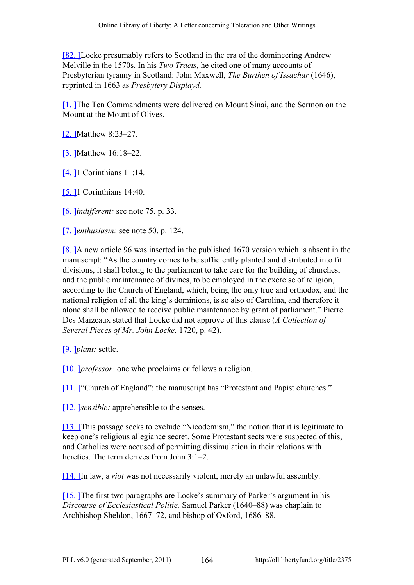[\[82.](#page-107-2) ]Locke presumably refers to Scotland in the era of the domineering Andrew Melville in the 1570s. In his *Two Tracts,* he cited one of many accounts of Presbyterian tyranny in Scotland: John Maxwell, *The Burthen of Issachar* (1646), reprinted in 1663 as *Presbytery Displayd.*

[\[1.](#page-108-0) ]The Ten Commandments were delivered on Mount Sinai, and the Sermon on the Mount at the Mount of Olives.

[\[2.](#page-108-1) ]Matthew 8:23-27.

[\[3.](#page-108-2) ]Matthew 16:18–22.

[\[4.](#page-110-0) ]1 Corinthians 11:14.

[\[5.](#page-110-1)] 1 Corinthians 14:40.

[\[6.](#page-110-2) ]*indifferent:* see note 75, p. 33.

[\[7.](#page-110-3) ]*enthusiasm:* see note 50, p. 124.

[\[8.](#page-111-0) ]A new article 96 was inserted in the published 1670 version which is absent in the manuscript: "As the country comes to be sufficiently planted and distributed into fit divisions, it shall belong to the parliament to take care for the building of churches, and the public maintenance of divines, to be employed in the exercise of religion, according to the Church of England, which, being the only true and orthodox, and the national religion of all the king's dominions, is so also of Carolina, and therefore it alone shall be allowed to receive public maintenance by grant of parliament." Pierre Des Maizeaux stated that Locke did not approve of this clause (*A Collection of Several Pieces of Mr. John Locke,* 1720, p. 42).

[\[9.](#page-111-1) ]*plant:* settle.

[\[10.](#page-111-2) ]*professor:* one who proclaims or follows a religion.

[\[11.](#page-111-3) ]"Church of England": the manuscript has "Protestant and Papist churches."

[\[12.](#page-111-4) *]sensible:* apprehensible to the senses.

[\[13.](#page-111-4) ]This passage seeks to exclude "Nicodemism," the notion that it is legitimate to keep one's religious allegiance secret. Some Protestant sects were suspected of this, and Catholics were accused of permitting dissimulation in their relations with heretics. The term derives from John 3:1–2.

[\[14.](#page-112-0) ]In law, a *riot* was not necessarily violent, merely an unlawful assembly.

[\[15.](#page-112-1) ]The first two paragraphs are Locke's summary of Parker's argument in his *Discourse of Ecclesiastical Politie.* Samuel Parker (1640–88) was chaplain to Archbishop Sheldon, 1667–72, and bishop of Oxford, 1686–88.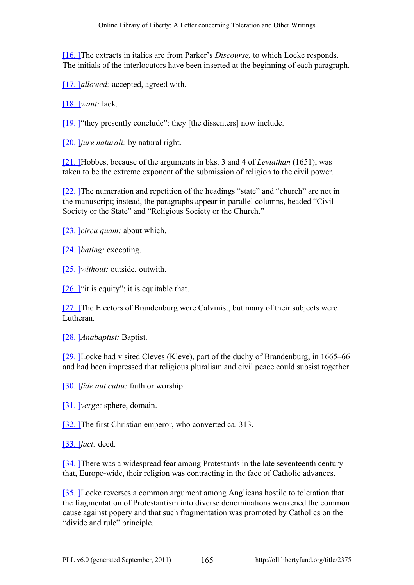[\[16.](#page-113-0) ]The extracts in italics are from Parker's *Discourse,* to which Locke responds. The initials of the interlocutors have been inserted at the beginning of each paragraph.

[\[17.](#page-113-1) ]*allowed:* accepted, agreed with.

[\[18.](#page-113-2) ]*want:* lack.

[\[19.](#page-114-0) ]"they presently conclude": they [the dissenters] now include.

[\[20.](#page-115-0) ]*jure naturali:* by natural right.

[\[21.](#page-115-1) ]Hobbes, because of the arguments in bks. 3 and 4 of *Leviathan* (1651), was taken to be the extreme exponent of the submission of religion to the civil power.

[\[22.](#page-116-0) ]The numeration and repetition of the headings "state" and "church" are not in the manuscript; instead, the paragraphs appear in parallel columns, headed "Civil Society or the State" and "Religious Society or the Church."

[\[23.](#page-116-1) ]*circa quam:* about which.

[\[24.](#page-117-0) ]*bating:* excepting.

[\[25.](#page-117-1) ]*without:* outside, outwith.

[\[26.](#page-118-0) ] "it is equity": it is equitable that.

[\[27.](#page-119-0) ]The Electors of Brandenburg were Calvinist, but many of their subjects were Lutheran.

[\[28.](#page-119-1) ]*Anabaptist:* Baptist.

[\[29.](#page-119-2) ]Locke had visited Cleves (Kleve), part of the duchy of Brandenburg, in 1665–66 and had been impressed that religious pluralism and civil peace could subsist together.

[\[30.](#page-119-3) ]*fide aut cultu:* faith or worship.

[\[31.](#page-119-4) ]*verge:* sphere, domain.

[\[32.](#page-119-5)] The first Christian emperor, who converted ca. 313.

[\[33.](#page-119-6) ]*fact:* deed.

[\[34.](#page-120-0) ]There was a widespread fear among Protestants in the late seventeenth century that, Europe-wide, their religion was contracting in the face of Catholic advances.

[\[35.](#page-120-1) ]Locke reverses a common argument among Anglicans hostile to toleration that the fragmentation of Protestantism into diverse denominations weakened the common cause against popery and that such fragmentation was promoted by Catholics on the "divide and rule" principle.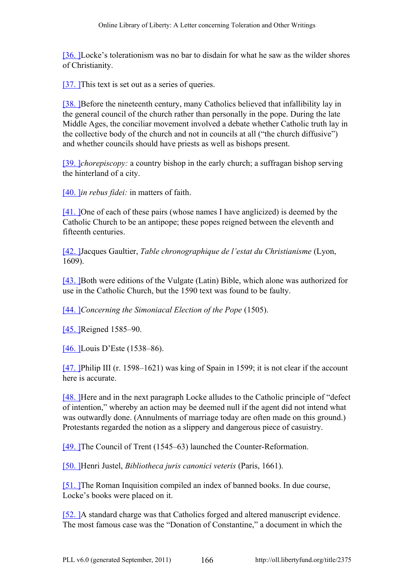[\[36.](#page-120-2) ]Locke's tolerationism was no bar to disdain for what he saw as the wilder shores of Christianity.

[\[37.](#page-121-0) ]This text is set out as a series of queries.

[\[38.](#page-121-1) ]Before the nineteenth century, many Catholics believed that infallibility lay in the general council of the church rather than personally in the pope. During the late Middle Ages, the conciliar movement involved a debate whether Catholic truth lay in the collective body of the church and not in councils at all ("the church diffusive") and whether councils should have priests as well as bishops present.

[\[39.](#page-121-2) ]*chorepiscopy:* a country bishop in the early church; a suffragan bishop serving the hinterland of a city.

[\[40.](#page-121-3) ]*in rebus fidei:* in matters of faith.

[\[41.](#page-121-4) ]One of each of these pairs (whose names I have anglicized) is deemed by the Catholic Church to be an antipope; these popes reigned between the eleventh and fifteenth centuries.

[\[42.](#page-121-4) ]Jacques Gaultier, *Table chronographique de l'estat du Christianisme* (Lyon, 1609).

[\[43.](#page-122-0) ]Both were editions of the Vulgate (Latin) Bible, which alone was authorized for use in the Catholic Church, but the 1590 text was found to be faulty.

[\[44.](#page-122-1) ]*Concerning the Simoniacal Election of the Pope* (1505).

[\[45.](#page-122-2) ]Reigned 1585–90.

[\[46.](#page-122-3) ]Louis D'Este (1538–86).

[\[47.](#page-122-4) ]Philip III (r. 1598–1621) was king of Spain in 1599; it is not clear if the account here is accurate.

[\[48.](#page-122-5) ]Here and in the next paragraph Locke alludes to the Catholic principle of "defect of intention," whereby an action may be deemed null if the agent did not intend what was outwardly done. (Annulments of marriage today are often made on this ground.) Protestants regarded the notion as a slippery and dangerous piece of casuistry.

[\[49.](#page-122-6) ]The Council of Trent (1545–63) launched the Counter-Reformation.

[\[50.](#page-123-0) ]Henri Justel, *Bibliotheca juris canonici veteris* (Paris, 1661).

[\[51.](#page-123-1) ]The Roman Inquisition compiled an index of banned books. In due course, Locke's books were placed on it.

[\[52.](#page-123-1) ]A standard charge was that Catholics forged and altered manuscript evidence. The most famous case was the "Donation of Constantine," a document in which the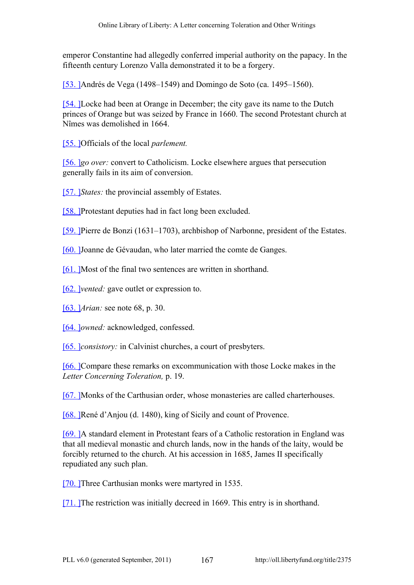emperor Constantine had allegedly conferred imperial authority on the papacy. In the fifteenth century Lorenzo Valla demonstrated it to be a forgery.

[\[53.](#page-123-2) ]Andrés de Vega (1498–1549) and Domingo de Soto (ca. 1495–1560).

[\[54.](#page-123-3) ]Locke had been at Orange in December; the city gave its name to the Dutch princes of Orange but was seized by France in 1660. The second Protestant church at Nîmes was demolished in 1664.

[\[55.](#page-123-3) ]Officials of the local *parlement.*

[\[56.](#page-123-4) ]*go over:* convert to Catholicism. Locke elsewhere argues that persecution generally fails in its aim of conversion.

[\[57.](#page-123-5) ]*States:* the provincial assembly of Estates.

[\[58.](#page-123-6) ]Protestant deputies had in fact long been excluded.

[\[59.](#page-124-0) ]Pierre de Bonzi (1631–1703), archbishop of Narbonne, president of the Estates.

[\[60.](#page-124-1) ]Joanne de Gévaudan, who later married the comte de Ganges.

[\[61.](#page-124-2) ]Most of the final two sentences are written in shorthand.

[\[62.](#page-124-3) ]*vented:* gave outlet or expression to.

[\[63.](#page-124-3) ]*Arian:* see note 68, p. 30.

[\[64.](#page-124-4) ]*owned:* acknowledged, confessed.

[\[65.](#page-124-5) ]*consistory:* in Calvinist churches, a court of presbyters.

[\[66.](#page-124-6) ]Compare these remarks on excommunication with those Locke makes in the *Letter Concerning Toleration,* p. 19.

[\[67.](#page-124-7) ]Monks of the Carthusian order, whose monasteries are called charterhouses.

[\[68.](#page-124-8) ]René d'Anjou (d. 1480), king of Sicily and count of Provence.

[\[69.](#page-124-9) ]A standard element in Protestant fears of a Catholic restoration in England was that all medieval monastic and church lands, now in the hands of the laity, would be forcibly returned to the church. At his accession in 1685, James II specifically repudiated any such plan.

[\[70.](#page-124-10) ]Three Carthusian monks were martyred in 1535.

[\[71.](#page-125-0) ]The restriction was initially decreed in 1669. This entry is in shorthand.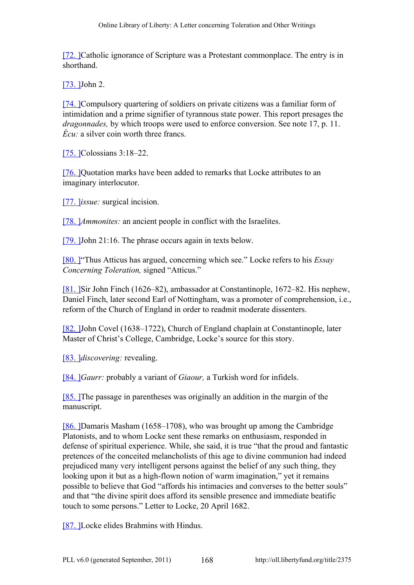[\[72.](#page-125-1) ]Catholic ignorance of Scripture was a Protestant commonplace. The entry is in shorthand.

[\[73.](#page-125-2) ]John 2.

[\[74.](#page-125-3) ]Compulsory quartering of soldiers on private citizens was a familiar form of intimidation and a prime signifier of tyrannous state power. This report presages the *dragonnades,* by which troops were used to enforce conversion. See note 17, p. 11. *Écu:* a silver coin worth three francs.

[\[75.](#page-126-0) ]Colossians 3:18–22.

[\[76.](#page-127-0) ]Quotation marks have been added to remarks that Locke attributes to an imaginary interlocutor.

[\[77.](#page-127-1) *lissue:* surgical incision.

[\[78.](#page-128-0) *]Ammonites:* an ancient people in conflict with the Israelites.

[\[79.](#page-128-1) ]John 21:16. The phrase occurs again in texts below.

[\[80.](#page-128-2) ]"Thus Atticus has argued, concerning which see." Locke refers to his *Essay Concerning Toleration,* signed "Atticus."

[\[81.](#page-128-3) ]Sir John Finch (1626–82), ambassador at Constantinople, 1672–82. His nephew, Daniel Finch, later second Earl of Nottingham, was a promoter of comprehension, i.e., reform of the Church of England in order to readmit moderate dissenters.

[\[82.](#page-129-0) ]John Covel (1638–1722), Church of England chaplain at Constantinople, later Master of Christ's College, Cambridge, Locke's source for this story.

[\[83.](#page-129-1) ]*discovering:* revealing.

[\[84.](#page-130-0) ]*Gaurr:* probably a variant of *Giaour,* a Turkish word for infidels.

[\[85.](#page-131-0) ]The passage in parentheses was originally an addition in the margin of the manuscript.

[\[86.](#page-131-1) ]Damaris Masham (1658–1708), who was brought up among the Cambridge Platonists, and to whom Locke sent these remarks on enthusiasm, responded in defense of spiritual experience. While, she said, it is true "that the proud and fantastic pretences of the conceited melancholists of this age to divine communion had indeed prejudiced many very intelligent persons against the belief of any such thing, they looking upon it but as a high-flown notion of warm imagination," yet it remains possible to believe that God "affords his intimacies and converses to the better souls" and that "the divine spirit does afford its sensible presence and immediate beatific touch to some persons." Letter to Locke, 20 April 1682.

[\[87.](#page-131-1) ]Locke elides Brahmins with Hindus.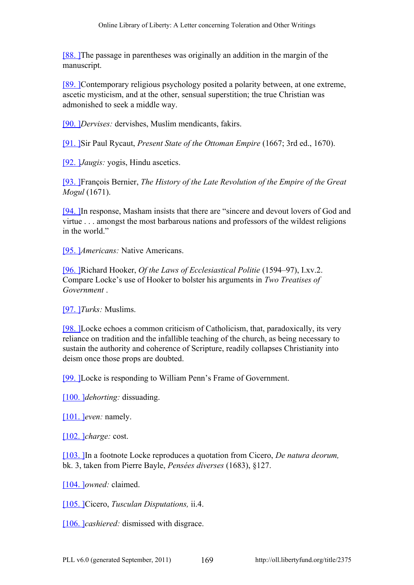[\[88.](#page-131-2) ]The passage in parentheses was originally an addition in the margin of the manuscript.

[\[89.](#page-131-3) ]Contemporary religious psychology posited a polarity between, at one extreme, ascetic mysticism, and at the other, sensual superstition; the true Christian was admonished to seek a middle way.

[\[90.](#page-132-0) ]*Dervises:* dervishes, Muslim mendicants, fakirs.

[\[91.](#page-132-1) ]Sir Paul Rycaut, *Present State of the Ottoman Empire* (1667; 3rd ed., 1670).

[\[92.](#page-132-1) ]*Jaugis:* yogis, Hindu ascetics.

[\[93.](#page-132-2) ]François Bernier, *The History of the Late Revolution of the Empire of the Great Mogul* (1671).

[\[94.](#page-132-2) ]In response, Masham insists that there are "sincere and devout lovers of God and virtue . . . amongst the most barbarous nations and professors of the wildest religions in the world."

[\[95.](#page-132-3) ]*Americans:* Native Americans.

[\[96.](#page-132-4) ]Richard Hooker, *Of the Laws of Ecclesiastical Politie* (1594–97), I.xv.2. Compare Locke's use of Hooker to bolster his arguments in *Two Treatises of Government* .

[\[97.](#page-133-0) ]*Turks:* Muslims.

[\[98.](#page-133-1) ]Locke echoes a common criticism of Catholicism, that, paradoxically, its very reliance on tradition and the infallible teaching of the church, as being necessary to sustain the authority and coherence of Scripture, readily collapses Christianity into deism once those props are doubted.

[\[99.](#page-134-0) ]Locke is responding to William Penn's Frame of Government.

[\[100.](#page-135-0) *dehorting:* dissuading.

[\[101.](#page-135-1) *]even:* namely.

[\[102.](#page-136-0) ]*charge:* cost.

[\[103.](#page-136-1) ]In a footnote Locke reproduces a quotation from Cicero, *De natura deorum,* bk. 3, taken from Pierre Bayle, *Pensées diverses* (1683), §127.

[\[104.](#page-136-2) *lowned:* claimed.

[\[105.](#page-136-3) ]Cicero, *Tusculan Disputations,* ii.4.

[\[106.](#page-137-0) *]cashiered:* dismissed with disgrace.